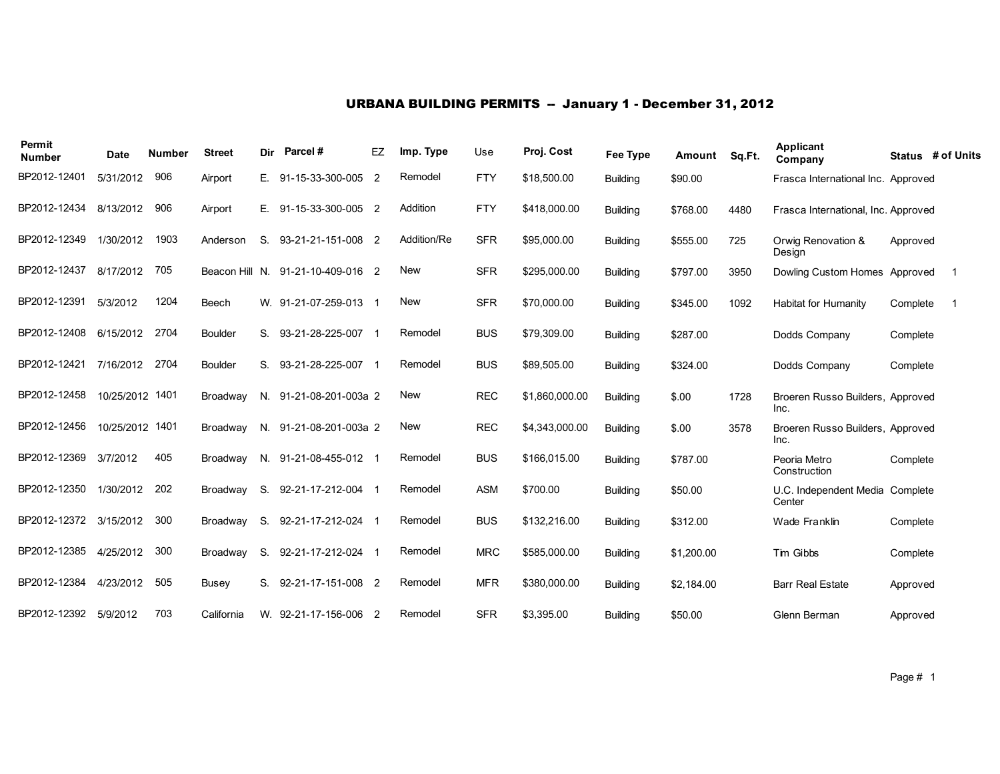## URBANA BUILDING PERMITS -- January 1 - December 31, 2012

| Permit<br><b>Number</b> | <b>Date</b>     | <b>Number</b> | <b>Street</b>   | Dir | Parcel#               | EZ             | Imp. Type   | Use        | Proj. Cost     | Fee Type        | Amount     | Sq.Ft. | <b>Applicant</b><br>Company               |          | Status # of Units        |
|-------------------------|-----------------|---------------|-----------------|-----|-----------------------|----------------|-------------|------------|----------------|-----------------|------------|--------|-------------------------------------------|----------|--------------------------|
| BP2012-12401            | 5/31/2012       | 906           | Airport         | Е.  | 91-15-33-300-005      | $\overline{2}$ | Remodel     | <b>FTY</b> | \$18,500.00    | <b>Building</b> | \$90.00    |        | Frasca International Inc. Approved        |          |                          |
| BP2012-12434            | 8/13/2012       | 906           | Airport         | Е.  | 91-15-33-300-005 2    |                | Addition    | <b>FTY</b> | \$418,000.00   | <b>Building</b> | \$768.00   | 4480   | Frasca International, Inc. Approved       |          |                          |
| BP2012-12349            | 1/30/2012       | 1903          | Anderson        | S.  | 93-21-21-151-008 2    |                | Addition/Re | <b>SFR</b> | \$95,000.00    | <b>Building</b> | \$555.00   | 725    | Orwig Renovation &<br>Design              | Approved |                          |
| BP2012-12437            | 8/17/2012       | 705           | Beacon Hill N.  |     | 91-21-10-409-016 2    |                | <b>New</b>  | <b>SFR</b> | \$295,000.00   | <b>Building</b> | \$797.00   | 3950   | Dowling Custom Homes Approved             |          | $\overline{\phantom{1}}$ |
| BP2012-12391            | 5/3/2012        | 1204          | Beech           |     | W. 91-21-07-259-013 1 |                | <b>New</b>  | <b>SFR</b> | \$70,000.00    | <b>Building</b> | \$345.00   | 1092   | Habitat for Humanity                      | Complete | -1                       |
| BP2012-12408            | 6/15/2012       | 2704          | Boulder         | S.  | 93-21-28-225-007      |                | Remodel     | <b>BUS</b> | \$79,309.00    | <b>Building</b> | \$287.00   |        | Dodds Company                             | Complete |                          |
| BP2012-12421            | 7/16/2012       | 2704          | Boulder         | S.  | 93-21-28-225-007      |                | Remodel     | <b>BUS</b> | \$89,505.00    | <b>Building</b> | \$324.00   |        | Dodds Company                             | Complete |                          |
| BP2012-12458            | 10/25/2012 1401 |               | Broadway        | N.  | 91-21-08-201-003a 2   |                | <b>New</b>  | <b>REC</b> | \$1,860,000.00 | <b>Building</b> | \$.00      | 1728   | Broeren Russo Builders, Approved<br>Inc.  |          |                          |
| BP2012-12456            | 10/25/2012 1401 |               | <b>Broadway</b> | N.  | 91-21-08-201-003a 2   |                | New         | <b>REC</b> | \$4,343,000.00 | <b>Building</b> | \$.00      | 3578   | Broeren Russo Builders, Approved<br>Inc.  |          |                          |
| BP2012-12369            | 3/7/2012        | 405           | <b>Broadway</b> |     | N. 91-21-08-455-012   |                | Remodel     | <b>BUS</b> | \$166,015.00   | <b>Building</b> | \$787.00   |        | Peoria Metro<br>Construction              | Complete |                          |
| BP2012-12350            | 1/30/2012       | 202           | Broadway        | S.  | 92-21-17-212-004      |                | Remodel     | <b>ASM</b> | \$700.00       | <b>Building</b> | \$50.00    |        | U.C. Independent Media Complete<br>Center |          |                          |
| BP2012-12372            | 3/15/2012       | 300           | Broadway        | S.  | 92-21-17-212-024 1    |                | Remodel     | <b>BUS</b> | \$132,216.00   | <b>Building</b> | \$312.00   |        | Wade Franklin                             | Complete |                          |
| BP2012-12385            | 4/25/2012       | 300           | Broadway        | S.  | 92-21-17-212-024      |                | Remodel     | <b>MRC</b> | \$585,000.00   | <b>Building</b> | \$1,200.00 |        | Tim Gibbs                                 | Complete |                          |
| BP2012-12384            | 4/23/2012       | 505           | <b>Busey</b>    | S.  | 92-21-17-151-008 2    |                | Remodel     | <b>MFR</b> | \$380,000.00   | <b>Building</b> | \$2,184.00 |        | <b>Barr Real Estate</b>                   | Approved |                          |
| BP2012-12392            | 5/9/2012        | 703           | California      |     | W. 92-21-17-156-006 2 |                | Remodel     | <b>SFR</b> | \$3,395.00     | <b>Building</b> | \$50.00    |        | Glenn Berman                              | Approved |                          |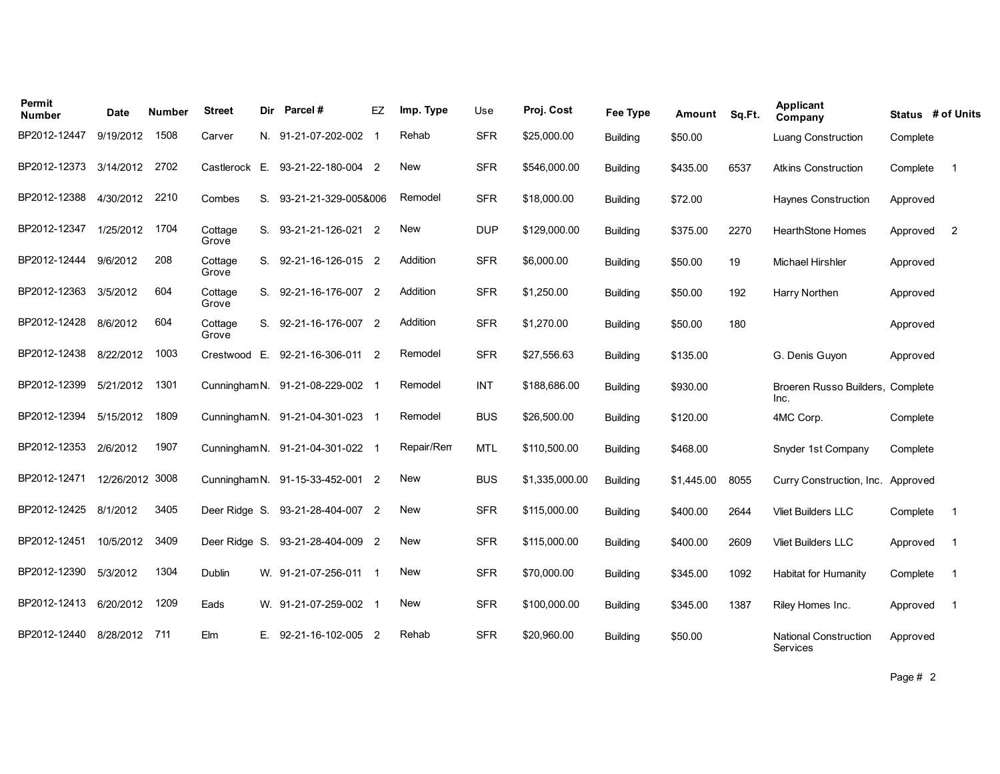| Permit<br><b>Number</b> | <b>Date</b>     | <b>Number</b> | <b>Street</b>    | Dir | Parcel #                         | EZ             | Imp. Type  | Use        | Proj. Cost     | Fee Type        | Amount     | Sq.Ft. | Applicant<br>Company                            |          | Status # of Units |
|-------------------------|-----------------|---------------|------------------|-----|----------------------------------|----------------|------------|------------|----------------|-----------------|------------|--------|-------------------------------------------------|----------|-------------------|
| BP2012-12447            | 9/19/2012       | 1508          | Carver           |     | N. 91-21-07-202-002              |                | Rehab      | <b>SFR</b> | \$25,000.00    | <b>Building</b> | \$50.00    |        | Luang Construction                              | Complete |                   |
| BP2012-12373            | 3/14/2012       | 2702          | Castlerock E.    |     | 93-21-22-180-004 2               |                | <b>New</b> | <b>SFR</b> | \$546,000.00   | <b>Building</b> | \$435.00   | 6537   | <b>Atkins Construction</b>                      | Complete | $\overline{1}$    |
| BP2012-12388            | 4/30/2012       | 2210          | Combes           | S.  | 93-21-21-329-005&006             |                | Remodel    | <b>SFR</b> | \$18,000.00    | <b>Building</b> | \$72.00    |        | <b>Haynes Construction</b>                      | Approved |                   |
| BP2012-12347            | 1/25/2012       | 1704          | Cottage<br>Grove |     | S. 93-21-21-126-021 2            |                | <b>New</b> | <b>DUP</b> | \$129,000.00   | <b>Building</b> | \$375.00   | 2270   | <b>HearthStone Homes</b>                        | Approved | $\overline{2}$    |
| BP2012-12444            | 9/6/2012        | 208           | Cottage<br>Grove |     | S. 92-21-16-126-015 2            |                | Addition   | <b>SFR</b> | \$6,000.00     | <b>Building</b> | \$50.00    | 19     | <b>Michael Hirshler</b>                         | Approved |                   |
| BP2012-12363            | 3/5/2012        | 604           | Cottage<br>Grove |     | S. 92-21-16-176-007 2            |                | Addition   | <b>SFR</b> | \$1,250.00     | <b>Building</b> | \$50.00    | 192    | Harry Northen                                   | Approved |                   |
| BP2012-12428            | 8/6/2012        | 604           | Cottage<br>Grove |     | S. 92-21-16-176-007 2            |                | Addition   | <b>SFR</b> | \$1,270.00     | <b>Building</b> | \$50.00    | 180    |                                                 | Approved |                   |
| BP2012-12438            | 8/22/2012       | 1003          | Crestwood        | E.  | 92-21-16-306-011                 | $\overline{2}$ | Remodel    | <b>SFR</b> | \$27,556.63    | <b>Building</b> | \$135.00   |        | G. Denis Guyon                                  | Approved |                   |
| BP2012-12399            | 5/21/2012       | 1301          |                  |     | Cunningham N. 91-21-08-229-002 1 |                | Remodel    | <b>INT</b> | \$188,686.00   | Building        | \$930.00   |        | Broeren Russo Builders, Complete<br>Inc.        |          |                   |
| BP2012-12394            | 5/15/2012       | 1809          |                  |     | Cunningham N. 91-21-04-301-023 1 |                | Remodel    | <b>BUS</b> | \$26,500.00    | <b>Building</b> | \$120.00   |        | 4MC Corp.                                       | Complete |                   |
| BP2012-12353            | 2/6/2012        | 1907          |                  |     | Cunningham N. 91-21-04-301-022 1 |                | Repair/Rem | <b>MTL</b> | \$110,500.00   | <b>Building</b> | \$468.00   |        | Snyder 1st Company                              | Complete |                   |
| BP2012-12471            | 12/26/2012 3008 |               |                  |     | Cunningham N. 91-15-33-452-001 2 |                | <b>New</b> | <b>BUS</b> | \$1,335,000.00 | <b>Building</b> | \$1,445.00 | 8055   | Curry Construction, Inc.                        | Approved |                   |
| BP2012-12425 8/1/2012   |                 | 3405          | Deer Ridge S.    |     | 93-21-28-404-007 2               |                | <b>New</b> | <b>SFR</b> | \$115,000.00   | <b>Building</b> | \$400.00   | 2644   | <b>Vliet Builders LLC</b>                       | Complete | -1                |
| BP2012-12451            | 10/5/2012       | 3409          | Deer Ridge S.    |     | 93-21-28-404-009 2               |                | <b>New</b> | <b>SFR</b> | \$115.000.00   | <b>Building</b> | \$400.00   | 2609   | <b>Vliet Builders LLC</b>                       | Approved | $\overline{1}$    |
| BP2012-12390            | 5/3/2012        | 1304          | Dublin           |     | W. 91-21-07-256-011 1            |                | <b>New</b> | <b>SFR</b> | \$70,000.00    | <b>Building</b> | \$345.00   | 1092   | <b>Habitat for Humanity</b>                     | Complete | - 1               |
| BP2012-12413            | 6/20/2012       | 1209          | Eads             |     | W. 91-21-07-259-002 1            |                | <b>New</b> | <b>SFR</b> | \$100,000.00   | <b>Building</b> | \$345.00   | 1387   | Riley Homes Inc.                                | Approved | $\overline{1}$    |
| BP2012-12440            | 8/28/2012       | 711           | Elm              |     | E. 92-21-16-102-005 2            |                | Rehab      | <b>SFR</b> | \$20,960.00    | <b>Building</b> | \$50.00    |        | <b>National Construction</b><br><b>Services</b> | Approved |                   |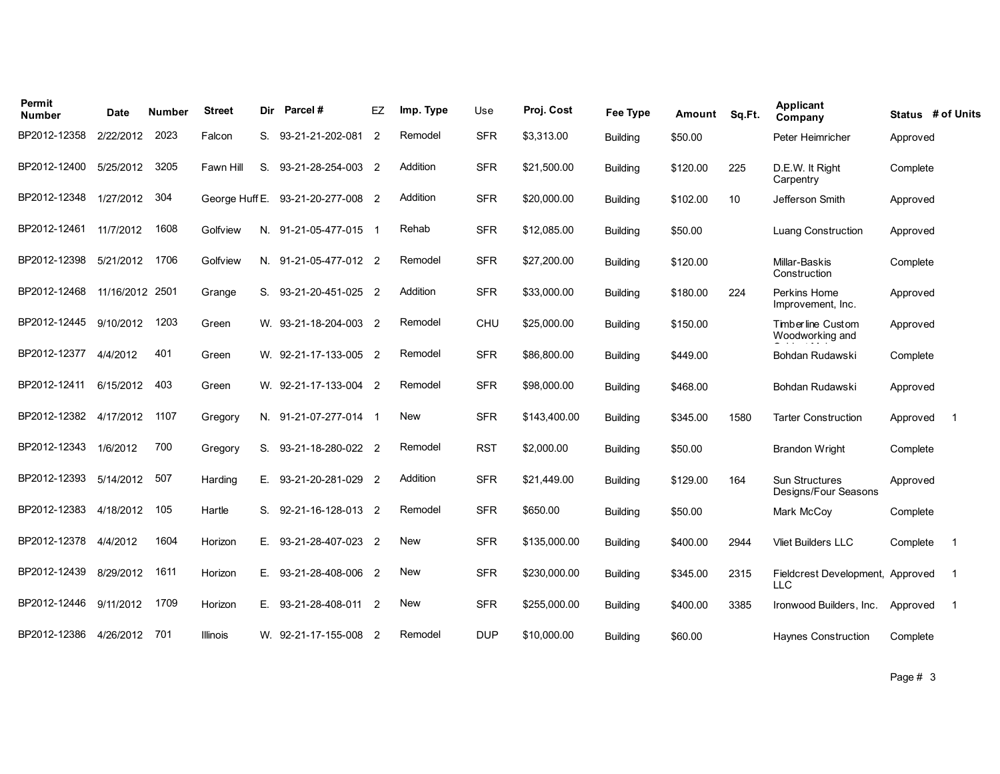| Permit<br><b>Number</b> | Date            | Number | <b>Street</b>  | Dir | Parcel#               | EZ             | Imp. Type  | Use        | Proj. Cost   | <b>Fee Type</b> | Amount   | Sq.Ft. | <b>Applicant</b><br>Company                    | Status # of Units |                |
|-------------------------|-----------------|--------|----------------|-----|-----------------------|----------------|------------|------------|--------------|-----------------|----------|--------|------------------------------------------------|-------------------|----------------|
| BP2012-12358            | 2/22/2012       | 2023   | Falcon         | S.  | 93-21-21-202-081      | $\overline{2}$ | Remodel    | <b>SFR</b> | \$3,313.00   | <b>Building</b> | \$50.00  |        | Peter Heimricher                               | Approved          |                |
| BP2012-12400            | 5/25/2012       | 3205   | Fawn Hill      | S.  | 93-21-28-254-003 2    |                | Addition   | <b>SFR</b> | \$21,500.00  | <b>Building</b> | \$120.00 | 225    | D.E.W. It Right<br>Carpentry                   | Complete          |                |
| BP2012-12348            | 1/27/2012       | 304    | George Huff E. |     | 93-21-20-277-008 2    |                | Addition   | <b>SFR</b> | \$20,000.00  | <b>Building</b> | \$102.00 | 10     | Jefferson Smith                                | Approved          |                |
| BP2012-12461            | 11/7/2012       | 1608   | Golfview       |     | N. 91-21-05-477-015 1 |                | Rehab      | <b>SFR</b> | \$12,085.00  | <b>Building</b> | \$50.00  |        | <b>Luang Construction</b>                      | Approved          |                |
| BP2012-12398            | 5/21/2012       | 1706   | Golfview       |     | N. 91-21-05-477-012 2 |                | Remodel    | <b>SFR</b> | \$27,200.00  | <b>Building</b> | \$120.00 |        | Millar-Baskis<br>Construction                  | Complete          |                |
| BP2012-12468            | 11/16/2012 2501 |        | Grange         | S.  | 93-21-20-451-025 2    |                | Addition   | <b>SFR</b> | \$33,000.00  | <b>Building</b> | \$180.00 | 224    | Perkins Home<br>Improvement, Inc.              | Approved          |                |
| BP2012-12445            | 9/10/2012       | 1203   | Green          |     | W. 93-21-18-204-003 2 |                | Remodel    | CHU        | \$25,000.00  | <b>Building</b> | \$150.00 |        | Timberline Custom<br>Woodworking and           | Approved          |                |
| BP2012-12377            | 4/4/2012        | 401    | Green          |     | W. 92-21-17-133-005 2 |                | Remodel    | <b>SFR</b> | \$86,800.00  | <b>Building</b> | \$449.00 |        | Bohdan Rudawski                                | Complete          |                |
| BP2012-12411            | 6/15/2012       | 403    | Green          |     | W. 92-21-17-133-004 2 |                | Remodel    | <b>SFR</b> | \$98,000.00  | <b>Building</b> | \$468.00 |        | Bohdan Rudawski                                | Approved          |                |
| BP2012-12382            | 4/17/2012       | 1107   | Gregory        |     | N. 91-21-07-277-014 1 |                | <b>New</b> | <b>SFR</b> | \$143,400.00 | <b>Building</b> | \$345.00 | 1580   | <b>Tarter Construction</b>                     | Approved          | $\overline{1}$ |
| BP2012-12343            | 1/6/2012        | 700    | Gregory        | S.  | 93-21-18-280-022 2    |                | Remodel    | <b>RST</b> | \$2,000.00   | <b>Building</b> | \$50.00  |        | <b>Brandon Wright</b>                          | Complete          |                |
| BP2012-12393            | 5/14/2012       | 507    | Harding        | Е.  | 93-21-20-281-029      | $\overline{2}$ | Addition   | <b>SFR</b> | \$21,449.00  | <b>Building</b> | \$129.00 | 164    | Sun Structures<br>Designs/Four Seasons         | Approved          |                |
| BP2012-12383            | 4/18/2012       | 105    | Hartle         | S.  | 92-21-16-128-013 2    |                | Remodel    | <b>SFR</b> | \$650.00     | <b>Building</b> | \$50.00  |        | Mark McCov                                     | Complete          |                |
| BP2012-12378            | 4/4/2012        | 1604   | Horizon        | Е.  | 93-21-28-407-023 2    |                | <b>New</b> | <b>SFR</b> | \$135,000.00 | <b>Building</b> | \$400.00 | 2944   | <b>Vliet Builders LLC</b>                      | Complete          | - 1            |
| BP2012-12439            | 8/29/2012       | 1611   | Horizon        | Е.  | 93-21-28-408-006 2    |                | <b>New</b> | <b>SFR</b> | \$230,000.00 | <b>Building</b> | \$345.00 | 2315   | Fieldcrest Development, Approved<br><b>LLC</b> |                   | - 1            |
| BP2012-12446            | 9/11/2012       | 1709   | Horizon        | Е.  | 93-21-28-408-011 2    |                | New        | <b>SFR</b> | \$255,000.00 | <b>Building</b> | \$400.00 | 3385   | Ironwood Builders, Inc.                        | Approved          | -1             |
| BP2012-12386            | 4/26/2012       | 701    | Illinois       |     | W. 92-21-17-155-008 2 |                | Remodel    | <b>DUP</b> | \$10,000.00  | <b>Building</b> | \$60.00  |        | <b>Haynes Construction</b>                     | Complete          |                |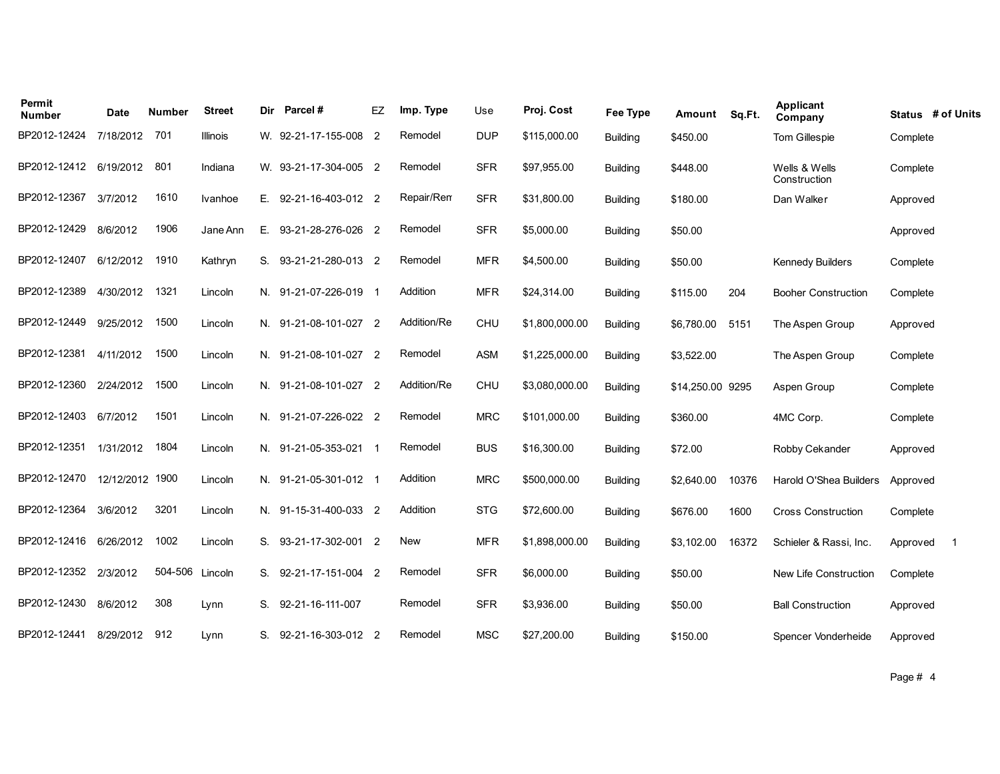| Permit<br><b>Number</b> | Date       | Number  | <b>Street</b>   | Dir | Parcel#               | EZ | Imp. Type   | Use        | Proj. Cost     | Fee Type        | Amount           | Sq.Ft. | Applicant<br>Company          | Status # of Units |     |
|-------------------------|------------|---------|-----------------|-----|-----------------------|----|-------------|------------|----------------|-----------------|------------------|--------|-------------------------------|-------------------|-----|
| BP2012-12424            | 7/18/2012  | 701     | <b>Illinois</b> |     | W. 92-21-17-155-008 2 |    | Remodel     | <b>DUP</b> | \$115,000.00   | <b>Building</b> | \$450.00         |        | Tom Gillespie                 | Complete          |     |
| BP2012-12412 6/19/2012  |            | 801     | Indiana         |     | W. 93-21-17-304-005 2 |    | Remodel     | <b>SFR</b> | \$97,955.00    | <b>Building</b> | \$448.00         |        | Wells & Wells<br>Construction | Complete          |     |
| BP2012-12367            | 3/7/2012   | 1610    | Ivanhoe         | Е.  | 92-21-16-403-012 2    |    | Repair/Rem  | <b>SFR</b> | \$31,800.00    | <b>Building</b> | \$180.00         |        | Dan Walker                    | Approved          |     |
| BP2012-12429            | 8/6/2012   | 1906    | Jane Ann        | Е.  | 93-21-28-276-026 2    |    | Remodel     | <b>SFR</b> | \$5,000.00     | <b>Building</b> | \$50.00          |        |                               | Approved          |     |
| BP2012-12407            | 6/12/2012  | 1910    | Kathryn         | S.  | 93-21-21-280-013 2    |    | Remodel     | <b>MFR</b> | \$4,500.00     | <b>Building</b> | \$50.00          |        | <b>Kennedy Builders</b>       | Complete          |     |
| BP2012-12389            | 4/30/2012  | 1321    | Lincoln         | N.  | 91-21-07-226-019      |    | Addition    | <b>MFR</b> | \$24,314.00    | <b>Building</b> | \$115.00         | 204    | <b>Booher Construction</b>    | Complete          |     |
| BP2012-12449            | 9/25/2012  | 1500    | Lincoln         |     | N. 91-21-08-101-027 2 |    | Addition/Re | <b>CHU</b> | \$1,800,000.00 | <b>Building</b> | \$6,780.00       | 5151   | The Aspen Group               | Approved          |     |
| BP2012-12381            | 4/11/2012  | 1500    | Lincoln         |     | N. 91-21-08-101-027 2 |    | Remodel     | <b>ASM</b> | \$1,225,000.00 | <b>Building</b> | \$3,522.00       |        | The Aspen Group               | Complete          |     |
| BP2012-12360            | 2/24/2012  | 1500    | Lincoln         |     | N. 91-21-08-101-027 2 |    | Addition/Re | CHU        | \$3,080,000.00 | <b>Building</b> | \$14,250.00 9295 |        | Aspen Group                   | Complete          |     |
| BP2012-12403            | 6/7/2012   | 1501    | Lincoln         |     | N. 91-21-07-226-022 2 |    | Remodel     | <b>MRC</b> | \$101,000.00   | <b>Building</b> | \$360.00         |        | 4MC Corp.                     | Complete          |     |
| BP2012-12351            | 1/31/2012  | 1804    | Lincoln         |     | N. 91-21-05-353-021 1 |    | Remodel     | <b>BUS</b> | \$16,300.00    | <b>Building</b> | \$72.00          |        | Robby Cekander                | Approved          |     |
| BP2012-12470            | 12/12/2012 | 1900    | Lincoln         |     | N. 91-21-05-301-012 1 |    | Addition    | <b>MRC</b> | \$500,000.00   | <b>Building</b> | \$2,640.00       | 10376  | Harold O'Shea Builders        | Approved          |     |
| BP2012-12364            | 3/6/2012   | 3201    | Lincoln         |     | N. 91-15-31-400-033 2 |    | Addition    | <b>STG</b> | \$72,600.00    | <b>Building</b> | \$676.00         | 1600   | <b>Cross Construction</b>     | Complete          |     |
| BP2012-12416            | 6/26/2012  | 1002    | Lincoln         | S.  | 93-21-17-302-001 2    |    | <b>New</b>  | <b>MFR</b> | \$1,898,000.00 | <b>Building</b> | \$3,102.00       | 16372  | Schieler & Rassi, Inc.        | Approved          | - 1 |
| BP2012-12352            | 2/3/2012   | 504-506 | Lincoln         | S.  | 92-21-17-151-004 2    |    | Remodel     | <b>SFR</b> | \$6,000.00     | <b>Building</b> | \$50.00          |        | New Life Construction         | Complete          |     |
| BP2012-12430            | 8/6/2012   | 308     | Lynn            | S.  | 92-21-16-111-007      |    | Remodel     | <b>SFR</b> | \$3,936.00     | <b>Building</b> | \$50.00          |        | <b>Ball Construction</b>      | Approved          |     |
| BP2012-12441            | 8/29/2012  | 912     | Lynn            | S.  | 92-21-16-303-012 2    |    | Remodel     | <b>MSC</b> | \$27,200.00    | <b>Building</b> | \$150.00         |        | Spencer Vonderheide           | Approved          |     |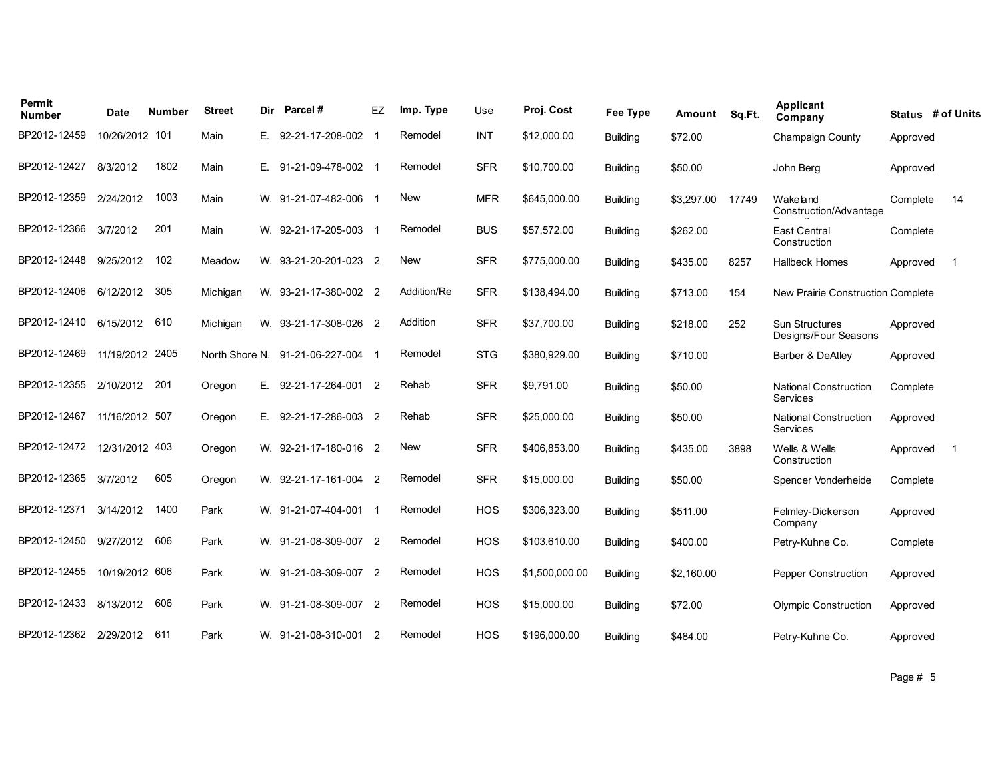| Permit<br>Number | <b>Date</b>     | Number | <b>Street</b> | Dir | Parcel#                           | EZ | Imp. Type   | Use        | Proj. Cost     | Fee Type        | Amount     | Sq.Ft. | Applicant<br>Company                            |          | Status # of Units |
|------------------|-----------------|--------|---------------|-----|-----------------------------------|----|-------------|------------|----------------|-----------------|------------|--------|-------------------------------------------------|----------|-------------------|
| BP2012-12459     | 10/26/2012 101  |        | Main          | Е.  | 92-21-17-208-002                  |    | Remodel     | <b>INT</b> | \$12,000.00    | <b>Building</b> | \$72.00    |        | <b>Champaign County</b>                         | Approved |                   |
| BP2012-12427     | 8/3/2012        | 1802   | Main          | Е.  | 91-21-09-478-002 1                |    | Remodel     | <b>SFR</b> | \$10,700.00    | <b>Building</b> | \$50.00    |        | John Berg                                       | Approved |                   |
| BP2012-12359     | 2/24/2012       | 1003   | Main          |     | W. 91-21-07-482-006 1             |    | <b>New</b>  | <b>MFR</b> | \$645,000.00   | <b>Building</b> | \$3,297.00 | 17749  | Wakeland<br>Construction/Advantage              | Complete | 14                |
| BP2012-12366     | 3/7/2012        | 201    | Main          |     | W. 92-21-17-205-003               |    | Remodel     | <b>BUS</b> | \$57,572.00    | <b>Building</b> | \$262.00   |        | <b>East Central</b><br>Construction             | Complete |                   |
| BP2012-12448     | 9/25/2012       | 102    | Meadow        |     | W. 93-21-20-201-023 2             |    | <b>New</b>  | <b>SFR</b> | \$775,000.00   | <b>Building</b> | \$435.00   | 8257   | <b>Hallbeck Homes</b>                           | Approved | -1                |
| BP2012-12406     | 6/12/2012       | 305    | Michigan      |     | W. 93-21-17-380-002 2             |    | Addition/Re | <b>SFR</b> | \$138,494.00   | Building        | \$713.00   | 154    | New Prairie Construction Complete               |          |                   |
| BP2012-12410     | 6/15/2012       | 610    | Michigan      |     | W. 93-21-17-308-026 2             |    | Addition    | <b>SFR</b> | \$37,700.00    | <b>Building</b> | \$218.00   | 252    | Sun Structures<br>Designs/Four Seasons          | Approved |                   |
| BP2012-12469     | 11/19/2012 2405 |        |               |     | North Shore N. 91-21-06-227-004 1 |    | Remodel     | <b>STG</b> | \$380,929.00   | <b>Building</b> | \$710.00   |        | Barber & DeAtley                                | Approved |                   |
| BP2012-12355     | 2/10/2012       | 201    | Oregon        | Е.  | 92-21-17-264-001 2                |    | Rehab       | <b>SFR</b> | \$9,791.00     | Building        | \$50.00    |        | <b>National Construction</b><br><b>Services</b> | Complete |                   |
| BP2012-12467     | 11/16/2012 507  |        | Oregon        | Е.  | 92-21-17-286-003 2                |    | Rehab       | <b>SFR</b> | \$25,000.00    | <b>Building</b> | \$50.00    |        | <b>National Construction</b><br><b>Services</b> | Approved |                   |
| BP2012-12472     | 12/31/2012 403  |        | Oregon        |     | W. 92-21-17-180-016 2             |    | New         | <b>SFR</b> | \$406,853.00   | <b>Building</b> | \$435.00   | 3898   | Wells & Wells<br>Construction                   | Approved | -1                |
| BP2012-12365     | 3/7/2012        | 605    | Oregon        |     | W. 92-21-17-161-004 2             |    | Remodel     | <b>SFR</b> | \$15,000.00    | <b>Building</b> | \$50.00    |        | Spencer Vonderheide                             | Complete |                   |
| BP2012-12371     | 3/14/2012       | 1400   | Park          |     | W. 91-21-07-404-001               |    | Remodel     | HOS        | \$306,323.00   | <b>Building</b> | \$511.00   |        | Felmley-Dickerson<br>Company                    | Approved |                   |
| BP2012-12450     | 9/27/2012       | 606    | Park          |     | W. 91-21-08-309-007 2             |    | Remodel     | <b>HOS</b> | \$103,610.00   | <b>Building</b> | \$400.00   |        | Petry-Kuhne Co.                                 | Complete |                   |
| BP2012-12455     | 10/19/2012 606  |        | Park          |     | W. 91-21-08-309-007 2             |    | Remodel     | <b>HOS</b> | \$1,500,000.00 | <b>Building</b> | \$2,160.00 |        | <b>Pepper Construction</b>                      | Approved |                   |
| BP2012-12433     | 8/13/2012       | 606    | Park          |     | W. 91-21-08-309-007 2             |    | Remodel     | <b>HOS</b> | \$15,000.00    | <b>Building</b> | \$72.00    |        | <b>Olympic Construction</b>                     | Approved |                   |
| BP2012-12362     | 2/29/2012 611   |        | Park          |     | W. 91-21-08-310-001 2             |    | Remodel     | <b>HOS</b> | \$196,000.00   | <b>Building</b> | \$484.00   |        | Petry-Kuhne Co.                                 | Approved |                   |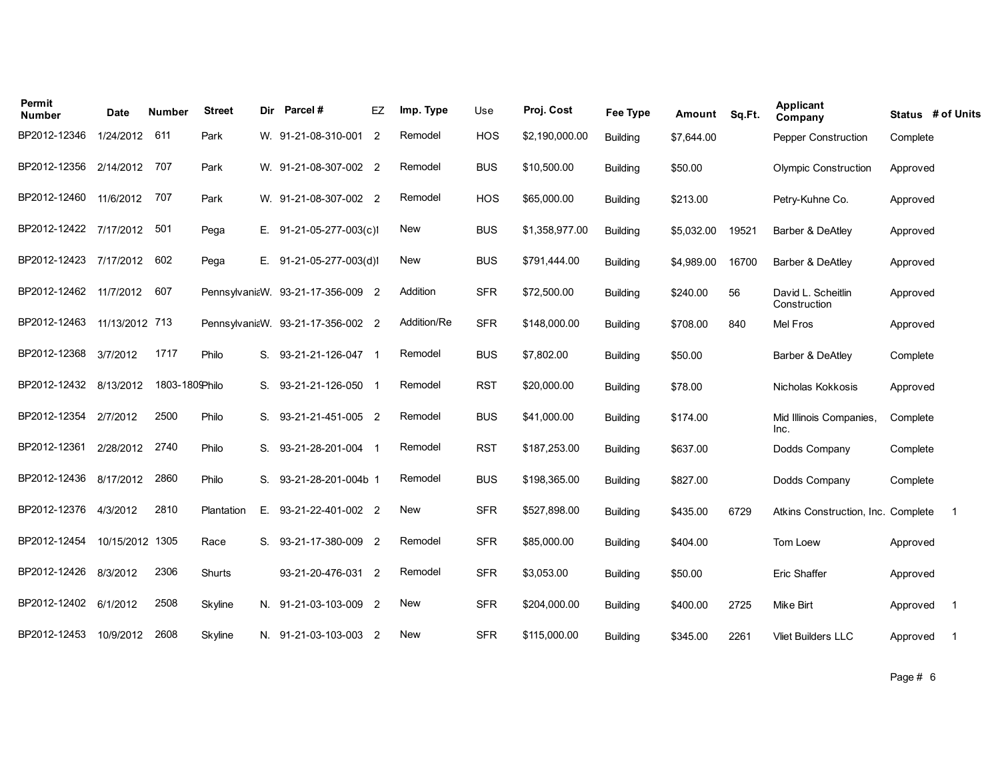| Permit<br><b>Number</b> | Date            | Number         | <b>Street</b> | Dir | Parcel#                           | EZ             | Imp. Type   | Use        | Proj. Cost     | <b>Fee Type</b> | Amount     | Sq.Ft. | Applicant<br>Company               | Status # of Units |     |
|-------------------------|-----------------|----------------|---------------|-----|-----------------------------------|----------------|-------------|------------|----------------|-----------------|------------|--------|------------------------------------|-------------------|-----|
| BP2012-12346            | 1/24/2012       | 611            | Park          |     | W. 91-21-08-310-001               | $\overline{2}$ | Remodel     | <b>HOS</b> | \$2,190,000.00 | <b>Building</b> | \$7,644.00 |        | Pepper Construction                | Complete          |     |
| BP2012-12356 2/14/2012  |                 | 707            | Park          |     | W. 91-21-08-307-002 2             |                | Remodel     | <b>BUS</b> | \$10,500.00    | <b>Building</b> | \$50.00    |        | <b>Olympic Construction</b>        | Approved          |     |
| BP2012-12460            | 11/6/2012       | 707            | Park          |     | W. 91-21-08-307-002 2             |                | Remodel     | <b>HOS</b> | \$65,000.00    | <b>Building</b> | \$213.00   |        | Petry-Kuhne Co.                    | Approved          |     |
| BP2012-12422            | 7/17/2012       | 501            | Pega          | Е.  | 91-21-05-277-003(c)1              |                | <b>New</b>  | <b>BUS</b> | \$1,358,977.00 | <b>Building</b> | \$5,032.00 | 19521  | Barber & DeAtley                   | Approved          |     |
| BP2012-12423            | 7/17/2012       | 602            | Pega          | Е.  | 91-21-05-277-003(d)1              |                | New         | <b>BUS</b> | \$791,444.00   | <b>Building</b> | \$4,989.00 | 16700  | Barber & DeAtley                   | Approved          |     |
| BP2012-12462            | 11/7/2012       | 607            |               |     | PennsylvaniaW. 93-21-17-356-009 2 |                | Addition    | <b>SFR</b> | \$72,500.00    | <b>Building</b> | \$240.00   | 56     | David L. Scheitlin<br>Construction | Approved          |     |
| BP2012-12463            | 11/13/2012 713  |                |               |     | PennsylvaniaW. 93-21-17-356-002 2 |                | Addition/Re | <b>SFR</b> | \$148,000.00   | <b>Building</b> | \$708.00   | 840    | Mel Fros                           | Approved          |     |
| BP2012-12368            | 3/7/2012        | 1717           | Philo         | S.  | 93-21-21-126-047 1                |                | Remodel     | <b>BUS</b> | \$7,802.00     | <b>Building</b> | \$50.00    |        | Barber & DeAtley                   | Complete          |     |
| BP2012-12432            | 8/13/2012       | 1803-1809Philo |               |     | S. 93-21-21-126-050 1             |                | Remodel     | <b>RST</b> | \$20,000.00    | <b>Building</b> | \$78.00    |        | Nicholas Kokkosis                  | Approved          |     |
| BP2012-12354            | 2/7/2012        | 2500           | Philo         | S.  | 93-21-21-451-005 2                |                | Remodel     | <b>BUS</b> | \$41,000.00    | <b>Building</b> | \$174.00   |        | Mid Illinois Companies,<br>Inc.    | Complete          |     |
| BP2012-12361            | 2/28/2012       | 2740           | Philo         | S.  | 93-21-28-201-004 1                |                | Remodel     | <b>RST</b> | \$187,253.00   | <b>Building</b> | \$637.00   |        | Dodds Company                      | Complete          |     |
| BP2012-12436            | 8/17/2012       | 2860           | Philo         | S.  | 93-21-28-201-004b 1               |                | Remodel     | <b>BUS</b> | \$198,365.00   | <b>Building</b> | \$827.00   |        | Dodds Company                      | Complete          |     |
| BP2012-12376            | 4/3/2012        | 2810           | Plantation    | Е.  | 93-21-22-401-002 2                |                | <b>New</b>  | <b>SFR</b> | \$527,898.00   | <b>Building</b> | \$435.00   | 6729   | Atkins Construction, Inc. Complete |                   | -1  |
| BP2012-12454            | 10/15/2012 1305 |                | Race          | S.  | 93-21-17-380-009 2                |                | Remodel     | <b>SFR</b> | \$85,000.00    | <b>Building</b> | \$404.00   |        | Tom Loew                           | Approved          |     |
| BP2012-12426            | 8/3/2012        | 2306           | <b>Shurts</b> |     | 93-21-20-476-031 2                |                | Remodel     | <b>SFR</b> | \$3,053.00     | <b>Building</b> | \$50.00    |        | Eric Shaffer                       | Approved          |     |
| BP2012-12402            | 6/1/2012        | 2508           | Skyline       |     | N. 91-21-03-103-009 2             |                | <b>New</b>  | <b>SFR</b> | \$204,000.00   | <b>Building</b> | \$400.00   | 2725   | Mike Birt                          | Approved          | - 1 |
| BP2012-12453            | 10/9/2012       | 2608           | Skyline       |     | N. 91-21-03-103-003 2             |                | <b>New</b>  | <b>SFR</b> | \$115,000.00   | <b>Building</b> | \$345.00   | 2261   | <b>Vliet Builders LLC</b>          | Approved          | -1  |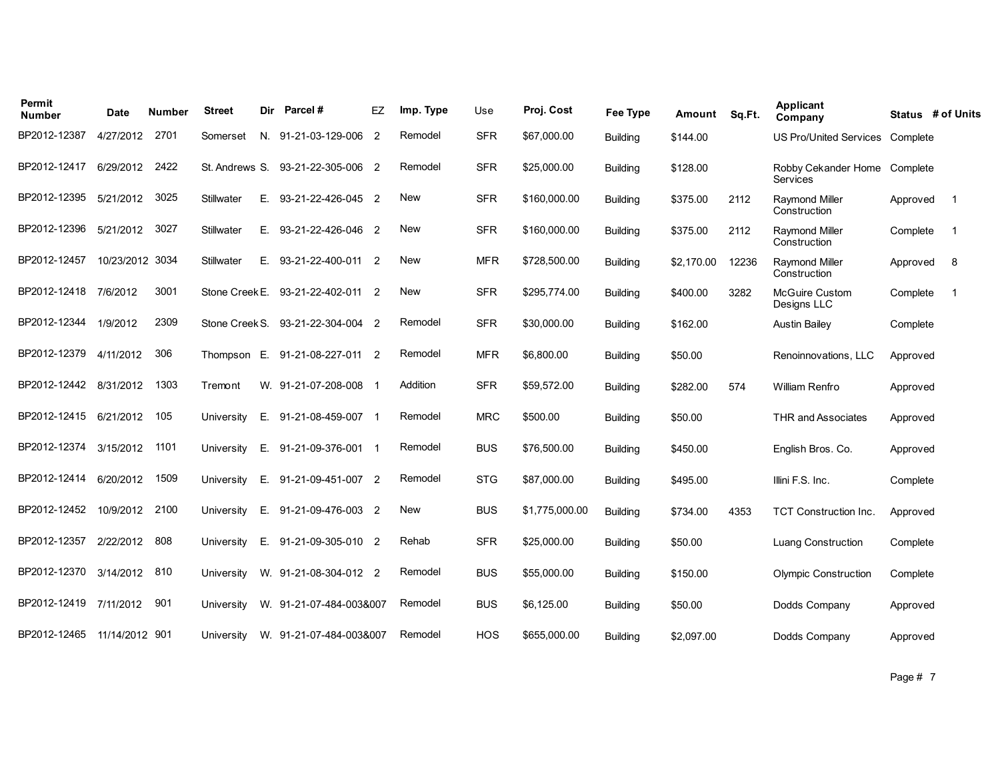| Permit<br><b>Number</b>     | Date            | Number | <b>Street</b>  | Dir | Parcel#                 | EZ             | Imp. Type  | Use        | Proj. Cost     | <b>Fee Type</b> | Amount     | Sq.Ft. | Applicant<br>Company                            |          | Status # of Units |
|-----------------------------|-----------------|--------|----------------|-----|-------------------------|----------------|------------|------------|----------------|-----------------|------------|--------|-------------------------------------------------|----------|-------------------|
| BP2012-12387                | 4/27/2012       | 2701   | Somerset       |     | N. 91-21-03-129-006 2   |                | Remodel    | <b>SFR</b> | \$67,000.00    | Building        | \$144.00   |        | <b>US Pro/United Services</b>                   | Complete |                   |
| BP2012-12417                | 6/29/2012       | 2422   | St. Andrews S. |     | 93-21-22-305-006 2      |                | Remodel    | <b>SFR</b> | \$25,000.00    | <b>Building</b> | \$128.00   |        | Robby Cekander Home Complete<br><b>Services</b> |          |                   |
| BP2012-12395                | 5/21/2012       | 3025   | Stillwater     | Е.  | 93-21-22-426-045 2      |                | New        | <b>SFR</b> | \$160,000.00   | <b>Building</b> | \$375.00   | 2112   | <b>Raymond Miller</b><br>Construction           | Approved | $\overline{1}$    |
| BP2012-12396                | 5/21/2012       | 3027   | Stillwater     | Е.  | 93-21-22-426-046 2      |                | New        | <b>SFR</b> | \$160,000.00   | <b>Building</b> | \$375.00   | 2112   | <b>Raymond Miller</b><br>Construction           | Complete | - 1               |
| BP2012-12457                | 10/23/2012 3034 |        | Stillwater     | Е.  | 93-21-22-400-011 2      |                | New        | <b>MFR</b> | \$728,500.00   | <b>Building</b> | \$2.170.00 | 12236  | <b>Raymond Miller</b><br>Construction           | Approved | 8                 |
| BP2012-12418                | 7/6/2012        | 3001   | Stone Creek E. |     | 93-21-22-402-011        | $\overline{2}$ | <b>New</b> | <b>SFR</b> | \$295,774.00   | <b>Building</b> | \$400.00   | 3282   | <b>McGuire Custom</b><br>Designs LLC            | Complete | -1                |
| BP2012-12344                | 1/9/2012        | 2309   | Stone Creek S. |     | 93-21-22-304-004 2      |                | Remodel    | <b>SFR</b> | \$30,000.00    | <b>Building</b> | \$162.00   |        | <b>Austin Bailey</b>                            | Complete |                   |
| BP2012-12379                | 4/11/2012       | 306    | Thompson E.    |     | 91-21-08-227-011 2      |                | Remodel    | <b>MFR</b> | \$6,800.00     | <b>Building</b> | \$50.00    |        | Renoinnovations, LLC                            | Approved |                   |
| BP2012-12442 8/31/2012      |                 | 1303   | Tremont        |     | W. 91-21-07-208-008 1   |                | Addition   | <b>SFR</b> | \$59,572.00    | <b>Building</b> | \$282.00   | 574    | <b>William Renfro</b>                           | Approved |                   |
| BP2012-12415 6/21/2012      |                 | 105    | University     | Е.  | 91-21-08-459-007        |                | Remodel    | <b>MRC</b> | \$500.00       | <b>Building</b> | \$50.00    |        | <b>THR and Associates</b>                       | Approved |                   |
| BP2012-12374                | 3/15/2012       | 1101   | University     | Е.  | 91-21-09-376-001 1      |                | Remodel    | <b>BUS</b> | \$76,500.00    | <b>Building</b> | \$450.00   |        | English Bros. Co.                               | Approved |                   |
| BP2012-12414                | 6/20/2012       | 1509   | University     | Е.  | 91-21-09-451-007 2      |                | Remodel    | <b>STG</b> | \$87,000.00    | <b>Building</b> | \$495.00   |        | Illini F.S. Inc.                                | Complete |                   |
| BP2012-12452                | 10/9/2012       | 2100   | University     | Е.  | 91-21-09-476-003 2      |                | New        | <b>BUS</b> | \$1,775,000.00 | <b>Building</b> | \$734.00   | 4353   | TCT Construction Inc.                           | Approved |                   |
| BP2012-12357                | 2/22/2012       | 808    | University     | Е.  | 91-21-09-305-010 2      |                | Rehab      | <b>SFR</b> | \$25,000.00    | <b>Building</b> | \$50.00    |        | <b>Luang Construction</b>                       | Complete |                   |
| BP2012-12370                | 3/14/2012       | 810    | University     |     | W. 91-21-08-304-012 2   |                | Remodel    | <b>BUS</b> | \$55,000.00    | <b>Building</b> | \$150.00   |        | <b>Olympic Construction</b>                     | Complete |                   |
| BP2012-12419 7/11/2012      |                 | 901    | University     |     | W. 91-21-07-484-003&007 |                | Remodel    | <b>BUS</b> | \$6,125.00     | <b>Building</b> | \$50.00    |        | Dodds Company                                   | Approved |                   |
| BP2012-12465 11/14/2012 901 |                 |        | University     |     | W. 91-21-07-484-003&007 |                | Remodel    | <b>HOS</b> | \$655,000.00   | <b>Building</b> | \$2,097.00 |        | Dodds Company                                   | Approved |                   |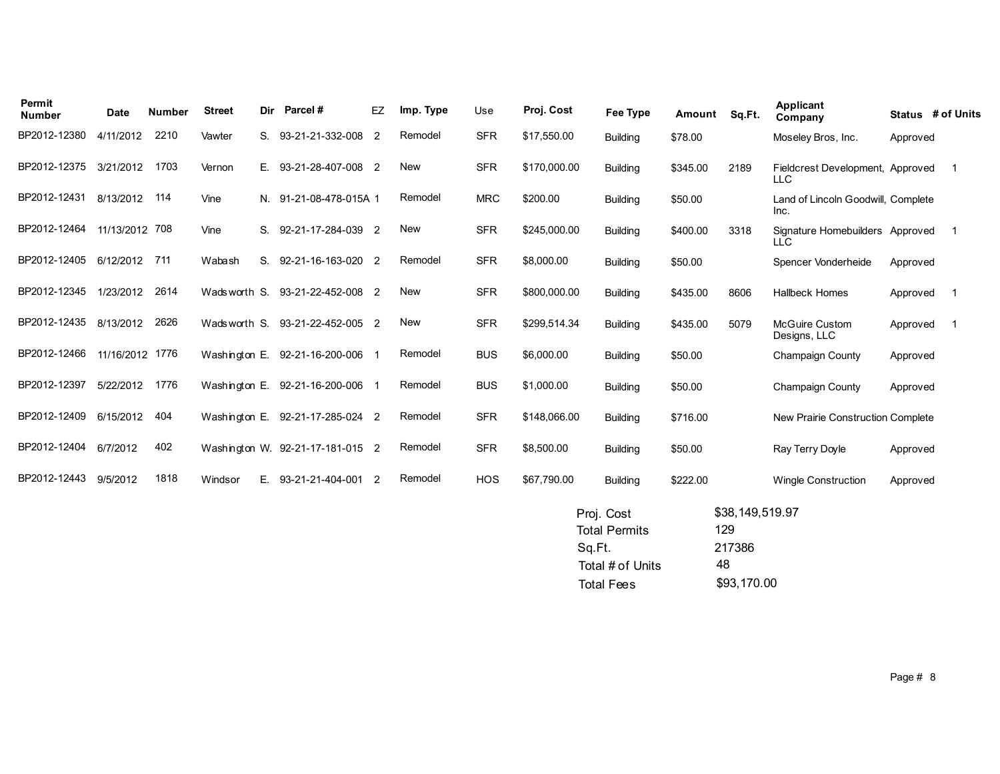| Permit<br><b>Number</b> | Date           | <b>Number</b> | <b>Street</b> | <b>Dir</b> | Parcel#                          | EZ             | Imp. Type  | Use        | Proj. Cost   | Fee Type        | Amount   | Sq.Ft. | Applicant<br>Company                           |          | Status # of Units |
|-------------------------|----------------|---------------|---------------|------------|----------------------------------|----------------|------------|------------|--------------|-----------------|----------|--------|------------------------------------------------|----------|-------------------|
| BP2012-12380            | 4/11/2012      | 2210          | Vawter        | S.         | 93-21-21-332-008                 | 2              | Remodel    | <b>SFR</b> | \$17,550.00  | <b>Building</b> | \$78.00  |        | Moseley Bros, Inc.                             | Approved |                   |
| BP2012-12375            | 3/21/2012      | 1703          | Vernon        | Е.         | 93-21-28-407-008                 | -2             | <b>New</b> | <b>SFR</b> | \$170,000.00 | <b>Building</b> | \$345.00 | 2189   | Fieldcrest Development, Approved<br><b>LLC</b> |          |                   |
| BP2012-12431            | 8/13/2012      | 114           | Vine          |            | N. 91-21-08-478-015A 1           |                | Remodel    | <b>MRC</b> | \$200.00     | <b>Building</b> | \$50.00  |        | Land of Lincoln Goodwill, Complete<br>Inc.     |          |                   |
| BP2012-12464            | 11/13/2012 708 |               | Vine          | S.         | 92-21-17-284-039                 | $\overline{2}$ | <b>New</b> | <b>SFR</b> | \$245,000.00 | <b>Building</b> | \$400.00 | 3318   | Signature Homebuilders Approved<br>LLC         |          |                   |
| BP2012-12405            | 6/12/2012      | 711           | Wabash        | S.         | 92-21-16-163-020                 | $\overline{2}$ | Remodel    | <b>SFR</b> | \$8,000.00   | <b>Building</b> | \$50.00  |        | Spencer Vonderheide                            | Approved |                   |
| BP2012-12345            | 1/23/2012      | 2614          | Wadsworth S.  |            | 93-21-22-452-008                 | -2             | <b>New</b> | <b>SFR</b> | \$800,000.00 | <b>Building</b> | \$435.00 | 8606   | <b>Hallbeck Homes</b>                          | Approved |                   |
| BP2012-12435            | 8/13/2012      | 2626          | Wadsworth S.  |            | 93-21-22-452-005                 | $\overline{2}$ | <b>New</b> | <b>SFR</b> | \$299,514.34 | <b>Building</b> | \$435.00 | 5079   | <b>McGuire Custom</b><br>Designs, LLC          | Approved |                   |
| BP2012-12466            | 11/16/2012     | 1776          | Washington E. |            | 92-21-16-200-006                 |                | Remodel    | <b>BUS</b> | \$6,000.00   | <b>Building</b> | \$50.00  |        | <b>Champaign County</b>                        | Approved |                   |
| BP2012-12397            | 5/22/2012      | 1776          | Washington E. |            | 92-21-16-200-006                 |                | Remodel    | <b>BUS</b> | \$1,000.00   | <b>Building</b> | \$50.00  |        | Champaign County                               | Approved |                   |
| BP2012-12409            | 6/15/2012      | 404           | Washington E. |            | 92-21-17-285-024 2               |                | Remodel    | <b>SFR</b> | \$148,066.00 | <b>Building</b> | \$716.00 |        | New Prairie Construction Complete              |          |                   |
| BP2012-12404            | 6/7/2012       | 402           |               |            | Washington W. 92-21-17-181-015 2 |                | Remodel    | <b>SFR</b> | \$8,500.00   | <b>Building</b> | \$50.00  |        | Ray Terry Doyle                                | Approved |                   |
| BP2012-12443            | 9/5/2012       | 1818          | Windsor       | Е.         | 93-21-21-404-001                 | $\overline{2}$ | Remodel    | <b>HOS</b> | \$67,790.00  | <b>Building</b> | \$222.00 |        | <b>Wingle Construction</b>                     | Approved |                   |
|                         |                |               |               |            |                                  |                |            |            |              |                 |          |        |                                                |          |                   |

| Proj. Cost           | \$38,149,519.97 |
|----------------------|-----------------|
| <b>Total Permits</b> | 129             |
| Sq.Ft.               | 217386          |
| Total # of Units     | 48              |
| <b>Total Fees</b>    | \$93,170.00     |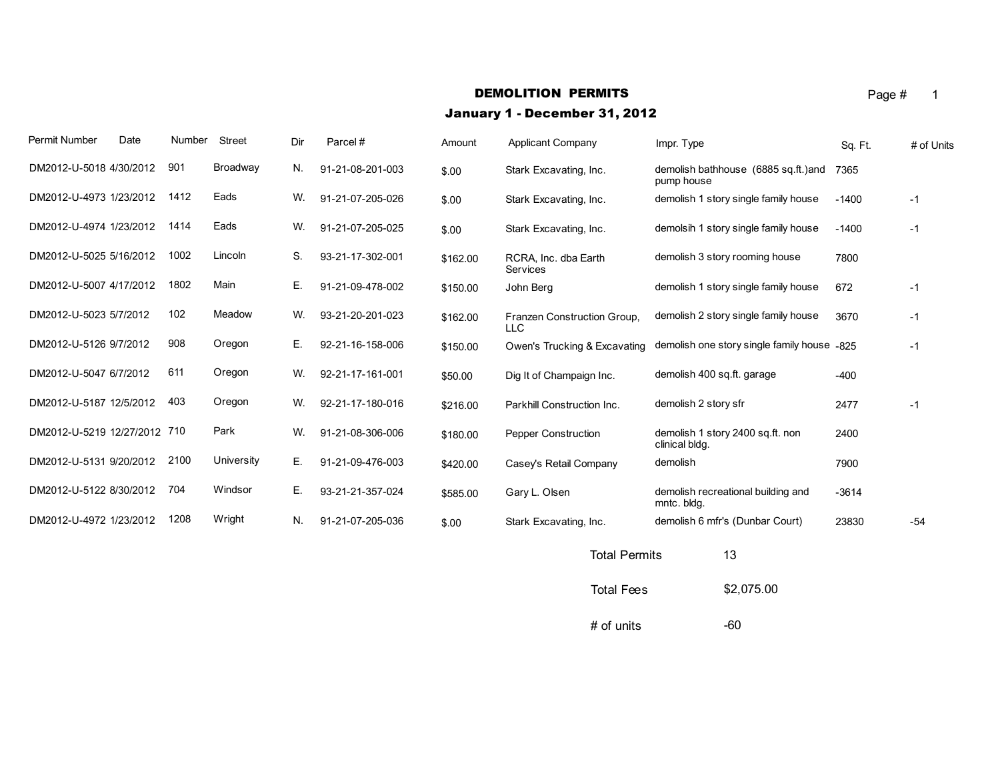# DEMOLITION PERMITS Page # 1

## January 1 - December 31, 2012

| Permit Number            | Date | Number | <b>Street</b> | Dir | Parcel#          | Amount   | Applicant Company                         | Impr. Type                                         | Sq. Ft. | # of Units |
|--------------------------|------|--------|---------------|-----|------------------|----------|-------------------------------------------|----------------------------------------------------|---------|------------|
| DM2012-U-5018 4/30/2012  |      | 901    | Broadway      | N.  | 91-21-08-201-003 | \$.00    | Stark Excavating, Inc.                    | demolish bathhouse (6885 sq.ft.) and<br>pump house | 7365    |            |
| DM2012-U-4973 1/23/2012  |      | 1412   | Eads          | W.  | 91-21-07-205-026 | \$.00    | Stark Excavating, Inc.                    | demolish 1 story single family house               | $-1400$ | $-1$       |
| DM2012-U-4974 1/23/2012  |      | 1414   | Eads          | W.  | 91-21-07-205-025 | \$.00    | Stark Excavating, Inc.                    | demolsih 1 story single family house               | $-1400$ | $-1$       |
| DM2012-U-5025 5/16/2012  |      | 1002   | Lincoln       | S.  | 93-21-17-302-001 | \$162.00 | RCRA, Inc. dba Earth<br>Services          | demolish 3 story rooming house                     | 7800    |            |
| DM2012-U-5007 4/17/2012  |      | 1802   | Main          | Ε.  | 91-21-09-478-002 | \$150.00 | John Berg                                 | demolish 1 story single family house               | 672     | $-1$       |
| DM2012-U-5023 5/7/2012   |      | 102    | Meadow        | W.  | 93-21-20-201-023 | \$162.00 | Franzen Construction Group,<br><b>LLC</b> | demolish 2 story single family house               | 3670    | $-1$       |
| DM2012-U-5126 9/7/2012   |      | 908    | Oregon        | Ε.  | 92-21-16-158-006 | \$150.00 | Owen's Trucking & Excavating              | demolish one story single family house -825        |         | $-1$       |
| DM2012-U-5047 6/7/2012   |      | 611    | Oregon        | W.  | 92-21-17-161-001 | \$50.00  | Dig It of Champaign Inc.                  | demolish 400 sq.ft. garage                         | $-400$  |            |
| DM2012-U-5187 12/5/2012  |      | 403    | Oregon        | W.  | 92-21-17-180-016 | \$216.00 | Parkhill Construction Inc.                | demolish 2 story sfr                               | 2477    | $-1$       |
| DM2012-U-5219 12/27/2012 |      | 710    | Park          | W.  | 91-21-08-306-006 | \$180.00 | <b>Pepper Construction</b>                | demolish 1 story 2400 sq.ft. non<br>clinical bldg. | 2400    |            |
| DM2012-U-5131 9/20/2012  |      | 2100   | University    | Е.  | 91-21-09-476-003 | \$420.00 | Casey's Retail Company                    | demolish                                           | 7900    |            |
| DM2012-U-5122 8/30/2012  |      | 704    | Windsor       | Ε.  | 93-21-21-357-024 | \$585.00 | Gary L. Olsen                             | demolish recreational building and<br>mntc. bldg.  | $-3614$ |            |
| DM2012-U-4972 1/23/2012  |      | 1208   | Wright        | N.  | 91-21-07-205-036 | \$.00    | Stark Excavating, Inc.                    | demolish 6 mfr's (Dunbar Court)                    | 23830   | $-54$      |
|                          |      |        |               |     |                  |          |                                           |                                                    |         |            |

Total Permits 13 Total Fees \$2,075.00  $#$  of units  $-60$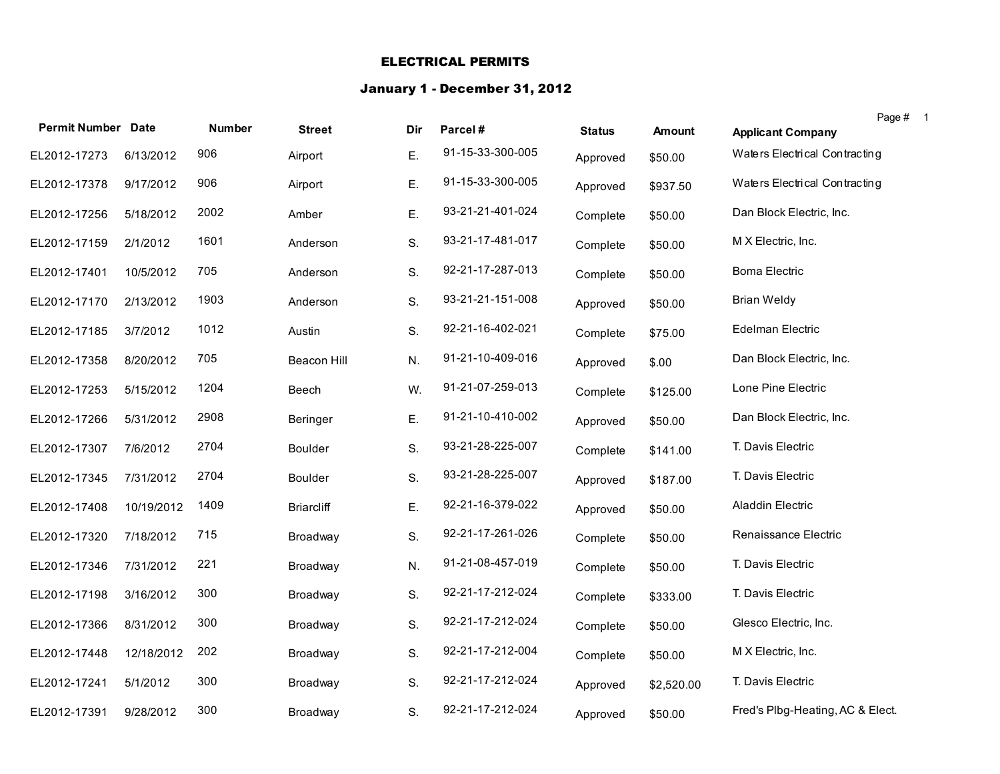#### ELECTRICAL PERMITS

### January 1 - December 31, 2012

| <b>Permit Number Date</b> |            |               |                    |     |                  |               |               |                                  | Page # |
|---------------------------|------------|---------------|--------------------|-----|------------------|---------------|---------------|----------------------------------|--------|
|                           |            | <b>Number</b> | <b>Street</b>      | Dir | Parcel#          | <b>Status</b> | <b>Amount</b> | <b>Applicant Company</b>         |        |
| EL2012-17273              | 6/13/2012  | 906           | Airport            | Ε.  | 91-15-33-300-005 | Approved      | \$50.00       | Waters Electrical Contracting    |        |
| EL2012-17378              | 9/17/2012  | 906           | Airport            | Ε.  | 91-15-33-300-005 | Approved      | \$937.50      | Waters Electrical Contracting    |        |
| EL2012-17256              | 5/18/2012  | 2002          | Amber              | Ε.  | 93-21-21-401-024 | Complete      | \$50.00       | Dan Block Electric, Inc.         |        |
| EL2012-17159              | 2/1/2012   | 1601          | Anderson           | S.  | 93-21-17-481-017 | Complete      | \$50.00       | M X Electric, Inc.               |        |
| EL2012-17401              | 10/5/2012  | 705           | Anderson           | S.  | 92-21-17-287-013 | Complete      | \$50.00       | <b>Boma Electric</b>             |        |
| EL2012-17170              | 2/13/2012  | 1903          | Anderson           | S.  | 93-21-21-151-008 | Approved      | \$50.00       | <b>Brian Weldy</b>               |        |
| EL2012-17185              | 3/7/2012   | 1012          | Austin             | S.  | 92-21-16-402-021 | Complete      | \$75.00       | Edelman Electric                 |        |
| EL2012-17358              | 8/20/2012  | 705           | <b>Beacon Hill</b> | N.  | 91-21-10-409-016 | Approved      | \$.00         | Dan Block Electric, Inc.         |        |
| EL2012-17253              | 5/15/2012  | 1204          | Beech              | W.  | 91-21-07-259-013 | Complete      | \$125.00      | Lone Pine Electric               |        |
| EL2012-17266              | 5/31/2012  | 2908          | Beringer           | Ε.  | 91-21-10-410-002 | Approved      | \$50.00       | Dan Block Electric, Inc.         |        |
| EL2012-17307              | 7/6/2012   | 2704          | Boulder            | S.  | 93-21-28-225-007 | Complete      | \$141.00      | T. Davis Electric                |        |
| EL2012-17345              | 7/31/2012  | 2704          | Boulder            | S.  | 93-21-28-225-007 | Approved      | \$187.00      | T. Davis Electric                |        |
| EL2012-17408              | 10/19/2012 | 1409          | <b>Briarcliff</b>  | Ε.  | 92-21-16-379-022 | Approved      | \$50.00       | Aladdin Electric                 |        |
| EL2012-17320              | 7/18/2012  | 715           | Broadway           | S.  | 92-21-17-261-026 | Complete      | \$50.00       | Renaissance Electric             |        |
| EL2012-17346              | 7/31/2012  | 221           | Broadway           | N.  | 91-21-08-457-019 | Complete      | \$50.00       | T. Davis Electric                |        |
| EL2012-17198              | 3/16/2012  | 300           | Broadway           | S.  | 92-21-17-212-024 | Complete      | \$333.00      | T. Davis Electric                |        |
| EL2012-17366              | 8/31/2012  | 300           | Broadway           | S.  | 92-21-17-212-024 | Complete      | \$50.00       | Glesco Electric, Inc.            |        |
| EL2012-17448              | 12/18/2012 | 202           | Broadway           | S.  | 92-21-17-212-004 | Complete      | \$50.00       | M X Electric, Inc.               |        |
| EL2012-17241              | 5/1/2012   | 300           | Broadway           | S.  | 92-21-17-212-024 | Approved      | \$2,520.00    | T. Davis Electric                |        |
| EL2012-17391              | 9/28/2012  | 300           | Broadway           | S.  | 92-21-17-212-024 | Approved      | \$50.00       | Fred's Plbg-Heating, AC & Elect. |        |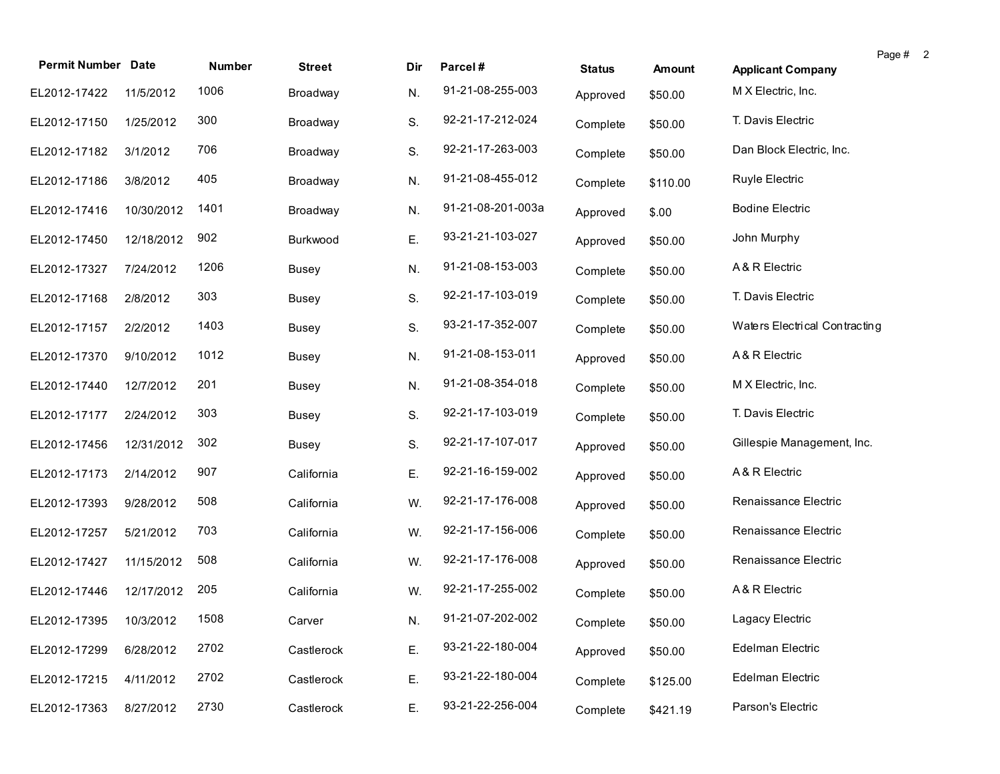| <b>Permit Number Date</b> |            | <b>Number</b> | <b>Street</b> | Dir | Parcel#           | <b>Status</b> | Amount   |                                                | Page # 2 |
|---------------------------|------------|---------------|---------------|-----|-------------------|---------------|----------|------------------------------------------------|----------|
|                           |            | 1006          |               |     | 91-21-08-255-003  |               |          | <b>Applicant Company</b><br>M X Electric, Inc. |          |
| EL2012-17422              | 11/5/2012  |               | Broadway      | N.  |                   | Approved      | \$50.00  |                                                |          |
| EL2012-17150              | 1/25/2012  | 300           | Broadway      | S.  | 92-21-17-212-024  | Complete      | \$50.00  | T. Davis Electric                              |          |
| EL2012-17182              | 3/1/2012   | 706           | Broadway      | S.  | 92-21-17-263-003  | Complete      | \$50.00  | Dan Block Electric, Inc.                       |          |
| EL2012-17186              | 3/8/2012   | 405           | Broadway      | N.  | 91-21-08-455-012  | Complete      | \$110.00 | Ruyle Electric                                 |          |
| EL2012-17416              | 10/30/2012 | 1401          | Broadway      | N.  | 91-21-08-201-003a | Approved      | \$.00    | <b>Bodine Electric</b>                         |          |
| EL2012-17450              | 12/18/2012 | 902           | Burkwood      | Ε.  | 93-21-21-103-027  | Approved      | \$50.00  | John Murphy                                    |          |
| EL2012-17327              | 7/24/2012  | 1206          | <b>Busey</b>  | N.  | 91-21-08-153-003  | Complete      | \$50.00  | A & R Electric                                 |          |
| EL2012-17168              | 2/8/2012   | 303           | <b>Busey</b>  | S.  | 92-21-17-103-019  | Complete      | \$50.00  | T. Davis Electric                              |          |
| EL2012-17157              | 2/2/2012   | 1403          | <b>Busey</b>  | S.  | 93-21-17-352-007  | Complete      | \$50.00  | Waters Electrical Contracting                  |          |
| EL2012-17370              | 9/10/2012  | 1012          | <b>Busey</b>  | N.  | 91-21-08-153-011  | Approved      | \$50.00  | A & R Electric                                 |          |
| EL2012-17440              | 12/7/2012  | 201           | <b>Busey</b>  | N.  | 91-21-08-354-018  | Complete      | \$50.00  | M X Electric, Inc.                             |          |
| EL2012-17177              | 2/24/2012  | 303           | <b>Busey</b>  | S.  | 92-21-17-103-019  | Complete      | \$50.00  | T. Davis Electric                              |          |
| EL2012-17456              | 12/31/2012 | 302           | Busey         | S.  | 92-21-17-107-017  | Approved      | \$50.00  | Gillespie Management, Inc.                     |          |
| EL2012-17173              | 2/14/2012  | 907           | California    | Ε.  | 92-21-16-159-002  | Approved      | \$50.00  | A & R Electric                                 |          |
| EL2012-17393              | 9/28/2012  | 508           | California    | W.  | 92-21-17-176-008  | Approved      | \$50.00  | Renaissance Electric                           |          |
| EL2012-17257              | 5/21/2012  | 703           | California    | W.  | 92-21-17-156-006  | Complete      | \$50.00  | Renaissance Electric                           |          |
| EL2012-17427              | 11/15/2012 | 508           | California    | W.  | 92-21-17-176-008  | Approved      | \$50.00  | Renaissance Electric                           |          |
| EL2012-17446              | 12/17/2012 | 205           | California    | W.  | 92-21-17-255-002  | Complete      | \$50.00  | A & R Electric                                 |          |
| EL2012-17395 10/3/2012    |            | 1508          | Carver        | N.  | 91-21-07-202-002  | Complete      | \$50.00  | Lagacy Electric                                |          |
| EL2012-17299              | 6/28/2012  | 2702          | Castlerock    | Ε.  | 93-21-22-180-004  | Approved      | \$50.00  | Edelman Electric                               |          |
| EL2012-17215              | 4/11/2012  | 2702          | Castlerock    | Ε.  | 93-21-22-180-004  | Complete      | \$125.00 | Edelman Electric                               |          |
| EL2012-17363              | 8/27/2012  | 2730          | Castlerock    | Ε.  | 93-21-22-256-004  | Complete      | \$421.19 | Parson's Electric                              |          |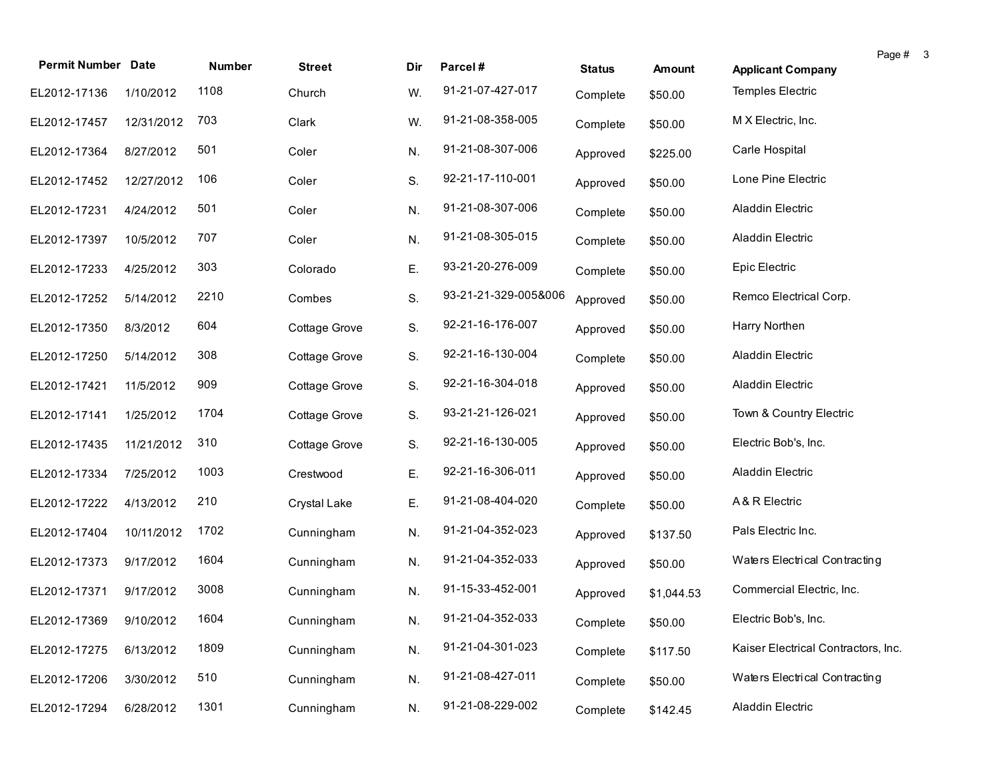| <b>Permit Number Date</b> |            | Number | <b>Street</b> | Dir | Parcel#              | <b>Status</b> | Amount     | <b>Applicant Company</b>            | Page # | $_{3}$ |
|---------------------------|------------|--------|---------------|-----|----------------------|---------------|------------|-------------------------------------|--------|--------|
| EL2012-17136              | 1/10/2012  | 1108   | Church        | W.  | 91-21-07-427-017     | Complete      | \$50.00    | Temples Electric                    |        |        |
| EL2012-17457              | 12/31/2012 | 703    | Clark         | W.  | 91-21-08-358-005     | Complete      | \$50.00    | M X Electric, Inc.                  |        |        |
| EL2012-17364              | 8/27/2012  | 501    | Coler         | N.  | 91-21-08-307-006     | Approved      | \$225.00   | Carle Hospital                      |        |        |
| EL2012-17452              | 12/27/2012 | 106    | Coler         | S.  | 92-21-17-110-001     | Approved      | \$50.00    | Lone Pine Electric                  |        |        |
| EL2012-17231              | 4/24/2012  | 501    | Coler         | N.  | 91-21-08-307-006     | Complete      | \$50.00    | Aladdin Electric                    |        |        |
| EL2012-17397              | 10/5/2012  | 707    | Coler         | N.  | 91-21-08-305-015     | Complete      | \$50.00    | Aladdin Electric                    |        |        |
| EL2012-17233              | 4/25/2012  | 303    | Colorado      | Ε.  | 93-21-20-276-009     | Complete      | \$50.00    | Epic Electric                       |        |        |
| EL2012-17252              | 5/14/2012  | 2210   | Combes        | S.  | 93-21-21-329-005&006 | Approved      | \$50.00    | Remco Electrical Corp.              |        |        |
| EL2012-17350              | 8/3/2012   | 604    | Cottage Grove | S.  | 92-21-16-176-007     | Approved      | \$50.00    | Harry Northen                       |        |        |
| EL2012-17250              | 5/14/2012  | 308    | Cottage Grove | S.  | 92-21-16-130-004     | Complete      | \$50.00    | Aladdin Electric                    |        |        |
| EL2012-17421              | 11/5/2012  | 909    | Cottage Grove | S.  | 92-21-16-304-018     | Approved      | \$50.00    | Aladdin Electric                    |        |        |
| EL2012-17141              | 1/25/2012  | 1704   | Cottage Grove | S.  | 93-21-21-126-021     | Approved      | \$50.00    | Town & Country Electric             |        |        |
| EL2012-17435              | 11/21/2012 | 310    | Cottage Grove | S.  | 92-21-16-130-005     | Approved      | \$50.00    | Electric Bob's, Inc.                |        |        |
| EL2012-17334              | 7/25/2012  | 1003   | Crestwood     | Ε.  | 92-21-16-306-011     | Approved      | \$50.00    | Aladdin Electric                    |        |        |
| EL2012-17222              | 4/13/2012  | 210    | Crystal Lake  | Ε.  | 91-21-08-404-020     | Complete      | \$50.00    | A & R Electric                      |        |        |
| EL2012-17404              | 10/11/2012 | 1702   | Cunningham    | N.  | 91-21-04-352-023     | Approved      | \$137.50   | Pals Electric Inc.                  |        |        |
| EL2012-17373              | 9/17/2012  | 1604   | Cunningham    | N.  | 91-21-04-352-033     | Approved      | \$50.00    | Waters Electrical Contracting       |        |        |
| EL2012-17371              | 9/17/2012  | 3008   | Cunningham    | N.  | 91-15-33-452-001     | Approved      | \$1,044.53 | Commercial Electric, Inc.           |        |        |
| EL2012-17369 9/10/2012    |            | 1604   | Cunningham    | N.  | 91-21-04-352-033     | Complete      | \$50.00    | Electric Bob's, Inc.                |        |        |
| EL2012-17275              | 6/13/2012  | 1809   | Cunningham    | N.  | 91-21-04-301-023     | Complete      | \$117.50   | Kaiser Electrical Contractors, Inc. |        |        |
| EL2012-17206              | 3/30/2012  | 510    | Cunningham    | N.  | 91-21-08-427-011     | Complete      | \$50.00    | Waters Electrical Contracting       |        |        |
| EL2012-17294              | 6/28/2012  | 1301   | Cunningham    | N.  | 91-21-08-229-002     | Complete      | \$142.45   | Aladdin Electric                    |        |        |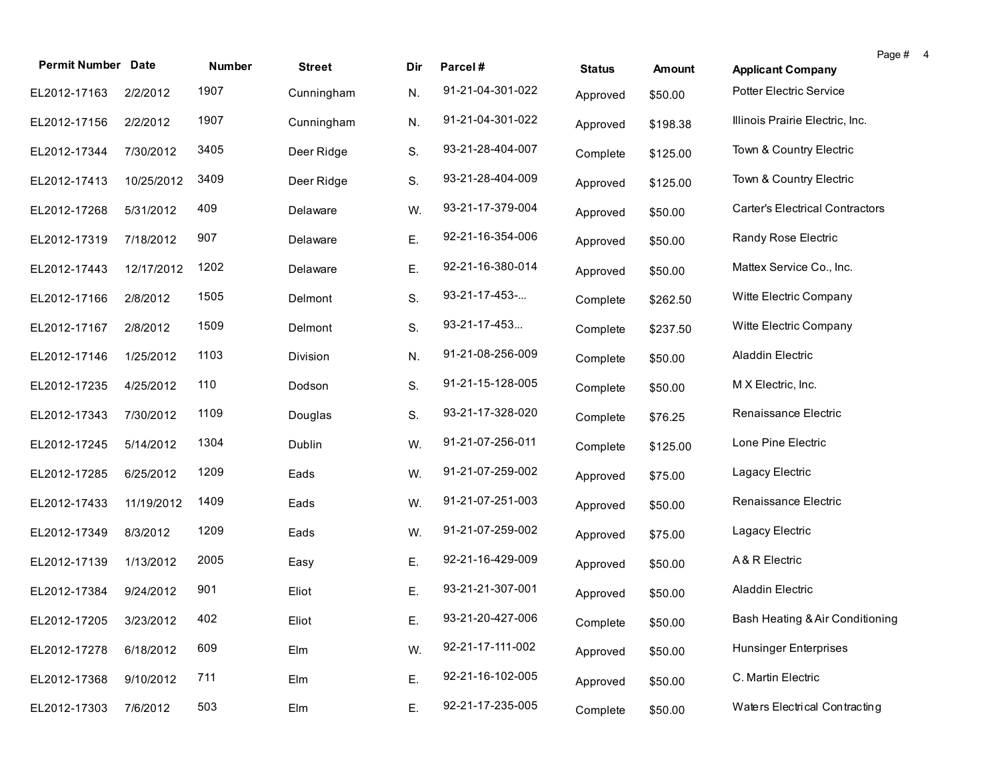| <b>Permit Number Date</b> |            | <b>Number</b> | <b>Street</b> | Dir | Parcel#          |               |          |                                        | Page # | $\overline{4}$ |
|---------------------------|------------|---------------|---------------|-----|------------------|---------------|----------|----------------------------------------|--------|----------------|
|                           |            |               |               |     |                  | <b>Status</b> | Amount   | <b>Applicant Company</b>               |        |                |
| EL2012-17163              | 2/2/2012   | 1907          | Cunningham    | N.  | 91-21-04-301-022 | Approved      | \$50.00  | Potter Electric Service                |        |                |
| EL2012-17156              | 2/2/2012   | 1907          | Cunningham    | N.  | 91-21-04-301-022 | Approved      | \$198.38 | Illinois Prairie Electric, Inc.        |        |                |
| EL2012-17344              | 7/30/2012  | 3405          | Deer Ridge    | S.  | 93-21-28-404-007 | Complete      | \$125.00 | Town & Country Electric                |        |                |
| EL2012-17413              | 10/25/2012 | 3409          | Deer Ridge    | S.  | 93-21-28-404-009 | Approved      | \$125.00 | Town & Country Electric                |        |                |
| EL2012-17268              | 5/31/2012  | 409           | Delaware      | W.  | 93-21-17-379-004 | Approved      | \$50.00  | <b>Carter's Electrical Contractors</b> |        |                |
| EL2012-17319              | 7/18/2012  | 907           | Delaware      | Ε.  | 92-21-16-354-006 | Approved      | \$50.00  | Randy Rose Electric                    |        |                |
| EL2012-17443              | 12/17/2012 | 1202          | Delaware      | Ε.  | 92-21-16-380-014 | Approved      | \$50.00  | Mattex Service Co., Inc.               |        |                |
| EL2012-17166              | 2/8/2012   | 1505          | Delmont       | S.  | 93-21-17-453-    | Complete      | \$262.50 | Witte Electric Company                 |        |                |
| EL2012-17167              | 2/8/2012   | 1509          | Delmont       | S.  | 93-21-17-453     | Complete      | \$237.50 | Witte Electric Company                 |        |                |
| EL2012-17146              | 1/25/2012  | 1103          | Division      | N.  | 91-21-08-256-009 | Complete      | \$50.00  | Aladdin Electric                       |        |                |
| EL2012-17235              | 4/25/2012  | 110           | Dodson        | S.  | 91-21-15-128-005 | Complete      | \$50.00  | M X Electric, Inc.                     |        |                |
| EL2012-17343              | 7/30/2012  | 1109          | Douglas       | S.  | 93-21-17-328-020 | Complete      | \$76.25  | Renaissance Electric                   |        |                |
| EL2012-17245              | 5/14/2012  | 1304          | Dublin        | W.  | 91-21-07-256-011 | Complete      | \$125.00 | Lone Pine Electric                     |        |                |
| EL2012-17285              | 6/25/2012  | 1209          | Eads          | W.  | 91-21-07-259-002 | Approved      | \$75.00  | Lagacy Electric                        |        |                |
| EL2012-17433              | 11/19/2012 | 1409          | Eads          | W.  | 91-21-07-251-003 | Approved      | \$50.00  | Renaissance Electric                   |        |                |
| EL2012-17349              | 8/3/2012   | 1209          | Eads          | W.  | 91-21-07-259-002 | Approved      | \$75.00  | Lagacy Electric                        |        |                |
| EL2012-17139              | 1/13/2012  | 2005          | Easy          | Ε.  | 92-21-16-429-009 | Approved      | \$50.00  | A & R Electric                         |        |                |
| EL2012-17384              | 9/24/2012  | 901           | Eliot         | Ε.  | 93-21-21-307-001 | Approved      | \$50.00  | Aladdin Electric                       |        |                |
| EL2012-17205 3/23/2012    |            | 402           | Eliot         | Ε.  | 93-21-20-427-006 | Complete      | \$50.00  | Bash Heating & Air Conditioning        |        |                |
| EL2012-17278              | 6/18/2012  | 609           | Elm           | W.  | 92-21-17-111-002 | Approved      | \$50.00  | <b>Hunsinger Enterprises</b>           |        |                |
| EL2012-17368              | 9/10/2012  | 711           | Elm           | Ε.  | 92-21-16-102-005 | Approved      | \$50.00  | C. Martin Electric                     |        |                |
| EL2012-17303              | 7/6/2012   | 503           | Elm           | Ε.  | 92-21-17-235-005 | Complete      | \$50.00  | Waters Electrical Contracting          |        |                |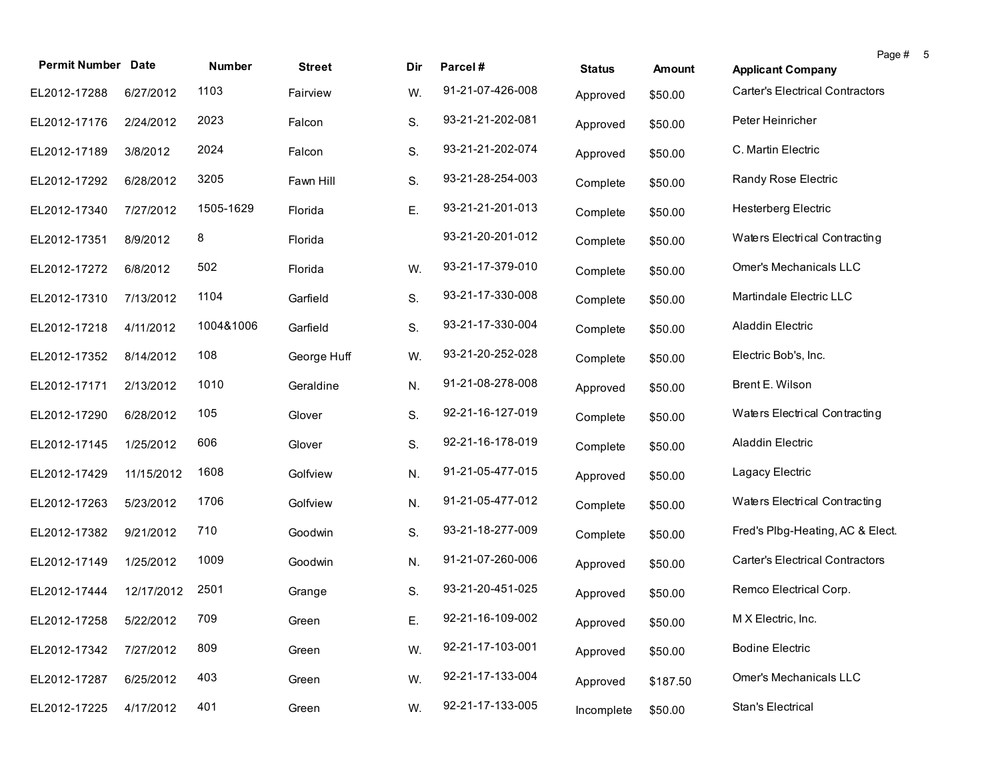| <b>Permit Number Date</b> |            | Number    | <b>Street</b> | Dir. | Parcel#          | <b>Status</b> | Amount   | <b>Applicant Company</b>               | Page # | - 5 |
|---------------------------|------------|-----------|---------------|------|------------------|---------------|----------|----------------------------------------|--------|-----|
| EL2012-17288              | 6/27/2012  | 1103      | Fairview      | W.   | 91-21-07-426-008 | Approved      | \$50.00  | <b>Carter's Electrical Contractors</b> |        |     |
| EL2012-17176              | 2/24/2012  | 2023      | Falcon        | S.   | 93-21-21-202-081 | Approved      | \$50.00  | Peter Heinricher                       |        |     |
| EL2012-17189              | 3/8/2012   | 2024      | Falcon        | S.   | 93-21-21-202-074 | Approved      | \$50.00  | C. Martin Electric                     |        |     |
| EL2012-17292              | 6/28/2012  | 3205      | Fawn Hill     | S.   | 93-21-28-254-003 | Complete      | \$50.00  | Randy Rose Electric                    |        |     |
| EL2012-17340              | 7/27/2012  | 1505-1629 | Florida       | Ε.   | 93-21-21-201-013 | Complete      | \$50.00  | <b>Hesterberg Electric</b>             |        |     |
| EL2012-17351              | 8/9/2012   | 8         | Florida       |      | 93-21-20-201-012 | Complete      | \$50.00  | Waters Electrical Contracting          |        |     |
| EL2012-17272              | 6/8/2012   | 502       | Florida       | W.   | 93-21-17-379-010 | Complete      | \$50.00  | Omer's Mechanicals LLC                 |        |     |
| EL2012-17310              | 7/13/2012  | 1104      | Garfield      | S.   | 93-21-17-330-008 | Complete      | \$50.00  | Martindale Electric LLC                |        |     |
| EL2012-17218              | 4/11/2012  | 1004&1006 | Garfield      | S.   | 93-21-17-330-004 | Complete      | \$50.00  | Aladdin Electric                       |        |     |
| EL2012-17352              | 8/14/2012  | 108       | George Huff   | W.   | 93-21-20-252-028 | Complete      | \$50.00  | Electric Bob's, Inc.                   |        |     |
| EL2012-17171              | 2/13/2012  | 1010      | Geraldine     | N.   | 91-21-08-278-008 | Approved      | \$50.00  | Brent E. Wilson                        |        |     |
| EL2012-17290              | 6/28/2012  | 105       | Glover        | S.   | 92-21-16-127-019 | Complete      | \$50.00  | Waters Electrical Contracting          |        |     |
| EL2012-17145              | 1/25/2012  | 606       | Glover        | S.   | 92-21-16-178-019 | Complete      | \$50.00  | Aladdin Electric                       |        |     |
| EL2012-17429              | 11/15/2012 | 1608      | Golfview      | N.   | 91-21-05-477-015 | Approved      | \$50.00  | Lagacy Electric                        |        |     |
| EL2012-17263              | 5/23/2012  | 1706      | Golfview      | N.   | 91-21-05-477-012 | Complete      | \$50.00  | Waters Electrical Contracting          |        |     |
| EL2012-17382              | 9/21/2012  | 710       | Goodwin       | S.   | 93-21-18-277-009 | Complete      | \$50.00  | Fred's Plbg-Heating, AC & Elect.       |        |     |
| EL2012-17149              | 1/25/2012  | 1009      | Goodwin       | N.   | 91-21-07-260-006 | Approved      | \$50.00  | <b>Carter's Electrical Contractors</b> |        |     |
| EL2012-17444              | 12/17/2012 | 2501      | Grange        | S.   | 93-21-20-451-025 | Approved      | \$50.00  | Remco Electrical Corp.                 |        |     |
| EL2012-17258 5/22/2012    |            | 709       | Green         | E.   | 92-21-16-109-002 | Approved      | \$50.00  | M X Electric, Inc.                     |        |     |
| EL2012-17342              | 7/27/2012  | 809       | Green         | W.   | 92-21-17-103-001 | Approved      | \$50.00  | <b>Bodine Electric</b>                 |        |     |
| EL2012-17287              | 6/25/2012  | 403       | Green         | W.   | 92-21-17-133-004 | Approved      | \$187.50 | Omer's Mechanicals LLC                 |        |     |
| EL2012-17225              | 4/17/2012  | 401       | Green         | W.   | 92-21-17-133-005 | Incomplete    | \$50.00  | Stan's Electrical                      |        |     |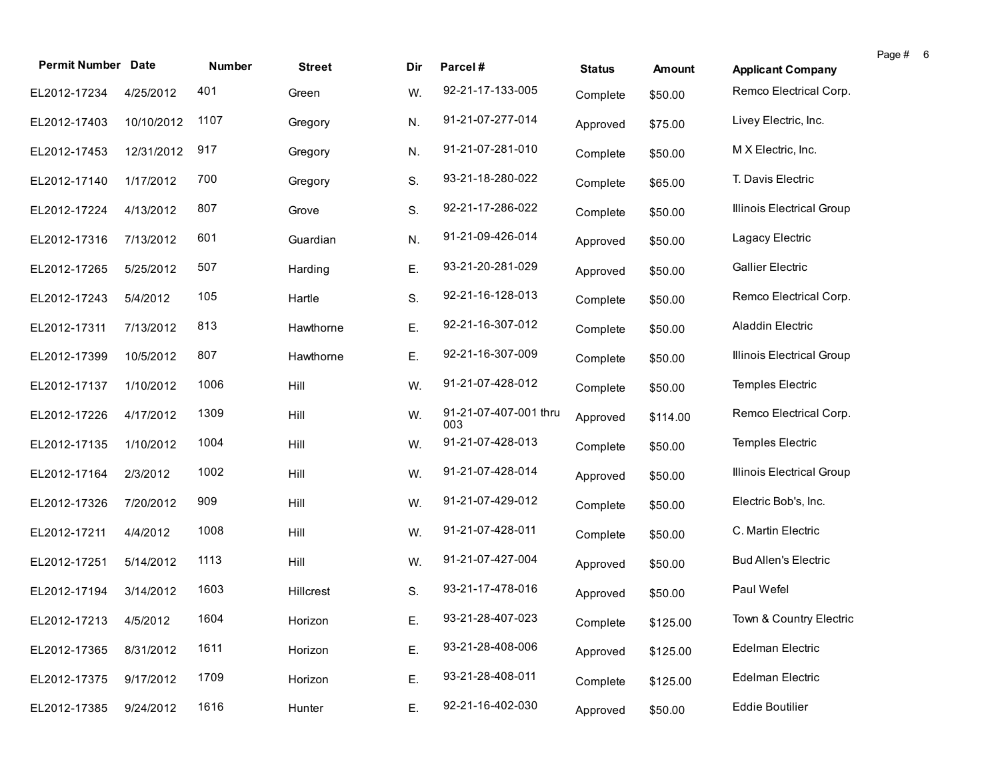| <b>Permit Number Date</b> |            | Number | <b>Street</b> | Dir | Parcel#                      |               |               |                             | Page # 6 |  |
|---------------------------|------------|--------|---------------|-----|------------------------------|---------------|---------------|-----------------------------|----------|--|
|                           |            |        |               |     |                              | <b>Status</b> | <b>Amount</b> | <b>Applicant Company</b>    |          |  |
| EL2012-17234              | 4/25/2012  | 401    | Green         | W.  | 92-21-17-133-005             | Complete      | \$50.00       | Remco Electrical Corp.      |          |  |
| EL2012-17403              | 10/10/2012 | 1107   | Gregory       | N.  | 91-21-07-277-014             | Approved      | \$75.00       | Livey Electric, Inc.        |          |  |
| EL2012-17453              | 12/31/2012 | 917    | Gregory       | N.  | 91-21-07-281-010             | Complete      | \$50.00       | M X Electric, Inc.          |          |  |
| EL2012-17140              | 1/17/2012  | 700    | Gregory       | S.  | 93-21-18-280-022             | Complete      | \$65.00       | T. Davis Electric           |          |  |
| EL2012-17224              | 4/13/2012  | 807    | Grove         | S.  | 92-21-17-286-022             | Complete      | \$50.00       | Illinois Electrical Group   |          |  |
| EL2012-17316              | 7/13/2012  | 601    | Guardian      | N.  | 91-21-09-426-014             | Approved      | \$50.00       | Lagacy Electric             |          |  |
| EL2012-17265              | 5/25/2012  | 507    | Harding       | Ε.  | 93-21-20-281-029             | Approved      | \$50.00       | <b>Gallier Electric</b>     |          |  |
| EL2012-17243              | 5/4/2012   | 105    | Hartle        | S.  | 92-21-16-128-013             | Complete      | \$50.00       | Remco Electrical Corp.      |          |  |
| EL2012-17311              | 7/13/2012  | 813    | Hawthorne     | Ε.  | 92-21-16-307-012             | Complete      | \$50.00       | Aladdin Electric            |          |  |
| EL2012-17399              | 10/5/2012  | 807    | Hawthorne     | Ε.  | 92-21-16-307-009             | Complete      | \$50.00       | Illinois Electrical Group   |          |  |
| EL2012-17137              | 1/10/2012  | 1006   | Hill          | W.  | 91-21-07-428-012             | Complete      | \$50.00       | Temples Electric            |          |  |
| EL2012-17226              | 4/17/2012  | 1309   | Hill          | W.  | 91-21-07-407-001 thru<br>003 | Approved      | \$114.00      | Remco Electrical Corp.      |          |  |
| EL2012-17135              | 1/10/2012  | 1004   | Hill          | W.  | 91-21-07-428-013             | Complete      | \$50.00       | Temples Electric            |          |  |
| EL2012-17164              | 2/3/2012   | 1002   | Hill          | W.  | 91-21-07-428-014             | Approved      | \$50.00       | Illinois Electrical Group   |          |  |
| EL2012-17326              | 7/20/2012  | 909    | Hill          | W.  | 91-21-07-429-012             | Complete      | \$50.00       | Electric Bob's, Inc.        |          |  |
| EL2012-17211              | 4/4/2012   | 1008   | Hill          | W.  | 91-21-07-428-011             | Complete      | \$50.00       | C. Martin Electric          |          |  |
| EL2012-17251              | 5/14/2012  | 1113   | Hill          | W.  | 91-21-07-427-004             | Approved      | \$50.00       | <b>Bud Allen's Electric</b> |          |  |
| EL2012-17194              | 3/14/2012  | 1603   | Hillcrest     | S.  | 93-21-17-478-016             | Approved      | \$50.00       | Paul Wefel                  |          |  |
| EL2012-17213 4/5/2012     |            | 1604   | Horizon       | Ε.  | 93-21-28-407-023             | Complete      | \$125.00      | Town & Country Electric     |          |  |
| EL2012-17365              | 8/31/2012  | 1611   | Horizon       | E.  | 93-21-28-408-006             | Approved      | \$125.00      | Edelman Electric            |          |  |
| EL2012-17375              | 9/17/2012  | 1709   | Horizon       | Ε.  | 93-21-28-408-011             | Complete      | \$125.00      | Edelman Electric            |          |  |
| EL2012-17385              | 9/24/2012  | 1616   | Hunter        | Ε.  | 92-21-16-402-030             | Approved      | \$50.00       | <b>Eddie Boutilier</b>      |          |  |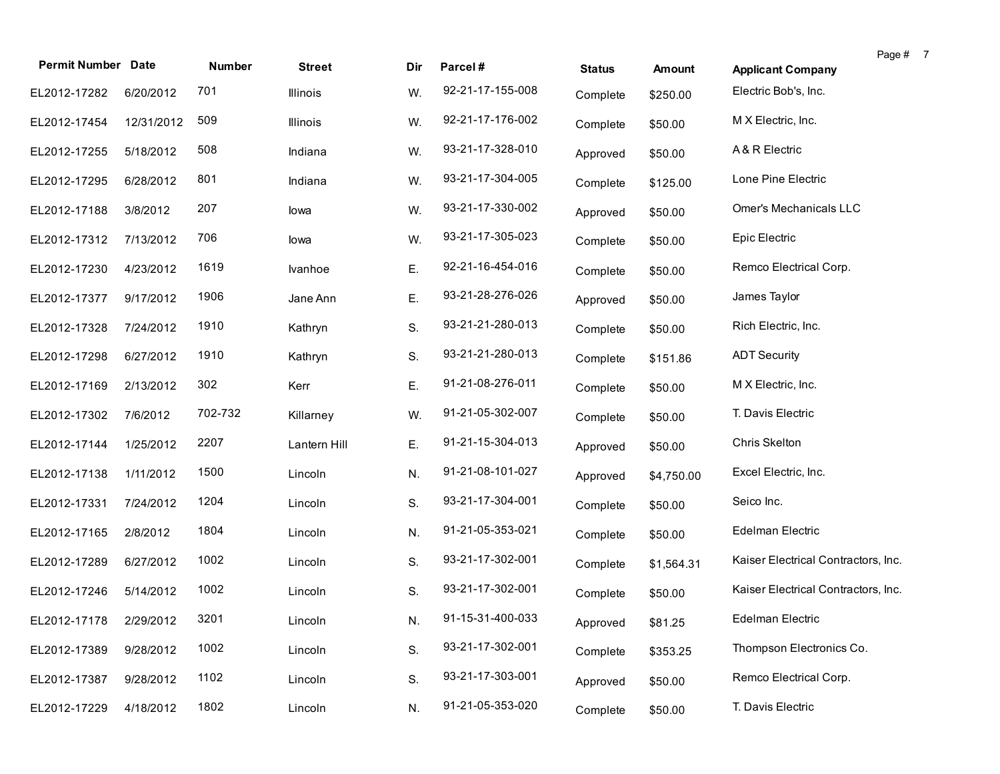| <b>Permit Number Date</b> |            | Number  |               |     |                  |               |            |                                     | Page # 7 |  |
|---------------------------|------------|---------|---------------|-----|------------------|---------------|------------|-------------------------------------|----------|--|
|                           |            |         | <b>Street</b> | Dir | Parcel#          | <b>Status</b> | Amount     | <b>Applicant Company</b>            |          |  |
| EL2012-17282              | 6/20/2012  | 701     | Illinois      | W.  | 92-21-17-155-008 | Complete      | \$250.00   | Electric Bob's, Inc.                |          |  |
| EL2012-17454              | 12/31/2012 | 509     | Illinois      | W.  | 92-21-17-176-002 | Complete      | \$50.00    | M X Electric, Inc.                  |          |  |
| EL2012-17255              | 5/18/2012  | 508     | Indiana       | W.  | 93-21-17-328-010 | Approved      | \$50.00    | A & R Electric                      |          |  |
| EL2012-17295              | 6/28/2012  | 801     | Indiana       | W.  | 93-21-17-304-005 | Complete      | \$125.00   | Lone Pine Electric                  |          |  |
| EL2012-17188              | 3/8/2012   | 207     | lowa          | W.  | 93-21-17-330-002 | Approved      | \$50.00    | Omer's Mechanicals LLC              |          |  |
| EL2012-17312              | 7/13/2012  | 706     | lowa          | W.  | 93-21-17-305-023 | Complete      | \$50.00    | Epic Electric                       |          |  |
| EL2012-17230              | 4/23/2012  | 1619    | Ivanhoe       | Ε.  | 92-21-16-454-016 | Complete      | \$50.00    | Remco Electrical Corp.              |          |  |
| EL2012-17377              | 9/17/2012  | 1906    | Jane Ann      | Ε.  | 93-21-28-276-026 | Approved      | \$50.00    | James Taylor                        |          |  |
| EL2012-17328              | 7/24/2012  | 1910    | Kathryn       | S.  | 93-21-21-280-013 | Complete      | \$50.00    | Rich Electric, Inc.                 |          |  |
| EL2012-17298              | 6/27/2012  | 1910    | Kathryn       | S.  | 93-21-21-280-013 | Complete      | \$151.86   | <b>ADT Security</b>                 |          |  |
| EL2012-17169              | 2/13/2012  | 302     | Kerr          | Ε.  | 91-21-08-276-011 | Complete      | \$50.00    | M X Electric, Inc.                  |          |  |
| EL2012-17302              | 7/6/2012   | 702-732 | Killarney     | W.  | 91-21-05-302-007 | Complete      | \$50.00    | T. Davis Electric                   |          |  |
| EL2012-17144              | 1/25/2012  | 2207    | Lantern Hill  | Ε.  | 91-21-15-304-013 | Approved      | \$50.00    | Chris Skelton                       |          |  |
| EL2012-17138              | 1/11/2012  | 1500    | Lincoln       | N.  | 91-21-08-101-027 | Approved      | \$4,750.00 | Excel Electric, Inc.                |          |  |
| EL2012-17331              | 7/24/2012  | 1204    | Lincoln       | S.  | 93-21-17-304-001 | Complete      | \$50.00    | Seico Inc.                          |          |  |
| EL2012-17165              | 2/8/2012   | 1804    | Lincoln       | N.  | 91-21-05-353-021 | Complete      | \$50.00    | Edelman Electric                    |          |  |
| EL2012-17289              | 6/27/2012  | 1002    | Lincoln       | S.  | 93-21-17-302-001 | Complete      | \$1,564.31 | Kaiser Electrical Contractors, Inc. |          |  |
| EL2012-17246              | 5/14/2012  | 1002    | Lincoln       | S.  | 93-21-17-302-001 | Complete      | \$50.00    | Kaiser Electrical Contractors, Inc. |          |  |
| EL2012-17178 2/29/2012    |            | 3201    | Lincoln       | N.  | 91-15-31-400-033 | Approved      | \$81.25    | Edelman Electric                    |          |  |
| EL2012-17389              | 9/28/2012  | 1002    | Lincoln       | S.  | 93-21-17-302-001 | Complete      | \$353.25   | Thompson Electronics Co.            |          |  |
| EL2012-17387              | 9/28/2012  | 1102    | Lincoln       | S.  | 93-21-17-303-001 | Approved      | \$50.00    | Remco Electrical Corp.              |          |  |
| EL2012-17229              | 4/18/2012  | 1802    | Lincoln       | N.  | 91-21-05-353-020 | Complete      | \$50.00    | T. Davis Electric                   |          |  |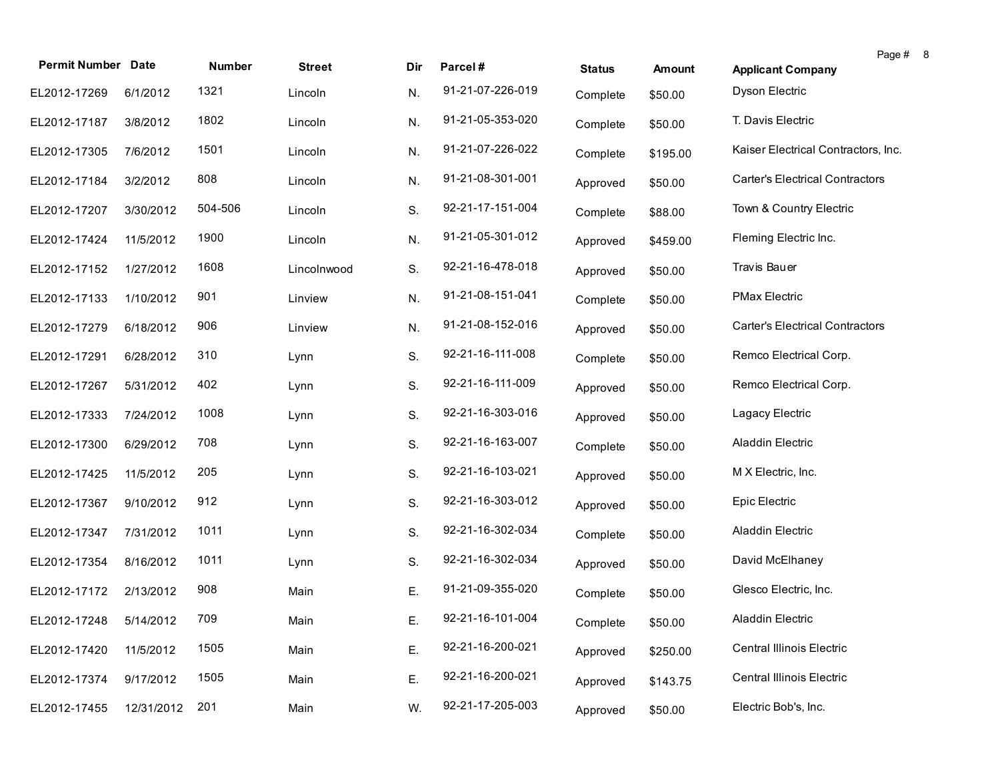| <b>Permit Number Date</b> |            | <b>Number</b> | <b>Street</b> | Dir | Parcel#          |               |          |                                        | Page # 8 |  |
|---------------------------|------------|---------------|---------------|-----|------------------|---------------|----------|----------------------------------------|----------|--|
|                           |            |               |               |     | 91-21-07-226-019 | <b>Status</b> | Amount   | <b>Applicant Company</b>               |          |  |
| EL2012-17269              | 6/1/2012   | 1321          | Lincoln       | N.  |                  | Complete      | \$50.00  | Dyson Electric                         |          |  |
| EL2012-17187              | 3/8/2012   | 1802          | Lincoln       | N.  | 91-21-05-353-020 | Complete      | \$50.00  | T. Davis Electric                      |          |  |
| EL2012-17305              | 7/6/2012   | 1501          | Lincoln       | N.  | 91-21-07-226-022 | Complete      | \$195.00 | Kaiser Electrical Contractors, Inc.    |          |  |
| EL2012-17184              | 3/2/2012   | 808           | Lincoln       | N.  | 91-21-08-301-001 | Approved      | \$50.00  | <b>Carter's Electrical Contractors</b> |          |  |
| EL2012-17207              | 3/30/2012  | 504-506       | Lincoln       | S.  | 92-21-17-151-004 | Complete      | \$88.00  | Town & Country Electric                |          |  |
| EL2012-17424              | 11/5/2012  | 1900          | Lincoln       | N.  | 91-21-05-301-012 | Approved      | \$459.00 | Fleming Electric Inc.                  |          |  |
| EL2012-17152              | 1/27/2012  | 1608          | Lincolnwood   | S.  | 92-21-16-478-018 | Approved      | \$50.00  | Travis Bauer                           |          |  |
| EL2012-17133              | 1/10/2012  | 901           | Linview       | N.  | 91-21-08-151-041 | Complete      | \$50.00  | <b>PMax Electric</b>                   |          |  |
| EL2012-17279              | 6/18/2012  | 906           | Linview       | N.  | 91-21-08-152-016 | Approved      | \$50.00  | <b>Carter's Electrical Contractors</b> |          |  |
| EL2012-17291              | 6/28/2012  | 310           | Lynn          | S.  | 92-21-16-111-008 | Complete      | \$50.00  | Remco Electrical Corp.                 |          |  |
| EL2012-17267              | 5/31/2012  | 402           | Lynn          | S.  | 92-21-16-111-009 | Approved      | \$50.00  | Remco Electrical Corp.                 |          |  |
| EL2012-17333              | 7/24/2012  | 1008          | Lynn          | S.  | 92-21-16-303-016 | Approved      | \$50.00  | Lagacy Electric                        |          |  |
| EL2012-17300              | 6/29/2012  | 708           | Lynn          | S.  | 92-21-16-163-007 | Complete      | \$50.00  | Aladdin Electric                       |          |  |
| EL2012-17425              | 11/5/2012  | 205           | Lynn          | S.  | 92-21-16-103-021 | Approved      | \$50.00  | M X Electric, Inc.                     |          |  |
| EL2012-17367              | 9/10/2012  | 912           | Lynn          | S.  | 92-21-16-303-012 | Approved      | \$50.00  | Epic Electric                          |          |  |
| EL2012-17347              | 7/31/2012  | 1011          | Lynn          | S.  | 92-21-16-302-034 | Complete      | \$50.00  | Aladdin Electric                       |          |  |
| EL2012-17354              | 8/16/2012  | 1011          | Lynn          | S.  | 92-21-16-302-034 | Approved      | \$50.00  | David McElhaney                        |          |  |
| EL2012-17172              | 2/13/2012  | 908           | Main          | Ε.  | 91-21-09-355-020 | Complete      | \$50.00  | Glesco Electric, Inc.                  |          |  |
| EL2012-17248 5/14/2012    |            | 709           | Main          | Ε.  | 92-21-16-101-004 | Complete      | \$50.00  | Aladdin Electric                       |          |  |
| EL2012-17420              | 11/5/2012  | 1505          | Main          | Ε.  | 92-21-16-200-021 | Approved      | \$250.00 | Central Illinois Electric              |          |  |
| EL2012-17374              | 9/17/2012  | 1505          | Main          | Ε.  | 92-21-16-200-021 | Approved      | \$143.75 | Central Illinois Electric              |          |  |
| EL2012-17455              | 12/31/2012 | 201           | Main          | W.  | 92-21-17-205-003 | Approved      | \$50.00  | Electric Bob's, Inc.                   |          |  |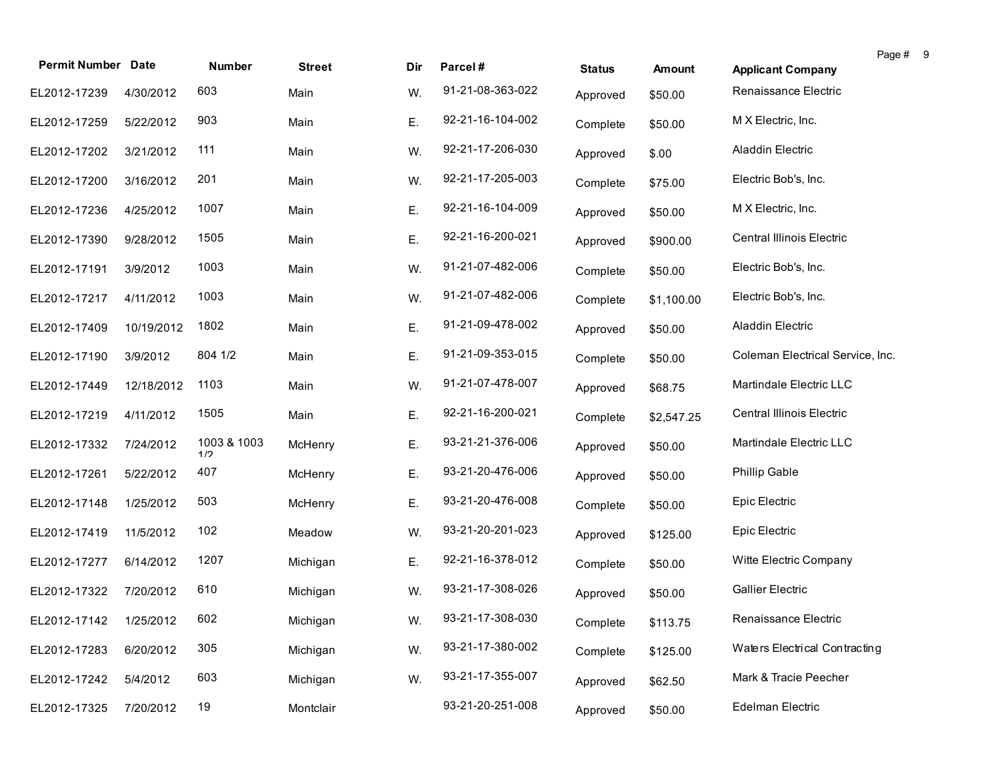| <b>Permit Number Date</b> |            | Number             | <b>Street</b> | Dir | Parcel#          | <b>Status</b> | Amount     | <b>Applicant Company</b>         | Page # 9 |  |
|---------------------------|------------|--------------------|---------------|-----|------------------|---------------|------------|----------------------------------|----------|--|
| EL2012-17239              | 4/30/2012  | 603                | Main          | W.  | 91-21-08-363-022 | Approved      | \$50.00    | Renaissance Electric             |          |  |
| EL2012-17259              | 5/22/2012  | 903                | Main          | Ε.  | 92-21-16-104-002 | Complete      | \$50.00    | M X Electric, Inc.               |          |  |
| EL2012-17202              | 3/21/2012  | 111                | Main          | W.  | 92-21-17-206-030 | Approved      | \$.00      | Aladdin Electric                 |          |  |
| EL2012-17200              | 3/16/2012  | 201                | Main          | W.  | 92-21-17-205-003 | Complete      | \$75.00    | Electric Bob's, Inc.             |          |  |
| EL2012-17236              | 4/25/2012  | 1007               | Main          | Ε.  | 92-21-16-104-009 | Approved      | \$50.00    | M X Electric, Inc.               |          |  |
| EL2012-17390              | 9/28/2012  | 1505               | Main          | Ε.  | 92-21-16-200-021 | Approved      | \$900.00   | Central Illinois Electric        |          |  |
| EL2012-17191              | 3/9/2012   | 1003               | Main          | W.  | 91-21-07-482-006 | Complete      | \$50.00    | Electric Bob's, Inc.             |          |  |
| EL2012-17217              | 4/11/2012  | 1003               | Main          | W.  | 91-21-07-482-006 | Complete      | \$1,100.00 | Electric Bob's, Inc.             |          |  |
| EL2012-17409              | 10/19/2012 | 1802               | Main          | Ε.  | 91-21-09-478-002 | Approved      | \$50.00    | Aladdin Electric                 |          |  |
| EL2012-17190              | 3/9/2012   | 804 1/2            | Main          | Ε.  | 91-21-09-353-015 | Complete      | \$50.00    | Coleman Electrical Service, Inc. |          |  |
| EL2012-17449              | 12/18/2012 | 1103               | Main          | W.  | 91-21-07-478-007 | Approved      | \$68.75    | Martindale Electric LLC          |          |  |
| EL2012-17219              | 4/11/2012  | 1505               | Main          | Ε.  | 92-21-16-200-021 | Complete      | \$2,547.25 | Central Illinois Electric        |          |  |
| EL2012-17332              | 7/24/2012  | 1003 & 1003<br>1/2 | McHenry       | Ε.  | 93-21-21-376-006 | Approved      | \$50.00    | Martindale Electric LLC          |          |  |
| EL2012-17261              | 5/22/2012  | 407                | McHenry       | Е.  | 93-21-20-476-006 | Approved      | \$50.00    | <b>Phillip Gable</b>             |          |  |
| EL2012-17148              | 1/25/2012  | 503                | McHenry       | Ε.  | 93-21-20-476-008 | Complete      | \$50.00    | Epic Electric                    |          |  |
| EL2012-17419              | 11/5/2012  | 102                | Meadow        | W.  | 93-21-20-201-023 | Approved      | \$125.00   | Epic Electric                    |          |  |
| EL2012-17277              | 6/14/2012  | 1207               | Michigan      | Ε.  | 92-21-16-378-012 | Complete      | \$50.00    | Witte Electric Company           |          |  |
| EL2012-17322              | 7/20/2012  | 610                | Michigan      | W.  | 93-21-17-308-026 | Approved      | \$50.00    | <b>Gallier Electric</b>          |          |  |
| EL2012-17142 1/25/2012    |            | 602                | Michigan      | W.  | 93-21-17-308-030 | Complete      | \$113.75   | Renaissance Electric             |          |  |
| EL2012-17283              | 6/20/2012  | 305                | Michigan      | W.  | 93-21-17-380-002 | Complete      | \$125.00   | Waters Electrical Contracting    |          |  |
| EL2012-17242              | 5/4/2012   | 603                | Michigan      | W.  | 93-21-17-355-007 | Approved      | \$62.50    | Mark & Tracie Peecher            |          |  |
| EL2012-17325              | 7/20/2012  | 19                 | Montclair     |     | 93-21-20-251-008 | Approved      | \$50.00    | Edelman Electric                 |          |  |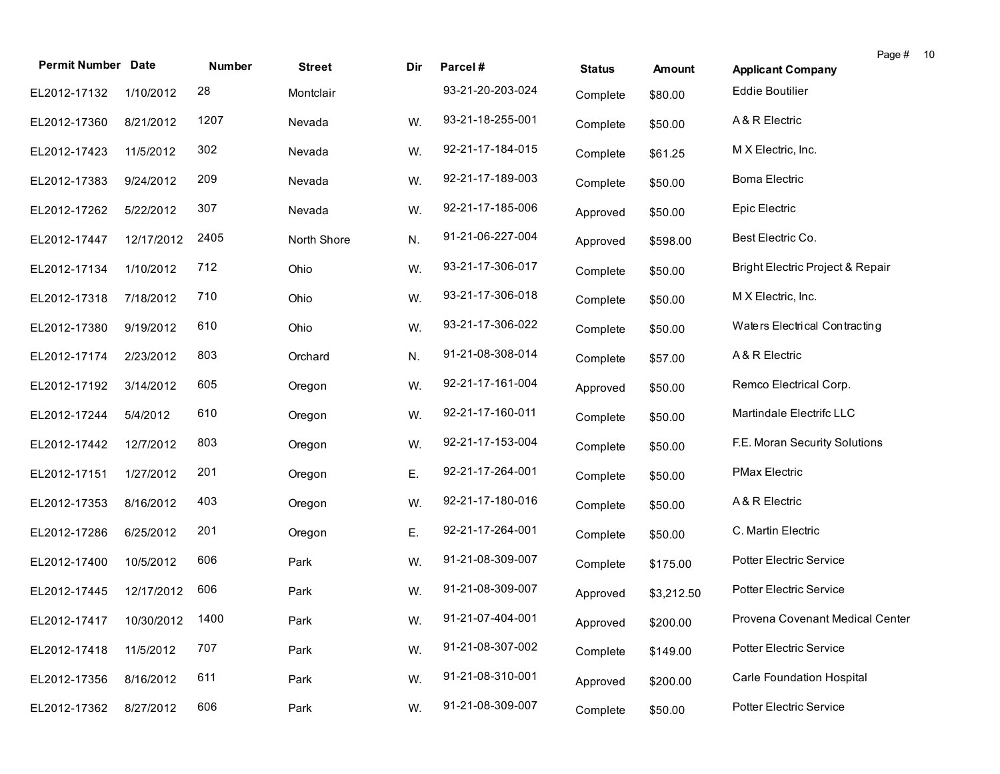| <b>Permit Number Date</b>    |            | Number | <b>Street</b> | Dir | Parcel#          | <b>Status</b> | <b>Amount</b> | Page #<br><b>Applicant Company</b> | 10 |
|------------------------------|------------|--------|---------------|-----|------------------|---------------|---------------|------------------------------------|----|
| EL2012-17132                 | 1/10/2012  | 28     | Montclair     |     | 93-21-20-203-024 | Complete      | \$80.00       | <b>Eddie Boutilier</b>             |    |
| EL2012-17360                 | 8/21/2012  | 1207   | Nevada        | W.  | 93-21-18-255-001 | Complete      | \$50.00       | A & R Electric                     |    |
| EL2012-17423                 | 11/5/2012  | 302    | Nevada        | W.  | 92-21-17-184-015 | Complete      | \$61.25       | M X Electric, Inc.                 |    |
| EL2012-17383                 | 9/24/2012  | 209    | Nevada        | W.  | 92-21-17-189-003 | Complete      | \$50.00       | <b>Boma Electric</b>               |    |
| EL2012-17262                 | 5/22/2012  | 307    | Nevada        | W.  | 92-21-17-185-006 | Approved      | \$50.00       | Epic Electric                      |    |
| EL2012-17447                 | 12/17/2012 | 2405   | North Shore   | N.  | 91-21-06-227-004 | Approved      | \$598.00      | Best Electric Co.                  |    |
| EL2012-17134                 | 1/10/2012  | 712    | Ohio          | W.  | 93-21-17-306-017 | Complete      | \$50.00       | Bright Electric Project & Repair   |    |
| EL2012-17318                 | 7/18/2012  | 710    | Ohio          | W.  | 93-21-17-306-018 | Complete      | \$50.00       | M X Electric, Inc.                 |    |
| EL2012-17380                 | 9/19/2012  | 610    | Ohio          | W.  | 93-21-17-306-022 | Complete      | \$50.00       | Waters Electrical Contracting      |    |
| EL2012-17174                 | 2/23/2012  | 803    | Orchard       | N.  | 91-21-08-308-014 | Complete      | \$57.00       | A & R Electric                     |    |
| EL2012-17192                 | 3/14/2012  | 605    | Oregon        | W.  | 92-21-17-161-004 | Approved      | \$50.00       | Remco Electrical Corp.             |    |
| EL2012-17244                 | 5/4/2012   | 610    | Oregon        | W.  | 92-21-17-160-011 | Complete      | \$50.00       | Martindale Electrifc LLC           |    |
| EL2012-17442                 | 12/7/2012  | 803    | Oregon        | W.  | 92-21-17-153-004 | Complete      | \$50.00       | F.E. Moran Security Solutions      |    |
| EL2012-17151                 | 1/27/2012  | 201    | Oregon        | Ε.  | 92-21-17-264-001 | Complete      | \$50.00       | <b>PMax Electric</b>               |    |
| EL2012-17353                 | 8/16/2012  | 403    | Oregon        | W.  | 92-21-17-180-016 | Complete      | \$50.00       | A & R Electric                     |    |
| EL2012-17286                 | 6/25/2012  | 201    | Oregon        | Ε.  | 92-21-17-264-001 | Complete      | \$50.00       | C. Martin Electric                 |    |
| EL2012-17400                 | 10/5/2012  | 606    | Park          | W.  | 91-21-08-309-007 | Complete      | \$175.00      | Potter Electric Service            |    |
| EL2012-17445                 | 12/17/2012 | 606    | Park          | W.  | 91-21-08-309-007 | Approved      | \$3,212.50    | Potter Electric Service            |    |
| EL2012-17417 10/30/2012 1400 |            |        | Park          | W.  | 91-21-07-404-001 | Approved      | \$200.00      | Provena Covenant Medical Center    |    |
| EL2012-17418                 | 11/5/2012  | 707    | Park          | W.  | 91-21-08-307-002 | Complete      | \$149.00      | Potter Electric Service            |    |
| EL2012-17356                 | 8/16/2012  | 611    | Park          | W.  | 91-21-08-310-001 | Approved      | \$200.00      | <b>Carle Foundation Hospital</b>   |    |
| EL2012-17362                 | 8/27/2012  | 606    | Park          | W.  | 91-21-08-309-007 | Complete      | \$50.00       | Potter Electric Service            |    |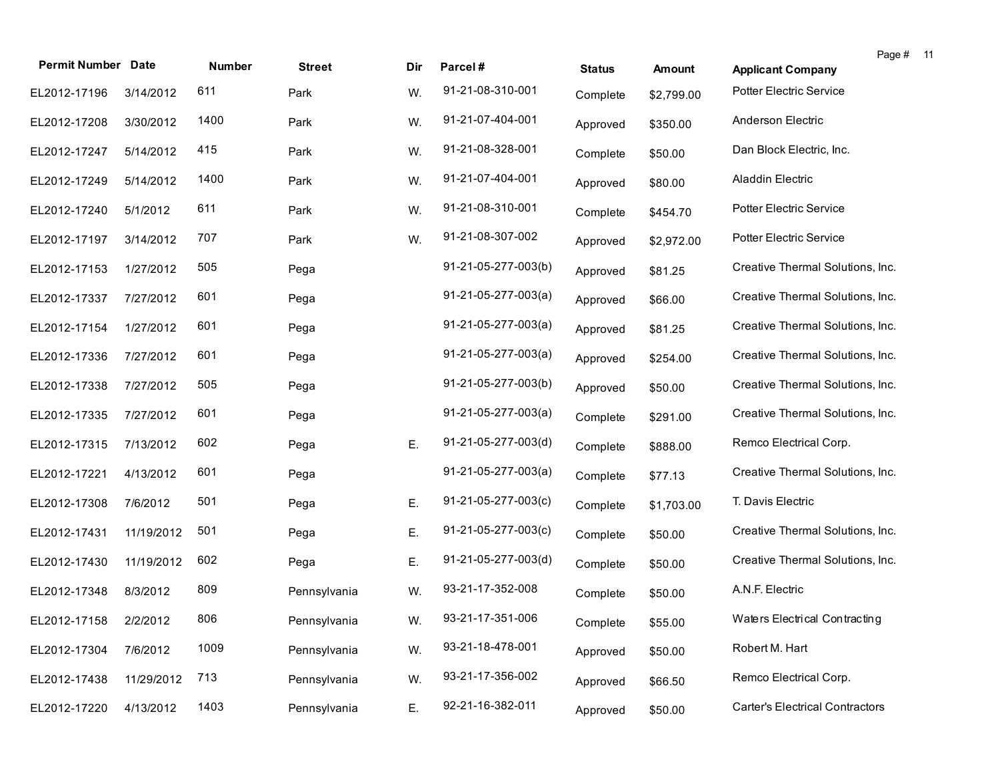| <b>Permit Number Date</b> |            | Number | <b>Street</b> | Dir | Parcel#               | <b>Status</b> | Amount     | <b>Applicant Company</b>               | Page # 11 |  |
|---------------------------|------------|--------|---------------|-----|-----------------------|---------------|------------|----------------------------------------|-----------|--|
| EL2012-17196              | 3/14/2012  | 611    | Park          | W.  | 91-21-08-310-001      | Complete      | \$2,799.00 | Potter Electric Service                |           |  |
| EL2012-17208              | 3/30/2012  | 1400   | Park          | W.  | 91-21-07-404-001      | Approved      | \$350.00   | Anderson Electric                      |           |  |
| EL2012-17247              | 5/14/2012  | 415    | Park          | W.  | 91-21-08-328-001      | Complete      | \$50.00    | Dan Block Electric, Inc.               |           |  |
| EL2012-17249              | 5/14/2012  | 1400   | Park          | W.  | 91-21-07-404-001      | Approved      | \$80.00    | Aladdin Electric                       |           |  |
| EL2012-17240              | 5/1/2012   | 611    | Park          | W.  | 91-21-08-310-001      | Complete      | \$454.70   | <b>Potter Electric Service</b>         |           |  |
| EL2012-17197              | 3/14/2012  | 707    | Park          | W.  | 91-21-08-307-002      | Approved      | \$2,972.00 | Potter Electric Service                |           |  |
| EL2012-17153              | 1/27/2012  | 505    | Pega          |     | 91-21-05-277-003(b)   | Approved      | \$81.25    | Creative Thermal Solutions, Inc.       |           |  |
| EL2012-17337              | 7/27/2012  | 601    | Pega          |     | $91-21-05-277-003(a)$ | Approved      | \$66.00    | Creative Thermal Solutions, Inc.       |           |  |
| EL2012-17154              | 1/27/2012  | 601    | Pega          |     | $91-21-05-277-003(a)$ | Approved      | \$81.25    | Creative Thermal Solutions, Inc.       |           |  |
| EL2012-17336              | 7/27/2012  | 601    | Pega          |     | $91-21-05-277-003(a)$ | Approved      | \$254.00   | Creative Thermal Solutions, Inc.       |           |  |
| EL2012-17338              | 7/27/2012  | 505    | Pega          |     | 91-21-05-277-003(b)   | Approved      | \$50.00    | Creative Thermal Solutions, Inc.       |           |  |
| EL2012-17335              | 7/27/2012  | 601    | Pega          |     | $91-21-05-277-003(a)$ | Complete      | \$291.00   | Creative Thermal Solutions, Inc.       |           |  |
| EL2012-17315              | 7/13/2012  | 602    | Pega          | Ε.  | 91-21-05-277-003(d)   | Complete      | \$888.00   | Remco Electrical Corp.                 |           |  |
| EL2012-17221              | 4/13/2012  | 601    | Pega          |     | $91-21-05-277-003(a)$ | Complete      | \$77.13    | Creative Thermal Solutions, Inc.       |           |  |
| EL2012-17308              | 7/6/2012   | 501    | Pega          | Ε.  | 91-21-05-277-003(c)   | Complete      | \$1,703.00 | T. Davis Electric                      |           |  |
| EL2012-17431              | 11/19/2012 | 501    | Pega          | Ε.  | 91-21-05-277-003(c)   | Complete      | \$50.00    | Creative Thermal Solutions, Inc.       |           |  |
| EL2012-17430              | 11/19/2012 | 602    | Pega          | Ε.  | 91-21-05-277-003(d)   | Complete      | \$50.00    | Creative Thermal Solutions, Inc.       |           |  |
| EL2012-17348              | 8/3/2012   | 809    | Pennsylvania  | W.  | 93-21-17-352-008      | Complete      | \$50.00    | A.N.F. Electric                        |           |  |
| EL2012-17158 2/2/2012     |            | 806    | Pennsylvania  | W.  | 93-21-17-351-006      | Complete      | \$55.00    | Waters Electrical Contracting          |           |  |
| EL2012-17304              | 7/6/2012   | 1009   | Pennsylvania  | W.  | 93-21-18-478-001      | Approved      | \$50.00    | Robert M. Hart                         |           |  |
| EL2012-17438              | 11/29/2012 | 713    | Pennsylvania  | W.  | 93-21-17-356-002      | Approved      | \$66.50    | Remco Electrical Corp.                 |           |  |
| EL2012-17220              | 4/13/2012  | 1403   | Pennsylvania  | Ε.  | 92-21-16-382-011      | Approved      | \$50.00    | <b>Carter's Electrical Contractors</b> |           |  |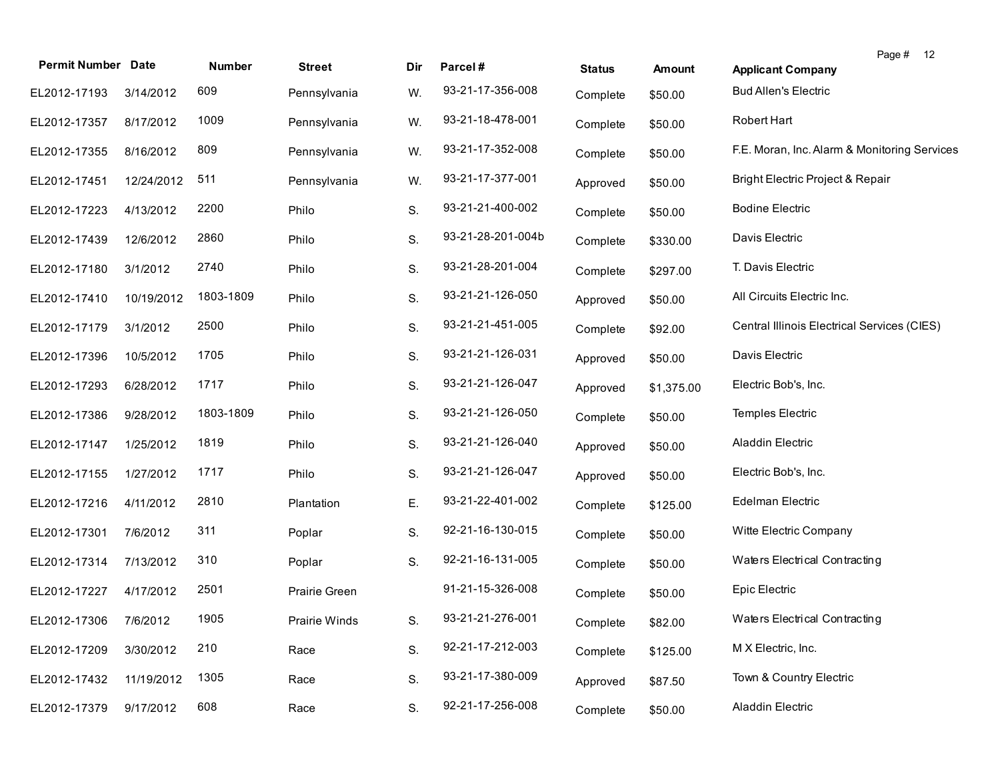|                           |            |           |               |     |                   |               |               | Page #<br>12                                 |
|---------------------------|------------|-----------|---------------|-----|-------------------|---------------|---------------|----------------------------------------------|
| <b>Permit Number Date</b> |            | Number    | <b>Street</b> | Dir | Parcel#           | <b>Status</b> | <b>Amount</b> | <b>Applicant Company</b>                     |
| EL2012-17193              | 3/14/2012  | 609       | Pennsylvania  | W.  | 93-21-17-356-008  | Complete      | \$50.00       | <b>Bud Allen's Electric</b>                  |
| EL2012-17357              | 8/17/2012  | 1009      | Pennsylvania  | W.  | 93-21-18-478-001  | Complete      | \$50.00       | Robert Hart                                  |
| EL2012-17355              | 8/16/2012  | 809       | Pennsylvania  | W.  | 93-21-17-352-008  | Complete      | \$50.00       | F.E. Moran, Inc. Alarm & Monitoring Services |
| EL2012-17451              | 12/24/2012 | 511       | Pennsylvania  | W.  | 93-21-17-377-001  | Approved      | \$50.00       | Bright Electric Project & Repair             |
| EL2012-17223              | 4/13/2012  | 2200      | Philo         | S.  | 93-21-21-400-002  | Complete      | \$50.00       | <b>Bodine Electric</b>                       |
| EL2012-17439              | 12/6/2012  | 2860      | Philo         | S.  | 93-21-28-201-004b | Complete      | \$330.00      | Davis Electric                               |
| EL2012-17180              | 3/1/2012   | 2740      | Philo         | S.  | 93-21-28-201-004  | Complete      | \$297.00      | T. Davis Electric                            |
| EL2012-17410              | 10/19/2012 | 1803-1809 | Philo         | S.  | 93-21-21-126-050  | Approved      | \$50.00       | All Circuits Electric Inc.                   |
| EL2012-17179              | 3/1/2012   | 2500      | Philo         | S.  | 93-21-21-451-005  | Complete      | \$92.00       | Central Illinois Electrical Services (CIES)  |
| EL2012-17396              | 10/5/2012  | 1705      | Philo         | S.  | 93-21-21-126-031  | Approved      | \$50.00       | Davis Electric                               |
| EL2012-17293              | 6/28/2012  | 1717      | Philo         | S.  | 93-21-21-126-047  | Approved      | \$1,375.00    | Electric Bob's, Inc.                         |
| EL2012-17386              | 9/28/2012  | 1803-1809 | Philo         | S.  | 93-21-21-126-050  | Complete      | \$50.00       | Temples Electric                             |
| EL2012-17147              | 1/25/2012  | 1819      | Philo         | S.  | 93-21-21-126-040  | Approved      | \$50.00       | Aladdin Electric                             |
| EL2012-17155              | 1/27/2012  | 1717      | Philo         | S.  | 93-21-21-126-047  | Approved      | \$50.00       | Electric Bob's, Inc.                         |
| EL2012-17216              | 4/11/2012  | 2810      | Plantation    | Е.  | 93-21-22-401-002  | Complete      | \$125.00      | Edelman Electric                             |
| EL2012-17301              | 7/6/2012   | 311       | Poplar        | S.  | 92-21-16-130-015  | Complete      | \$50.00       | Witte Electric Company                       |
| EL2012-17314              | 7/13/2012  | 310       | Poplar        | S.  | 92-21-16-131-005  | Complete      | \$50.00       | Waters Electrical Contracting                |
| EL2012-17227              | 4/17/2012  | 2501      | Prairie Green |     | 91-21-15-326-008  | Complete      | \$50.00       | Epic Electric                                |
| EL2012-17306              | 7/6/2012   | 1905      | Prairie Winds | S.  | 93-21-21-276-001  | Complete      | \$82.00       | Waters Electrical Contracting                |
| EL2012-17209              | 3/30/2012  | 210       | Race          | S.  | 92-21-17-212-003  | Complete      | \$125.00      | M X Electric, Inc.                           |
| EL2012-17432              | 11/19/2012 | 1305      | Race          | S.  | 93-21-17-380-009  | Approved      | \$87.50       | Town & Country Electric                      |
| EL2012-17379              | 9/17/2012  | 608       | Race          | S.  | 92-21-17-256-008  | Complete      | \$50.00       | Aladdin Electric                             |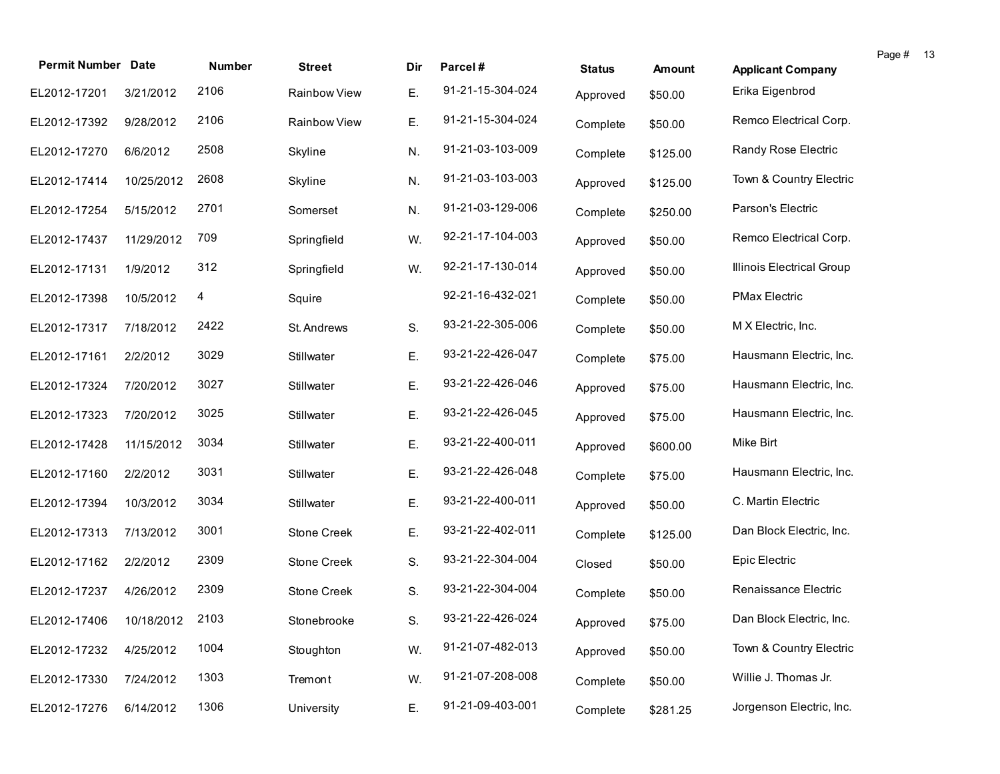| <b>Permit Number Date</b>    |            | <b>Number</b> | <b>Street</b> | Dir | Parcel#          | <b>Status</b> | <b>Amount</b> | <b>Applicant Company</b>  | Page # 13 |  |
|------------------------------|------------|---------------|---------------|-----|------------------|---------------|---------------|---------------------------|-----------|--|
| EL2012-17201                 | 3/21/2012  | 2106          | Rainbow View  | Ε.  | 91-21-15-304-024 |               |               | Erika Eigenbrod           |           |  |
|                              |            |               |               |     |                  | Approved      | \$50.00       |                           |           |  |
| EL2012-17392                 | 9/28/2012  | 2106          | Rainbow View  | Ε.  | 91-21-15-304-024 | Complete      | \$50.00       | Remco Electrical Corp.    |           |  |
| EL2012-17270                 | 6/6/2012   | 2508          | Skyline       | N.  | 91-21-03-103-009 | Complete      | \$125.00      | Randy Rose Electric       |           |  |
| EL2012-17414                 | 10/25/2012 | 2608          | Skyline       | N.  | 91-21-03-103-003 | Approved      | \$125.00      | Town & Country Electric   |           |  |
| EL2012-17254                 | 5/15/2012  | 2701          | Somerset      | N.  | 91-21-03-129-006 | Complete      | \$250.00      | Parson's Electric         |           |  |
| EL2012-17437                 | 11/29/2012 | 709           | Springfield   | W.  | 92-21-17-104-003 | Approved      | \$50.00       | Remco Electrical Corp.    |           |  |
| EL2012-17131                 | 1/9/2012   | 312           | Springfield   | W.  | 92-21-17-130-014 | Approved      | \$50.00       | Illinois Electrical Group |           |  |
| EL2012-17398                 | 10/5/2012  | 4             | Squire        |     | 92-21-16-432-021 | Complete      | \$50.00       | <b>PMax Electric</b>      |           |  |
| EL2012-17317                 | 7/18/2012  | 2422          | St. Andrews   | S.  | 93-21-22-305-006 | Complete      | \$50.00       | M X Electric, Inc.        |           |  |
| EL2012-17161                 | 2/2/2012   | 3029          | Stillwater    | Ε.  | 93-21-22-426-047 | Complete      | \$75.00       | Hausmann Electric, Inc.   |           |  |
| EL2012-17324                 | 7/20/2012  | 3027          | Stillwater    | Ε.  | 93-21-22-426-046 | Approved      | \$75.00       | Hausmann Electric, Inc.   |           |  |
| EL2012-17323                 | 7/20/2012  | 3025          | Stillwater    | Ε.  | 93-21-22-426-045 | Approved      | \$75.00       | Hausmann Electric, Inc.   |           |  |
| EL2012-17428                 | 11/15/2012 | 3034          | Stillwater    | Ε.  | 93-21-22-400-011 | Approved      | \$600.00      | Mike Birt                 |           |  |
| EL2012-17160                 | 2/2/2012   | 3031          | Stillwater    | Ε.  | 93-21-22-426-048 | Complete      | \$75.00       | Hausmann Electric, Inc.   |           |  |
| EL2012-17394                 | 10/3/2012  | 3034          | Stillwater    | Ε.  | 93-21-22-400-011 | Approved      | \$50.00       | C. Martin Electric        |           |  |
| EL2012-17313                 | 7/13/2012  | 3001          | Stone Creek   | Ε.  | 93-21-22-402-011 | Complete      | \$125.00      | Dan Block Electric, Inc.  |           |  |
| EL2012-17162                 | 2/2/2012   | 2309          | Stone Creek   | S.  | 93-21-22-304-004 | Closed        | \$50.00       | Epic Electric             |           |  |
| EL2012-17237                 | 4/26/2012  | 2309          | Stone Creek   | S.  | 93-21-22-304-004 | Complete      | \$50.00       | Renaissance Electric      |           |  |
| EL2012-17406 10/18/2012 2103 |            |               | Stonebrooke   | S.  | 93-21-22-426-024 | Approved      | \$75.00       | Dan Block Electric, Inc.  |           |  |
| EL2012-17232                 | 4/25/2012  | 1004          | Stoughton     | W.  | 91-21-07-482-013 | Approved      | \$50.00       | Town & Country Electric   |           |  |
| EL2012-17330                 | 7/24/2012  | 1303          | Tremont       | W.  | 91-21-07-208-008 | Complete      | \$50.00       | Willie J. Thomas Jr.      |           |  |
| EL2012-17276                 | 6/14/2012  | 1306          | University    | Ε.  | 91-21-09-403-001 | Complete      | \$281.25      | Jorgenson Electric, Inc.  |           |  |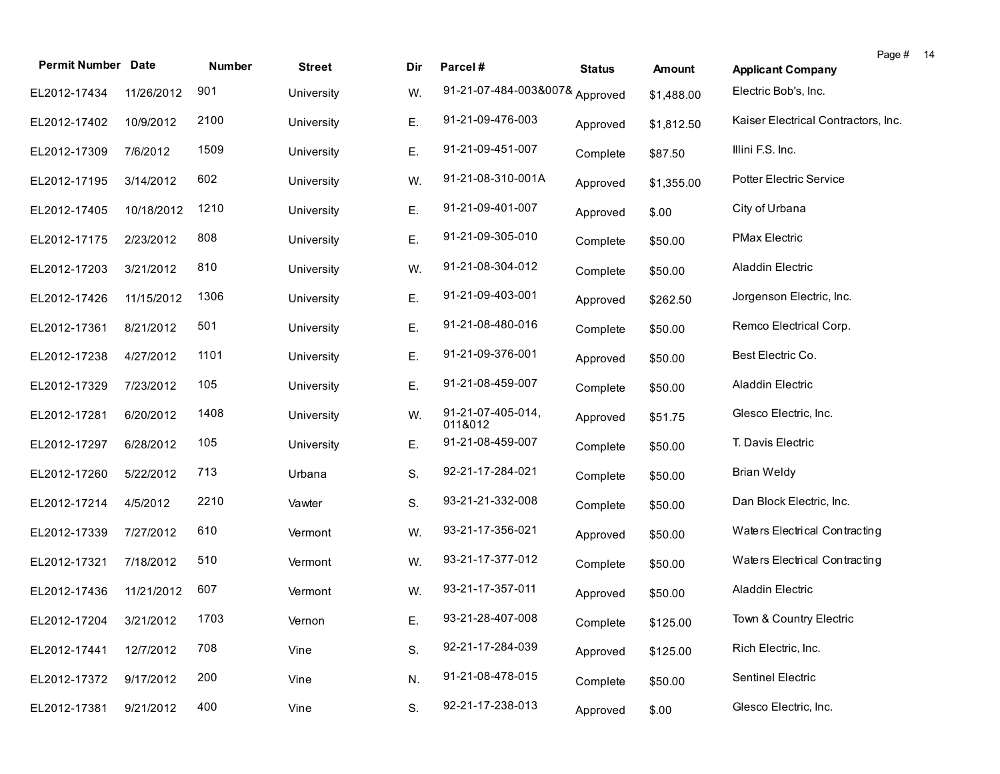| <b>Permit Number Date</b> |            | Number | <b>Street</b> | Dir | Parcel#                        | <b>Status</b> | <b>Amount</b> | Page # 14<br><b>Applicant Company</b> |  |
|---------------------------|------------|--------|---------------|-----|--------------------------------|---------------|---------------|---------------------------------------|--|
| EL2012-17434              | 11/26/2012 | 901    | University    | W.  | 91-21-07-484-003&007& Approved |               | \$1,488.00    | Electric Bob's, Inc.                  |  |
| EL2012-17402              | 10/9/2012  | 2100   | University    | Ε.  | 91-21-09-476-003               | Approved      | \$1,812.50    | Kaiser Electrical Contractors, Inc.   |  |
| EL2012-17309              | 7/6/2012   | 1509   | University    | Ε.  | 91-21-09-451-007               | Complete      | \$87.50       | Illini F.S. Inc.                      |  |
| EL2012-17195              | 3/14/2012  | 602    | University    | W.  | 91-21-08-310-001A              | Approved      | \$1,355.00    | Potter Electric Service               |  |
| EL2012-17405              | 10/18/2012 | 1210   | University    | Ε.  | 91-21-09-401-007               | Approved      | \$.00         | City of Urbana                        |  |
| EL2012-17175              | 2/23/2012  | 808    | University    | Ε.  | 91-21-09-305-010               | Complete      | \$50.00       | <b>PMax Electric</b>                  |  |
| EL2012-17203              | 3/21/2012  | 810    | University    | W.  | 91-21-08-304-012               | Complete      | \$50.00       | Aladdin Electric                      |  |
| EL2012-17426              | 11/15/2012 | 1306   | University    | Ε.  | 91-21-09-403-001               | Approved      | \$262.50      | Jorgenson Electric, Inc.              |  |
| EL2012-17361              | 8/21/2012  | 501    | University    | Ε.  | 91-21-08-480-016               | Complete      | \$50.00       | Remco Electrical Corp.                |  |
| EL2012-17238              | 4/27/2012  | 1101   | University    | Ε.  | 91-21-09-376-001               | Approved      | \$50.00       | Best Electric Co.                     |  |
| EL2012-17329              | 7/23/2012  | 105    | University    | Ε.  | 91-21-08-459-007               | Complete      | \$50.00       | Aladdin Electric                      |  |
| EL2012-17281              | 6/20/2012  | 1408   | University    | W.  | 91-21-07-405-014,<br>011&012   | Approved      | \$51.75       | Glesco Electric, Inc.                 |  |
| EL2012-17297              | 6/28/2012  | 105    | University    | Ε.  | 91-21-08-459-007               | Complete      | \$50.00       | T. Davis Electric                     |  |
| EL2012-17260              | 5/22/2012  | 713    | Urbana        | S.  | 92-21-17-284-021               | Complete      | \$50.00       | <b>Brian Weldy</b>                    |  |
| EL2012-17214              | 4/5/2012   | 2210   | Vawter        | S.  | 93-21-21-332-008               | Complete      | \$50.00       | Dan Block Electric, Inc.              |  |
| EL2012-17339              | 7/27/2012  | 610    | Vermont       | W.  | 93-21-17-356-021               | Approved      | \$50.00       | Waters Electrical Contracting         |  |
| EL2012-17321              | 7/18/2012  | 510    | Vermont       | W.  | 93-21-17-377-012               | Complete      | \$50.00       | Waters Electrical Contracting         |  |
| EL2012-17436              | 11/21/2012 | 607    | Vermont       | W.  | 93-21-17-357-011               | Approved      | \$50.00       | Aladdin Electric                      |  |
| EL2012-17204 3/21/2012    |            | 1703   | Vernon        | Ε.  | 93-21-28-407-008               | Complete      | \$125.00      | Town & Country Electric               |  |
| EL2012-17441              | 12/7/2012  | 708    | Vine          | S.  | 92-21-17-284-039               | Approved      | \$125.00      | Rich Electric, Inc.                   |  |
| EL2012-17372              | 9/17/2012  | 200    | Vine          | N.  | 91-21-08-478-015               | Complete      | \$50.00       | Sentinel Electric                     |  |
| EL2012-17381              | 9/21/2012  | 400    | Vine          | S.  | 92-21-17-238-013               | Approved      | \$.00         | Glesco Electric, Inc.                 |  |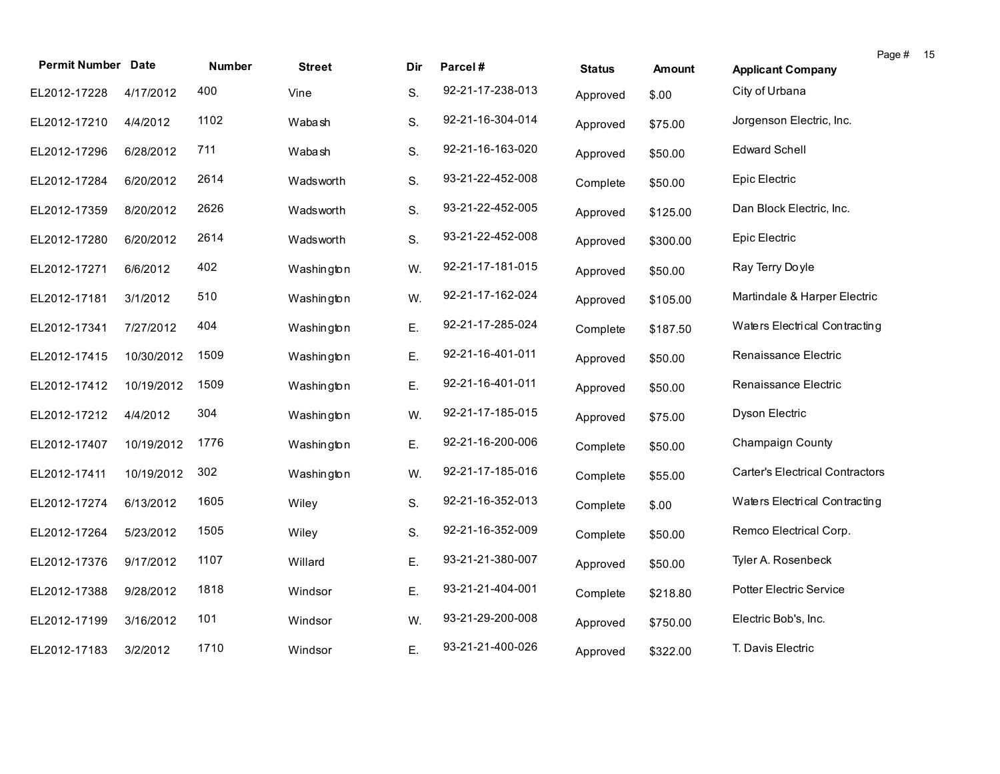| <b>Permit Number Date</b> |            | <b>Number</b> | <b>Street</b> | Dir | Parcel#          | <b>Status</b> | <b>Amount</b> | Page # 15<br><b>Applicant Company</b>  |
|---------------------------|------------|---------------|---------------|-----|------------------|---------------|---------------|----------------------------------------|
| EL2012-17228              | 4/17/2012  | 400           | Vine          | S.  | 92-21-17-238-013 | Approved      | \$.00         | City of Urbana                         |
| EL2012-17210              | 4/4/2012   | 1102          | Wabash        | S.  | 92-21-16-304-014 | Approved      | \$75.00       | Jorgenson Electric, Inc.               |
| EL2012-17296              | 6/28/2012  | 711           | Wabash        | S.  | 92-21-16-163-020 | Approved      | \$50.00       | <b>Edward Schell</b>                   |
| EL2012-17284              | 6/20/2012  | 2614          | Wadsworth     | S.  | 93-21-22-452-008 | Complete      | \$50.00       | Epic Electric                          |
| EL2012-17359              | 8/20/2012  | 2626          | Wadsworth     | S.  | 93-21-22-452-005 | Approved      | \$125.00      | Dan Block Electric, Inc.               |
| EL2012-17280              | 6/20/2012  | 2614          | Wadsworth     | S.  | 93-21-22-452-008 | Approved      | \$300.00      | Epic Electric                          |
| EL2012-17271              | 6/6/2012   | 402           | Washington    | W.  | 92-21-17-181-015 | Approved      | \$50.00       | Ray Terry Doyle                        |
| EL2012-17181              | 3/1/2012   | 510           | Washington    | W.  | 92-21-17-162-024 | Approved      | \$105.00      | Martindale & Harper Electric           |
| EL2012-17341              | 7/27/2012  | 404           | Washington    | Ε.  | 92-21-17-285-024 | Complete      | \$187.50      | Waters Electrical Contracting          |
| EL2012-17415              | 10/30/2012 | 1509          | Washington    | Ε.  | 92-21-16-401-011 | Approved      | \$50.00       | Renaissance Electric                   |
| EL2012-17412              | 10/19/2012 | 1509          | Washington    | Ε.  | 92-21-16-401-011 | Approved      | \$50.00       | Renaissance Electric                   |
| EL2012-17212              | 4/4/2012   | 304           | Washington    | W.  | 92-21-17-185-015 | Approved      | \$75.00       | Dyson Electric                         |
| EL2012-17407              | 10/19/2012 | 1776          | Washington    | Ε.  | 92-21-16-200-006 | Complete      | \$50.00       | <b>Champaign County</b>                |
| EL2012-17411              | 10/19/2012 | 302           | Washington    | W.  | 92-21-17-185-016 | Complete      | \$55.00       | <b>Carter's Electrical Contractors</b> |
| EL2012-17274              | 6/13/2012  | 1605          | Wiley         | S.  | 92-21-16-352-013 | Complete      | \$.00         | Waters Electrical Contracting          |
| EL2012-17264              | 5/23/2012  | 1505          | Wiley         | S.  | 92-21-16-352-009 | Complete      | \$50.00       | Remco Electrical Corp.                 |
| EL2012-17376              | 9/17/2012  | 1107          | Willard       | Ε.  | 93-21-21-380-007 | Approved      | \$50.00       | Tyler A. Rosenbeck                     |
| EL2012-17388              | 9/28/2012  | 1818          | Windsor       | Ε.  | 93-21-21-404-001 | Complete      | \$218.80      | Potter Electric Service                |
| EL2012-17199              | 3/16/2012  | 101           | Windsor       | W.  | 93-21-29-200-008 | Approved      | \$750.00      | Electric Bob's, Inc.                   |
| EL2012-17183              | 3/2/2012   | 1710          | Windsor       | Ε.  | 93-21-21-400-026 | Approved      | \$322.00      | T. Davis Electric                      |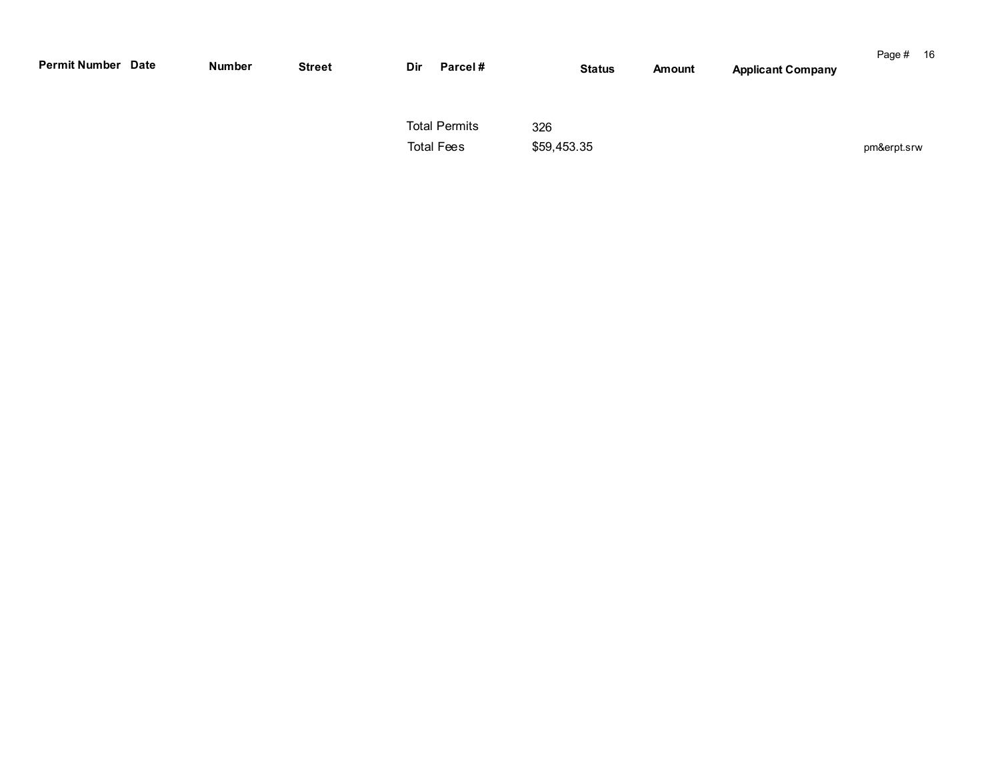| <b>Permit Number Date</b> | Number | <b>Street</b> | Dir | Parcel#                                   |                    | <b>Status</b> | <b>Amount</b> | <b>Applicant Company</b> | Page #      | - 16 |
|---------------------------|--------|---------------|-----|-------------------------------------------|--------------------|---------------|---------------|--------------------------|-------------|------|
|                           |        |               |     | <b>Total Permits</b><br><b>Total Fees</b> | 326<br>\$59,453.35 |               |               |                          | pm&erpt.srw |      |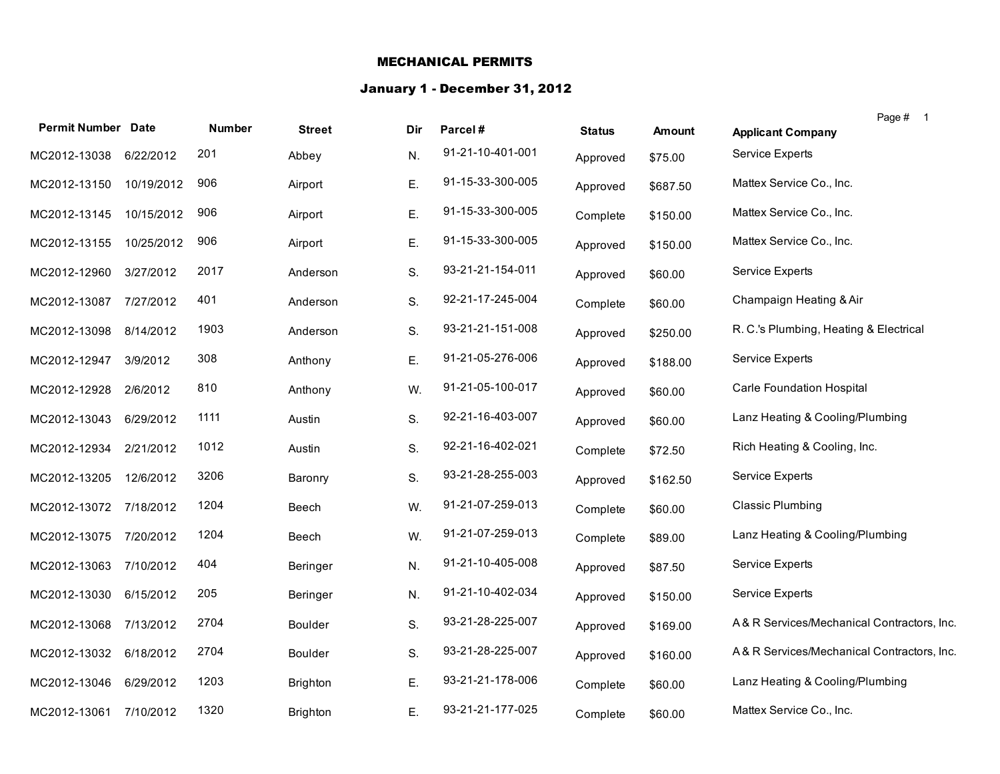#### MECHANICAL PERMITS

### January 1 - December 31, 2012

| <b>Permit Number Date</b> |            | <b>Number</b> | <b>Street</b>   | Dir | Parcel#          | <b>Status</b> | <b>Amount</b> | Page # 1<br><b>Applicant Company</b>       |
|---------------------------|------------|---------------|-----------------|-----|------------------|---------------|---------------|--------------------------------------------|
| MC2012-13038              | 6/22/2012  | 201           | Abbey           | N.  | 91-21-10-401-001 | Approved      | \$75.00       | Service Experts                            |
| MC2012-13150              | 10/19/2012 | 906           | Airport         | Ε.  | 91-15-33-300-005 | Approved      | \$687.50      | Mattex Service Co., Inc.                   |
| MC2012-13145              | 10/15/2012 | 906           | Airport         | Ε.  | 91-15-33-300-005 | Complete      | \$150.00      | Mattex Service Co., Inc.                   |
| MC2012-13155              | 10/25/2012 | 906           | Airport         | Ε.  | 91-15-33-300-005 | Approved      | \$150.00      | Mattex Service Co., Inc.                   |
| MC2012-12960              | 3/27/2012  | 2017          | Anderson        | S.  | 93-21-21-154-011 | Approved      | \$60.00       | <b>Service Experts</b>                     |
| MC2012-13087              | 7/27/2012  | 401           | Anderson        | S.  | 92-21-17-245-004 | Complete      | \$60.00       | Champaign Heating & Air                    |
| MC2012-13098              | 8/14/2012  | 1903          | Anderson        | S.  | 93-21-21-151-008 | Approved      | \$250.00      | R. C.'s Plumbing, Heating & Electrical     |
| MC2012-12947              | 3/9/2012   | 308           | Anthony         | Ε.  | 91-21-05-276-006 | Approved      | \$188.00      | Service Experts                            |
| MC2012-12928              | 2/6/2012   | 810           | Anthony         | W.  | 91-21-05-100-017 | Approved      | \$60.00       | Carle Foundation Hospital                  |
| MC2012-13043              | 6/29/2012  | 1111          | Austin          | S.  | 92-21-16-403-007 | Approved      | \$60.00       | Lanz Heating & Cooling/Plumbing            |
| MC2012-12934              | 2/21/2012  | 1012          | Austin          | S.  | 92-21-16-402-021 | Complete      | \$72.50       | Rich Heating & Cooling, Inc.               |
| MC2012-13205              | 12/6/2012  | 3206          | Baronry         | S.  | 93-21-28-255-003 | Approved      | \$162.50      | <b>Service Experts</b>                     |
| MC2012-13072              | 7/18/2012  | 1204          | Beech           | W.  | 91-21-07-259-013 | Complete      | \$60.00       | <b>Classic Plumbing</b>                    |
| MC2012-13075              | 7/20/2012  | 1204          | Beech           | W.  | 91-21-07-259-013 | Complete      | \$89.00       | Lanz Heating & Cooling/Plumbing            |
| MC2012-13063              | 7/10/2012  | 404           | Beringer        | N.  | 91-21-10-405-008 | Approved      | \$87.50       | <b>Service Experts</b>                     |
| MC2012-13030              | 6/15/2012  | 205           | Beringer        | N.  | 91-21-10-402-034 | Approved      | \$150.00      | <b>Service Experts</b>                     |
| MC2012-13068              | 7/13/2012  | 2704          | Boulder         | S.  | 93-21-28-225-007 | Approved      | \$169.00      | A& R Services/Mechanical Contractors, Inc. |
| MC2012-13032              | 6/18/2012  | 2704          | Boulder         | S.  | 93-21-28-225-007 | Approved      | \$160.00      | A& R Services/Mechanical Contractors, Inc. |
| MC2012-13046              | 6/29/2012  | 1203          | <b>Brighton</b> | Ε.  | 93-21-21-178-006 | Complete      | \$60.00       | Lanz Heating & Cooling/Plumbing            |
| MC2012-13061              | 7/10/2012  | 1320          | <b>Brighton</b> | Ε.  | 93-21-21-177-025 | Complete      | \$60.00       | Mattex Service Co., Inc.                   |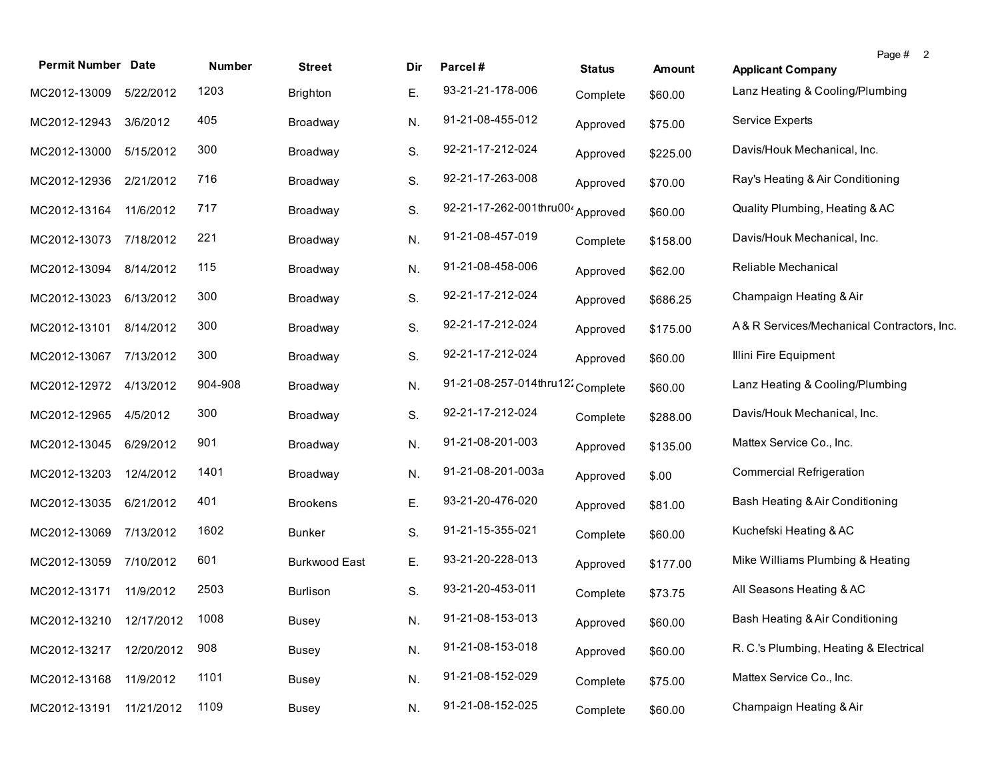| <b>Permit Number Date</b> |            | Number  | <b>Street</b>        | Dir. | Parcel#                          | <b>Status</b> | <b>Amount</b> | Page # 2<br><b>Applicant Company</b>       |
|---------------------------|------------|---------|----------------------|------|----------------------------------|---------------|---------------|--------------------------------------------|
| MC2012-13009              | 5/22/2012  | 1203    | <b>Brighton</b>      | Е.   | 93-21-21-178-006                 | Complete      | \$60.00       | Lanz Heating & Cooling/Plumbing            |
| MC2012-12943              | 3/6/2012   | 405     | Broadway             | N.   | 91-21-08-455-012                 | Approved      | \$75.00       | Service Experts                            |
| MC2012-13000              | 5/15/2012  | 300     | Broadway             | S.   | 92-21-17-212-024                 | Approved      | \$225.00      | Davis/Houk Mechanical, Inc.                |
| MC2012-12936              | 2/21/2012  | 716     | Broadway             | S.   | 92-21-17-263-008                 | Approved      | \$70.00       | Ray's Heating & Air Conditioning           |
| MC2012-13164              | 11/6/2012  | 717     | Broadway             | S.   | 92-21-17-262-001thru00           | Approved      | \$60.00       | Quality Plumbing, Heating & AC             |
| MC2012-13073              | 7/18/2012  | 221     | Broadway             | N.   | 91-21-08-457-019                 | Complete      | \$158.00      | Davis/Houk Mechanical, Inc.                |
| MC2012-13094              | 8/14/2012  | 115     | Broadway             | N.   | 91-21-08-458-006                 | Approved      | \$62.00       | Reliable Mechanical                        |
| MC2012-13023              | 6/13/2012  | 300     | Broadway             | S.   | 92-21-17-212-024                 | Approved      | \$686.25      | Champaign Heating & Air                    |
| MC2012-13101              | 8/14/2012  | 300     | Broadway             | S.   | 92-21-17-212-024                 | Approved      | \$175.00      | A& R Services/Mechanical Contractors, Inc. |
| MC2012-13067              | 7/13/2012  | 300     | Broadway             | S.   | 92-21-17-212-024                 | Approved      | \$60.00       | Illini Fire Equipment                      |
| MC2012-12972              | 4/13/2012  | 904-908 | Broadway             | N.   | 91-21-08-257-014thru12: Complete |               | \$60.00       | Lanz Heating & Cooling/Plumbing            |
| MC2012-12965              | 4/5/2012   | 300     | Broadway             | S.   | 92-21-17-212-024                 | Complete      | \$288.00      | Davis/Houk Mechanical, Inc.                |
| MC2012-13045              | 6/29/2012  | 901     | Broadway             | N.   | 91-21-08-201-003                 | Approved      | \$135.00      | Mattex Service Co., Inc.                   |
| MC2012-13203              | 12/4/2012  | 1401    | Broadway             | N.   | 91-21-08-201-003a                | Approved      | \$.00         | <b>Commercial Refrigeration</b>            |
| MC2012-13035              | 6/21/2012  | 401     | <b>Brookens</b>      | Ε.   | 93-21-20-476-020                 | Approved      | \$81.00       | Bash Heating & Air Conditioning            |
| MC2012-13069              | 7/13/2012  | 1602    | <b>Bunker</b>        | S.   | 91-21-15-355-021                 | Complete      | \$60.00       | Kuchefski Heating & AC                     |
| MC2012-13059              | 7/10/2012  | 601     | <b>Burkwood East</b> | Е.   | 93-21-20-228-013                 | Approved      | \$177.00      | Mike Williams Plumbing & Heating           |
| MC2012-13171              | 11/9/2012  | 2503    | Burlison             | S.   | 93-21-20-453-011                 | Complete      | \$73.75       | All Seasons Heating & AC                   |
| MC2012-13210 12/17/2012   |            | 1008    | <b>Busey</b>         | N.   | 91-21-08-153-013                 | Approved      | \$60.00       | Bash Heating & Air Conditioning            |
| MC2012-13217              | 12/20/2012 | 908     | <b>Busey</b>         | N.   | 91-21-08-153-018                 | Approved      | \$60.00       | R. C.'s Plumbing, Heating & Electrical     |
| MC2012-13168              | 11/9/2012  | 1101    | <b>Busey</b>         | N.   | 91-21-08-152-029                 | Complete      | \$75.00       | Mattex Service Co., Inc.                   |
| MC2012-13191              | 11/21/2012 | 1109    | <b>Busey</b>         | N.   | 91-21-08-152-025                 | Complete      | \$60.00       | Champaign Heating & Air                    |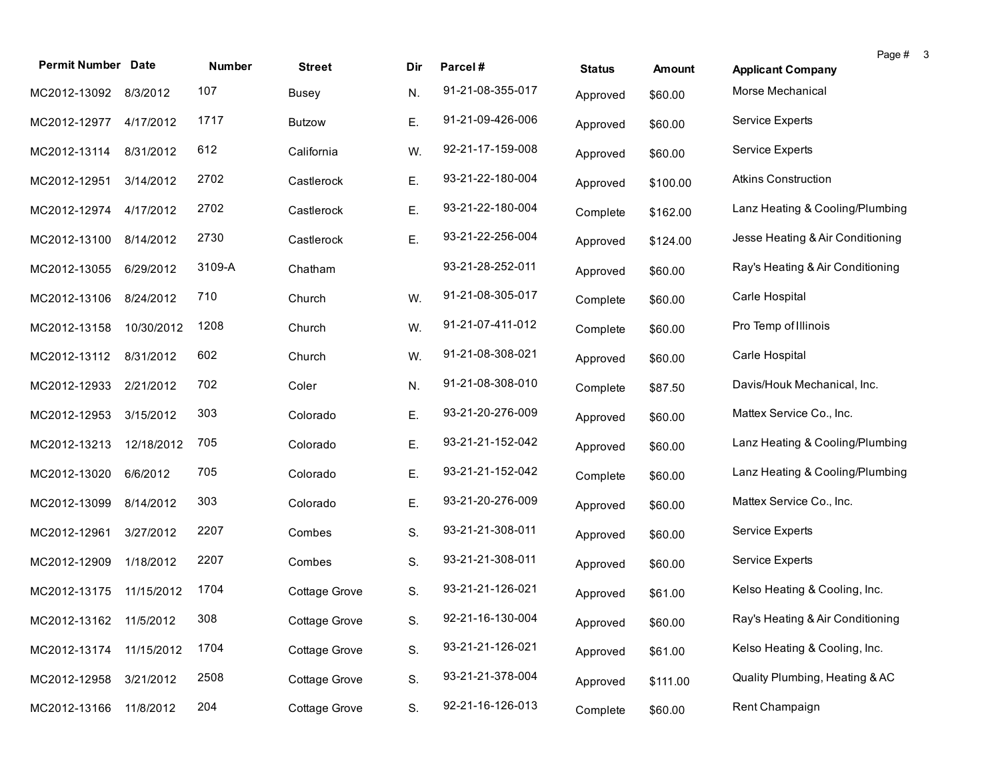| <b>Permit Number Date</b> |            | Number | <b>Street</b> | Dir | Parcel#          | <b>Status</b> | <b>Amount</b> | Page # 3<br><b>Applicant Company</b> |
|---------------------------|------------|--------|---------------|-----|------------------|---------------|---------------|--------------------------------------|
| MC2012-13092 8/3/2012     |            | 107    | <b>Busey</b>  | N.  | 91-21-08-355-017 | Approved      | \$60.00       | Morse Mechanical                     |
| MC2012-12977 4/17/2012    |            | 1717   | <b>Butzow</b> | Ε.  | 91-21-09-426-006 | Approved      | \$60.00       | <b>Service Experts</b>               |
| MC2012-13114              | 8/31/2012  | 612    | California    | W.  | 92-21-17-159-008 | Approved      | \$60.00       | Service Experts                      |
| MC2012-12951              | 3/14/2012  | 2702   | Castlerock    | Ε.  | 93-21-22-180-004 | Approved      | \$100.00      | <b>Atkins Construction</b>           |
| MC2012-12974              | 4/17/2012  | 2702   | Castlerock    | Ε.  | 93-21-22-180-004 | Complete      | \$162.00      | Lanz Heating & Cooling/Plumbing      |
| MC2012-13100              | 8/14/2012  | 2730   | Castlerock    | Ε.  | 93-21-22-256-004 | Approved      | \$124.00      | Jesse Heating & Air Conditioning     |
| MC2012-13055              | 6/29/2012  | 3109-A | Chatham       |     | 93-21-28-252-011 | Approved      | \$60.00       | Ray's Heating & Air Conditioning     |
| MC2012-13106              | 8/24/2012  | 710    | Church        | W.  | 91-21-08-305-017 | Complete      | \$60.00       | Carle Hospital                       |
| MC2012-13158              | 10/30/2012 | 1208   | Church        | W.  | 91-21-07-411-012 | Complete      | \$60.00       | Pro Temp of Illinois                 |
| MC2012-13112              | 8/31/2012  | 602    | Church        | W.  | 91-21-08-308-021 | Approved      | \$60.00       | Carle Hospital                       |
| MC2012-12933              | 2/21/2012  | 702    | Coler         | N.  | 91-21-08-308-010 | Complete      | \$87.50       | Davis/Houk Mechanical, Inc.          |
| MC2012-12953              | 3/15/2012  | 303    | Colorado      | Ε.  | 93-21-20-276-009 | Approved      | \$60.00       | Mattex Service Co., Inc.             |
| MC2012-13213              | 12/18/2012 | 705    | Colorado      | Ε.  | 93-21-21-152-042 | Approved      | \$60.00       | Lanz Heating & Cooling/Plumbing      |
| MC2012-13020              | 6/6/2012   | 705    | Colorado      | Ε.  | 93-21-21-152-042 | Complete      | \$60.00       | Lanz Heating & Cooling/Plumbing      |
| MC2012-13099              | 8/14/2012  | 303    | Colorado      | Ε.  | 93-21-20-276-009 | Approved      | \$60.00       | Mattex Service Co., Inc.             |
| MC2012-12961              | 3/27/2012  | 2207   | Combes        | S.  | 93-21-21-308-011 | Approved      | \$60.00       | Service Experts                      |
| MC2012-12909              | 1/18/2012  | 2207   | Combes        | S.  | 93-21-21-308-011 | Approved      | \$60.00       | <b>Service Experts</b>               |
| MC2012-13175 11/15/2012   |            | 1704   | Cottage Grove | S.  | 93-21-21-126-021 | Approved      | \$61.00       | Kelso Heating & Cooling, Inc.        |
| MC2012-13162 11/5/2012    |            | 308    | Cottage Grove | S.  | 92-21-16-130-004 | Approved      | \$60.00       | Ray's Heating & Air Conditioning     |
| MC2012-13174              | 11/15/2012 | 1704   | Cottage Grove | S.  | 93-21-21-126-021 | Approved      | \$61.00       | Kelso Heating & Cooling, Inc.        |
| MC2012-12958              | 3/21/2012  | 2508   | Cottage Grove | S.  | 93-21-21-378-004 | Approved      | \$111.00      | Quality Plumbing, Heating & AC       |
| MC2012-13166              | 11/8/2012  | 204    | Cottage Grove | S.  | 92-21-16-126-013 | Complete      | \$60.00       | Rent Champaign                       |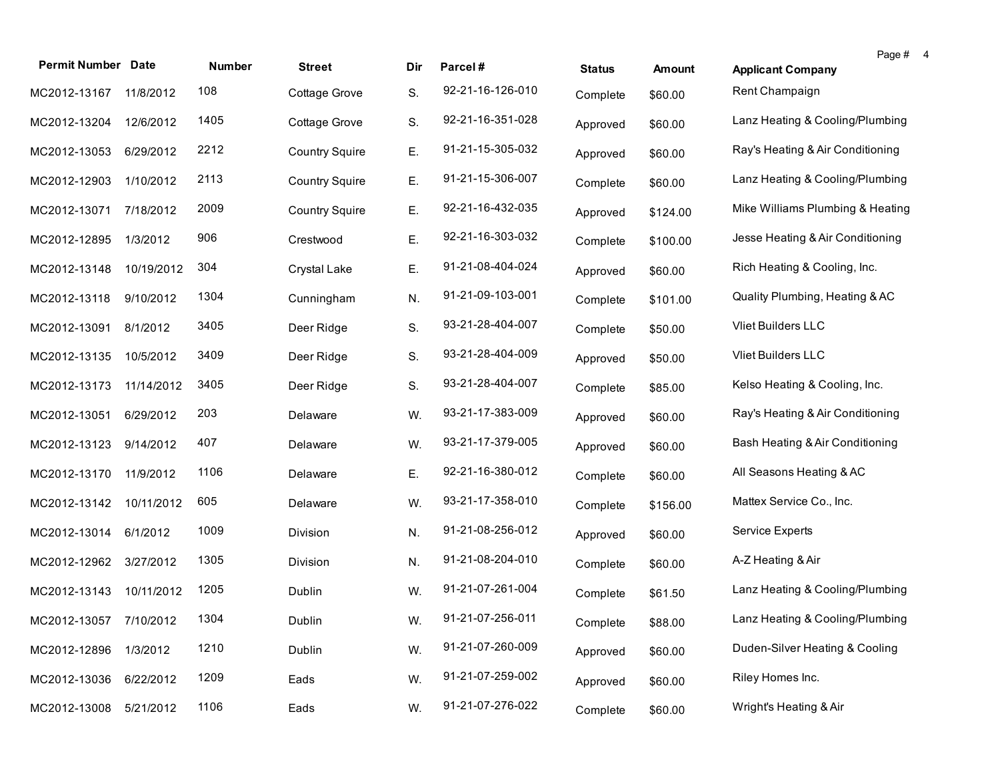| <b>Permit Number Date</b> |            | Number | <b>Street</b>         | Dir | Parcel#          | <b>Status</b> | <b>Amount</b> | Page # 4<br><b>Applicant Company</b> |  |
|---------------------------|------------|--------|-----------------------|-----|------------------|---------------|---------------|--------------------------------------|--|
| MC2012-13167              | 11/8/2012  | 108    | Cottage Grove         | S.  | 92-21-16-126-010 | Complete      | \$60.00       | Rent Champaign                       |  |
| MC2012-13204              | 12/6/2012  | 1405   | Cottage Grove         | S.  | 92-21-16-351-028 | Approved      | \$60.00       | Lanz Heating & Cooling/Plumbing      |  |
| MC2012-13053              | 6/29/2012  | 2212   | <b>Country Squire</b> | Ε.  | 91-21-15-305-032 | Approved      | \$60.00       | Ray's Heating & Air Conditioning     |  |
| MC2012-12903              | 1/10/2012  | 2113   | <b>Country Squire</b> | Ε.  | 91-21-15-306-007 | Complete      | \$60.00       | Lanz Heating & Cooling/Plumbing      |  |
| MC2012-13071              | 7/18/2012  | 2009   | <b>Country Squire</b> | Ε.  | 92-21-16-432-035 | Approved      | \$124.00      | Mike Williams Plumbing & Heating     |  |
| MC2012-12895              | 1/3/2012   | 906    | Crestwood             | Ε.  | 92-21-16-303-032 | Complete      | \$100.00      | Jesse Heating & Air Conditioning     |  |
| MC2012-13148              | 10/19/2012 | 304    | Crystal Lake          | Ε.  | 91-21-08-404-024 | Approved      | \$60.00       | Rich Heating & Cooling, Inc.         |  |
| MC2012-13118              | 9/10/2012  | 1304   | Cunningham            | N.  | 91-21-09-103-001 | Complete      | \$101.00      | Quality Plumbing, Heating & AC       |  |
| MC2012-13091              | 8/1/2012   | 3405   | Deer Ridge            | S.  | 93-21-28-404-007 | Complete      | \$50.00       | Vliet Builders LLC                   |  |
| MC2012-13135              | 10/5/2012  | 3409   | Deer Ridge            | S.  | 93-21-28-404-009 | Approved      | \$50.00       | Vliet Builders LLC                   |  |
| MC2012-13173              | 11/14/2012 | 3405   | Deer Ridge            | S.  | 93-21-28-404-007 | Complete      | \$85.00       | Kelso Heating & Cooling, Inc.        |  |
| MC2012-13051              | 6/29/2012  | 203    | Delaware              | W.  | 93-21-17-383-009 | Approved      | \$60.00       | Ray's Heating & Air Conditioning     |  |
| MC2012-13123              | 9/14/2012  | 407    | Delaware              | W.  | 93-21-17-379-005 | Approved      | \$60.00       | Bash Heating & Air Conditioning      |  |
| MC2012-13170              | 11/9/2012  | 1106   | Delaware              | Ε.  | 92-21-16-380-012 | Complete      | \$60.00       | All Seasons Heating & AC             |  |
| MC2012-13142              | 10/11/2012 | 605    | Delaware              | W.  | 93-21-17-358-010 | Complete      | \$156.00      | Mattex Service Co., Inc.             |  |
| MC2012-13014              | 6/1/2012   | 1009   | Division              | N.  | 91-21-08-256-012 | Approved      | \$60.00       | Service Experts                      |  |
| MC2012-12962              | 3/27/2012  | 1305   | Division              | N.  | 91-21-08-204-010 | Complete      | \$60.00       | A-Z Heating & Air                    |  |
| MC2012-13143              | 10/11/2012 | 1205   | Dublin                | W.  | 91-21-07-261-004 | Complete      | \$61.50       | Lanz Heating & Cooling/Plumbing      |  |
| MC2012-13057 7/10/2012    |            | 1304   | Dublin                | W.  | 91-21-07-256-011 | Complete      | \$88.00       | Lanz Heating & Cooling/Plumbing      |  |
| MC2012-12896              | 1/3/2012   | 1210   | Dublin                | W.  | 91-21-07-260-009 | Approved      | \$60.00       | Duden-Silver Heating & Cooling       |  |
| MC2012-13036              | 6/22/2012  | 1209   | Eads                  | W.  | 91-21-07-259-002 | Approved      | \$60.00       | Riley Homes Inc.                     |  |
| MC2012-13008              | 5/21/2012  | 1106   | Eads                  | W.  | 91-21-07-276-022 | Complete      | \$60.00       | Wright's Heating & Air               |  |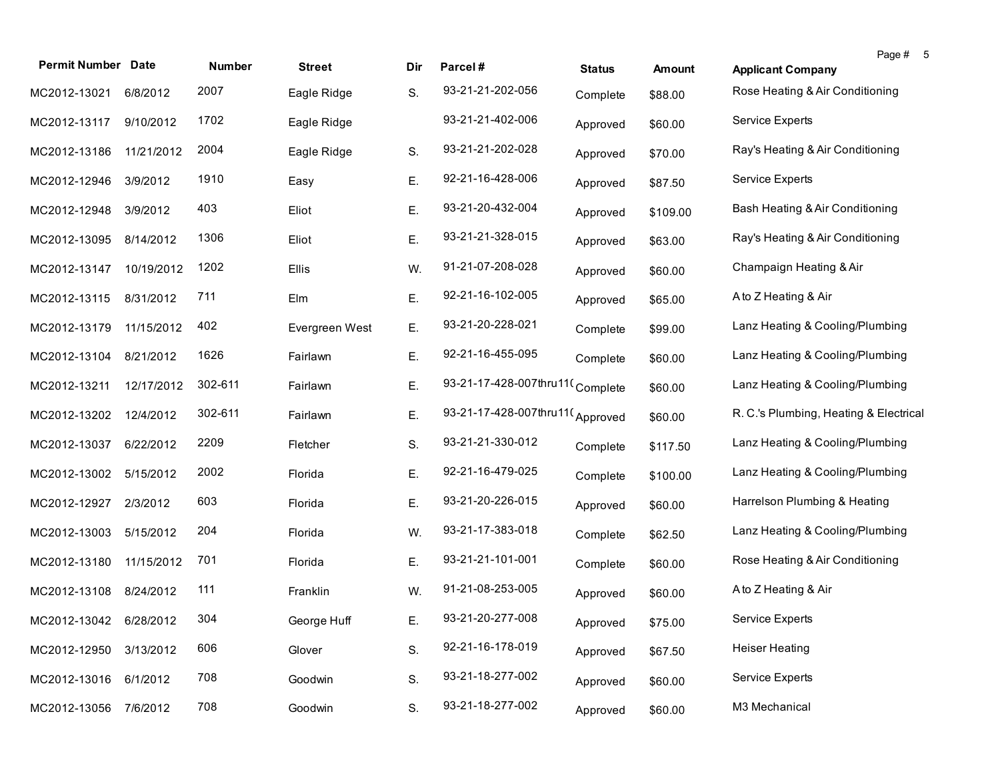| <b>Permit Number Date</b> |            | Number  | <b>Street</b>  | Dir | Parcel#                         | <b>Status</b> | <b>Amount</b> | Page #<br>-5<br><b>Applicant Company</b> |
|---------------------------|------------|---------|----------------|-----|---------------------------------|---------------|---------------|------------------------------------------|
| MC2012-13021              | 6/8/2012   | 2007    | Eagle Ridge    | S.  | 93-21-21-202-056                | Complete      | \$88.00       | Rose Heating & Air Conditioning          |
| MC2012-13117              | 9/10/2012  | 1702    | Eagle Ridge    |     | 93-21-21-402-006                | Approved      | \$60.00       | Service Experts                          |
| MC2012-13186              | 11/21/2012 | 2004    | Eagle Ridge    | S.  | 93-21-21-202-028                | Approved      | \$70.00       | Ray's Heating & Air Conditioning         |
| MC2012-12946              | 3/9/2012   | 1910    | Easy           | Ε.  | 92-21-16-428-006                | Approved      | \$87.50       | <b>Service Experts</b>                   |
| MC2012-12948              | 3/9/2012   | 403     | Eliot          | Е.  | 93-21-20-432-004                | Approved      | \$109.00      | Bash Heating & Air Conditioning          |
| MC2012-13095              | 8/14/2012  | 1306    | Eliot          | Ε.  | 93-21-21-328-015                | Approved      | \$63.00       | Ray's Heating & Air Conditioning         |
| MC2012-13147              | 10/19/2012 | 1202    | Ellis          | W.  | 91-21-07-208-028                | Approved      | \$60.00       | Champaign Heating & Air                  |
| MC2012-13115              | 8/31/2012  | 711     | Elm            | Е.  | 92-21-16-102-005                | Approved      | \$65.00       | A to Z Heating & Air                     |
| MC2012-13179              | 11/15/2012 | 402     | Evergreen West | Е.  | 93-21-20-228-021                | Complete      | \$99.00       | Lanz Heating & Cooling/Plumbing          |
| MC2012-13104              | 8/21/2012  | 1626    | Fairlawn       | Е.  | 92-21-16-455-095                | Complete      | \$60.00       | Lanz Heating & Cooling/Plumbing          |
| MC2012-13211              | 12/17/2012 | 302-611 | Fairlawn       | Е.  | 93-21-17-428-007thru11(Complete |               | \$60.00       | Lanz Heating & Cooling/Plumbing          |
| MC2012-13202              | 12/4/2012  | 302-611 | Fairlawn       | Е.  | 93-21-17-428-007thru11(Approved |               | \$60.00       | R. C.'s Plumbing, Heating & Electrical   |
| MC2012-13037              | 6/22/2012  | 2209    | Fletcher       | S.  | 93-21-21-330-012                | Complete      | \$117.50      | Lanz Heating & Cooling/Plumbing          |
| MC2012-13002              | 5/15/2012  | 2002    | Florida        | Е.  | 92-21-16-479-025                | Complete      | \$100.00      | Lanz Heating & Cooling/Plumbing          |
| MC2012-12927              | 2/3/2012   | 603     | Florida        | Е.  | 93-21-20-226-015                | Approved      | \$60.00       | Harrelson Plumbing & Heating             |
| MC2012-13003              | 5/15/2012  | 204     | Florida        | W.  | 93-21-17-383-018                | Complete      | \$62.50       | Lanz Heating & Cooling/Plumbing          |
| MC2012-13180              | 11/15/2012 | 701     | Florida        | Е.  | 93-21-21-101-001                | Complete      | \$60.00       | Rose Heating & Air Conditioning          |
| MC2012-13108              | 8/24/2012  | 111     | Franklin       | W.  | 91-21-08-253-005                | Approved      | \$60.00       | A to Z Heating & Air                     |
| MC2012-13042 6/28/2012    |            | 304     | George Huff    | Е.  | 93-21-20-277-008                | Approved      | \$75.00       | Service Experts                          |
| MC2012-12950              | 3/13/2012  | 606     | Glover         | S.  | 92-21-16-178-019                | Approved      | \$67.50       | <b>Heiser Heating</b>                    |
| MC2012-13016              | 6/1/2012   | 708     | Goodwin        | S.  | 93-21-18-277-002                | Approved      | \$60.00       | <b>Service Experts</b>                   |
| MC2012-13056              | 7/6/2012   | 708     | Goodwin        | S.  | 93-21-18-277-002                | Approved      | \$60.00       | M3 Mechanical                            |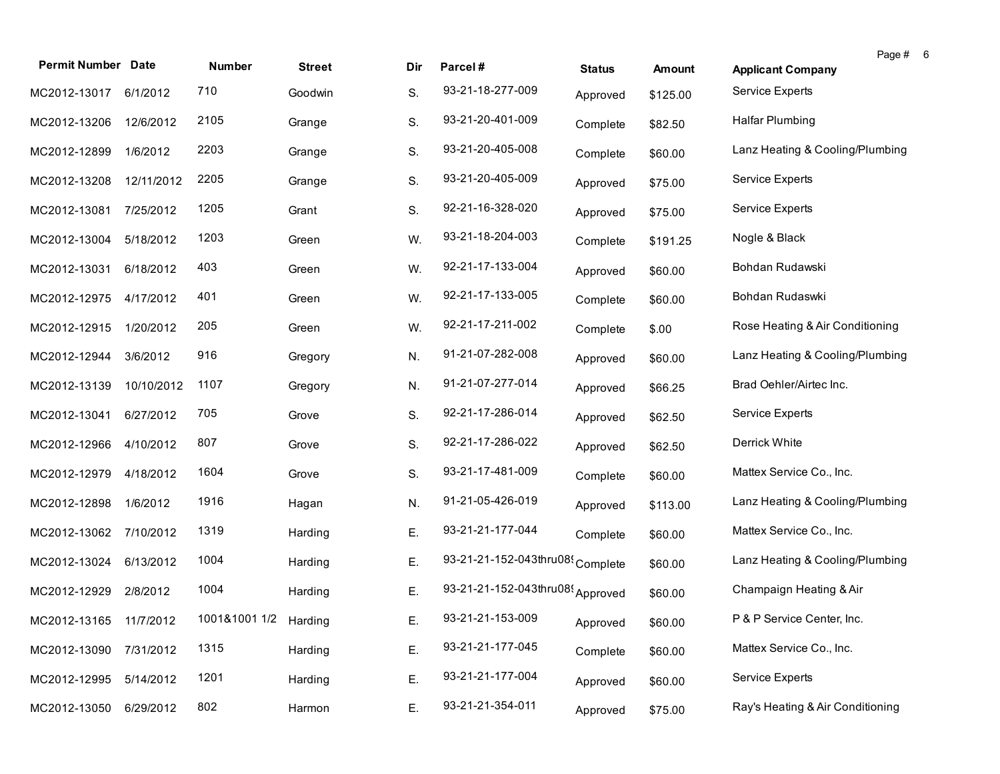| <b>Permit Number Date</b> |            | Number                | <b>Street</b> | Dir | Parcel#                          | <b>Status</b> | <b>Amount</b> | Page # 6<br><b>Applicant Company</b> |  |
|---------------------------|------------|-----------------------|---------------|-----|----------------------------------|---------------|---------------|--------------------------------------|--|
| MC2012-13017              | 6/1/2012   | 710                   | Goodwin       | S.  | 93-21-18-277-009                 | Approved      | \$125.00      | Service Experts                      |  |
| MC2012-13206              | 12/6/2012  | 2105                  | Grange        | S.  | 93-21-20-401-009                 | Complete      | \$82.50       | Halfar Plumbing                      |  |
| MC2012-12899              | 1/6/2012   | 2203                  | Grange        | S.  | 93-21-20-405-008                 | Complete      | \$60.00       | Lanz Heating & Cooling/Plumbing      |  |
| MC2012-13208              | 12/11/2012 | 2205                  | Grange        | S.  | 93-21-20-405-009                 | Approved      | \$75.00       | Service Experts                      |  |
| MC2012-13081              | 7/25/2012  | 1205                  | Grant         | S.  | 92-21-16-328-020                 | Approved      | \$75.00       | <b>Service Experts</b>               |  |
| MC2012-13004              | 5/18/2012  | 1203                  | Green         | W.  | 93-21-18-204-003                 | Complete      | \$191.25      | Nogle & Black                        |  |
| MC2012-13031              | 6/18/2012  | 403                   | Green         | W.  | 92-21-17-133-004                 | Approved      | \$60.00       | Bohdan Rudawski                      |  |
| MC2012-12975              | 4/17/2012  | 401                   | Green         | W.  | 92-21-17-133-005                 | Complete      | \$60.00       | Bohdan Rudaswki                      |  |
| MC2012-12915              | 1/20/2012  | 205                   | Green         | W.  | 92-21-17-211-002                 | Complete      | \$.00         | Rose Heating & Air Conditioning      |  |
| MC2012-12944              | 3/6/2012   | 916                   | Gregory       | N.  | 91-21-07-282-008                 | Approved      | \$60.00       | Lanz Heating & Cooling/Plumbing      |  |
| MC2012-13139              | 10/10/2012 | 1107                  | Gregory       | N.  | 91-21-07-277-014                 | Approved      | \$66.25       | Brad Oehler/Airtec Inc.              |  |
| MC2012-13041              | 6/27/2012  | 705                   | Grove         | S.  | 92-21-17-286-014                 | Approved      | \$62.50       | <b>Service Experts</b>               |  |
| MC2012-12966              | 4/10/2012  | 807                   | Grove         | S.  | 92-21-17-286-022                 | Approved      | \$62.50       | Derrick White                        |  |
| MC2012-12979              | 4/18/2012  | 1604                  | Grove         | S.  | 93-21-17-481-009                 | Complete      | \$60.00       | Mattex Service Co., Inc.             |  |
| MC2012-12898              | 1/6/2012   | 1916                  | Hagan         | N.  | 91-21-05-426-019                 | Approved      | \$113.00      | Lanz Heating & Cooling/Plumbing      |  |
| MC2012-13062              | 7/10/2012  | 1319                  | Harding       | Ε.  | 93-21-21-177-044                 | Complete      | \$60.00       | Mattex Service Co., Inc.             |  |
| MC2012-13024              | 6/13/2012  | 1004                  | Harding       | Ε.  | 93-21-21-152-043thru08(Complete  |               | \$60.00       | Lanz Heating & Cooling/Plumbing      |  |
| MC2012-12929              | 2/8/2012   | 1004                  | Harding       | Ε.  | 93-21-21-152-043thru08! Approved |               | \$60.00       | Champaign Heating & Air              |  |
| MC2012-13165 11/7/2012    |            | 1001&1001 1/2 Harding |               | Е.  | 93-21-21-153-009                 | Approved      | \$60.00       | P & P Service Center, Inc.           |  |
| MC2012-13090              | 7/31/2012  | 1315                  | Harding       | Ε.  | 93-21-21-177-045                 | Complete      | \$60.00       | Mattex Service Co., Inc.             |  |
| MC2012-12995              | 5/14/2012  | 1201                  | Harding       | Ε.  | 93-21-21-177-004                 | Approved      | \$60.00       | Service Experts                      |  |
| MC2012-13050              | 6/29/2012  | 802                   | Harmon        | Ε.  | 93-21-21-354-011                 | Approved      | \$75.00       | Ray's Heating & Air Conditioning     |  |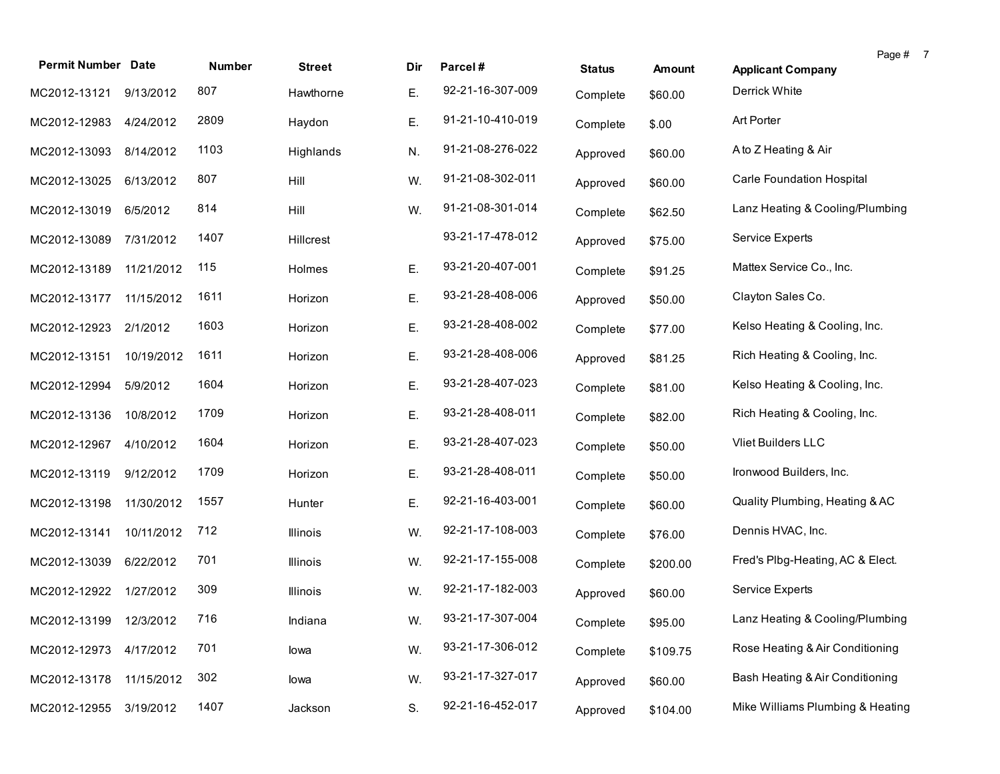| <b>Permit Number Date</b> |            | Number | <b>Street</b> | Dir | Parcel#          | <b>Status</b> | Amount   | <b>Applicant Company</b>         | Page # 7 |  |
|---------------------------|------------|--------|---------------|-----|------------------|---------------|----------|----------------------------------|----------|--|
| MC2012-13121              | 9/13/2012  | 807    | Hawthorne     | Ε.  | 92-21-16-307-009 | Complete      | \$60.00  | Derrick White                    |          |  |
| MC2012-12983              | 4/24/2012  | 2809   | Haydon        | Ε.  | 91-21-10-410-019 | Complete      | \$.00    | Art Porter                       |          |  |
| MC2012-13093              | 8/14/2012  | 1103   | Highlands     | N.  | 91-21-08-276-022 | Approved      | \$60.00  | A to Z Heating & Air             |          |  |
| MC2012-13025              | 6/13/2012  | 807    | Hill          | W.  | 91-21-08-302-011 | Approved      | \$60.00  | Carle Foundation Hospital        |          |  |
| MC2012-13019              | 6/5/2012   | 814    | Hill          | W.  | 91-21-08-301-014 | Complete      | \$62.50  | Lanz Heating & Cooling/Plumbing  |          |  |
| MC2012-13089              | 7/31/2012  | 1407   | Hillcrest     |     | 93-21-17-478-012 | Approved      | \$75.00  | Service Experts                  |          |  |
| MC2012-13189              | 11/21/2012 | 115    | Holmes        | Ε.  | 93-21-20-407-001 | Complete      | \$91.25  | Mattex Service Co., Inc.         |          |  |
| MC2012-13177              | 11/15/2012 | 1611   | Horizon       | Ε.  | 93-21-28-408-006 | Approved      | \$50.00  | Clayton Sales Co.                |          |  |
| MC2012-12923              | 2/1/2012   | 1603   | Horizon       | Е.  | 93-21-28-408-002 | Complete      | \$77.00  | Kelso Heating & Cooling, Inc.    |          |  |
| MC2012-13151              | 10/19/2012 | 1611   | Horizon       | Е.  | 93-21-28-408-006 | Approved      | \$81.25  | Rich Heating & Cooling, Inc.     |          |  |
| MC2012-12994              | 5/9/2012   | 1604   | Horizon       | Е.  | 93-21-28-407-023 | Complete      | \$81.00  | Kelso Heating & Cooling, Inc.    |          |  |
| MC2012-13136              | 10/8/2012  | 1709   | Horizon       | Е.  | 93-21-28-408-011 | Complete      | \$82.00  | Rich Heating & Cooling, Inc.     |          |  |
| MC2012-12967              | 4/10/2012  | 1604   | Horizon       | Ε.  | 93-21-28-407-023 | Complete      | \$50.00  | Vliet Builders LLC               |          |  |
| MC2012-13119              | 9/12/2012  | 1709   | Horizon       | Е.  | 93-21-28-408-011 | Complete      | \$50.00  | Ironwood Builders, Inc.          |          |  |
| MC2012-13198              | 11/30/2012 | 1557   | Hunter        | Е.  | 92-21-16-403-001 | Complete      | \$60.00  | Quality Plumbing, Heating & AC   |          |  |
| MC2012-13141              | 10/11/2012 | 712    | Illinois      | W.  | 92-21-17-108-003 | Complete      | \$76.00  | Dennis HVAC, Inc.                |          |  |
| MC2012-13039              | 6/22/2012  | 701    | Illinois      | W.  | 92-21-17-155-008 | Complete      | \$200.00 | Fred's Plbg-Heating, AC & Elect. |          |  |
| MC2012-12922              | 1/27/2012  | 309    | Illinois      | W.  | 92-21-17-182-003 | Approved      | \$60.00  | Service Experts                  |          |  |
| MC2012-13199 12/3/2012    |            | 716    | Indiana       | W.  | 93-21-17-307-004 | Complete      | \$95.00  | Lanz Heating & Cooling/Plumbing  |          |  |
| MC2012-12973              | 4/17/2012  | 701    | lowa          | W.  | 93-21-17-306-012 | Complete      | \$109.75 | Rose Heating & Air Conditioning  |          |  |
| MC2012-13178              | 11/15/2012 | 302    | lowa          | W.  | 93-21-17-327-017 | Approved      | \$60.00  | Bash Heating & Air Conditioning  |          |  |
| MC2012-12955              | 3/19/2012  | 1407   | Jackson       | S.  | 92-21-16-452-017 | Approved      | \$104.00 | Mike Williams Plumbing & Heating |          |  |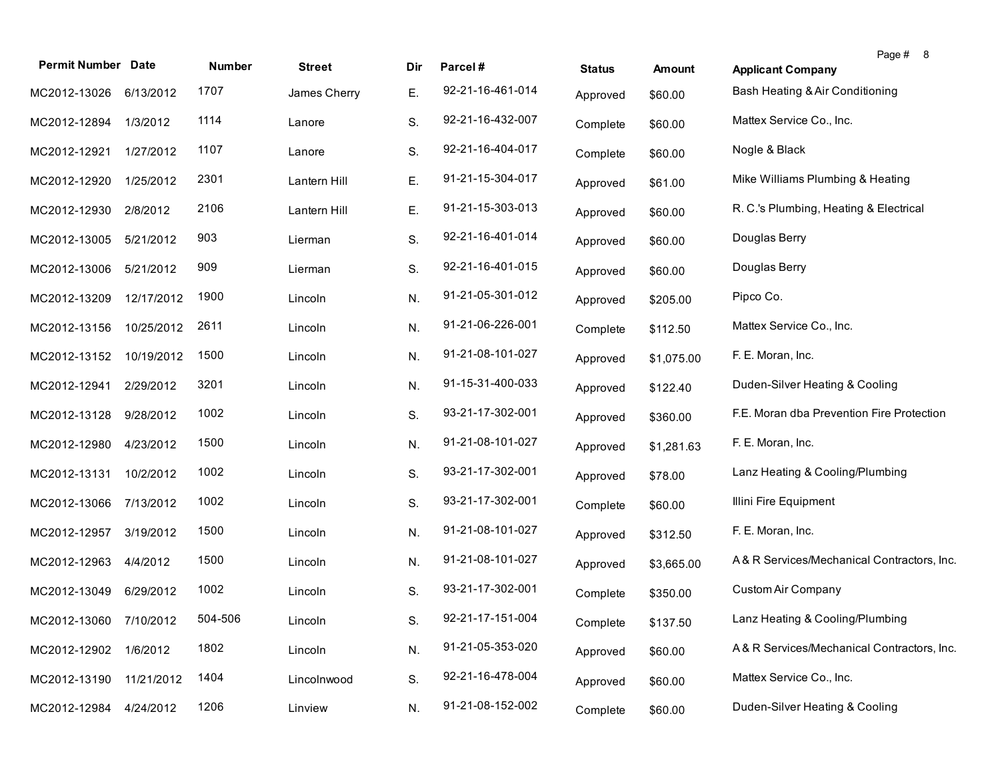| <b>Permit Number Date</b> |            | Number  | <b>Street</b> | Dir | Parcel#          | <b>Status</b> | <b>Amount</b> | Page # 8<br><b>Applicant Company</b>       |
|---------------------------|------------|---------|---------------|-----|------------------|---------------|---------------|--------------------------------------------|
| MC2012-13026              | 6/13/2012  | 1707    | James Cherry  | Ε.  | 92-21-16-461-014 | Approved      | \$60.00       | Bash Heating & Air Conditioning            |
| MC2012-12894              | 1/3/2012   | 1114    | Lanore        | S.  | 92-21-16-432-007 | Complete      | \$60.00       | Mattex Service Co., Inc.                   |
| MC2012-12921              | 1/27/2012  | 1107    | Lanore        | S.  | 92-21-16-404-017 | Complete      | \$60.00       | Nogle & Black                              |
| MC2012-12920              | 1/25/2012  | 2301    | Lantern Hill  | Ε.  | 91-21-15-304-017 | Approved      | \$61.00       | Mike Williams Plumbing & Heating           |
| MC2012-12930              | 2/8/2012   | 2106    | Lantern Hill  | Ε.  | 91-21-15-303-013 | Approved      | \$60.00       | R. C.'s Plumbing, Heating & Electrical     |
| MC2012-13005              | 5/21/2012  | 903     | Lierman       | S.  | 92-21-16-401-014 | Approved      | \$60.00       | Douglas Berry                              |
| MC2012-13006              | 5/21/2012  | 909     | Lierman       | S.  | 92-21-16-401-015 | Approved      | \$60.00       | Douglas Berry                              |
| MC2012-13209              | 12/17/2012 | 1900    | Lincoln       | N.  | 91-21-05-301-012 | Approved      | \$205.00      | Pipco Co.                                  |
| MC2012-13156              | 10/25/2012 | 2611    | Lincoln       | N.  | 91-21-06-226-001 | Complete      | \$112.50      | Mattex Service Co., Inc.                   |
| MC2012-13152              | 10/19/2012 | 1500    | Lincoln       | N.  | 91-21-08-101-027 | Approved      | \$1,075.00    | F. E. Moran, Inc.                          |
| MC2012-12941              | 2/29/2012  | 3201    | Lincoln       | N.  | 91-15-31-400-033 | Approved      | \$122.40      | Duden-Silver Heating & Cooling             |
| MC2012-13128              | 9/28/2012  | 1002    | Lincoln       | S.  | 93-21-17-302-001 | Approved      | \$360.00      | F.E. Moran dba Prevention Fire Protection  |
| MC2012-12980              | 4/23/2012  | 1500    | Lincoln       | N.  | 91-21-08-101-027 | Approved      | \$1,281.63    | F. E. Moran, Inc.                          |
| MC2012-13131              | 10/2/2012  | 1002    | Lincoln       | S.  | 93-21-17-302-001 | Approved      | \$78.00       | Lanz Heating & Cooling/Plumbing            |
| MC2012-13066              | 7/13/2012  | 1002    | Lincoln       | S.  | 93-21-17-302-001 | Complete      | \$60.00       | Illini Fire Equipment                      |
| MC2012-12957              | 3/19/2012  | 1500    | Lincoln       | N.  | 91-21-08-101-027 | Approved      | \$312.50      | F. E. Moran, Inc.                          |
| MC2012-12963              | 4/4/2012   | 1500    | Lincoln       | N.  | 91-21-08-101-027 | Approved      | \$3,665.00    | A& R Services/Mechanical Contractors, Inc. |
| MC2012-13049              | 6/29/2012  | 1002    | Lincoln       | S.  | 93-21-17-302-001 | Complete      | \$350.00      | Custom Air Company                         |
| MC2012-13060 7/10/2012    |            | 504-506 | Lincoln       | S.  | 92-21-17-151-004 | Complete      | \$137.50      | Lanz Heating & Cooling/Plumbing            |
| MC2012-12902              | 1/6/2012   | 1802    | Lincoln       | N.  | 91-21-05-353-020 | Approved      | \$60.00       | A& R Services/Mechanical Contractors, Inc. |
| MC2012-13190              | 11/21/2012 | 1404    | Lincolnwood   | S.  | 92-21-16-478-004 | Approved      | \$60.00       | Mattex Service Co., Inc.                   |
| MC2012-12984              | 4/24/2012  | 1206    | Linview       | N.  | 91-21-08-152-002 | Complete      | \$60.00       | Duden-Silver Heating & Cooling             |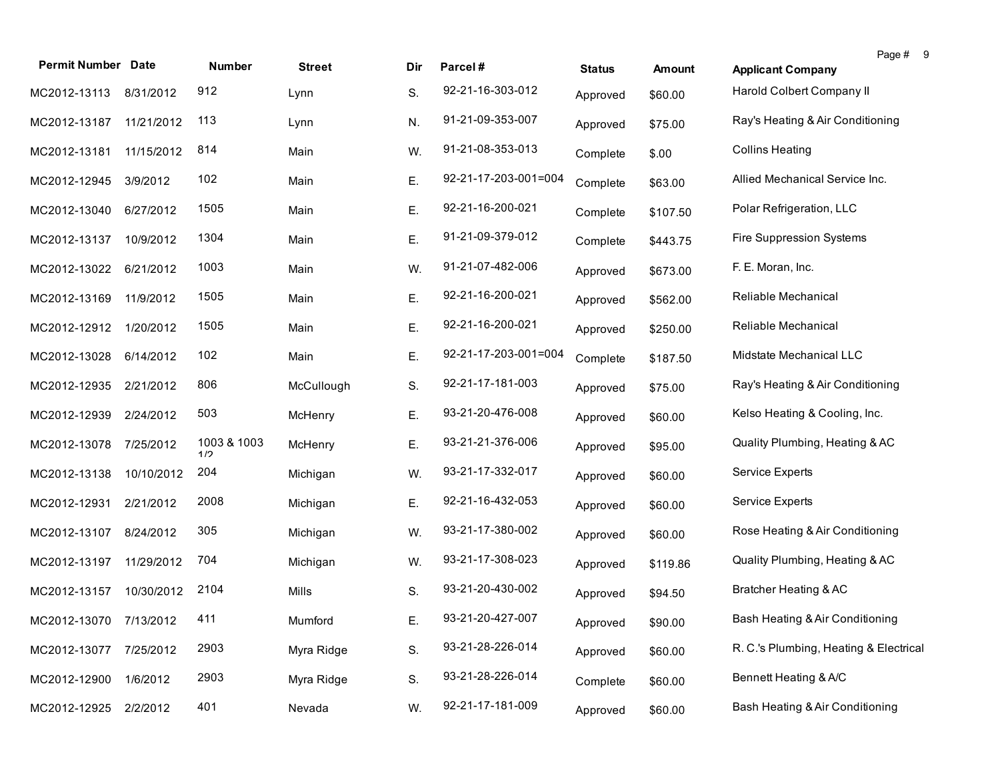| <b>Permit Number Date</b> |            | Number             | <b>Street</b> | Dir | Parcel#              | <b>Status</b> | Amount   | <b>Applicant Company</b>               | Page # 9 |  |
|---------------------------|------------|--------------------|---------------|-----|----------------------|---------------|----------|----------------------------------------|----------|--|
| MC2012-13113              | 8/31/2012  | 912                | Lynn          | S.  | 92-21-16-303-012     | Approved      | \$60.00  | <b>Harold Colbert Company II</b>       |          |  |
| MC2012-13187 11/21/2012   |            | 113                | Lynn          | N.  | 91-21-09-353-007     | Approved      | \$75.00  | Ray's Heating & Air Conditioning       |          |  |
| MC2012-13181              | 11/15/2012 | 814                | Main          | W.  | 91-21-08-353-013     | Complete      | \$.00    | <b>Collins Heating</b>                 |          |  |
| MC2012-12945              | 3/9/2012   | 102                | Main          | Ε.  | 92-21-17-203-001=004 | Complete      | \$63.00  | Allied Mechanical Service Inc.         |          |  |
| MC2012-13040              | 6/27/2012  | 1505               | Main          | Ε.  | 92-21-16-200-021     | Complete      | \$107.50 | Polar Refrigeration, LLC               |          |  |
| MC2012-13137              | 10/9/2012  | 1304               | Main          | Ε.  | 91-21-09-379-012     | Complete      | \$443.75 | Fire Suppression Systems               |          |  |
| MC2012-13022              | 6/21/2012  | 1003               | Main          | W.  | 91-21-07-482-006     | Approved      | \$673.00 | F. E. Moran, Inc.                      |          |  |
| MC2012-13169              | 11/9/2012  | 1505               | Main          | Ε.  | 92-21-16-200-021     | Approved      | \$562.00 | Reliable Mechanical                    |          |  |
| MC2012-12912              | 1/20/2012  | 1505               | Main          | Ε.  | 92-21-16-200-021     | Approved      | \$250.00 | Reliable Mechanical                    |          |  |
| MC2012-13028              | 6/14/2012  | 102                | Main          | Ε.  | 92-21-17-203-001=004 | Complete      | \$187.50 | Midstate Mechanical LLC                |          |  |
| MC2012-12935              | 2/21/2012  | 806                | McCullough    | S.  | 92-21-17-181-003     | Approved      | \$75.00  | Ray's Heating & Air Conditioning       |          |  |
| MC2012-12939              | 2/24/2012  | 503                | McHenry       | Ε.  | 93-21-20-476-008     | Approved      | \$60.00  | Kelso Heating & Cooling, Inc.          |          |  |
| MC2012-13078              | 7/25/2012  | 1003 & 1003<br>1/2 | McHenry       | Ε.  | 93-21-21-376-006     | Approved      | \$95.00  | Quality Plumbing, Heating & AC         |          |  |
| MC2012-13138              | 10/10/2012 | 204                | Michigan      | W.  | 93-21-17-332-017     | Approved      | \$60.00  | Service Experts                        |          |  |
| MC2012-12931              | 2/21/2012  | 2008               | Michigan      | Ε.  | 92-21-16-432-053     | Approved      | \$60.00  | Service Experts                        |          |  |
| MC2012-13107              | 8/24/2012  | 305                | Michigan      | W.  | 93-21-17-380-002     | Approved      | \$60.00  | Rose Heating & Air Conditioning        |          |  |
| MC2012-13197              | 11/29/2012 | 704                | Michigan      | W.  | 93-21-17-308-023     | Approved      | \$119.86 | Quality Plumbing, Heating & AC         |          |  |
| MC2012-13157              | 10/30/2012 | 2104               | Mills         | S.  | 93-21-20-430-002     | Approved      | \$94.50  | Bratcher Heating & AC                  |          |  |
| MC2012-13070 7/13/2012    |            | 411                | Mumford       | Ε.  | 93-21-20-427-007     | Approved      | \$90.00  | Bash Heating & Air Conditioning        |          |  |
| MC2012-13077              | 7/25/2012  | 2903               | Myra Ridge    | S.  | 93-21-28-226-014     | Approved      | \$60.00  | R. C.'s Plumbing, Heating & Electrical |          |  |
| MC2012-12900              | 1/6/2012   | 2903               | Myra Ridge    | S.  | 93-21-28-226-014     | Complete      | \$60.00  | Bennett Heating & A/C                  |          |  |
| MC2012-12925              | 2/2/2012   | 401                | Nevada        | W.  | 92-21-17-181-009     | Approved      | \$60.00  | Bash Heating & Air Conditioning        |          |  |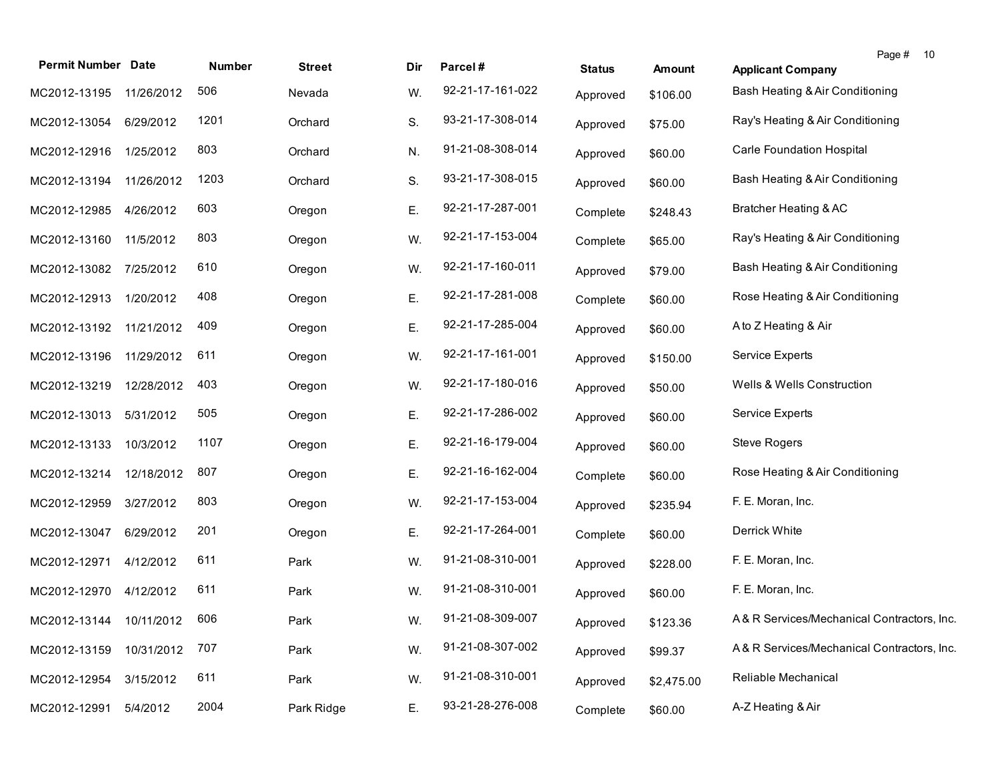| <b>Permit Number Date</b> |            | Number | <b>Street</b> | Dir | Parcel#          | <b>Status</b> | Amount     | Page #<br>10<br><b>Applicant Company</b>   |
|---------------------------|------------|--------|---------------|-----|------------------|---------------|------------|--------------------------------------------|
| MC2012-13195              | 11/26/2012 | 506    | Nevada        | W.  | 92-21-17-161-022 | Approved      | \$106.00   | Bash Heating & Air Conditioning            |
| MC2012-13054              | 6/29/2012  | 1201   | Orchard       | S.  | 93-21-17-308-014 | Approved      | \$75.00    | Ray's Heating & Air Conditioning           |
| MC2012-12916              | 1/25/2012  | 803    | Orchard       | N.  | 91-21-08-308-014 | Approved      | \$60.00    | Carle Foundation Hospital                  |
| MC2012-13194              | 11/26/2012 | 1203   | Orchard       | S.  | 93-21-17-308-015 | Approved      | \$60.00    | Bash Heating & Air Conditioning            |
| MC2012-12985              | 4/26/2012  | 603    | Oregon        | Ε.  | 92-21-17-287-001 | Complete      | \$248.43   | Bratcher Heating & AC                      |
| MC2012-13160              | 11/5/2012  | 803    | Oregon        | W.  | 92-21-17-153-004 | Complete      | \$65.00    | Ray's Heating & Air Conditioning           |
| MC2012-13082              | 7/25/2012  | 610    | Oregon        | W.  | 92-21-17-160-011 | Approved      | \$79.00    | Bash Heating & Air Conditioning            |
| MC2012-12913              | 1/20/2012  | 408    | Oregon        | Ε.  | 92-21-17-281-008 | Complete      | \$60.00    | Rose Heating & Air Conditioning            |
| MC2012-13192              | 11/21/2012 | 409    | Oregon        | Ε.  | 92-21-17-285-004 | Approved      | \$60.00    | A to Z Heating & Air                       |
| MC2012-13196              | 11/29/2012 | 611    | Oregon        | W.  | 92-21-17-161-001 | Approved      | \$150.00   | <b>Service Experts</b>                     |
| MC2012-13219              | 12/28/2012 | 403    | Oregon        | W.  | 92-21-17-180-016 | Approved      | \$50.00    | Wells & Wells Construction                 |
| MC2012-13013              | 5/31/2012  | 505    | Oregon        | Ε.  | 92-21-17-286-002 | Approved      | \$60.00    | <b>Service Experts</b>                     |
| MC2012-13133              | 10/3/2012  | 1107   | Oregon        | Ε.  | 92-21-16-179-004 | Approved      | \$60.00    | Steve Rogers                               |
| MC2012-13214              | 12/18/2012 | 807    | Oregon        | Ε.  | 92-21-16-162-004 | Complete      | \$60.00    | Rose Heating & Air Conditioning            |
| MC2012-12959              | 3/27/2012  | 803    | Oregon        | W.  | 92-21-17-153-004 | Approved      | \$235.94   | F. E. Moran, Inc.                          |
| MC2012-13047              | 6/29/2012  | 201    | Oregon        | Е.  | 92-21-17-264-001 | Complete      | \$60.00    | Derrick White                              |
| MC2012-12971              | 4/12/2012  | 611    | Park          | W.  | 91-21-08-310-001 | Approved      | \$228.00   | F. E. Moran, Inc.                          |
| MC2012-12970              | 4/12/2012  | 611    | Park          | W.  | 91-21-08-310-001 | Approved      | \$60.00    | F. E. Moran, Inc.                          |
| MC2012-13144 10/11/2012   |            | 606    | Park          | W.  | 91-21-08-309-007 | Approved      | \$123.36   | A&R Services/Mechanical Contractors, Inc.  |
| MC2012-13159              | 10/31/2012 | 707    | Park          | W.  | 91-21-08-307-002 | Approved      | \$99.37    | A& R Services/Mechanical Contractors, Inc. |
| MC2012-12954              | 3/15/2012  | 611    | Park          | W.  | 91-21-08-310-001 | Approved      | \$2,475.00 | Reliable Mechanical                        |
| MC2012-12991              | 5/4/2012   | 2004   | Park Ridge    | Ε.  | 93-21-28-276-008 | Complete      | \$60.00    | A-Z Heating & Air                          |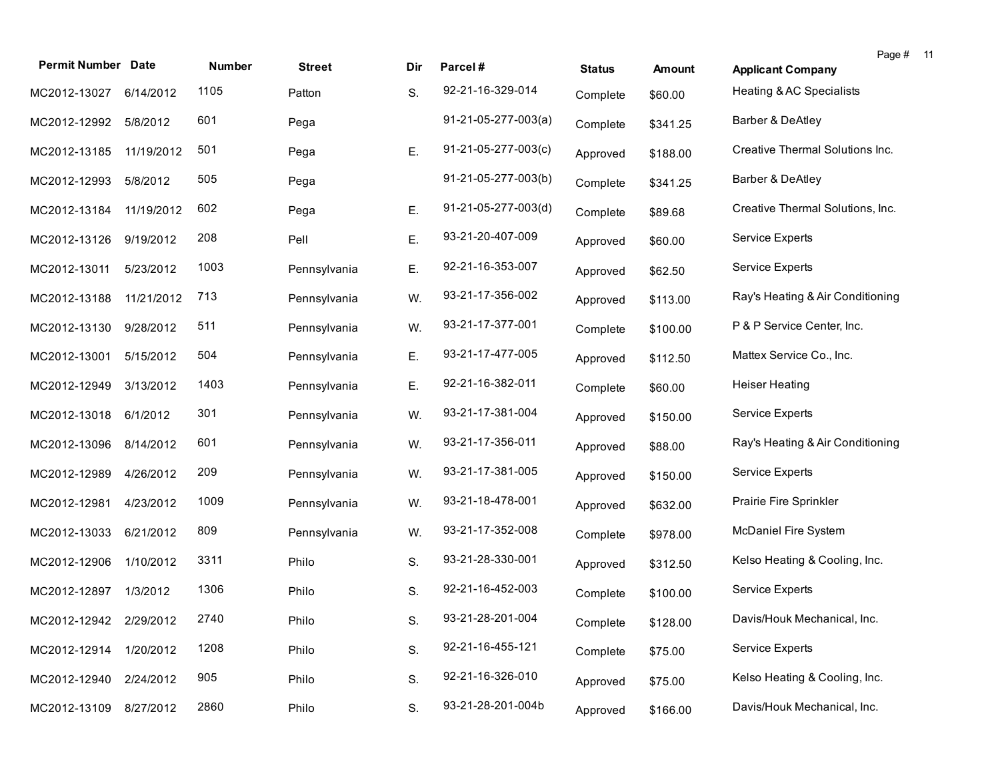| <b>Permit Number Date</b> |            | Number | <b>Street</b> | Dir | Parcel#               | <b>Status</b> | <b>Amount</b> | Page # 11<br><b>Applicant Company</b> |  |
|---------------------------|------------|--------|---------------|-----|-----------------------|---------------|---------------|---------------------------------------|--|
| MC2012-13027              | 6/14/2012  | 1105   | Patton        | S.  | 92-21-16-329-014      | Complete      | \$60.00       | Heating & AC Specialists              |  |
| MC2012-12992              | 5/8/2012   | 601    | Pega          |     | $91-21-05-277-003(a)$ | Complete      | \$341.25      | Barber & DeAtley                      |  |
| MC2012-13185              | 11/19/2012 | 501    | Pega          | Ε.  | 91-21-05-277-003(c)   | Approved      | \$188.00      | Creative Thermal Solutions Inc.       |  |
| MC2012-12993              | 5/8/2012   | 505    | Pega          |     | 91-21-05-277-003(b)   | Complete      | \$341.25      | Barber & DeAtley                      |  |
| MC2012-13184              | 11/19/2012 | 602    | Pega          | Ε.  | 91-21-05-277-003(d)   | Complete      | \$89.68       | Creative Thermal Solutions, Inc.      |  |
| MC2012-13126              | 9/19/2012  | 208    | Pell          | Ε.  | 93-21-20-407-009      | Approved      | \$60.00       | Service Experts                       |  |
| MC2012-13011              | 5/23/2012  | 1003   | Pennsylvania  | Ε.  | 92-21-16-353-007      | Approved      | \$62.50       | <b>Service Experts</b>                |  |
| MC2012-13188              | 11/21/2012 | 713    | Pennsylvania  | W.  | 93-21-17-356-002      | Approved      | \$113.00      | Ray's Heating & Air Conditioning      |  |
| MC2012-13130              | 9/28/2012  | 511    | Pennsylvania  | W.  | 93-21-17-377-001      | Complete      | \$100.00      | P & P Service Center, Inc.            |  |
| MC2012-13001              | 5/15/2012  | 504    | Pennsylvania  | Ε.  | 93-21-17-477-005      | Approved      | \$112.50      | Mattex Service Co., Inc.              |  |
| MC2012-12949              | 3/13/2012  | 1403   | Pennsylvania  | Ε.  | 92-21-16-382-011      | Complete      | \$60.00       | <b>Heiser Heating</b>                 |  |
| MC2012-13018              | 6/1/2012   | 301    | Pennsylvania  | W.  | 93-21-17-381-004      | Approved      | \$150.00      | <b>Service Experts</b>                |  |
| MC2012-13096              | 8/14/2012  | 601    | Pennsylvania  | W.  | 93-21-17-356-011      | Approved      | \$88.00       | Ray's Heating & Air Conditioning      |  |
| MC2012-12989              | 4/26/2012  | 209    | Pennsylvania  | W.  | 93-21-17-381-005      | Approved      | \$150.00      | <b>Service Experts</b>                |  |
| MC2012-12981              | 4/23/2012  | 1009   | Pennsylvania  | W.  | 93-21-18-478-001      | Approved      | \$632.00      | Prairie Fire Sprinkler                |  |
| MC2012-13033              | 6/21/2012  | 809    | Pennsylvania  | W.  | 93-21-17-352-008      | Complete      | \$978.00      | McDaniel Fire System                  |  |
| MC2012-12906              | 1/10/2012  | 3311   | Philo         | S.  | 93-21-28-330-001      | Approved      | \$312.50      | Kelso Heating & Cooling, Inc.         |  |
| MC2012-12897              | 1/3/2012   | 1306   | Philo         | S.  | 92-21-16-452-003      | Complete      | \$100.00      | Service Experts                       |  |
| MC2012-12942 2/29/2012    |            | 2740   | Philo         | S.  | 93-21-28-201-004      | Complete      | \$128.00      | Davis/Houk Mechanical, Inc.           |  |
| MC2012-12914              | 1/20/2012  | 1208   | Philo         | S.  | 92-21-16-455-121      | Complete      | \$75.00       | Service Experts                       |  |
| MC2012-12940              | 2/24/2012  | 905    | Philo         | S.  | 92-21-16-326-010      | Approved      | \$75.00       | Kelso Heating & Cooling, Inc.         |  |
| MC2012-13109              | 8/27/2012  | 2860   | Philo         | S.  | 93-21-28-201-004b     | Approved      | \$166.00      | Davis/Houk Mechanical, Inc.           |  |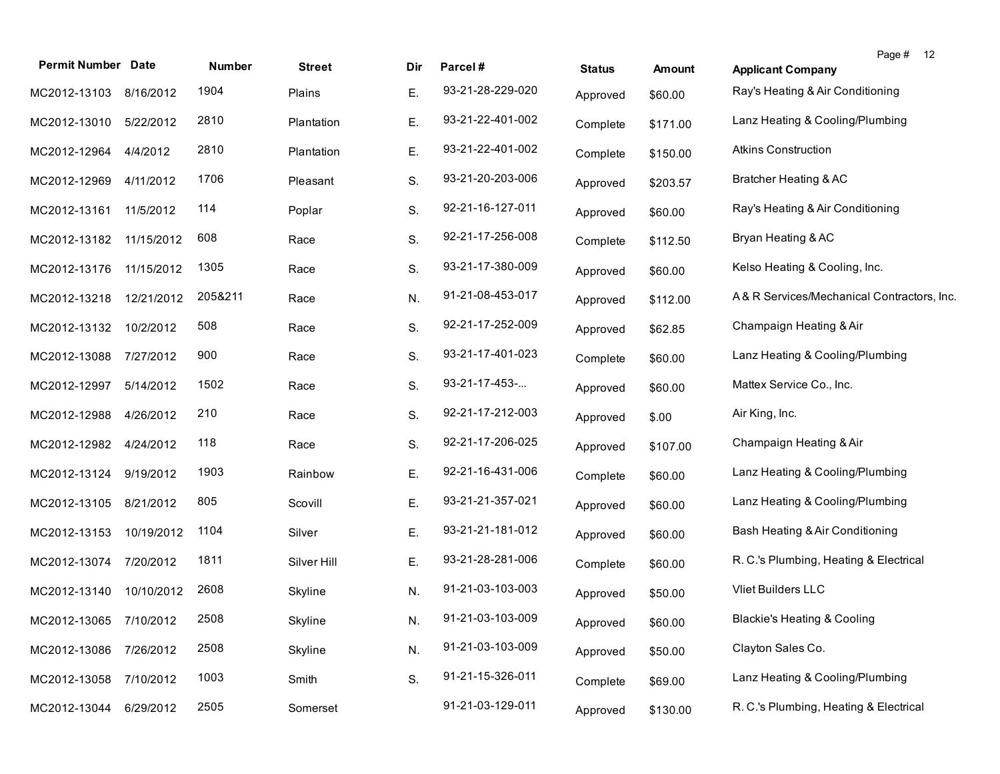| <b>Permit Number Date</b> |            | <b>Number</b> | <b>Street</b> | Dir | Parcel#          | <b>Status</b> | <b>Amount</b> | Page # 12<br><b>Applicant Company</b>      |
|---------------------------|------------|---------------|---------------|-----|------------------|---------------|---------------|--------------------------------------------|
| MC2012-13103              | 8/16/2012  | 1904          | Plains        | Ε.  | 93-21-28-229-020 | Approved      | \$60.00       | Ray's Heating & Air Conditioning           |
| MC2012-13010              | 5/22/2012  | 2810          | Plantation    | Е.  | 93-21-22-401-002 | Complete      | \$171.00      | Lanz Heating & Cooling/Plumbing            |
| MC2012-12964              | 4/4/2012   | 2810          | Plantation    | Е.  | 93-21-22-401-002 | Complete      | \$150.00      | <b>Atkins Construction</b>                 |
| MC2012-12969              | 4/11/2012  | 1706          | Pleasant      | S.  | 93-21-20-203-006 | Approved      | \$203.57      | Bratcher Heating & AC                      |
| MC2012-13161              | 11/5/2012  | 114           | Poplar        | S.  | 92-21-16-127-011 | Approved      | \$60.00       | Ray's Heating & Air Conditioning           |
| MC2012-13182              | 11/15/2012 | 608           | Race          | S.  | 92-21-17-256-008 | Complete      | \$112.50      | Bryan Heating & AC                         |
| MC2012-13176              | 11/15/2012 | 1305          | Race          | S.  | 93-21-17-380-009 | Approved      | \$60.00       | Kelso Heating & Cooling, Inc.              |
| MC2012-13218              | 12/21/2012 | 205&211       | Race          | N.  | 91-21-08-453-017 | Approved      | \$112.00      | A& R Services/Mechanical Contractors, Inc. |
| MC2012-13132              | 10/2/2012  | 508           | Race          | S.  | 92-21-17-252-009 | Approved      | \$62.85       | Champaign Heating & Air                    |
| MC2012-13088              | 7/27/2012  | 900           | Race          | S.  | 93-21-17-401-023 | Complete      | \$60.00       | Lanz Heating & Cooling/Plumbing            |
| MC2012-12997              | 5/14/2012  | 1502          | Race          | S.  | 93-21-17-453-    | Approved      | \$60.00       | Mattex Service Co., Inc.                   |
| MC2012-12988              | 4/26/2012  | 210           | Race          | S.  | 92-21-17-212-003 | Approved      | \$.00         | Air King, Inc.                             |
| MC2012-12982              | 4/24/2012  | 118           | Race          | S.  | 92-21-17-206-025 | Approved      | \$107.00      | Champaign Heating & Air                    |
| MC2012-13124              | 9/19/2012  | 1903          | Rainbow       | Ε.  | 92-21-16-431-006 | Complete      | \$60.00       | Lanz Heating & Cooling/Plumbing            |
| MC2012-13105              | 8/21/2012  | 805           | Scovill       | Ε.  | 93-21-21-357-021 | Approved      | \$60.00       | Lanz Heating & Cooling/Plumbing            |
| MC2012-13153              | 10/19/2012 | 1104          | Silver        | Ε.  | 93-21-21-181-012 | Approved      | \$60.00       | Bash Heating & Air Conditioning            |
| MC2012-13074              | 7/20/2012  | 1811          | Silver Hill   | Ε.  | 93-21-28-281-006 | Complete      | \$60.00       | R. C.'s Plumbing, Heating & Electrical     |
| MC2012-13140              | 10/10/2012 | 2608          | Skyline       | N.  | 91-21-03-103-003 | Approved      | \$50.00       | Vliet Builders LLC                         |
| MC2012-13065              | 7/10/2012  | 2508          | Skyline       | N.  | 91-21-03-103-009 | Approved      | \$60.00       | <b>Blackie's Heating &amp; Cooling</b>     |
| MC2012-13086              | 7/26/2012  | 2508          | Skyline       | N.  | 91-21-03-103-009 | Approved      | \$50.00       | Clayton Sales Co.                          |
| MC2012-13058              | 7/10/2012  | 1003          | Smith         | S.  | 91-21-15-326-011 | Complete      | \$69.00       | Lanz Heating & Cooling/Plumbing            |
| MC2012-13044              | 6/29/2012  | 2505          | Somerset      |     | 91-21-03-129-011 | Approved      | \$130.00      | R. C.'s Plumbing, Heating & Electrical     |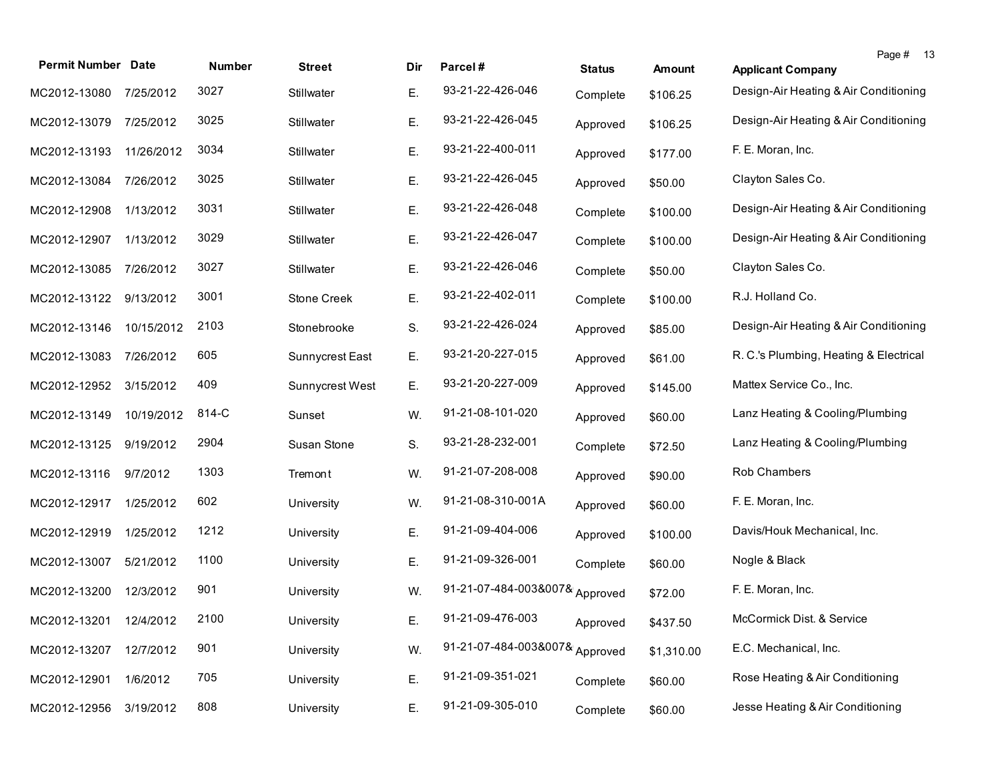| <b>Permit Number Date</b> |            | <b>Number</b> | <b>Street</b>   | Dir | Parcel#                        | <b>Status</b> | Amount     | Page # 13<br><b>Applicant Company</b>  |
|---------------------------|------------|---------------|-----------------|-----|--------------------------------|---------------|------------|----------------------------------------|
| MC2012-13080              | 7/25/2012  | 3027          | Stillwater      | Ε.  | 93-21-22-426-046               | Complete      | \$106.25   | Design-Air Heating & Air Conditioning  |
| MC2012-13079              | 7/25/2012  | 3025          | Stillwater      | Ε.  | 93-21-22-426-045               | Approved      | \$106.25   | Design-Air Heating & Air Conditioning  |
| MC2012-13193              | 11/26/2012 | 3034          | Stillwater      | Ε.  | 93-21-22-400-011               | Approved      | \$177.00   | F. E. Moran, Inc.                      |
| MC2012-13084              | 7/26/2012  | 3025          | Stillwater      | Ε.  | 93-21-22-426-045               | Approved      | \$50.00    | Clayton Sales Co.                      |
| MC2012-12908              | 1/13/2012  | 3031          | Stillwater      | Ε.  | 93-21-22-426-048               | Complete      | \$100.00   | Design-Air Heating & Air Conditioning  |
| MC2012-12907              | 1/13/2012  | 3029          | Stillwater      | Ε.  | 93-21-22-426-047               | Complete      | \$100.00   | Design-Air Heating & Air Conditioning  |
| MC2012-13085              | 7/26/2012  | 3027          | Stillwater      | Ε.  | 93-21-22-426-046               | Complete      | \$50.00    | Clayton Sales Co.                      |
| MC2012-13122              | 9/13/2012  | 3001          | Stone Creek     | Ε.  | 93-21-22-402-011               | Complete      | \$100.00   | R.J. Holland Co.                       |
| MC2012-13146              | 10/15/2012 | 2103          | Stonebrooke     | S.  | 93-21-22-426-024               | Approved      | \$85.00    | Design-Air Heating & Air Conditioning  |
| MC2012-13083              | 7/26/2012  | 605           | Sunnycrest East | Ε.  | 93-21-20-227-015               | Approved      | \$61.00    | R. C.'s Plumbing, Heating & Electrical |
| MC2012-12952              | 3/15/2012  | 409           | Sunnycrest West | Ε.  | 93-21-20-227-009               | Approved      | \$145.00   | Mattex Service Co., Inc.               |
| MC2012-13149              | 10/19/2012 | 814-C         | Sunset          | W.  | 91-21-08-101-020               | Approved      | \$60.00    | Lanz Heating & Cooling/Plumbing        |
| MC2012-13125              | 9/19/2012  | 2904          | Susan Stone     | S.  | 93-21-28-232-001               | Complete      | \$72.50    | Lanz Heating & Cooling/Plumbing        |
| MC2012-13116              | 9/7/2012   | 1303          | Tremont         | W.  | 91-21-07-208-008               | Approved      | \$90.00    | Rob Chambers                           |
| MC2012-12917              | 1/25/2012  | 602           | University      | W.  | 91-21-08-310-001A              | Approved      | \$60.00    | F. E. Moran, Inc.                      |
| MC2012-12919              | 1/25/2012  | 1212          | University      | Ε.  | 91-21-09-404-006               | Approved      | \$100.00   | Davis/Houk Mechanical, Inc.            |
| MC2012-13007              | 5/21/2012  | 1100          | University      | Ε.  | 91-21-09-326-001               | Complete      | \$60.00    | Nogle & Black                          |
| MC2012-13200              | 12/3/2012  | 901           | University      | W.  | 91-21-07-484-003&007& Approved |               | \$72.00    | F. E. Moran, Inc.                      |
| MC2012-13201 12/4/2012    |            | 2100          | University      | Ε.  | 91-21-09-476-003               | Approved      | \$437.50   | McCormick Dist. & Service              |
| MC2012-13207              | 12/7/2012  | 901           | University      | W.  | 91-21-07-484-003&007& Approved |               | \$1,310.00 | E.C. Mechanical, Inc.                  |
| MC2012-12901              | 1/6/2012   | 705           | University      | Ε.  | 91-21-09-351-021               | Complete      | \$60.00    | Rose Heating & Air Conditioning        |
| MC2012-12956              | 3/19/2012  | 808           | University      | Ε.  | 91-21-09-305-010               | Complete      | \$60.00    | Jesse Heating & Air Conditioning       |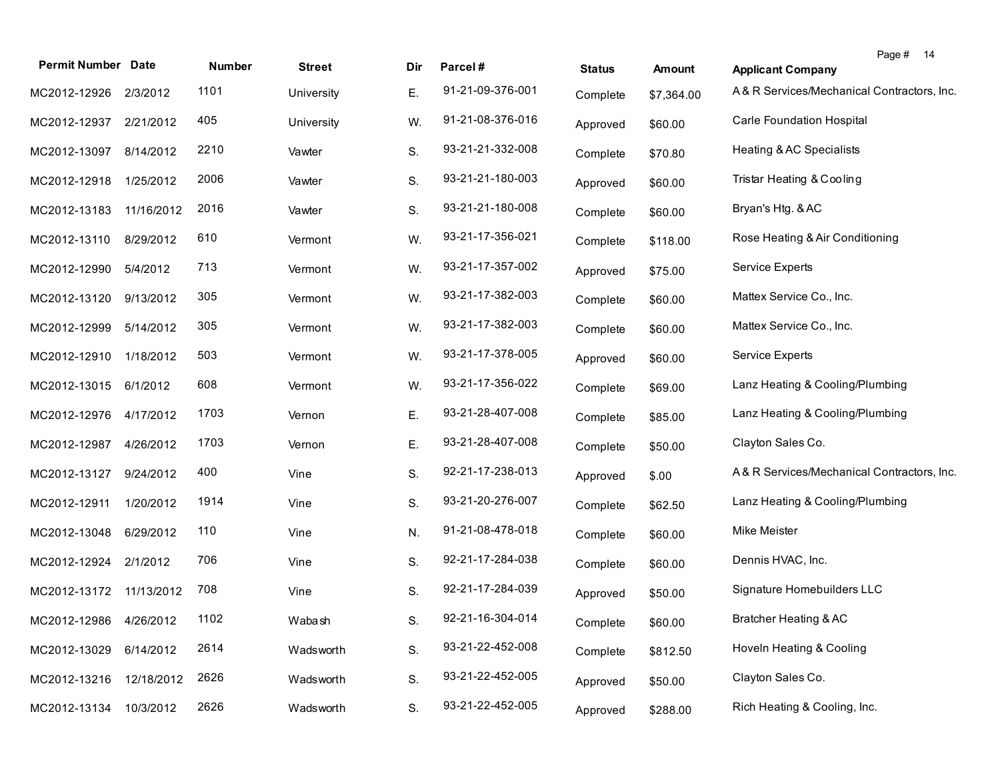| <b>Permit Number Date</b> |            | Number | <b>Street</b> | Dir | Parcel#          | <b>Status</b> | <b>Amount</b> | <b>Applicant Company</b>                   | Page # 14 |  |
|---------------------------|------------|--------|---------------|-----|------------------|---------------|---------------|--------------------------------------------|-----------|--|
| MC2012-12926              | 2/3/2012   | 1101   | University    | Е.  | 91-21-09-376-001 | Complete      | \$7,364.00    | A& R Services/Mechanical Contractors, Inc. |           |  |
| MC2012-12937              | 2/21/2012  | 405    | University    | W.  | 91-21-08-376-016 | Approved      | \$60.00       | <b>Carle Foundation Hospital</b>           |           |  |
| MC2012-13097              | 8/14/2012  | 2210   | Vawter        | S.  | 93-21-21-332-008 | Complete      | \$70.80       | Heating & AC Specialists                   |           |  |
| MC2012-12918              | 1/25/2012  | 2006   | Vawter        | S.  | 93-21-21-180-003 | Approved      | \$60.00       | Tristar Heating & Cooling                  |           |  |
| MC2012-13183              | 11/16/2012 | 2016   | Vawter        | S.  | 93-21-21-180-008 | Complete      | \$60.00       | Bryan's Htg. & AC                          |           |  |
| MC2012-13110              | 8/29/2012  | 610    | Vermont       | W.  | 93-21-17-356-021 | Complete      | \$118.00      | Rose Heating & Air Conditioning            |           |  |
| MC2012-12990              | 5/4/2012   | 713    | Vermont       | W.  | 93-21-17-357-002 | Approved      | \$75.00       | Service Experts                            |           |  |
| MC2012-13120              | 9/13/2012  | 305    | Vermont       | W.  | 93-21-17-382-003 | Complete      | \$60.00       | Mattex Service Co., Inc.                   |           |  |
| MC2012-12999              | 5/14/2012  | 305    | Vermont       | W.  | 93-21-17-382-003 | Complete      | \$60.00       | Mattex Service Co., Inc.                   |           |  |
| MC2012-12910              | 1/18/2012  | 503    | Vermont       | W.  | 93-21-17-378-005 | Approved      | \$60.00       | Service Experts                            |           |  |
| MC2012-13015              | 6/1/2012   | 608    | Vermont       | W.  | 93-21-17-356-022 | Complete      | \$69.00       | Lanz Heating & Cooling/Plumbing            |           |  |
| MC2012-12976              | 4/17/2012  | 1703   | Vernon        | Ε.  | 93-21-28-407-008 | Complete      | \$85.00       | Lanz Heating & Cooling/Plumbing            |           |  |
| MC2012-12987              | 4/26/2012  | 1703   | Vernon        | Ε.  | 93-21-28-407-008 | Complete      | \$50.00       | Clayton Sales Co.                          |           |  |
| MC2012-13127              | 9/24/2012  | 400    | Vine          | S.  | 92-21-17-238-013 | Approved      | \$.00         | A& R Services/Mechanical Contractors, Inc. |           |  |
| MC2012-12911              | 1/20/2012  | 1914   | Vine          | S.  | 93-21-20-276-007 | Complete      | \$62.50       | Lanz Heating & Cooling/Plumbing            |           |  |
| MC2012-13048              | 6/29/2012  | 110    | Vine          | N.  | 91-21-08-478-018 | Complete      | \$60.00       | Mike Meister                               |           |  |
| MC2012-12924              | 2/1/2012   | 706    | Vine          | S.  | 92-21-17-284-038 | Complete      | \$60.00       | Dennis HVAC, Inc.                          |           |  |
| MC2012-13172 11/13/2012   |            | 708    | Vine          | S.  | 92-21-17-284-039 | Approved      | \$50.00       | Signature Homebuilders LLC                 |           |  |
| MC2012-12986 4/26/2012    |            | 1102   | Wabash        | S.  | 92-21-16-304-014 | Complete      | \$60.00       | <b>Bratcher Heating &amp; AC</b>           |           |  |
| MC2012-13029              | 6/14/2012  | 2614   | Wadsworth     | S.  | 93-21-22-452-008 | Complete      | \$812.50      | Hoveln Heating & Cooling                   |           |  |
| MC2012-13216              | 12/18/2012 | 2626   | Wadsworth     | S.  | 93-21-22-452-005 | Approved      | \$50.00       | Clayton Sales Co.                          |           |  |
| MC2012-13134              | 10/3/2012  | 2626   | Wadsworth     | S.  | 93-21-22-452-005 | Approved      | \$288.00      | Rich Heating & Cooling, Inc.               |           |  |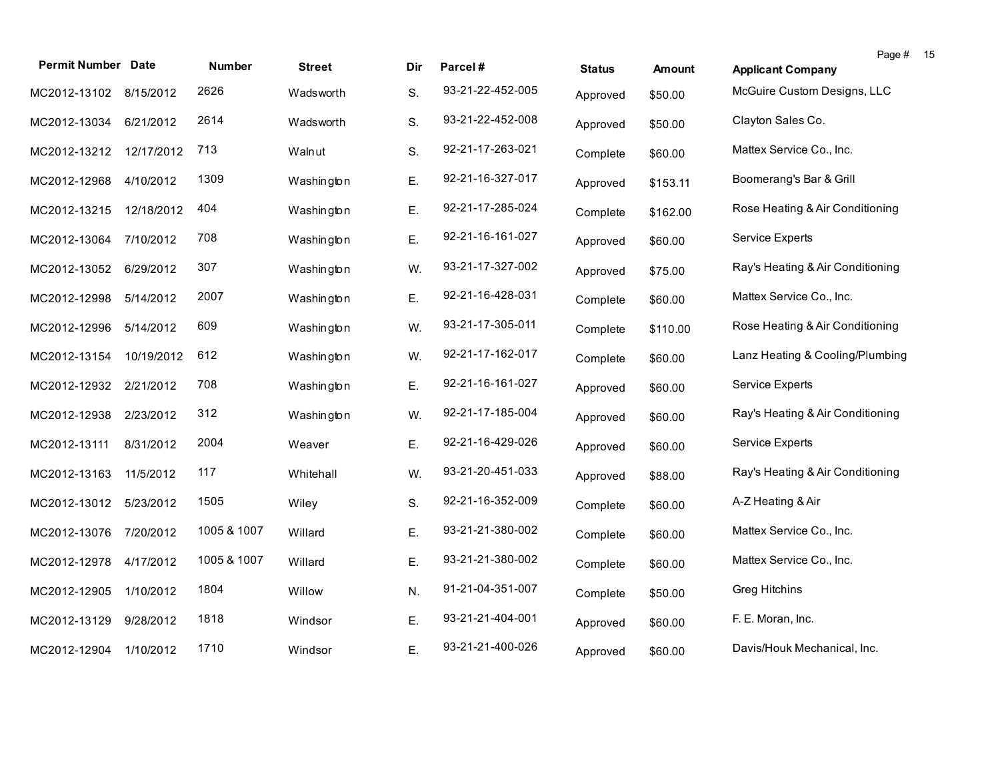| <b>Permit Number Date</b> |            | <b>Number</b> | <b>Street</b> | Dir | Parcel#          | <b>Status</b> | <b>Amount</b> | Page # 15<br><b>Applicant Company</b> |
|---------------------------|------------|---------------|---------------|-----|------------------|---------------|---------------|---------------------------------------|
| MC2012-13102              | 8/15/2012  | 2626          | Wadsworth     | S.  | 93-21-22-452-005 | Approved      | \$50.00       | McGuire Custom Designs, LLC           |
| MC2012-13034              | 6/21/2012  | 2614          | Wadsworth     | S.  | 93-21-22-452-008 | Approved      | \$50.00       | Clayton Sales Co.                     |
| MC2012-13212              | 12/17/2012 | 713           | Walnut        | S.  | 92-21-17-263-021 | Complete      | \$60.00       | Mattex Service Co., Inc.              |
| MC2012-12968              | 4/10/2012  | 1309          | Washington    | Ε.  | 92-21-16-327-017 | Approved      | \$153.11      | Boomerang's Bar & Grill               |
| MC2012-13215              | 12/18/2012 | 404           | Washington    | Ε.  | 92-21-17-285-024 | Complete      | \$162.00      | Rose Heating & Air Conditioning       |
| MC2012-13064              | 7/10/2012  | 708           | Washington    | Ε.  | 92-21-16-161-027 | Approved      | \$60.00       | Service Experts                       |
| MC2012-13052              | 6/29/2012  | 307           | Washington    | W.  | 93-21-17-327-002 | Approved      | \$75.00       | Ray's Heating & Air Conditioning      |
| MC2012-12998              | 5/14/2012  | 2007          | Washington    | Ε.  | 92-21-16-428-031 | Complete      | \$60.00       | Mattex Service Co., Inc.              |
| MC2012-12996              | 5/14/2012  | 609           | Washington    | W.  | 93-21-17-305-011 | Complete      | \$110.00      | Rose Heating & Air Conditioning       |
| MC2012-13154              | 10/19/2012 | 612           | Washington    | W.  | 92-21-17-162-017 | Complete      | \$60.00       | Lanz Heating & Cooling/Plumbing       |
| MC2012-12932              | 2/21/2012  | 708           | Washington    | Ε.  | 92-21-16-161-027 | Approved      | \$60.00       | <b>Service Experts</b>                |
| MC2012-12938              | 2/23/2012  | 312           | Washington    | W.  | 92-21-17-185-004 | Approved      | \$60.00       | Ray's Heating & Air Conditioning      |
| MC2012-13111              | 8/31/2012  | 2004          | Weaver        | Ε.  | 92-21-16-429-026 | Approved      | \$60.00       | <b>Service Experts</b>                |
| MC2012-13163              | 11/5/2012  | 117           | Whitehall     | W.  | 93-21-20-451-033 | Approved      | \$88.00       | Ray's Heating & Air Conditioning      |
| MC2012-13012              | 5/23/2012  | 1505          | Wiley         | S.  | 92-21-16-352-009 | Complete      | \$60.00       | A-Z Heating & Air                     |
| MC2012-13076              | 7/20/2012  | 1005 & 1007   | Willard       | Ε.  | 93-21-21-380-002 | Complete      | \$60.00       | Mattex Service Co., Inc.              |
| MC2012-12978              | 4/17/2012  | 1005 & 1007   | Willard       | Ε.  | 93-21-21-380-002 | Complete      | \$60.00       | Mattex Service Co., Inc.              |
| MC2012-12905              | 1/10/2012  | 1804          | Willow        | N.  | 91-21-04-351-007 | Complete      | \$50.00       | Greg Hitchins                         |
| MC2012-13129              | 9/28/2012  | 1818          | Windsor       | Ε.  | 93-21-21-404-001 | Approved      | \$60.00       | F. E. Moran, Inc.                     |
| MC2012-12904              | 1/10/2012  | 1710          | Windsor       | Ε.  | 93-21-21-400-026 | Approved      | \$60.00       | Davis/Houk Mechanical, Inc.           |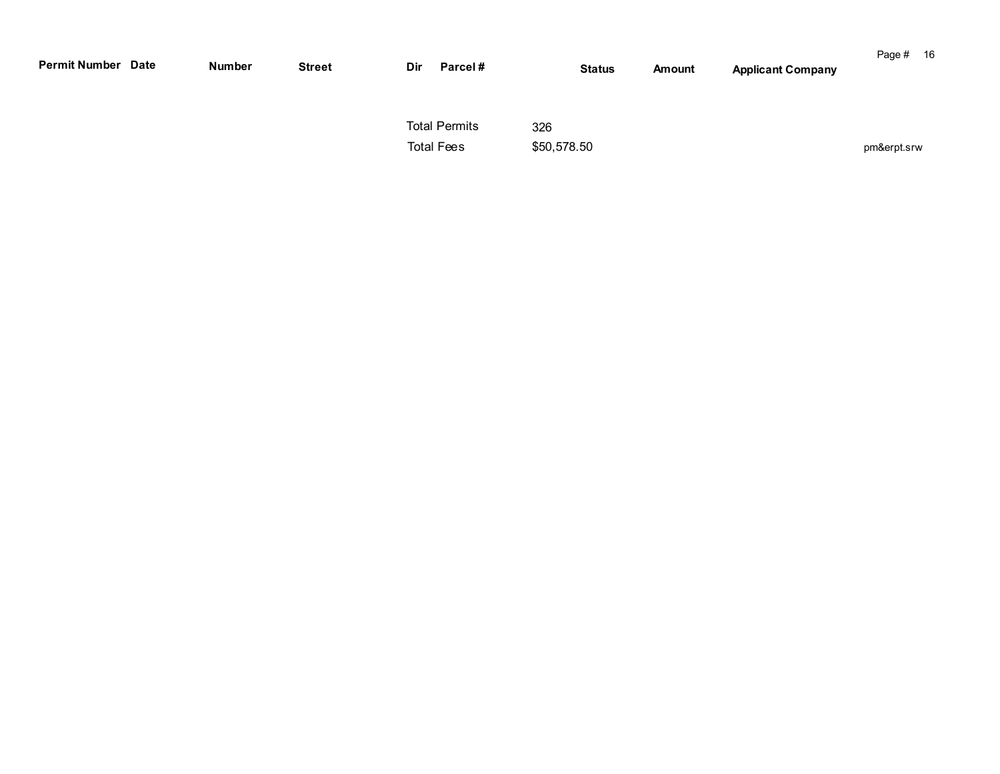| <b>Permit Number Date</b> | Number | <b>Street</b> | Dir | Parcel#                                   |                    | <b>Status</b> | Amount | <b>Applicant Company</b> | Page # 16   |  |
|---------------------------|--------|---------------|-----|-------------------------------------------|--------------------|---------------|--------|--------------------------|-------------|--|
|                           |        |               |     | <b>Total Permits</b><br><b>Total Fees</b> | 326<br>\$50,578.50 |               |        |                          | pm&erpt.srw |  |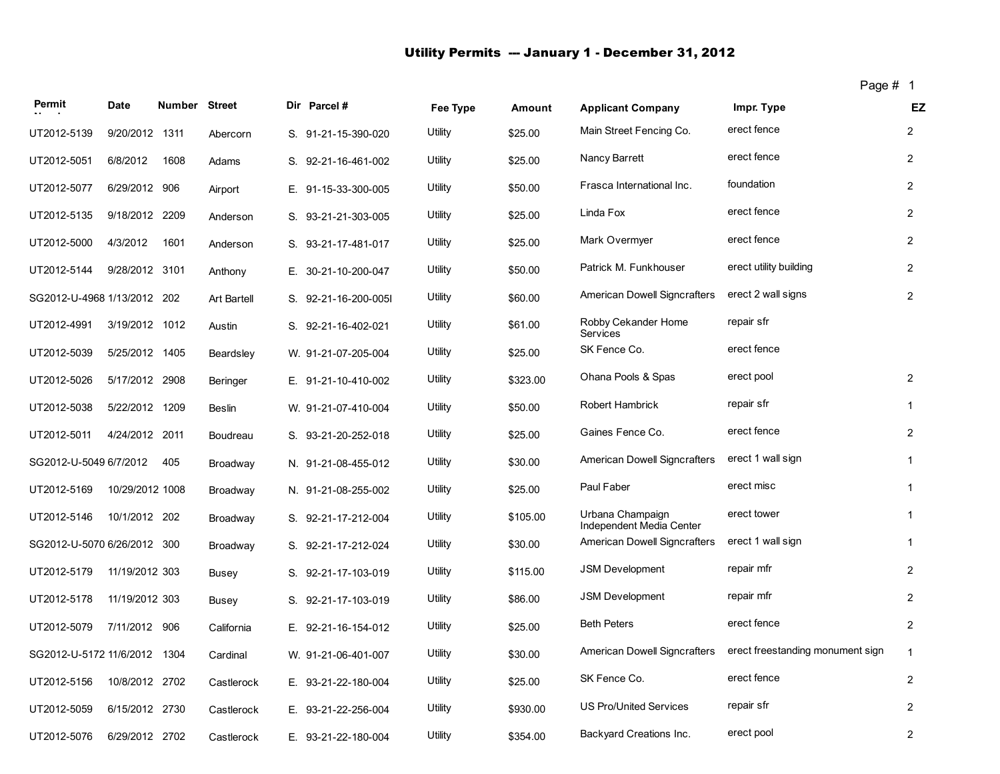## Utility Permits -- January 1 - December 31, 2012

| Permit                       | Date            | Number Street |                    | Dir Parcel #         | Fee Type | Amount   | <b>Applicant Company</b>                     | Impr. Type                       | EZ               |
|------------------------------|-----------------|---------------|--------------------|----------------------|----------|----------|----------------------------------------------|----------------------------------|------------------|
| UT2012-5139                  | 9/20/2012 1311  |               | Abercorn           | S. 91-21-15-390-020  | Utility  | \$25.00  | Main Street Fencing Co.                      | erect fence                      | $\overline{2}$   |
| UT2012-5051                  | 6/8/2012        | 1608          | Adams              | S. 92-21-16-461-002  | Utility  | \$25.00  | Nancy Barrett                                | erect fence                      | $\overline{2}$   |
| UT2012-5077                  | 6/29/2012 906   |               | Airport            | E. 91-15-33-300-005  | Utility  | \$50.00  | Frasca International Inc.                    | foundation                       | $\overline{2}$   |
| UT2012-5135                  | 9/18/2012 2209  |               | Anderson           | S. 93-21-21-303-005  | Utility  | \$25.00  | Linda Fox                                    | erect fence                      | $\overline{2}$   |
| UT2012-5000                  | 4/3/2012        | 1601          | Anderson           | S. 93-21-17-481-017  | Utility  | \$25.00  | Mark Overmyer                                | erect fence                      | $\overline{2}$   |
| UT2012-5144                  | 9/28/2012 3101  |               | Anthony            | E. 30-21-10-200-047  | Utility  | \$50.00  | Patrick M. Funkhouser                        | erect utility building           | $\overline{2}$   |
| SG2012-U-4968 1/13/2012 202  |                 |               | <b>Art Bartell</b> | S. 92-21-16-200-005I | Utility  | \$60.00  | American Dowell Signcrafters                 | erect 2 wall signs               | $\overline{2}$   |
| UT2012-4991                  | 3/19/2012 1012  |               | Austin             | S. 92-21-16-402-021  | Utility  | \$61.00  | Robby Cekander Home<br>Services              | repair sfr                       |                  |
| UT2012-5039                  | 5/25/2012 1405  |               | Beardsley          | W. 91-21-07-205-004  | Utility  | \$25.00  | SK Fence Co.                                 | erect fence                      |                  |
| UT2012-5026                  | 5/17/2012 2908  |               | Beringer           | E. 91-21-10-410-002  | Utility  | \$323.00 | Ohana Pools & Spas                           | erect pool                       | $\overline{2}$   |
| UT2012-5038                  | 5/22/2012 1209  |               | <b>Beslin</b>      | W. 91-21-07-410-004  | Utility  | \$50.00  | Robert Hambrick                              | repair sfr                       | $\mathbf{1}$     |
| UT2012-5011                  | 4/24/2012 2011  |               | Boudreau           | S. 93-21-20-252-018  | Utility  | \$25.00  | Gaines Fence Co.                             | erect fence                      | $\overline{2}$   |
| SG2012-U-5049 6/7/2012       |                 | 405           | Broadway           | N. 91-21-08-455-012  | Utility  | \$30.00  | American Dowell Signcrafters                 | erect 1 wall sign                | $\mathbf{1}$     |
| UT2012-5169                  | 10/29/2012 1008 |               | Broadway           | N. 91-21-08-255-002  | Utility  | \$25.00  | Paul Faber                                   | erect misc                       | $\mathbf{1}$     |
| UT2012-5146                  | 10/1/2012 202   |               | Broadway           | S. 92-21-17-212-004  | Utility  | \$105.00 | Urbana Champaign<br>Independent Media Center | erect tower                      | 1                |
| SG2012-U-5070 6/26/2012 300  |                 |               | Broadway           | S. 92-21-17-212-024  | Utility  | \$30.00  | American Dowell Signcrafters                 | erect 1 wall sign                | $\mathbf{1}$     |
| UT2012-5179                  | 11/19/2012 303  |               | Busey              | S. 92-21-17-103-019  | Utility  | \$115.00 | <b>JSM Development</b>                       | repair mfr                       | $\overline{2}$   |
| UT2012-5178                  | 11/19/2012 303  |               | Busey              | S. 92-21-17-103-019  | Utility  | \$86.00  | <b>JSM Development</b>                       | repair mfr                       | $\overline{2}$   |
| UT2012-5079                  | 7/11/2012 906   |               | California         | E. 92-21-16-154-012  | Utility  | \$25.00  | <b>Beth Peters</b>                           | erect fence                      | $\overline{2}$   |
| SG2012-U-5172 11/6/2012 1304 |                 |               | Cardinal           | W. 91-21-06-401-007  | Utility  | \$30.00  | American Dowell Signcrafters                 | erect freestanding monument sign | $\mathbf{1}$     |
| UT2012-5156                  | 10/8/2012 2702  |               | Castlerock         | E. 93-21-22-180-004  | Utility  | \$25.00  | SK Fence Co.                                 | erect fence                      | $\overline{2}$   |
| UT2012-5059                  | 6/15/2012 2730  |               | Castlerock         | E. 93-21-22-256-004  | Utility  | \$930.00 | <b>US Pro/United Services</b>                | repair sfr                       | $\overline{2}$   |
| UT2012-5076                  | 6/29/2012 2702  |               | Castlerock         | E. 93-21-22-180-004  | Utility  | \$354.00 | Backyard Creations Inc.                      | erect pool                       | $\boldsymbol{2}$ |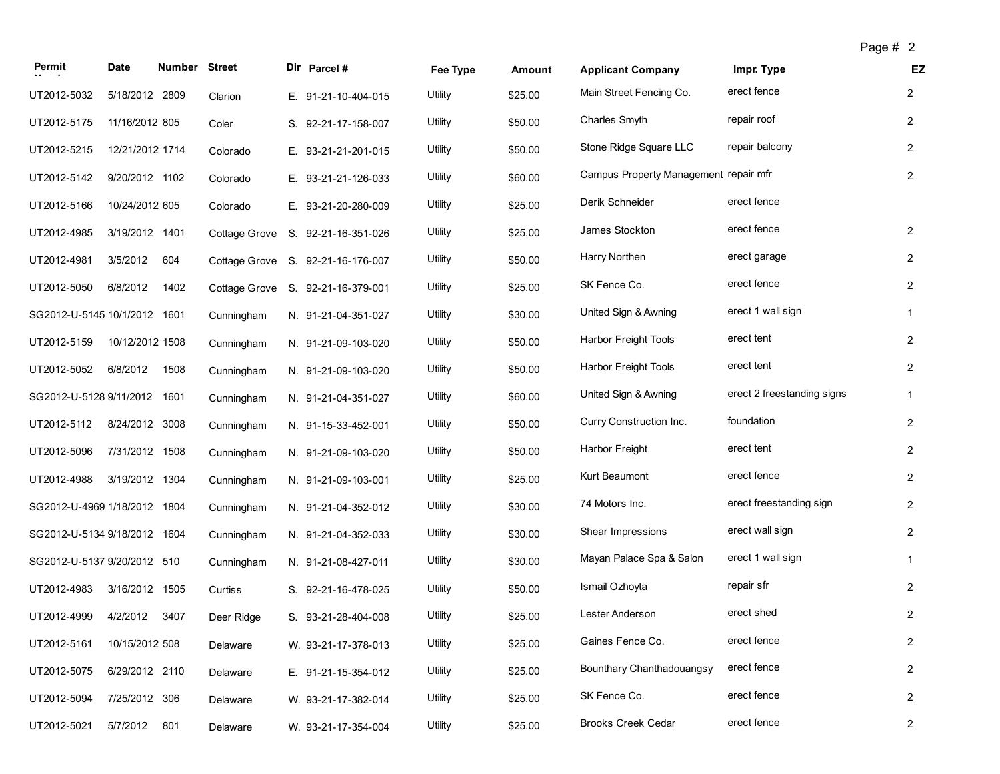| Permit                       | Date            | Number Street |               | Dir Parcel #                      | Fee Type | Amount  | <b>Applicant Company</b>              | Impr. Type                 | EZ             |
|------------------------------|-----------------|---------------|---------------|-----------------------------------|----------|---------|---------------------------------------|----------------------------|----------------|
| UT2012-5032                  | 5/18/2012 2809  |               | Clarion       | E. 91-21-10-404-015               | Utility  | \$25.00 | Main Street Fencing Co.               | erect fence                | $\overline{2}$ |
| UT2012-5175                  | 11/16/2012 805  |               | Coler         | S. 92-21-17-158-007               | Utility  | \$50.00 | Charles Smyth                         | repair roof                | $\overline{2}$ |
| UT2012-5215                  | 12/21/2012 1714 |               | Colorado      | E. 93-21-21-201-015               | Utility  | \$50.00 | Stone Ridge Square LLC                | repair balcony             | $\overline{2}$ |
| UT2012-5142                  | 9/20/2012 1102  |               | Colorado      | E. 93-21-21-126-033               | Utility  | \$60.00 | Campus Property Management repair mfr |                            | $\overline{2}$ |
| UT2012-5166                  | 10/24/2012 605  |               | Colorado      | E. 93-21-20-280-009               | Utility  | \$25.00 | Derik Schneider                       | erect fence                |                |
| UT2012-4985                  | 3/19/2012 1401  |               |               | Cottage Grove S. 92-21-16-351-026 | Utility  | \$25.00 | James Stockton                        | erect fence                | $\overline{2}$ |
| UT2012-4981                  | 3/5/2012        | 604           |               | Cottage Grove S. 92-21-16-176-007 | Utility  | \$50.00 | Harry Northen                         | erect garage               | $\overline{c}$ |
| UT2012-5050                  | 6/8/2012        | 1402          | Cottage Grove | S. 92-21-16-379-001               | Utility  | \$25.00 | SK Fence Co.                          | erect fence                | $\overline{c}$ |
| SG2012-U-5145 10/1/2012 1601 |                 |               | Cunningham    | N. 91-21-04-351-027               | Utility  | \$30.00 | United Sign & Awning                  | erect 1 wall sign          | $\mathbf{1}$   |
| UT2012-5159                  | 10/12/2012 1508 |               | Cunningham    | N. 91-21-09-103-020               | Utility  | \$50.00 | <b>Harbor Freight Tools</b>           | erect tent                 | $\overline{2}$ |
| UT2012-5052                  | 6/8/2012        | 1508          | Cunningham    | N. 91-21-09-103-020               | Utility  | \$50.00 | Harbor Freight Tools                  | erect tent                 | $\overline{2}$ |
| SG2012-U-5128 9/11/2012 1601 |                 |               | Cunningham    | N. 91-21-04-351-027               | Utility  | \$60.00 | United Sign & Awning                  | erect 2 freestanding signs | 1              |
| UT2012-5112                  | 8/24/2012 3008  |               | Cunningham    | N. 91-15-33-452-001               | Utility  | \$50.00 | Curry Construction Inc.               | foundation                 | $\overline{c}$ |
| UT2012-5096                  | 7/31/2012 1508  |               | Cunningham    | N. 91-21-09-103-020               | Utility  | \$50.00 | Harbor Freight                        | erect tent                 | $\overline{2}$ |
| UT2012-4988                  | 3/19/2012 1304  |               | Cunningham    | N. 91-21-09-103-001               | Utility  | \$25.00 | Kurt Beaumont                         | erect fence                | $\overline{2}$ |
| SG2012-U-4969 1/18/2012 1804 |                 |               | Cunningham    | N. 91-21-04-352-012               | Utility  | \$30.00 | 74 Motors Inc.                        | erect freestanding sign    | $\overline{2}$ |
| SG2012-U-5134 9/18/2012 1604 |                 |               | Cunningham    | N. 91-21-04-352-033               | Utility  | \$30.00 | Shear Impressions                     | erect wall sign            | $\overline{2}$ |
| SG2012-U-5137 9/20/2012 510  |                 |               | Cunningham    | N. 91-21-08-427-011               | Utility  | \$30.00 | Mayan Palace Spa & Salon              | erect 1 wall sign          | 1              |
| UT2012-4983                  | 3/16/2012 1505  |               | Curtiss       | S. 92-21-16-478-025               | Utility  | \$50.00 | Ismail Ozhoyta                        | repair sfr                 | $\overline{c}$ |
| UT2012-4999                  | 4/2/2012        | 3407          | Deer Ridge    | S. 93-21-28-404-008               | Utility  | \$25.00 | Lester Anderson                       | erect shed                 | 2              |
| UT2012-5161                  | 10/15/2012 508  |               | Delaware      | W. 93-21-17-378-013               | Utility  | \$25.00 | Gaines Fence Co.                      | erect fence                | $\overline{c}$ |
| UT2012-5075                  | 6/29/2012 2110  |               | Delaware      | E. 91-21-15-354-012               | Utility  | \$25.00 | Bounthary Chanthadouangsy             | erect fence                | $\overline{c}$ |
| UT2012-5094                  | 7/25/2012 306   |               | Delaware      | W. 93-21-17-382-014               | Utility  | \$25.00 | SK Fence Co.                          | erect fence                | $\overline{c}$ |
| UT2012-5021                  | 5/7/2012        | 801           | Delaware      | W. 93-21-17-354-004               | Utility  | \$25.00 | <b>Brooks Creek Cedar</b>             | erect fence                | $\overline{2}$ |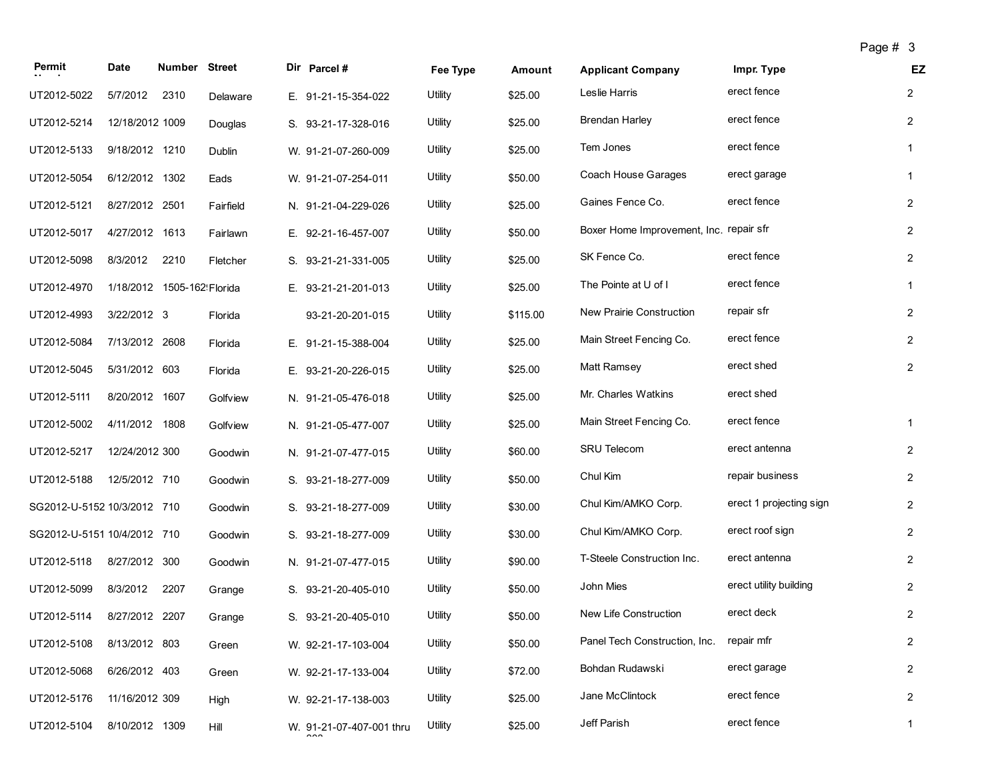| Permit                      | <b>Date</b>                | <b>Number Street</b> |           | Dir Parcel #             | Fee Type | Amount   | <b>Applicant Company</b>                | Impr. Type              | EZ             |
|-----------------------------|----------------------------|----------------------|-----------|--------------------------|----------|----------|-----------------------------------------|-------------------------|----------------|
| UT2012-5022                 | 5/7/2012                   | 2310                 | Delaware  | E. 91-21-15-354-022      | Utility  | \$25.00  | Leslie Harris                           | erect fence             | $\overline{2}$ |
| UT2012-5214                 | 12/18/2012 1009            |                      | Douglas   | S. 93-21-17-328-016      | Utility  | \$25.00  | <b>Brendan Harley</b>                   | erect fence             | $\overline{2}$ |
| UT2012-5133                 | 9/18/2012 1210             |                      | Dublin    | W. 91-21-07-260-009      | Utility  | \$25.00  | Tem Jones                               | erect fence             | $\mathbf{1}$   |
| UT2012-5054                 | 6/12/2012 1302             |                      | Eads      | W. 91-21-07-254-011      | Utility  | \$50.00  | Coach House Garages                     | erect garage            | $\mathbf{1}$   |
| UT2012-5121                 | 8/27/2012 2501             |                      | Fairfield | N. 91-21-04-229-026      | Utility  | \$25.00  | Gaines Fence Co.                        | erect fence             | $\overline{2}$ |
| UT2012-5017                 | 4/27/2012 1613             |                      | Fairlawn  | E. 92-21-16-457-007      | Utility  | \$50.00  | Boxer Home Improvement, Inc. repair sfr |                         | $\overline{2}$ |
| UT2012-5098                 | 8/3/2012                   | 2210                 | Fletcher  | S. 93-21-21-331-005      | Utility  | \$25.00  | SK Fence Co.                            | erect fence             | $\overline{2}$ |
| UT2012-4970                 | 1/18/2012 1505-162 Florida |                      |           | E. 93-21-21-201-013      | Utility  | \$25.00  | The Pointe at U of I                    | erect fence             | 1              |
| UT2012-4993                 | 3/22/2012 3                |                      | Florida   | 93-21-20-201-015         | Utility  | \$115.00 | New Prairie Construction                | repair sfr              | $\overline{2}$ |
| UT2012-5084                 | 7/13/2012 2608             |                      | Florida   | E. 91-21-15-388-004      | Utility  | \$25.00  | Main Street Fencing Co.                 | erect fence             | $\overline{2}$ |
| UT2012-5045                 | 5/31/2012 603              |                      | Florida   | E. 93-21-20-226-015      | Utility  | \$25.00  | Matt Ramsey                             | erect shed              | $\overline{2}$ |
| UT2012-5111                 | 8/20/2012 1607             |                      | Golfview  | N. 91-21-05-476-018      | Utility  | \$25.00  | Mr. Charles Watkins                     | erect shed              |                |
| UT2012-5002                 | 4/11/2012 1808             |                      | Golfview  | N. 91-21-05-477-007      | Utility  | \$25.00  | Main Street Fencing Co.                 | erect fence             | $\mathbf{1}$   |
| UT2012-5217                 | 12/24/2012 300             |                      | Goodwin   | N. 91-21-07-477-015      | Utility  | \$60.00  | SRU Telecom                             | erect antenna           | $\overline{2}$ |
| UT2012-5188                 | 12/5/2012 710              |                      | Goodwin   | S. 93-21-18-277-009      | Utility  | \$50.00  | Chul Kim                                | repair business         | $\overline{2}$ |
| SG2012-U-5152 10/3/2012 710 |                            |                      | Goodwin   | S. 93-21-18-277-009      | Utility  | \$30.00  | Chul Kim/AMKO Corp.                     | erect 1 projecting sign | $\overline{2}$ |
| SG2012-U-5151 10/4/2012 710 |                            |                      | Goodwin   | S. 93-21-18-277-009      | Utility  | \$30.00  | Chul Kim/AMKO Corp.                     | erect roof sign         | $\overline{c}$ |
| UT2012-5118                 | 8/27/2012 300              |                      | Goodwin   | N. 91-21-07-477-015      | Utility  | \$90.00  | T-Steele Construction Inc.              | erect antenna           | $\overline{2}$ |
| UT2012-5099                 | 8/3/2012                   | 2207                 | Grange    | S. 93-21-20-405-010      | Utility  | \$50.00  | John Mies                               | erect utility building  | $\overline{2}$ |
| UT2012-5114                 | 8/27/2012 2207             |                      | Grange    | S. 93-21-20-405-010      | Utility  | \$50.00  | New Life Construction                   | erect deck              | $\overline{c}$ |
| UT2012-5108 8/13/2012 803   |                            |                      | Green     | W. 92-21-17-103-004      | Utility  | \$50.00  | Panel Tech Construction, Inc.           | repair mfr              | $\overline{c}$ |
| UT2012-5068                 | 6/26/2012 403              |                      | Green     | W. 92-21-17-133-004      | Utility  | \$72.00  | Bohdan Rudawski                         | erect garage            | $\overline{c}$ |
| UT2012-5176                 | 11/16/2012 309             |                      | High      | W. 92-21-17-138-003      | Utility  | \$25.00  | Jane McClintock                         | erect fence             | $\overline{2}$ |
| UT2012-5104                 | 8/10/2012 1309             |                      | Hill      | W. 91-21-07-407-001 thru | Utility  | \$25.00  | Jeff Parish                             | erect fence             | $\mathbf{1}$   |

 $\sim$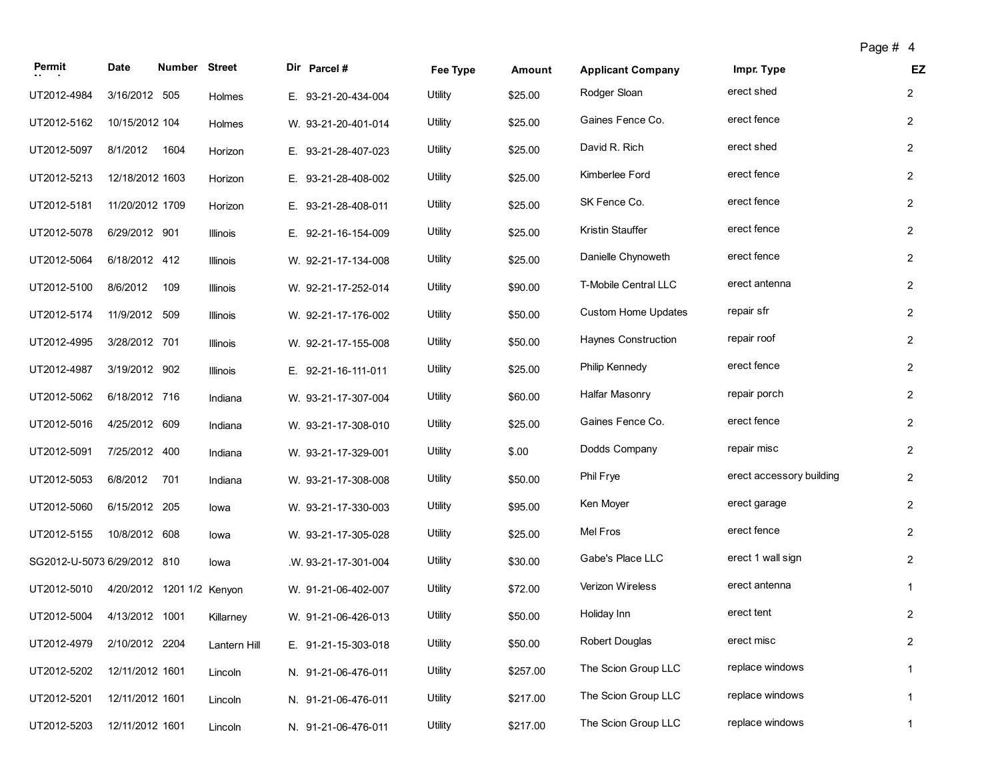| Permit                      | Date                      | Number Street |              | Dir Parcel #        | Fee Type | Amount   | <b>Applicant Company</b>   | Impr. Type               | EZ             |
|-----------------------------|---------------------------|---------------|--------------|---------------------|----------|----------|----------------------------|--------------------------|----------------|
| UT2012-4984                 | 3/16/2012 505             |               | Holmes       | E. 93-21-20-434-004 | Utility  | \$25.00  | Rodger Sloan               | erect shed               | $\overline{2}$ |
| UT2012-5162                 | 10/15/2012 104            |               | Holmes       | W. 93-21-20-401-014 | Utility  | \$25.00  | Gaines Fence Co.           | erect fence              | $\overline{2}$ |
| UT2012-5097                 | 8/1/2012                  | 1604          | Horizon      | E. 93-21-28-407-023 | Utility  | \$25.00  | David R. Rich              | erect shed               | $\overline{c}$ |
| UT2012-5213                 | 12/18/2012 1603           |               | Horizon      | E. 93-21-28-408-002 | Utility  | \$25.00  | Kimberlee Ford             | erect fence              | $\overline{2}$ |
| UT2012-5181                 | 11/20/2012 1709           |               | Horizon      | E. 93-21-28-408-011 | Utility  | \$25.00  | SK Fence Co.               | erect fence              | $\overline{2}$ |
| UT2012-5078                 | 6/29/2012 901             |               | Illinois     | E. 92-21-16-154-009 | Utility  | \$25.00  | Kristin Stauffer           | erect fence              | $\overline{2}$ |
| UT2012-5064                 | 6/18/2012 412             |               | Illinois     | W. 92-21-17-134-008 | Utility  | \$25.00  | Danielle Chynoweth         | erect fence              | $\overline{2}$ |
| UT2012-5100                 | 8/6/2012                  | 109           | Illinois     | W. 92-21-17-252-014 | Utility  | \$90.00  | T-Mobile Central LLC       | erect antenna            | $\overline{2}$ |
| UT2012-5174                 | 11/9/2012 509             |               | Illinois     | W. 92-21-17-176-002 | Utility  | \$50.00  | <b>Custom Home Updates</b> | repair sfr               | $\overline{2}$ |
| UT2012-4995                 | 3/28/2012 701             |               | Illinois     | W. 92-21-17-155-008 | Utility  | \$50.00  | Haynes Construction        | repair roof              | $\overline{2}$ |
| UT2012-4987                 | 3/19/2012 902             |               | Illinois     | E. 92-21-16-111-011 | Utility  | \$25.00  | Philip Kennedy             | erect fence              | $\overline{2}$ |
| UT2012-5062                 | 6/18/2012 716             |               | Indiana      | W. 93-21-17-307-004 | Utility  | \$60.00  | Halfar Masonry             | repair porch             | $\overline{2}$ |
| UT2012-5016                 | 4/25/2012 609             |               | Indiana      | W. 93-21-17-308-010 | Utility  | \$25.00  | Gaines Fence Co.           | erect fence              | $\overline{2}$ |
| UT2012-5091                 | 7/25/2012 400             |               | Indiana      | W. 93-21-17-329-001 | Utility  | \$.00    | Dodds Company              | repair misc              | $\overline{c}$ |
| UT2012-5053                 | 6/8/2012                  | 701           | Indiana      | W. 93-21-17-308-008 | Utility  | \$50.00  | Phil Frye                  | erect accessory building | $\overline{2}$ |
| UT2012-5060                 | 6/15/2012 205             |               | lowa         | W. 93-21-17-330-003 | Utility  | \$95.00  | Ken Moyer                  | erect garage             | $\overline{c}$ |
| UT2012-5155                 | 10/8/2012 608             |               | lowa         | W. 93-21-17-305-028 | Utility  | \$25.00  | Mel Fros                   | erect fence              | $\overline{2}$ |
| SG2012-U-5073 6/29/2012 810 |                           |               | lowa         | W. 93-21-17-301-004 | Utility  | \$30.00  | Gabe's Place LLC           | erect 1 wall sign        | $\overline{2}$ |
| UT2012-5010                 | 4/20/2012 1201 1/2 Kenyon |               |              | W. 91-21-06-402-007 | Utility  | \$72.00  | Verizon Wireless           | erect antenna            | $\mathbf{1}$   |
| UT2012-5004                 | 4/13/2012 1001            |               | Killarney    | W. 91-21-06-426-013 | Utility  | \$50.00  | Holiday Inn                | erect tent               | 2              |
| UT2012-4979                 | 2/10/2012 2204            |               | Lantern Hill | E. 91-21-15-303-018 | Utility  | \$50.00  | Robert Douglas             | erect misc               | $\overline{2}$ |
| UT2012-5202                 | 12/11/2012 1601           |               | Lincoln      | N. 91-21-06-476-011 | Utility  | \$257.00 | The Scion Group LLC        | replace windows          | $\mathbf{1}$   |
| UT2012-5201                 | 12/11/2012 1601           |               | Lincoln      | N. 91-21-06-476-011 | Utility  | \$217.00 | The Scion Group LLC        | replace windows          | $\mathbf{1}$   |
| UT2012-5203                 | 12/11/2012 1601           |               | Lincoln      | N. 91-21-06-476-011 | Utility  | \$217.00 | The Scion Group LLC        | replace windows          | $\mathbf{1}$   |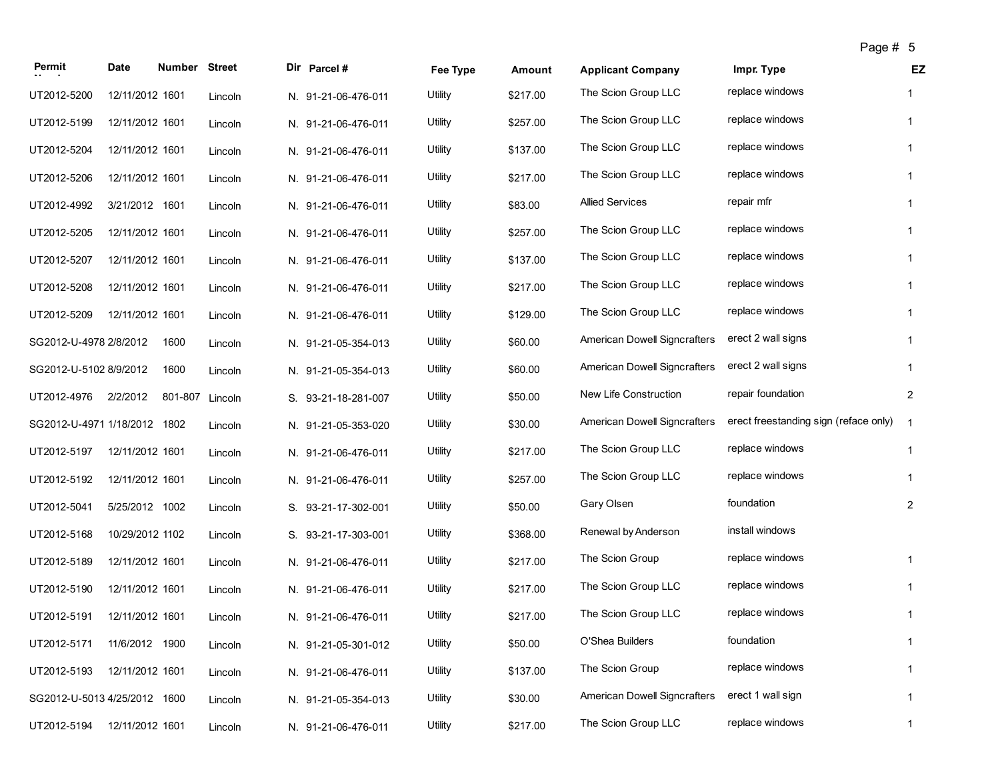| Permit                       | Date            | Number Street |         | Dir Parcel #        | Fee Type | Amount   | <b>Applicant Company</b>            | Impr. Type                            | EZ             |
|------------------------------|-----------------|---------------|---------|---------------------|----------|----------|-------------------------------------|---------------------------------------|----------------|
| UT2012-5200                  | 12/11/2012 1601 |               | Lincoln | N. 91-21-06-476-011 | Utility  | \$217.00 | The Scion Group LLC                 | replace windows                       | 1              |
| UT2012-5199                  | 12/11/2012 1601 |               | Lincoln | N. 91-21-06-476-011 | Utility  | \$257.00 | The Scion Group LLC                 | replace windows                       | $\mathbf{1}$   |
| UT2012-5204                  | 12/11/2012 1601 |               | Lincoln | N. 91-21-06-476-011 | Utility  | \$137.00 | The Scion Group LLC                 | replace windows                       | $\mathbf{1}$   |
| UT2012-5206                  | 12/11/2012 1601 |               | Lincoln | N. 91-21-06-476-011 | Utility  | \$217.00 | The Scion Group LLC                 | replace windows                       | $\mathbf{1}$   |
| UT2012-4992                  | 3/21/2012 1601  |               | Lincoln | N. 91-21-06-476-011 | Utility  | \$83.00  | <b>Allied Services</b>              | repair mfr                            | 1              |
| UT2012-5205                  | 12/11/2012 1601 |               | Lincoln | N. 91-21-06-476-011 | Utility  | \$257.00 | The Scion Group LLC                 | replace windows                       | $\mathbf{1}$   |
| UT2012-5207                  | 12/11/2012 1601 |               | Lincoln | N. 91-21-06-476-011 | Utility  | \$137.00 | The Scion Group LLC                 | replace windows                       | $\mathbf{1}$   |
| UT2012-5208                  | 12/11/2012 1601 |               | Lincoln | N. 91-21-06-476-011 | Utility  | \$217.00 | The Scion Group LLC                 | replace windows                       | $\mathbf{1}$   |
| UT2012-5209                  | 12/11/2012 1601 |               | Lincoln | N. 91-21-06-476-011 | Utility  | \$129.00 | The Scion Group LLC                 | replace windows                       | $\mathbf{1}$   |
| SG2012-U-4978 2/8/2012       |                 | 1600          | Lincoln | N. 91-21-05-354-013 | Utility  | \$60.00  | <b>American Dowell Signcrafters</b> | erect 2 wall signs                    | 1              |
| SG2012-U-5102 8/9/2012       |                 | 1600          | Lincoln | N. 91-21-05-354-013 | Utility  | \$60.00  | American Dowell Signcrafters        | erect 2 wall signs                    | $\mathbf{1}$   |
| UT2012-4976                  | 2/2/2012        | 801-807       | Lincoln | S. 93-21-18-281-007 | Utility  | \$50.00  | New Life Construction               | repair foundation                     | $\overline{c}$ |
| SG2012-U-4971 1/18/2012 1802 |                 |               | Lincoln | N. 91-21-05-353-020 | Utility  | \$30.00  | <b>American Dowell Signcrafters</b> | erect freestanding sign (reface only) | $\overline{1}$ |
| UT2012-5197                  | 12/11/2012 1601 |               | Lincoln | N. 91-21-06-476-011 | Utility  | \$217.00 | The Scion Group LLC                 | replace windows                       | 1              |
| UT2012-5192                  | 12/11/2012 1601 |               | Lincoln | N. 91-21-06-476-011 | Utility  | \$257.00 | The Scion Group LLC                 | replace windows                       | 1              |
| UT2012-5041                  | 5/25/2012 1002  |               | Lincoln | S. 93-21-17-302-001 | Utility  | \$50.00  | Gary Olsen                          | foundation                            | $\overline{2}$ |
| UT2012-5168                  | 10/29/2012 1102 |               | Lincoln | S. 93-21-17-303-001 | Utility  | \$368.00 | Renewal by Anderson                 | install windows                       |                |
| UT2012-5189                  | 12/11/2012 1601 |               | Lincoln | N. 91-21-06-476-011 | Utility  | \$217.00 | The Scion Group                     | replace windows                       | 1              |
| UT2012-5190                  | 12/11/2012 1601 |               | Lincoln | N. 91-21-06-476-011 | Utility  | \$217.00 | The Scion Group LLC                 | replace windows                       | 1              |
| UT2012-5191                  | 12/11/2012 1601 |               | Lincoln | N. 91-21-06-476-011 | Utility  | \$217.00 | The Scion Group LLC                 | replace windows                       | 1              |
| UT2012-5171                  | 11/6/2012 1900  |               | Lincoln | N. 91-21-05-301-012 | Utility  | \$50.00  | O'Shea Builders                     | foundation                            | $\mathbf{1}$   |
| UT2012-5193                  | 12/11/2012 1601 |               | Lincoln | N. 91-21-06-476-011 | Utility  | \$137.00 | The Scion Group                     | replace windows                       | $\mathbf{1}$   |
| SG2012-U-5013 4/25/2012 1600 |                 |               | Lincoln | N. 91-21-05-354-013 | Utility  | \$30.00  | American Dowell Signcrafters        | erect 1 wall sign                     | $\mathbf{1}$   |
| UT2012-5194                  | 12/11/2012 1601 |               | Lincoln | N. 91-21-06-476-011 | Utility  | \$217.00 | The Scion Group LLC                 | replace windows                       | $\mathbf{1}$   |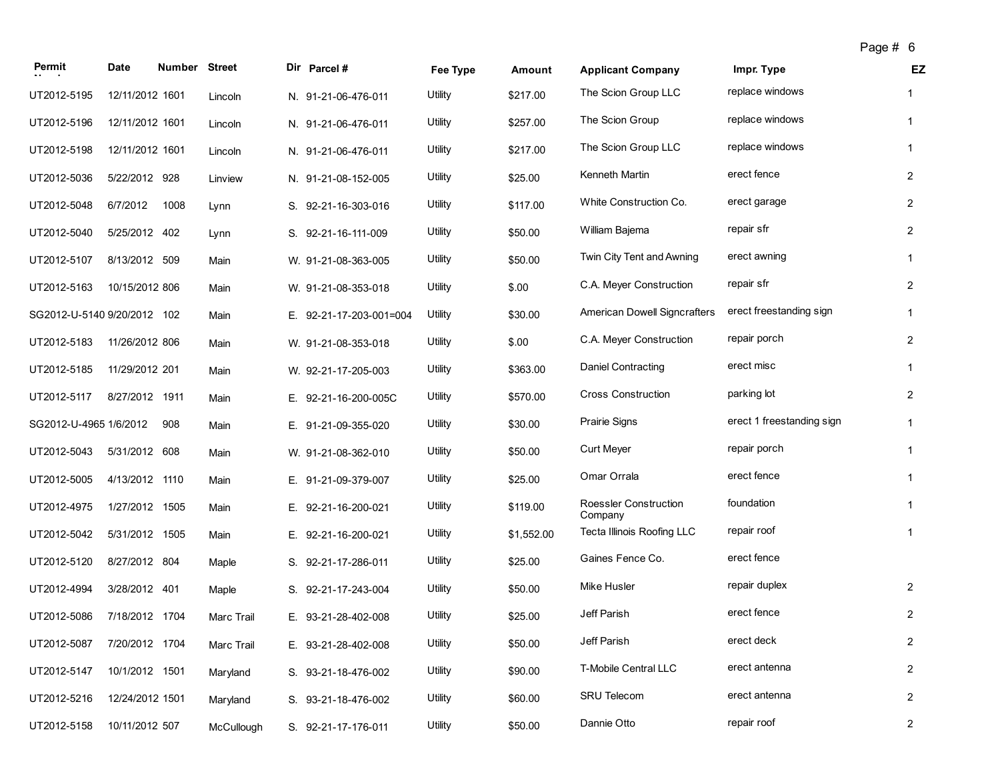| Permit                      | <b>Date</b>     | Number Street |            | Dir Parcel #            | Fee Type | <b>Amount</b> | <b>Applicant Company</b>          | Impr. Type                | EZ             |
|-----------------------------|-----------------|---------------|------------|-------------------------|----------|---------------|-----------------------------------|---------------------------|----------------|
| UT2012-5195                 | 12/11/2012 1601 |               | Lincoln    | N. 91-21-06-476-011     | Utility  | \$217.00      | The Scion Group LLC               | replace windows           | $\mathbf{1}$   |
| UT2012-5196                 | 12/11/2012 1601 |               | Lincoln    | N. 91-21-06-476-011     | Utility  | \$257.00      | The Scion Group                   | replace windows           | $\mathbf{1}$   |
| UT2012-5198                 | 12/11/2012 1601 |               | Lincoln    | N. 91-21-06-476-011     | Utility  | \$217.00      | The Scion Group LLC               | replace windows           | $\mathbf{1}$   |
| UT2012-5036                 | 5/22/2012 928   |               | Linview    | N. 91-21-08-152-005     | Utility  | \$25.00       | Kenneth Martin                    | erect fence               | $\overline{2}$ |
| UT2012-5048                 | 6/7/2012        | 1008          | Lynn       | S. 92-21-16-303-016     | Utility  | \$117.00      | White Construction Co.            | erect garage              | $\overline{2}$ |
| UT2012-5040                 | 5/25/2012 402   |               | Lynn       | S. 92-21-16-111-009     | Utility  | \$50.00       | William Bajema                    | repair sfr                | $\overline{2}$ |
| UT2012-5107                 | 8/13/2012 509   |               | Main       | W. 91-21-08-363-005     | Utility  | \$50.00       | Twin City Tent and Awning         | erect awning              | $\mathbf{1}$   |
| UT2012-5163                 | 10/15/2012 806  |               | Main       | W. 91-21-08-353-018     | Utility  | \$.00         | C.A. Meyer Construction           | repair sfr                | $\overline{2}$ |
| SG2012-U-5140 9/20/2012 102 |                 |               | Main       | E. 92-21-17-203-001=004 | Utility  | \$30.00       | American Dowell Signcrafters      | erect freestanding sign   | $\mathbf{1}$   |
| UT2012-5183                 | 11/26/2012 806  |               | Main       | W. 91-21-08-353-018     | Utility  | \$.00         | C.A. Meyer Construction           | repair porch              | $\overline{2}$ |
| UT2012-5185                 | 11/29/2012 201  |               | Main       | W. 92-21-17-205-003     | Utility  | \$363.00      | Daniel Contracting                | erect misc                | $\mathbf{1}$   |
| UT2012-5117                 | 8/27/2012 1911  |               | Main       | E. 92-21-16-200-005C    | Utility  | \$570.00      | <b>Cross Construction</b>         | parking lot               | $\overline{2}$ |
| SG2012-U-4965 1/6/2012      |                 | 908           | Main       | E. 91-21-09-355-020     | Utility  | \$30.00       | <b>Prairie Signs</b>              | erect 1 freestanding sign | $\mathbf{1}$   |
| UT2012-5043                 | 5/31/2012 608   |               | Main       | W. 91-21-08-362-010     | Utility  | \$50.00       | <b>Curt Meyer</b>                 | repair porch              | $\mathbf{1}$   |
| UT2012-5005                 | 4/13/2012 1110  |               | Main       | E. 91-21-09-379-007     | Utility  | \$25.00       | Omar Orrala                       | erect fence               | $\mathbf{1}$   |
| UT2012-4975                 | 1/27/2012 1505  |               | Main       | E. 92-21-16-200-021     | Utility  | \$119.00      | Roessler Construction<br>Company  | foundation                | $\mathbf{1}$   |
| UT2012-5042                 | 5/31/2012 1505  |               | Main       | E. 92-21-16-200-021     | Utility  | \$1,552.00    | <b>Tecta Illinois Roofing LLC</b> | repair roof               | $\mathbf{1}$   |
| UT2012-5120                 | 8/27/2012 804   |               | Maple      | S. 92-21-17-286-011     | Utility  | \$25.00       | Gaines Fence Co.                  | erect fence               |                |
| UT2012-4994                 | 3/28/2012 401   |               | Maple      | S. 92-21-17-243-004     | Utility  | \$50.00       | <b>Mike Husler</b>                | repair duplex             | $\overline{2}$ |
| UT2012-5086                 | 7/18/2012 1704  |               | Marc Trail | E. 93-21-28-402-008     | Utility  | \$25.00       | Jeff Parish                       | erect fence               | $\overline{2}$ |
| UT2012-5087                 | 7/20/2012 1704  |               | Marc Trail | E. 93-21-28-402-008     | Utility  | \$50.00       | Jeff Parish                       | erect deck                | $\overline{2}$ |
| UT2012-5147                 | 10/1/2012 1501  |               | Maryland   | S. 93-21-18-476-002     | Utility  | \$90.00       | T-Mobile Central LLC              | erect antenna             | $\overline{2}$ |
| UT2012-5216                 | 12/24/2012 1501 |               | Maryland   | S. 93-21-18-476-002     | Utility  | \$60.00       | <b>SRU Telecom</b>                | erect antenna             | $\overline{2}$ |

UT2012-5158 10/11/2012 507 McCullough S. 92-21-17-176-011 Utility \$50.00 Dannie Otto repair roof repair roof 2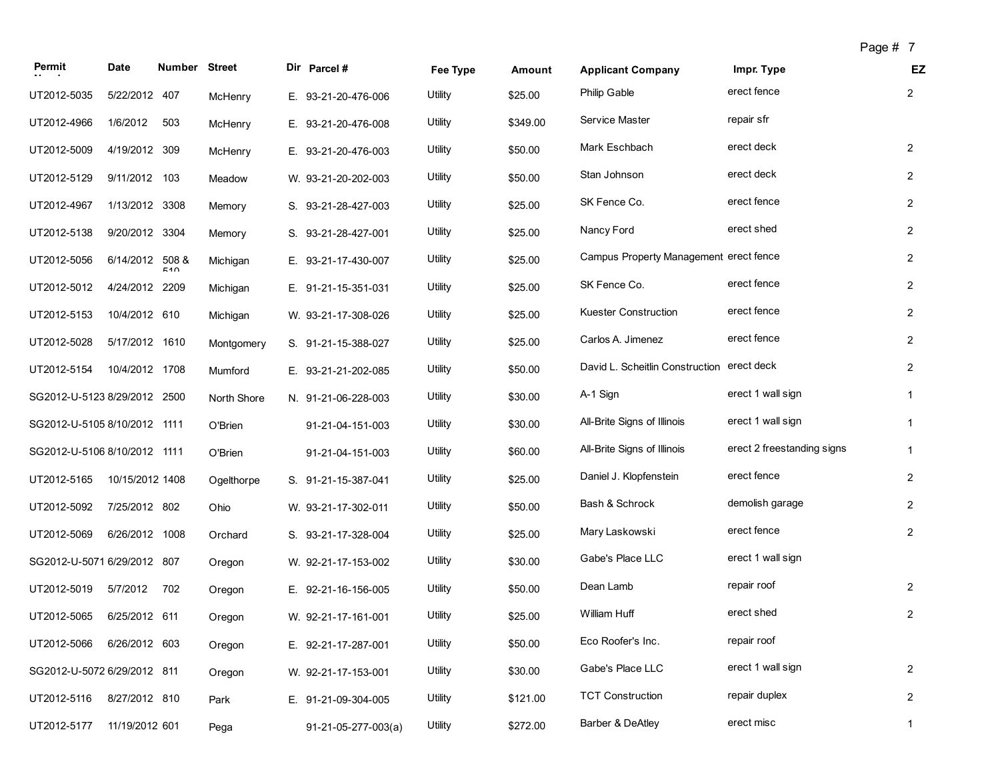|                              |                 |                      |             |                     |          |          |                                            |                            | Page # 7 |                |
|------------------------------|-----------------|----------------------|-------------|---------------------|----------|----------|--------------------------------------------|----------------------------|----------|----------------|
| Permit                       | Date            | <b>Number Street</b> |             | Dir Parcel #        | Fee Type | Amount   | <b>Applicant Company</b>                   | Impr. Type                 |          | EZ             |
| UT2012-5035                  | 5/22/2012 407   |                      | McHenry     | E. 93-21-20-476-006 | Utility  | \$25.00  | <b>Philip Gable</b>                        | erect fence                |          | $\overline{2}$ |
| UT2012-4966                  | 1/6/2012        | 503                  | McHenry     | E. 93-21-20-476-008 | Utility  | \$349.00 | <b>Service Master</b>                      | repair sfr                 |          |                |
| UT2012-5009                  | 4/19/2012 309   |                      | McHenry     | E. 93-21-20-476-003 | Utility  | \$50.00  | Mark Eschbach                              | erect deck                 |          | $\overline{2}$ |
| UT2012-5129                  | 9/11/2012 103   |                      | Meadow      | W. 93-21-20-202-003 | Utility  | \$50.00  | Stan Johnson                               | erect deck                 |          | $\overline{2}$ |
| UT2012-4967                  | 1/13/2012 3308  |                      | Memory      | S. 93-21-28-427-003 | Utility  | \$25.00  | SK Fence Co.                               | erect fence                |          | $\overline{2}$ |
| UT2012-5138                  | 9/20/2012       | 3304                 | Memory      | S. 93-21-28-427-001 | Utility  | \$25.00  | Nancy Ford                                 | erect shed                 |          | $\overline{2}$ |
| UT2012-5056                  | 6/14/2012 508 & | 510                  | Michigan    | E. 93-21-17-430-007 | Utility  | \$25.00  | Campus Property Management erect fence     |                            |          | $\overline{2}$ |
| UT2012-5012                  | 4/24/2012 2209  |                      | Michigan    | E. 91-21-15-351-031 | Utility  | \$25.00  | SK Fence Co.                               | erect fence                |          | $\overline{2}$ |
| UT2012-5153                  | 10/4/2012 610   |                      | Michigan    | W. 93-21-17-308-026 | Utility  | \$25.00  | <b>Kuester Construction</b>                | erect fence                |          | $\overline{2}$ |
| UT2012-5028                  | 5/17/2012       | 1610                 | Montgomery  | S. 91-21-15-388-027 | Utility  | \$25.00  | Carlos A. Jimenez                          | erect fence                |          | $\overline{2}$ |
| UT2012-5154                  | 10/4/2012 1708  |                      | Mumford     | E. 93-21-21-202-085 | Utility  | \$50.00  | David L. Scheitlin Construction erect deck |                            |          | $\overline{2}$ |
| SG2012-U-5123 8/29/2012 2500 |                 |                      | North Shore | N. 91-21-06-228-003 | Utility  | \$30.00  | A-1 Sign                                   | erect 1 wall sign          |          | $\mathbf{1}$   |
| SG2012-U-5105 8/10/2012 1111 |                 |                      | O'Brien     | 91-21-04-151-003    | Utility  | \$30.00  | All-Brite Signs of Illinois                | erect 1 wall sign          |          | $\mathbf{1}$   |
| SG2012-U-5106 8/10/2012 1111 |                 |                      | O'Brien     | 91-21-04-151-003    | Utility  | \$60.00  | All-Brite Signs of Illinois                | erect 2 freestanding signs |          | $\mathbf{1}$   |
| UT2012-5165                  | 10/15/2012 1408 |                      | Ogelthorpe  | S. 91-21-15-387-041 | Utility  | \$25.00  | Daniel J. Klopfenstein                     | erect fence                |          | $\overline{2}$ |
| UT2012-5092                  | 7/25/2012 802   |                      | Ohio        | W. 93-21-17-302-011 | Utility  | \$50.00  | Bash & Schrock                             | demolish garage            |          | $\overline{2}$ |
| UT2012-5069                  | 6/26/2012 1008  |                      | Orchard     | S. 93-21-17-328-004 | Utility  | \$25.00  | Mary Laskowski                             | erect fence                |          | $\overline{2}$ |
| SG2012-U-5071 6/29/2012 807  |                 |                      | Oregon      | W. 92-21-17-153-002 | Utility  | \$30.00  | Gabe's Place LLC                           | erect 1 wall sign          |          |                |
| UT2012-5019                  | 5/7/2012        | 702                  | Oregon      | E. 92-21-16-156-005 | Utility  | \$50.00  | Dean Lamb                                  | repair roof                |          | $\overline{2}$ |
| UT2012-5065                  | 6/25/2012 611   |                      | Oregon      | W. 92-21-17-161-001 | Utility  | \$25.00  | William Huff                               | erect shed                 |          | $\overline{2}$ |
| UT2012-5066                  | 6/26/2012 603   |                      | Oregon      | E. 92-21-17-287-001 | Utility  | \$50.00  | Eco Roofer's Inc.                          | repair roof                |          |                |
| SG2012-U-5072 6/29/2012 811  |                 |                      | Oregon      | W. 92-21-17-153-001 | Utility  | \$30.00  | Gabe's Place LLC                           | erect 1 wall sign          |          | $\overline{2}$ |
| UT2012-5116                  | 8/27/2012 810   |                      | Park        | E. 91-21-09-304-005 | Utility  | \$121.00 | <b>TCT Construction</b>                    | repair duplex              |          | $\overline{2}$ |
| UT2012-5177                  | 11/19/2012 601  |                      | Pega        | 91-21-05-277-003(a) | Utility  | \$272.00 | Barber & DeAtley                           | erect misc                 |          | $\mathbf{1}$   |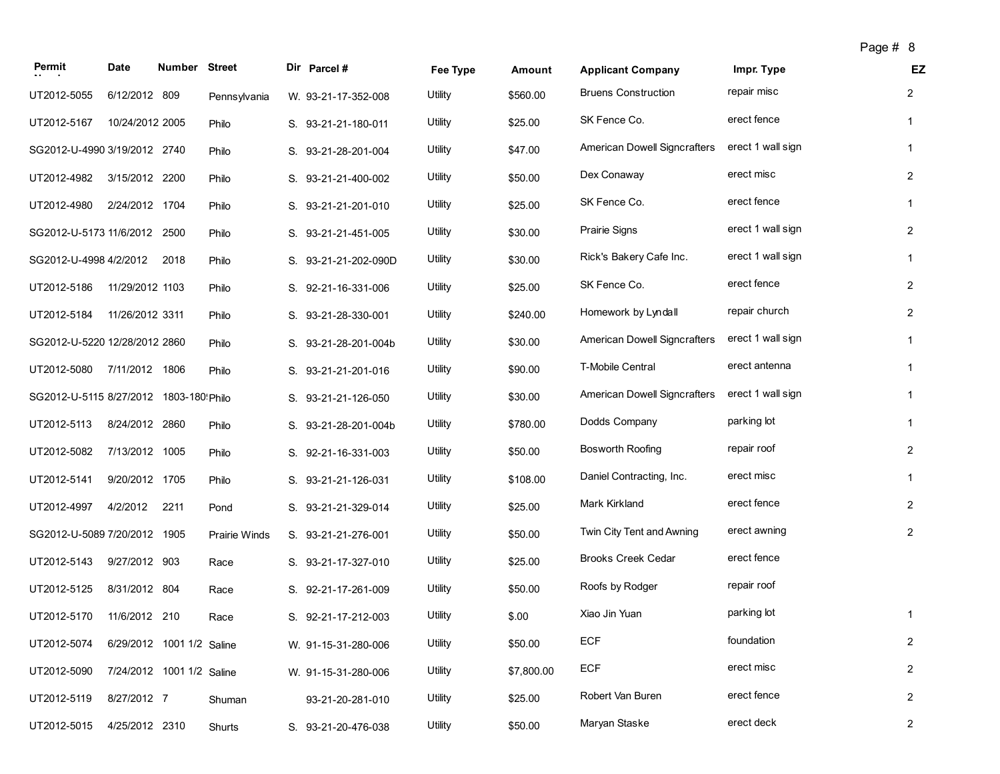| Permit                                  | Date                      | Number Street |                      | Dir Parcel #         | Fee Type | Amount     | <b>Applicant Company</b>     | Impr. Type        | EZ             |
|-----------------------------------------|---------------------------|---------------|----------------------|----------------------|----------|------------|------------------------------|-------------------|----------------|
| UT2012-5055                             | 6/12/2012 809             |               | Pennsylvania         | W. 93-21-17-352-008  | Utility  | \$560.00   | <b>Bruens Construction</b>   | repair misc       | $\overline{2}$ |
| UT2012-5167                             | 10/24/2012 2005           |               | Philo                | S. 93-21-21-180-011  | Utility  | \$25.00    | SK Fence Co.                 | erect fence       | $\mathbf{1}$   |
| SG2012-U-4990 3/19/2012 2740            |                           |               | Philo                | S. 93-21-28-201-004  | Utility  | \$47.00    | American Dowell Signcrafters | erect 1 wall sign | $\mathbf{1}$   |
| UT2012-4982 3/15/2012 2200              |                           |               | Philo                | S. 93-21-21-400-002  | Utility  | \$50.00    | Dex Conaway                  | erect misc        | $\overline{2}$ |
| UT2012-4980                             | 2/24/2012 1704            |               | Philo                | S. 93-21-21-201-010  | Utility  | \$25.00    | SK Fence Co.                 | erect fence       | $\mathbf{1}$   |
| SG2012-U-5173 11/6/2012 2500            |                           |               | Philo                | S. 93-21-21-451-005  | Utility  | \$30.00    | <b>Prairie Signs</b>         | erect 1 wall sign | $\mathbf{2}$   |
| SG2012-U-4998 4/2/2012                  |                           | 2018          | Philo                | S. 93-21-21-202-090D | Utility  | \$30.00    | Rick's Bakery Cafe Inc.      | erect 1 wall sign | $\mathbf{1}$   |
| UT2012-5186                             | 11/29/2012 1103           |               | Philo                | S. 92-21-16-331-006  | Utility  | \$25.00    | SK Fence Co.                 | erect fence       | $\overline{2}$ |
| UT2012-5184                             | 11/26/2012 3311           |               | Philo                | S. 93-21-28-330-001  | Utility  | \$240.00   | Homework by Lyndall          | repair church     | $\overline{2}$ |
| SG2012-U-5220 12/28/2012 2860           |                           |               | Philo                | S. 93-21-28-201-004b | Utility  | \$30.00    | American Dowell Signcrafters | erect 1 wall sign | $\mathbf{1}$   |
| UT2012-5080 7/11/2012 1806              |                           |               | Philo                | S. 93-21-21-201-016  | Utility  | \$90.00    | T-Mobile Central             | erect antenna     | $\mathbf{1}$   |
| SG2012-U-5115 8/27/2012 1803-180! Philo |                           |               |                      | S. 93-21-21-126-050  | Utility  | \$30.00    | American Dowell Signcrafters | erect 1 wall sign | $\mathbf{1}$   |
| UT2012-5113                             | 8/24/2012 2860            |               | Philo                | S. 93-21-28-201-004b | Utility  | \$780.00   | Dodds Company                | parking lot       | $\mathbf{1}$   |
| UT2012-5082                             | 7/13/2012 1005            |               | Philo                | S. 92-21-16-331-003  | Utility  | \$50.00    | Bosworth Roofing             | repair roof       | $\overline{2}$ |
| UT2012-5141                             | 9/20/2012 1705            |               | Philo                | S. 93-21-21-126-031  | Utility  | \$108.00   | Daniel Contracting, Inc.     | erect misc        | $\mathbf{1}$   |
| UT2012-4997                             | 4/2/2012                  | 2211          | Pond                 | S. 93-21-21-329-014  | Utility  | \$25.00    | Mark Kirkland                | erect fence       | $\overline{2}$ |
| SG2012-U-5089 7/20/2012 1905            |                           |               | <b>Prairie Winds</b> | S. 93-21-21-276-001  | Utility  | \$50.00    | Twin City Tent and Awning    | erect awning      | $\overline{2}$ |
| UT2012-5143                             | 9/27/2012 903             |               | Race                 | S. 93-21-17-327-010  | Utility  | \$25.00    | <b>Brooks Creek Cedar</b>    | erect fence       |                |
| UT2012-5125                             | 8/31/2012 804             |               | Race                 | S. 92-21-17-261-009  | Utility  | \$50.00    | Roofs by Rodger              | repair roof       |                |
| UT2012-5170                             | 11/6/2012 210             |               | Race                 | S. 92-21-17-212-003  | Utility  | \$.00      | Xiao Jin Yuan                | parking lot       | $\mathbf{1}$   |
| UT2012-5074                             | 6/29/2012 1001 1/2 Saline |               |                      | W. 91-15-31-280-006  | Utility  | \$50.00    | ECF                          | foundation        | $\overline{2}$ |
| UT2012-5090                             | 7/24/2012 1001 1/2 Saline |               |                      | W. 91-15-31-280-006  | Utility  | \$7,800.00 | <b>ECF</b>                   | erect misc        | $\overline{2}$ |
| UT2012-5119                             | 8/27/2012 7               |               | Shuman               | 93-21-20-281-010     | Utility  | \$25.00    | Robert Van Buren             | erect fence       | $\overline{2}$ |
|                                         |                           |               |                      |                      |          |            |                              |                   |                |

UT2012-5015 4/25/2012 2310 Shurts S. 93-21-20-476-038 Utility \$50.00 Maryan Staske erect deck erect deck 2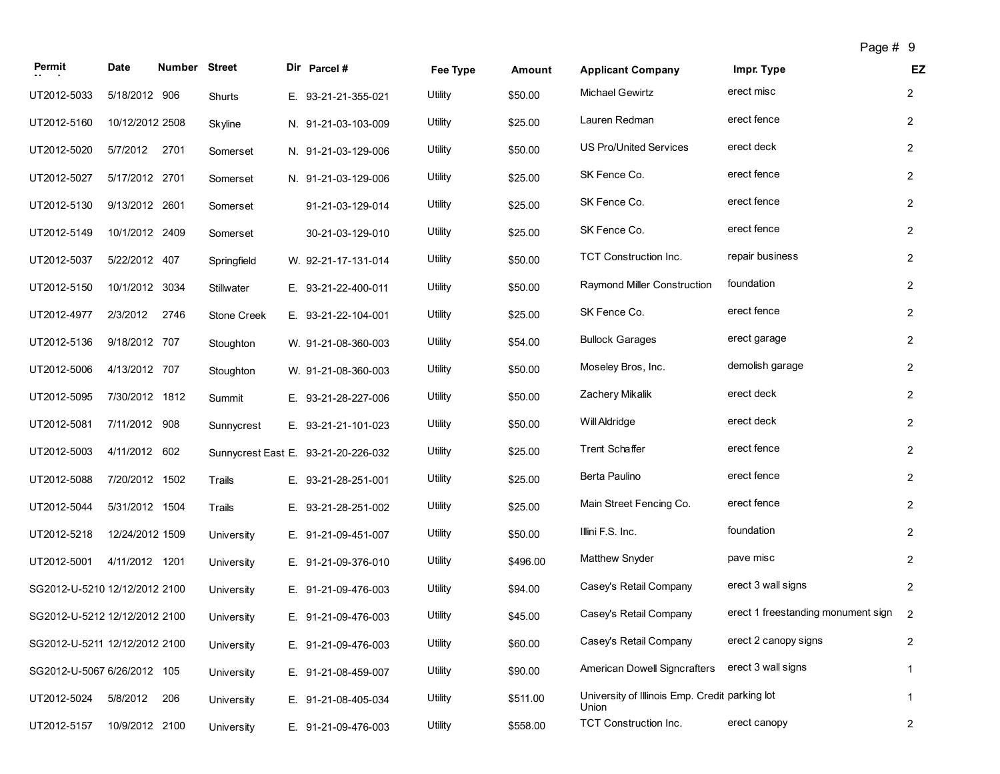| Permit                        | Date            | Number Street |                    | Dir Parcel #                        | Fee Type | Amount   | <b>Applicant Company</b>                                | Impr. Type                         | EZ                      |
|-------------------------------|-----------------|---------------|--------------------|-------------------------------------|----------|----------|---------------------------------------------------------|------------------------------------|-------------------------|
| UT2012-5033                   | 5/18/2012 906   |               | Shurts             | E. 93-21-21-355-021                 | Utility  | \$50.00  | <b>Michael Gewirtz</b>                                  | erect misc                         | $\overline{2}$          |
| UT2012-5160                   | 10/12/2012 2508 |               | Skyline            | N. 91-21-03-103-009                 | Utility  | \$25.00  | Lauren Redman                                           | erect fence                        | $\overline{2}$          |
| UT2012-5020                   | 5/7/2012        | 2701          | Somerset           | N. 91-21-03-129-006                 | Utility  | \$50.00  | <b>US Pro/United Services</b>                           | erect deck                         | $\overline{2}$          |
| UT2012-5027                   | 5/17/2012 2701  |               | Somerset           | N. 91-21-03-129-006                 | Utility  | \$25.00  | SK Fence Co.                                            | erect fence                        | $\overline{2}$          |
| UT2012-5130                   | 9/13/2012 2601  |               | Somerset           | 91-21-03-129-014                    | Utility  | \$25.00  | SK Fence Co.                                            | erect fence                        | $\overline{2}$          |
| UT2012-5149                   | 10/1/2012 2409  |               | Somerset           | 30-21-03-129-010                    | Utility  | \$25.00  | SK Fence Co.                                            | erect fence                        | $\overline{2}$          |
| UT2012-5037                   | 5/22/2012 407   |               | Springfield        | W. 92-21-17-131-014                 | Utility  | \$50.00  | TCT Construction Inc.                                   | repair business                    | $\overline{2}$          |
| UT2012-5150                   | 10/1/2012 3034  |               | <b>Stillwater</b>  | E. 93-21-22-400-011                 | Utility  | \$50.00  | Raymond Miller Construction                             | foundation                         | $\overline{2}$          |
| UT2012-4977                   | 2/3/2012        | 2746          | <b>Stone Creek</b> | E. 93-21-22-104-001                 | Utility  | \$25.00  | SK Fence Co.                                            | erect fence                        | $\overline{2}$          |
| UT2012-5136                   | 9/18/2012 707   |               | Stoughton          | W. 91-21-08-360-003                 | Utility  | \$54.00  | <b>Bullock Garages</b>                                  | erect garage                       | $\overline{2}$          |
| UT2012-5006                   | 4/13/2012 707   |               | Stoughton          | W. 91-21-08-360-003                 | Utility  | \$50.00  | Moseley Bros, Inc.                                      | demolish garage                    | $\overline{2}$          |
| UT2012-5095                   | 7/30/2012 1812  |               | Summit             | E. 93-21-28-227-006                 | Utility  | \$50.00  | Zachery Mikalik                                         | erect deck                         | $\overline{2}$          |
| UT2012-5081                   | 7/11/2012 908   |               | Sunnycrest         | E. 93-21-21-101-023                 | Utility  | \$50.00  | Will Aldridge                                           | erect deck                         | $\overline{c}$          |
| UT2012-5003                   | 4/11/2012 602   |               |                    | Sunnycrest East E. 93-21-20-226-032 | Utility  | \$25.00  | Trent Schaffer                                          | erect fence                        | $\overline{2}$          |
| UT2012-5088                   | 7/20/2012 1502  |               | Trails             | E. 93-21-28-251-001                 | Utility  | \$25.00  | Berta Paulino                                           | erect fence                        | $\overline{2}$          |
| UT2012-5044                   | 5/31/2012 1504  |               | Trails             | E. 93-21-28-251-002                 | Utility  | \$25.00  | Main Street Fencing Co.                                 | erect fence                        | $\overline{2}$          |
| UT2012-5218                   | 12/24/2012 1509 |               | University         | E. 91-21-09-451-007                 | Utility  | \$50.00  | Illini F.S. Inc.                                        | foundation                         | $\overline{2}$          |
| UT2012-5001                   | 4/11/2012 1201  |               | University         | E. 91-21-09-376-010                 | Utility  | \$496.00 | <b>Matthew Snyder</b>                                   | pave misc                          | $\overline{2}$          |
| SG2012-U-5210 12/12/2012 2100 |                 |               | University         | E. 91-21-09-476-003                 | Utility  | \$94.00  | Casey's Retail Company                                  | erect 3 wall signs                 | $\overline{2}$          |
| SG2012-U-5212 12/12/2012 2100 |                 |               | University         | E. 91-21-09-476-003                 | Utility  | \$45.00  | Casey's Retail Company                                  | erect 1 freestanding monument sign | 2                       |
| SG2012-U-5211 12/12/2012 2100 |                 |               | University         | E. 91-21-09-476-003                 | Utility  | \$60.00  | Casey's Retail Company                                  | erect 2 canopy signs               | $\overline{\mathbf{c}}$ |
| SG2012-U-5067 6/26/2012 105   |                 |               | University         | E. 91-21-08-459-007                 | Utility  | \$90.00  | American Dowell Signcrafters                            | erect 3 wall signs                 | $\mathbf{1}$            |
| UT2012-5024                   | 5/8/2012        | 206           | University         | E. 91-21-08-405-034                 | Utility  | \$511.00 | University of Illinois Emp. Credit parking lot<br>Union |                                    | $\mathbf{1}$            |
| UT2012-5157                   | 10/9/2012 2100  |               | University         | E. 91-21-09-476-003                 | Utility  | \$558.00 | TCT Construction Inc.                                   | erect canopy                       | $\overline{2}$          |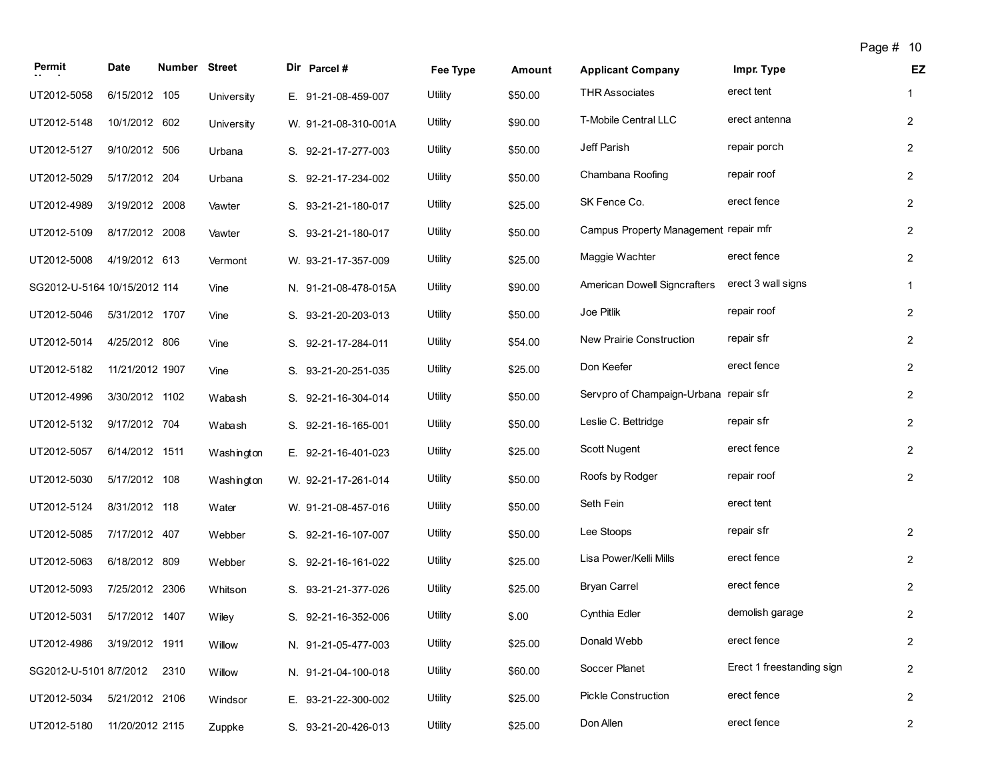| Permit                       | <b>Date</b>     | <b>Number Street</b> |            | Dir Parcel #         | Fee Type | Amount  | <b>Applicant Company</b>               | Impr. Type                | EZ             |
|------------------------------|-----------------|----------------------|------------|----------------------|----------|---------|----------------------------------------|---------------------------|----------------|
| UT2012-5058                  | 6/15/2012 105   |                      | University | E. 91-21-08-459-007  | Utility  | \$50.00 | <b>THR Associates</b>                  | erect tent                | $\mathbf{1}$   |
| UT2012-5148                  | 10/1/2012 602   |                      | University | W. 91-21-08-310-001A | Utility  | \$90.00 | T-Mobile Central LLC                   | erect antenna             | $\overline{2}$ |
| UT2012-5127                  | 9/10/2012 506   |                      | Urbana     | S. 92-21-17-277-003  | Utility  | \$50.00 | Jeff Parish                            | repair porch              | $\overline{2}$ |
| UT2012-5029                  | 5/17/2012 204   |                      | Urbana     | S. 92-21-17-234-002  | Utility  | \$50.00 | Chambana Roofing                       | repair roof               | $\overline{2}$ |
| UT2012-4989                  | 3/19/2012 2008  |                      | Vawter     | S. 93-21-21-180-017  | Utility  | \$25.00 | SK Fence Co.                           | erect fence               | $\overline{2}$ |
| UT2012-5109                  | 8/17/2012 2008  |                      | Vawter     | S. 93-21-21-180-017  | Utility  | \$50.00 | Campus Property Management repair mfr  |                           | $\overline{2}$ |
| UT2012-5008                  | 4/19/2012 613   |                      | Vermont    | W. 93-21-17-357-009  | Utility  | \$25.00 | Maggie Wachter                         | erect fence               | $\overline{2}$ |
| SG2012-U-5164 10/15/2012 114 |                 |                      | Vine       | N. 91-21-08-478-015A | Utility  | \$90.00 | American Dowell Signcrafters           | erect 3 wall signs        | $\mathbf{1}$   |
| UT2012-5046                  | 5/31/2012 1707  |                      | Vine       | S. 93-21-20-203-013  | Utility  | \$50.00 | Joe Pitlik                             | repair roof               | $\overline{2}$ |
| UT2012-5014                  | 4/25/2012 806   |                      | Vine       | S. 92-21-17-284-011  | Utility  | \$54.00 | New Prairie Construction               | repair sfr                | $\overline{2}$ |
| UT2012-5182                  | 11/21/2012 1907 |                      | Vine       | S. 93-21-20-251-035  | Utility  | \$25.00 | Don Keefer                             | erect fence               | $\overline{2}$ |
| UT2012-4996                  | 3/30/2012 1102  |                      | Wabash     | S. 92-21-16-304-014  | Utility  | \$50.00 | Servpro of Champaign-Urbana repair sfr |                           | $\overline{2}$ |
| UT2012-5132                  | 9/17/2012 704   |                      | Wabash     | S. 92-21-16-165-001  | Utility  | \$50.00 | Leslie C. Bettridge                    | repair sfr                | $\overline{2}$ |
| UT2012-5057                  | 6/14/2012 1511  |                      | Washington | E. 92-21-16-401-023  | Utility  | \$25.00 | Scott Nugent                           | erect fence               | $\overline{2}$ |
| UT2012-5030                  | 5/17/2012 108   |                      | Washington | W. 92-21-17-261-014  | Utility  | \$50.00 | Roofs by Rodger                        | repair roof               | $\overline{2}$ |
| UT2012-5124                  | 8/31/2012 118   |                      | Water      | W. 91-21-08-457-016  | Utility  | \$50.00 | Seth Fein                              | erect tent                |                |
| UT2012-5085                  | 7/17/2012 407   |                      | Webber     | S. 92-21-16-107-007  | Utility  | \$50.00 | Lee Stoops                             | repair sfr                | $\overline{2}$ |
| UT2012-5063                  | 6/18/2012 809   |                      | Webber     | S. 92-21-16-161-022  | Utility  | \$25.00 | Lisa Power/Kelli Mills                 | erect fence               | $\overline{2}$ |
| UT2012-5093                  | 7/25/2012 2306  |                      | Whitson    | S. 93-21-21-377-026  | Utility  | \$25.00 | <b>Bryan Carrel</b>                    | erect fence               | $\overline{2}$ |
| UT2012-5031                  | 5/17/2012 1407  |                      | Wiley      | S. 92-21-16-352-006  | Utility  | \$.00   | Cynthia Edler                          | demolish garage           | $\overline{c}$ |
| UT2012-4986 3/19/2012 1911   |                 |                      | Willow     | N. 91-21-05-477-003  | Utility  | \$25.00 | Donald Webb                            | erect fence               | $\overline{c}$ |
| SG2012-U-5101 8/7/2012 2310  |                 |                      | Willow     | N. 91-21-04-100-018  | Utility  | \$60.00 | Soccer Planet                          | Erect 1 freestanding sign | $\overline{c}$ |
| UT2012-5034                  | 5/21/2012 2106  |                      | Windsor    | E. 93-21-22-300-002  | Utility  | \$25.00 | <b>Pickle Construction</b>             | erect fence               | $\overline{2}$ |
| UT2012-5180                  | 11/20/2012 2115 |                      | Zuppke     | S. 93-21-20-426-013  | Utility  | \$25.00 | Don Allen                              | erect fence               | $\overline{2}$ |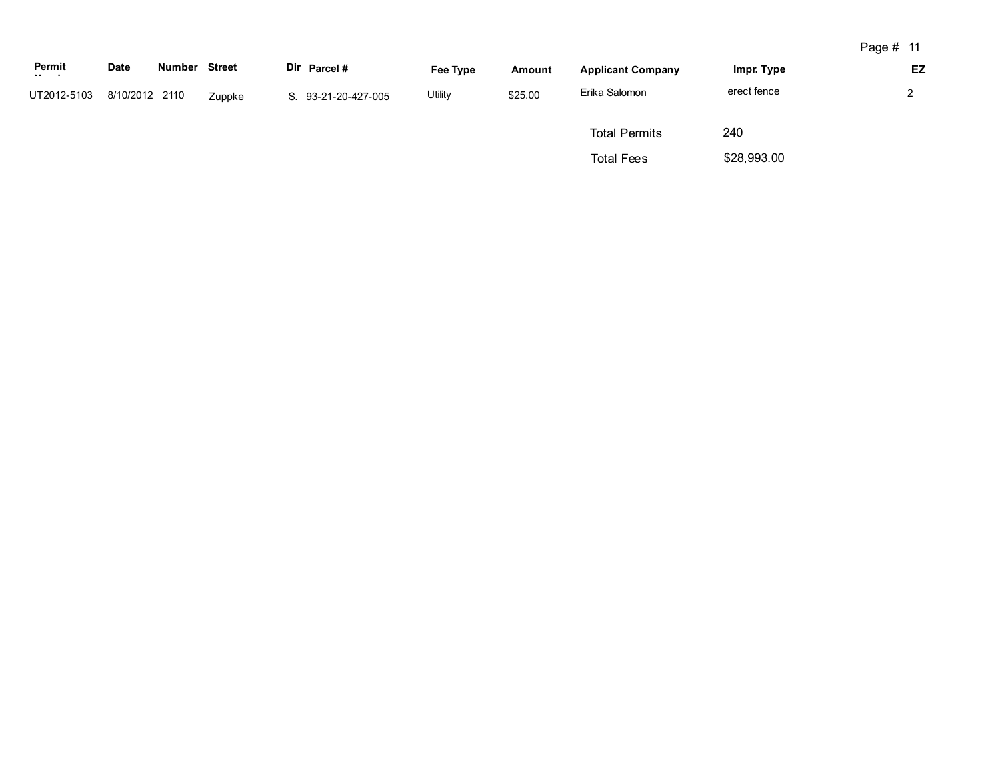| Permit<br>$\sim 10^{-1}$ and $\sim 10^{-1}$ | <b>Date</b>    | Number | <b>Street</b> | Dir Parcel#         | Fee Type       | Amount  | <b>Applicant Company</b> | Impr. Type  | EZ |
|---------------------------------------------|----------------|--------|---------------|---------------------|----------------|---------|--------------------------|-------------|----|
| UT2012-5103                                 | 8/10/2012 2110 |        | Zuppke        | S. 93-21-20-427-005 | <b>Utility</b> | \$25.00 | Erika Salomon            | erect fence | ົ  |
|                                             |                |        |               |                     |                |         | <b>Total Permits</b>     | 240         |    |
|                                             |                |        |               |                     |                |         | <b>Total Fees</b>        | \$28,993.00 |    |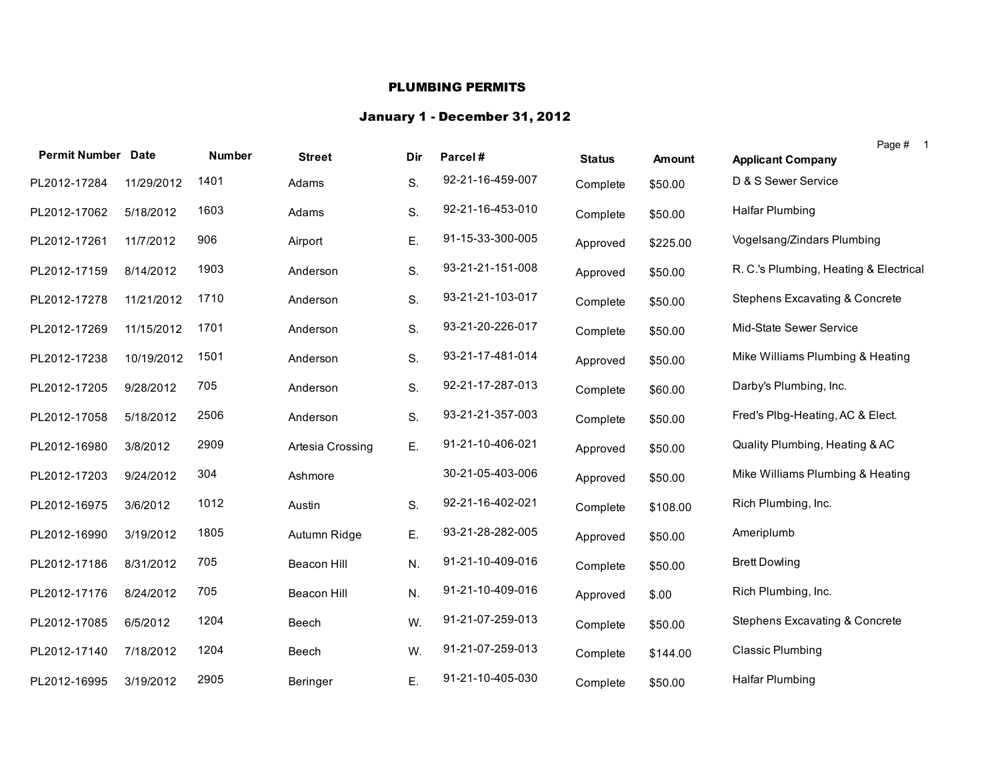## PLUMBING PERMITS

## January 1 - December 31, 2012

| <b>Permit Number Date</b> |            | <b>Number</b> | <b>Street</b>    | Dir | Parcel#          | <b>Status</b> | Amount   | Page #<br>$\overline{\phantom{0}}$ 1<br><b>Applicant Company</b> |
|---------------------------|------------|---------------|------------------|-----|------------------|---------------|----------|------------------------------------------------------------------|
| PL2012-17284              | 11/29/2012 | 1401          | Adams            | S.  | 92-21-16-459-007 | Complete      | \$50.00  | D & S Sewer Service                                              |
| PL2012-17062              | 5/18/2012  | 1603          | Adams            | S.  | 92-21-16-453-010 | Complete      | \$50.00  | Halfar Plumbing                                                  |
| PL2012-17261              | 11/7/2012  | 906           | Airport          | Ε.  | 91-15-33-300-005 | Approved      | \$225.00 | Vogelsang/Zindars Plumbing                                       |
| PL2012-17159              | 8/14/2012  | 1903          | Anderson         | S.  | 93-21-21-151-008 | Approved      | \$50.00  | R. C.'s Plumbing, Heating & Electrical                           |
| PL2012-17278              | 11/21/2012 | 1710          | Anderson         | S.  | 93-21-21-103-017 | Complete      | \$50.00  | Stephens Excavating & Concrete                                   |
| PL2012-17269              | 11/15/2012 | 1701          | Anderson         | S.  | 93-21-20-226-017 | Complete      | \$50.00  | Mid-State Sewer Service                                          |
| PL2012-17238              | 10/19/2012 | 1501          | Anderson         | S.  | 93-21-17-481-014 | Approved      | \$50.00  | Mike Williams Plumbing & Heating                                 |
| PL2012-17205              | 9/28/2012  | 705           | Anderson         | S.  | 92-21-17-287-013 | Complete      | \$60.00  | Darby's Plumbing, Inc.                                           |
| PL2012-17058              | 5/18/2012  | 2506          | Anderson         | S.  | 93-21-21-357-003 | Complete      | \$50.00  | Fred's Plbg-Heating, AC & Elect.                                 |
| PL2012-16980              | 3/8/2012   | 2909          | Artesia Crossing | Ε.  | 91-21-10-406-021 | Approved      | \$50.00  | Quality Plumbing, Heating & AC                                   |
| PL2012-17203              | 9/24/2012  | 304           | Ashmore          |     | 30-21-05-403-006 | Approved      | \$50.00  | Mike Williams Plumbing & Heating                                 |
| PL2012-16975              | 3/6/2012   | 1012          | Austin           | S.  | 92-21-16-402-021 | Complete      | \$108.00 | Rich Plumbing, Inc.                                              |
| PL2012-16990              | 3/19/2012  | 1805          | Autumn Ridge     | Ε.  | 93-21-28-282-005 | Approved      | \$50.00  | Ameriplumb                                                       |
| PL2012-17186              | 8/31/2012  | 705           | Beacon Hill      | N.  | 91-21-10-409-016 | Complete      | \$50.00  | <b>Brett Dowling</b>                                             |
| PL2012-17176              | 8/24/2012  | 705           | Beacon Hill      | N.  | 91-21-10-409-016 | Approved      | \$.00    | Rich Plumbing, Inc.                                              |
| PL2012-17085              | 6/5/2012   | 1204          | Beech            | W.  | 91-21-07-259-013 | Complete      | \$50.00  | Stephens Excavating & Concrete                                   |
| PL2012-17140              | 7/18/2012  | 1204          | Beech            | W.  | 91-21-07-259-013 | Complete      | \$144.00 | <b>Classic Plumbing</b>                                          |
| PL2012-16995              | 3/19/2012  | 2905          | Beringer         | Ε.  | 91-21-10-405-030 | Complete      | \$50.00  | Halfar Plumbing                                                  |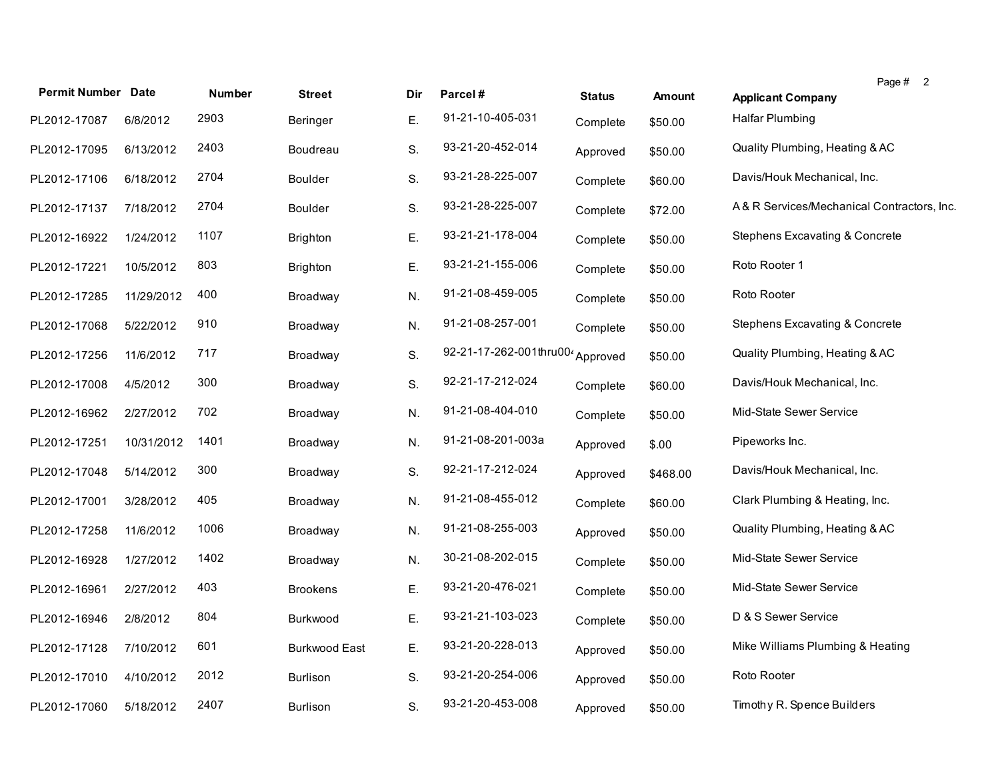| <b>Permit Number Date</b> |            | <b>Number</b> | <b>Street</b>        | Dir | Parcel#                 | <b>Status</b> | <b>Amount</b> | Page # 2<br><b>Applicant Company</b>      |
|---------------------------|------------|---------------|----------------------|-----|-------------------------|---------------|---------------|-------------------------------------------|
| PL2012-17087              | 6/8/2012   | 2903          | Beringer             | Ε.  | 91-21-10-405-031        | Complete      | \$50.00       | Halfar Plumbing                           |
| PL2012-17095              | 6/13/2012  | 2403          | Boudreau             | S.  | 93-21-20-452-014        | Approved      | \$50.00       | Quality Plumbing, Heating & AC            |
| PL2012-17106              | 6/18/2012  | 2704          | <b>Boulder</b>       | S.  | 93-21-28-225-007        | Complete      | \$60.00       | Davis/Houk Mechanical, Inc.               |
| PL2012-17137              | 7/18/2012  | 2704          | Boulder              | S.  | 93-21-28-225-007        | Complete      | \$72.00       | A&R Services/Mechanical Contractors, Inc. |
| PL2012-16922              | 1/24/2012  | 1107          | Brighton             | Ε.  | 93-21-21-178-004        | Complete      | \$50.00       | Stephens Excavating & Concrete            |
| PL2012-17221              | 10/5/2012  | 803           | Brighton             | Ε.  | 93-21-21-155-006        | Complete      | \$50.00       | Roto Rooter 1                             |
| PL2012-17285              | 11/29/2012 | 400           | Broadway             | N.  | 91-21-08-459-005        | Complete      | \$50.00       | Roto Rooter                               |
| PL2012-17068              | 5/22/2012  | 910           | Broadway             | N.  | 91-21-08-257-001        | Complete      | \$50.00       | Stephens Excavating & Concrete            |
| PL2012-17256              | 11/6/2012  | 717           | Broadway             | S.  | 92-21-17-262-001thru004 | Approved      | \$50.00       | Quality Plumbing, Heating & AC            |
| PL2012-17008              | 4/5/2012   | 300           | Broadway             | S.  | 92-21-17-212-024        | Complete      | \$60.00       | Davis/Houk Mechanical, Inc.               |
| PL2012-16962              | 2/27/2012  | 702           | Broadway             | N.  | 91-21-08-404-010        | Complete      | \$50.00       | Mid-State Sewer Service                   |
| PL2012-17251              | 10/31/2012 | 1401          | Broadway             | N.  | 91-21-08-201-003a       | Approved      | \$.00         | Pipeworks Inc.                            |
| PL2012-17048              | 5/14/2012  | 300           | Broadway             | S.  | 92-21-17-212-024        | Approved      | \$468.00      | Davis/Houk Mechanical, Inc.               |
| PL2012-17001              | 3/28/2012  | 405           | Broadway             | N.  | 91-21-08-455-012        | Complete      | \$60.00       | Clark Plumbing & Heating, Inc.            |
| PL2012-17258              | 11/6/2012  | 1006          | Broadway             | N.  | 91-21-08-255-003        | Approved      | \$50.00       | Quality Plumbing, Heating & AC            |
| PL2012-16928              | 1/27/2012  | 1402          | Broadway             | N.  | 30-21-08-202-015        | Complete      | \$50.00       | Mid-State Sewer Service                   |
| PL2012-16961              | 2/27/2012  | 403           | <b>Brookens</b>      | Ε.  | 93-21-20-476-021        | Complete      | \$50.00       | Mid-State Sewer Service                   |
| PL2012-16946              | 2/8/2012   | 804           | Burkwood             | Ε.  | 93-21-21-103-023        | Complete      | \$50.00       | D & S Sewer Service                       |
| PL2012-17128              | 7/10/2012  | 601           | <b>Burkwood East</b> | Ε.  | 93-21-20-228-013        | Approved      | \$50.00       | Mike Williams Plumbing & Heating          |
| PL2012-17010              | 4/10/2012  | 2012          | Burlison             | S.  | 93-21-20-254-006        | Approved      | \$50.00       | Roto Rooter                               |
| PL2012-17060              | 5/18/2012  | 2407          | <b>Burlison</b>      | S.  | 93-21-20-453-008        | Approved      | \$50.00       | Timothy R. Spence Builders                |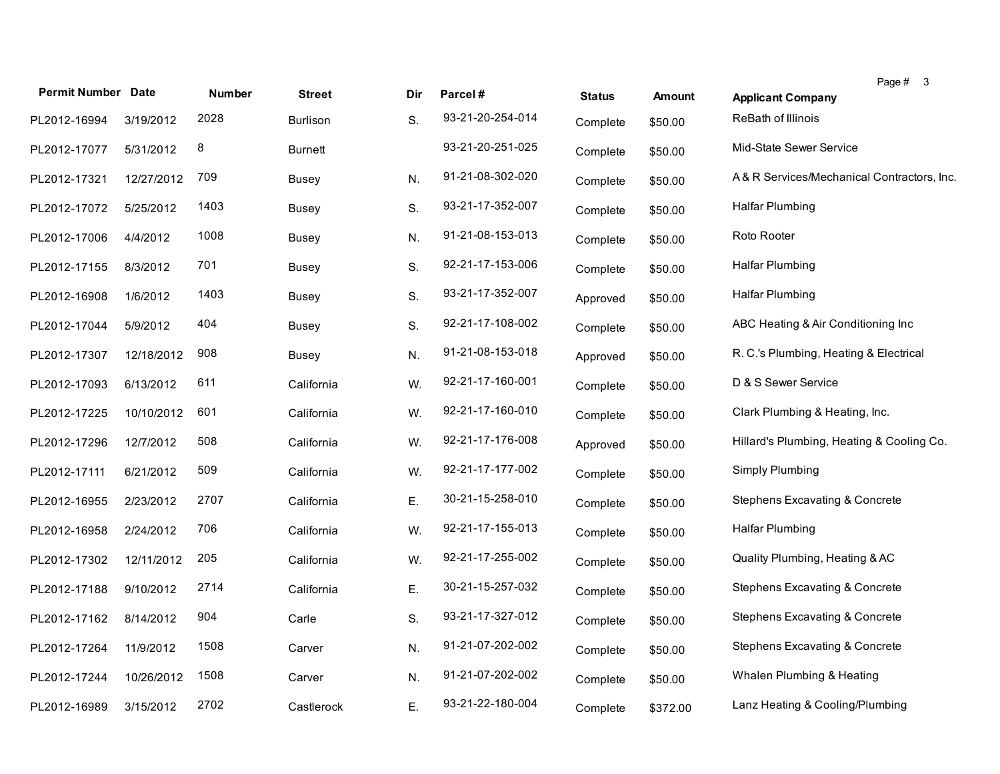| <b>Permit Number Date</b> |            | <b>Number</b> | <b>Street</b>   | Dir | Parcel#          | <b>Status</b> | <b>Amount</b> | Page $# 3$<br><b>Applicant Company</b>     |
|---------------------------|------------|---------------|-----------------|-----|------------------|---------------|---------------|--------------------------------------------|
| PL2012-16994              | 3/19/2012  | 2028          | <b>Burlison</b> | S.  | 93-21-20-254-014 | Complete      | \$50.00       | ReBath of Illinois                         |
| PL2012-17077              | 5/31/2012  | 8             | <b>Burnett</b>  |     | 93-21-20-251-025 | Complete      | \$50.00       | Mid-State Sewer Service                    |
| PL2012-17321              | 12/27/2012 | 709           | Busey           | N.  | 91-21-08-302-020 | Complete      | \$50.00       | A& R Services/Mechanical Contractors, Inc. |
| PL2012-17072              | 5/25/2012  | 1403          | Busey           | S.  | 93-21-17-352-007 | Complete      | \$50.00       | <b>Halfar Plumbing</b>                     |
| PL2012-17006              | 4/4/2012   | 1008          | Busey           | N.  | 91-21-08-153-013 | Complete      | \$50.00       | Roto Rooter                                |
| PL2012-17155              | 8/3/2012   | 701           | Busey           | S.  | 92-21-17-153-006 | Complete      | \$50.00       | <b>Halfar Plumbing</b>                     |
| PL2012-16908              | 1/6/2012   | 1403          | Busey           | S.  | 93-21-17-352-007 | Approved      | \$50.00       | <b>Halfar Plumbing</b>                     |
| PL2012-17044              | 5/9/2012   | 404           | Busey           | S.  | 92-21-17-108-002 | Complete      | \$50.00       | ABC Heating & Air Conditioning Inc         |
| PL2012-17307              | 12/18/2012 | 908           | <b>Busey</b>    | N.  | 91-21-08-153-018 | Approved      | \$50.00       | R. C.'s Plumbing, Heating & Electrical     |
| PL2012-17093              | 6/13/2012  | 611           | California      | W.  | 92-21-17-160-001 | Complete      | \$50.00       | D & S Sewer Service                        |
| PL2012-17225              | 10/10/2012 | 601           | California      | W.  | 92-21-17-160-010 | Complete      | \$50.00       | Clark Plumbing & Heating, Inc.             |
| PL2012-17296              | 12/7/2012  | 508           | California      | W.  | 92-21-17-176-008 | Approved      | \$50.00       | Hillard's Plumbing, Heating & Cooling Co.  |
| PL2012-17111              | 6/21/2012  | 509           | California      | W.  | 92-21-17-177-002 | Complete      | \$50.00       | Simply Plumbing                            |
| PL2012-16955              | 2/23/2012  | 2707          | California      | Ε.  | 30-21-15-258-010 | Complete      | \$50.00       | <b>Stephens Excavating &amp; Concrete</b>  |
| PL2012-16958              | 2/24/2012  | 706           | California      | W.  | 92-21-17-155-013 | Complete      | \$50.00       | <b>Halfar Plumbing</b>                     |
| PL2012-17302              | 12/11/2012 | 205           | California      | W.  | 92-21-17-255-002 | Complete      | \$50.00       | Quality Plumbing, Heating & AC             |
| PL2012-17188              | 9/10/2012  | 2714          | California      | Ε.  | 30-21-15-257-032 | Complete      | \$50.00       | <b>Stephens Excavating &amp; Concrete</b>  |
| PL2012-17162              | 8/14/2012  | 904           | Carle           | S.  | 93-21-17-327-012 | Complete      | \$50.00       | <b>Stephens Excavating &amp; Concrete</b>  |
| PL2012-17264              | 11/9/2012  | 1508          | Carver          | N.  | 91-21-07-202-002 | Complete      | \$50.00       | <b>Stephens Excavating &amp; Concrete</b>  |
| PL2012-17244              | 10/26/2012 | 1508          | Carver          | N.  | 91-21-07-202-002 | Complete      | \$50.00       | Whalen Plumbing & Heating                  |
| PL2012-16989              | 3/15/2012  | 2702          | Castlerock      | Ε.  | 93-21-22-180-004 | Complete      | \$372.00      | Lanz Heating & Cooling/Plumbing            |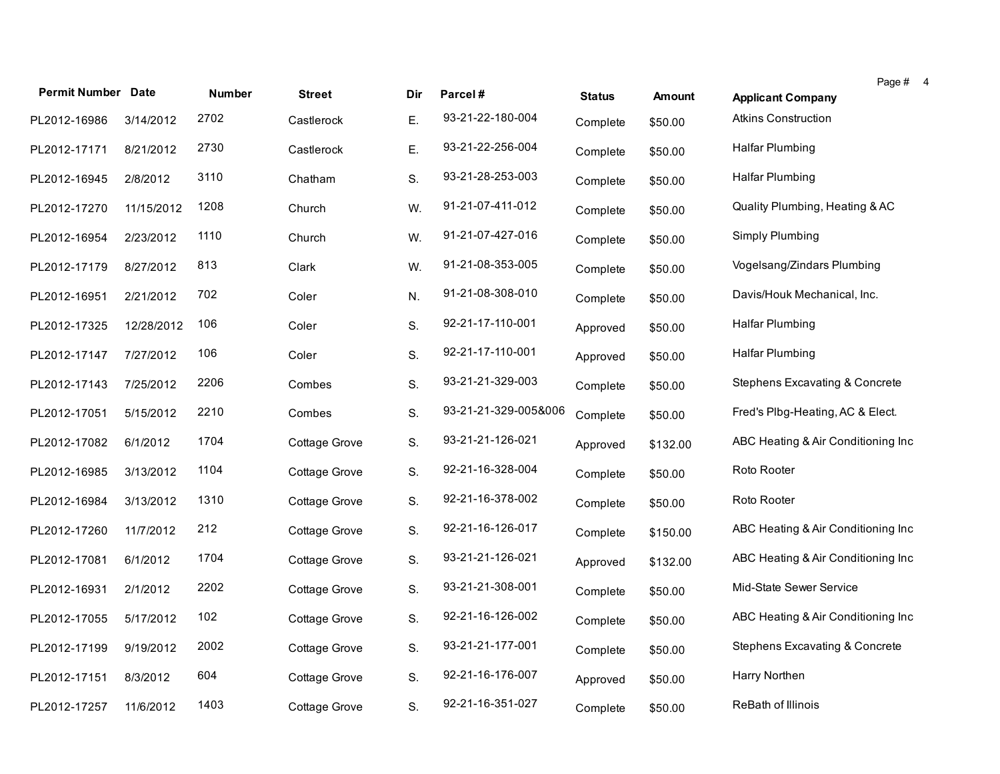| <b>Permit Number Date</b> |            | <b>Number</b> | <b>Street</b> | Dir | Parcel#              |               |               | Page # 4                           |
|---------------------------|------------|---------------|---------------|-----|----------------------|---------------|---------------|------------------------------------|
|                           |            |               |               |     |                      | <b>Status</b> | <b>Amount</b> | <b>Applicant Company</b>           |
| PL2012-16986              | 3/14/2012  | 2702          | Castlerock    | Ε.  | 93-21-22-180-004     | Complete      | \$50.00       | <b>Atkins Construction</b>         |
| PL2012-17171              | 8/21/2012  | 2730          | Castlerock    | Ε.  | 93-21-22-256-004     | Complete      | \$50.00       | <b>Halfar Plumbing</b>             |
| PL2012-16945              | 2/8/2012   | 3110          | Chatham       | S.  | 93-21-28-253-003     | Complete      | \$50.00       | Halfar Plumbing                    |
| PL2012-17270              | 11/15/2012 | 1208          | Church        | W.  | 91-21-07-411-012     | Complete      | \$50.00       | Quality Plumbing, Heating & AC     |
| PL2012-16954              | 2/23/2012  | 1110          | Church        | W.  | 91-21-07-427-016     | Complete      | \$50.00       | Simply Plumbing                    |
| PL2012-17179              | 8/27/2012  | 813           | Clark         | W.  | 91-21-08-353-005     | Complete      | \$50.00       | Vogelsang/Zindars Plumbing         |
| PL2012-16951              | 2/21/2012  | 702           | Coler         | N.  | 91-21-08-308-010     | Complete      | \$50.00       | Davis/Houk Mechanical, Inc.        |
| PL2012-17325              | 12/28/2012 | 106           | Coler         | S.  | 92-21-17-110-001     | Approved      | \$50.00       | <b>Halfar Plumbing</b>             |
| PL2012-17147              | 7/27/2012  | 106           | Coler         | S.  | 92-21-17-110-001     | Approved      | \$50.00       | <b>Halfar Plumbing</b>             |
| PL2012-17143              | 7/25/2012  | 2206          | Combes        | S.  | 93-21-21-329-003     | Complete      | \$50.00       | Stephens Excavating & Concrete     |
| PL2012-17051              | 5/15/2012  | 2210          | Combes        | S.  | 93-21-21-329-005&006 | Complete      | \$50.00       | Fred's Plbg-Heating, AC & Elect.   |
| PL2012-17082              | 6/1/2012   | 1704          | Cottage Grove | S.  | 93-21-21-126-021     | Approved      | \$132.00      | ABC Heating & Air Conditioning Inc |
| PL2012-16985              | 3/13/2012  | 1104          | Cottage Grove | S.  | 92-21-16-328-004     | Complete      | \$50.00       | Roto Rooter                        |
| PL2012-16984              | 3/13/2012  | 1310          | Cottage Grove | S.  | 92-21-16-378-002     | Complete      | \$50.00       | Roto Rooter                        |
| PL2012-17260              | 11/7/2012  | 212           | Cottage Grove | S.  | 92-21-16-126-017     | Complete      | \$150.00      | ABC Heating & Air Conditioning Inc |
| PL2012-17081              | 6/1/2012   | 1704          | Cottage Grove | S.  | 93-21-21-126-021     | Approved      | \$132.00      | ABC Heating & Air Conditioning Inc |
| PL2012-16931              | 2/1/2012   | 2202          | Cottage Grove | S.  | 93-21-21-308-001     | Complete      | \$50.00       | Mid-State Sewer Service            |
| PL2012-17055              | 5/17/2012  | 102           | Cottage Grove | S.  | 92-21-16-126-002     | Complete      | \$50.00       | ABC Heating & Air Conditioning Inc |
| PL2012-17199              | 9/19/2012  | 2002          | Cottage Grove | S.  | 93-21-21-177-001     | Complete      | \$50.00       | Stephens Excavating & Concrete     |
| PL2012-17151              | 8/3/2012   | 604           | Cottage Grove | S.  | 92-21-16-176-007     | Approved      | \$50.00       | Harry Northen                      |
| PL2012-17257              | 11/6/2012  | 1403          | Cottage Grove | S.  | 92-21-16-351-027     | Complete      | \$50.00       | ReBath of Illinois                 |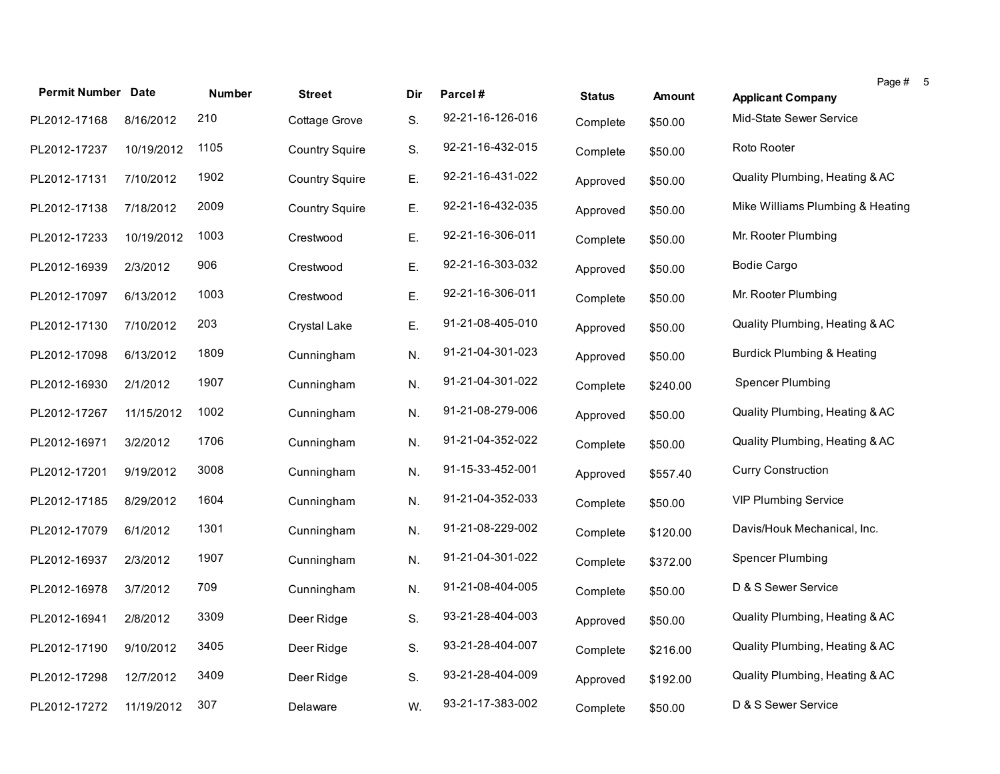| <b>Permit Number Date</b> |            | <b>Number</b> | <b>Street</b>         | Dir | Parcel#          | <b>Status</b> | Amount   | Page #<br><b>Applicant Company</b>    |
|---------------------------|------------|---------------|-----------------------|-----|------------------|---------------|----------|---------------------------------------|
| PL2012-17168              | 8/16/2012  | 210           | Cottage Grove         | S.  | 92-21-16-126-016 | Complete      | \$50.00  | Mid-State Sewer Service               |
| PL2012-17237              | 10/19/2012 | 1105          | <b>Country Squire</b> | S.  | 92-21-16-432-015 | Complete      | \$50.00  | Roto Rooter                           |
| PL2012-17131              | 7/10/2012  | 1902          | <b>Country Squire</b> | Ε.  | 92-21-16-431-022 | Approved      | \$50.00  | Quality Plumbing, Heating & AC        |
| PL2012-17138              | 7/18/2012  | 2009          | <b>Country Squire</b> | Ε.  | 92-21-16-432-035 | Approved      | \$50.00  | Mike Williams Plumbing & Heating      |
| PL2012-17233              | 10/19/2012 | 1003          | Crestwood             | Ε.  | 92-21-16-306-011 | Complete      | \$50.00  | Mr. Rooter Plumbing                   |
| PL2012-16939              | 2/3/2012   | 906           | Crestwood             | Ε.  | 92-21-16-303-032 | Approved      | \$50.00  | <b>Bodie Cargo</b>                    |
| PL2012-17097              | 6/13/2012  | 1003          | Crestwood             | Ε.  | 92-21-16-306-011 | Complete      | \$50.00  | Mr. Rooter Plumbing                   |
| PL2012-17130              | 7/10/2012  | 203           | Crystal Lake          | Ε.  | 91-21-08-405-010 | Approved      | \$50.00  | Quality Plumbing, Heating & AC        |
| PL2012-17098              | 6/13/2012  | 1809          | Cunningham            | N.  | 91-21-04-301-023 | Approved      | \$50.00  | <b>Burdick Plumbing &amp; Heating</b> |
| PL2012-16930              | 2/1/2012   | 1907          | Cunningham            | N.  | 91-21-04-301-022 | Complete      | \$240.00 | Spencer Plumbing                      |
| PL2012-17267              | 11/15/2012 | 1002          | Cunningham            | N.  | 91-21-08-279-006 | Approved      | \$50.00  | Quality Plumbing, Heating & AC        |
| PL2012-16971              | 3/2/2012   | 1706          | Cunningham            | N.  | 91-21-04-352-022 | Complete      | \$50.00  | Quality Plumbing, Heating & AC        |
| PL2012-17201              | 9/19/2012  | 3008          | Cunningham            | N.  | 91-15-33-452-001 | Approved      | \$557.40 | <b>Curry Construction</b>             |
| PL2012-17185              | 8/29/2012  | 1604          | Cunningham            | N.  | 91-21-04-352-033 | Complete      | \$50.00  | <b>VIP Plumbing Service</b>           |
| PL2012-17079              | 6/1/2012   | 1301          | Cunningham            | N.  | 91-21-08-229-002 | Complete      | \$120.00 | Davis/Houk Mechanical, Inc.           |
| PL2012-16937              | 2/3/2012   | 1907          | Cunningham            | N.  | 91-21-04-301-022 | Complete      | \$372.00 | Spencer Plumbing                      |
| PL2012-16978              | 3/7/2012   | 709           | Cunningham            | N.  | 91-21-08-404-005 | Complete      | \$50.00  | D & S Sewer Service                   |
| PL2012-16941              | 2/8/2012   | 3309          | Deer Ridge            | S.  | 93-21-28-404-003 | Approved      | \$50.00  | Quality Plumbing, Heating & AC        |
| PL2012-17190              | 9/10/2012  | 3405          | Deer Ridge            | S.  | 93-21-28-404-007 | Complete      | \$216.00 | Quality Plumbing, Heating & AC        |
| PL2012-17298              | 12/7/2012  | 3409          | Deer Ridge            | S.  | 93-21-28-404-009 | Approved      | \$192.00 | Quality Plumbing, Heating & AC        |
| PL2012-17272              | 11/19/2012 | 307           | Delaware              | W.  | 93-21-17-383-002 | Complete      | \$50.00  | D & S Sewer Service                   |

5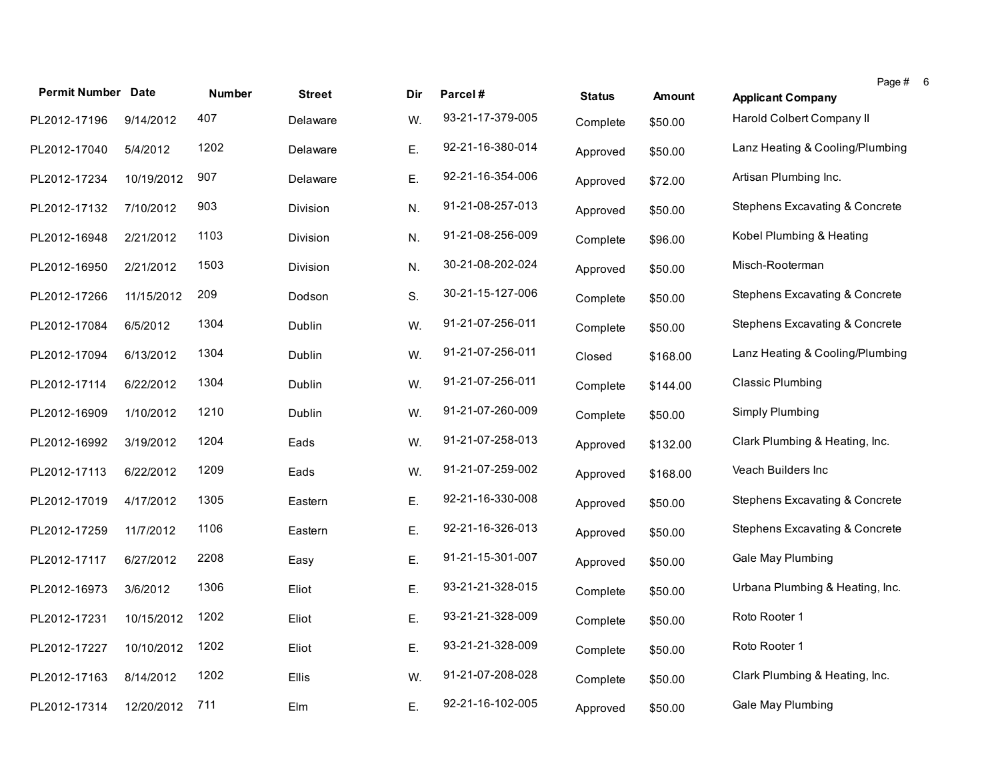|                           |            |        |               |     |                  |               |               | Page # 6                        |  |
|---------------------------|------------|--------|---------------|-----|------------------|---------------|---------------|---------------------------------|--|
| <b>Permit Number Date</b> |            | Number | <b>Street</b> | Dir | Parcel#          | <b>Status</b> | <b>Amount</b> | <b>Applicant Company</b>        |  |
| PL2012-17196              | 9/14/2012  | 407    | Delaware      | W.  | 93-21-17-379-005 | Complete      | \$50.00       | Harold Colbert Company II       |  |
| PL2012-17040              | 5/4/2012   | 1202   | Delaware      | Ε.  | 92-21-16-380-014 | Approved      | \$50.00       | Lanz Heating & Cooling/Plumbing |  |
| PL2012-17234              | 10/19/2012 | 907    | Delaware      | Ε.  | 92-21-16-354-006 | Approved      | \$72.00       | Artisan Plumbing Inc.           |  |
| PL2012-17132              | 7/10/2012  | 903    | Division      | N.  | 91-21-08-257-013 | Approved      | \$50.00       | Stephens Excavating & Concrete  |  |
| PL2012-16948              | 2/21/2012  | 1103   | Division      | N.  | 91-21-08-256-009 | Complete      | \$96.00       | Kobel Plumbing & Heating        |  |
| PL2012-16950              | 2/21/2012  | 1503   | Division      | N.  | 30-21-08-202-024 | Approved      | \$50.00       | Misch-Rooterman                 |  |
| PL2012-17266              | 11/15/2012 | 209    | Dodson        | S.  | 30-21-15-127-006 | Complete      | \$50.00       | Stephens Excavating & Concrete  |  |
| PL2012-17084              | 6/5/2012   | 1304   | Dublin        | W.  | 91-21-07-256-011 | Complete      | \$50.00       | Stephens Excavating & Concrete  |  |
| PL2012-17094              | 6/13/2012  | 1304   | <b>Dublin</b> | W.  | 91-21-07-256-011 | Closed        | \$168.00      | Lanz Heating & Cooling/Plumbing |  |
| PL2012-17114              | 6/22/2012  | 1304   | <b>Dublin</b> | W.  | 91-21-07-256-011 | Complete      | \$144.00      | Classic Plumbing                |  |
| PL2012-16909              | 1/10/2012  | 1210   | <b>Dublin</b> | W.  | 91-21-07-260-009 | Complete      | \$50.00       | Simply Plumbing                 |  |
| PL2012-16992              | 3/19/2012  | 1204   | Eads          | W.  | 91-21-07-258-013 | Approved      | \$132.00      | Clark Plumbing & Heating, Inc.  |  |
| PL2012-17113              | 6/22/2012  | 1209   | Eads          | W.  | 91-21-07-259-002 | Approved      | \$168.00      | Veach Builders Inc              |  |
| PL2012-17019              | 4/17/2012  | 1305   | Eastern       | Ε.  | 92-21-16-330-008 | Approved      | \$50.00       | Stephens Excavating & Concrete  |  |
| PL2012-17259              | 11/7/2012  | 1106   | Eastern       | Ε.  | 92-21-16-326-013 | Approved      | \$50.00       | Stephens Excavating & Concrete  |  |
| PL2012-17117              | 6/27/2012  | 2208   | Easy          | Ε.  | 91-21-15-301-007 | Approved      | \$50.00       | Gale May Plumbing               |  |
| PL2012-16973              | 3/6/2012   | 1306   | Eliot         | Ε.  | 93-21-21-328-015 | Complete      | \$50.00       | Urbana Plumbing & Heating, Inc. |  |
| PL2012-17231              | 10/15/2012 | 1202   | Eliot         | Ε.  | 93-21-21-328-009 | Complete      | \$50.00       | Roto Rooter 1                   |  |
| PL2012-17227              | 10/10/2012 | 1202   | Eliot         | Ε.  | 93-21-21-328-009 | Complete      | \$50.00       | Roto Rooter 1                   |  |
| PL2012-17163              | 8/14/2012  | 1202   | Ellis         | W.  | 91-21-07-208-028 | Complete      | \$50.00       | Clark Plumbing & Heating, Inc.  |  |
| PL2012-17314              | 12/20/2012 | 711    | Elm           | Ε.  | 92-21-16-102-005 | Approved      | \$50.00       | Gale May Plumbing               |  |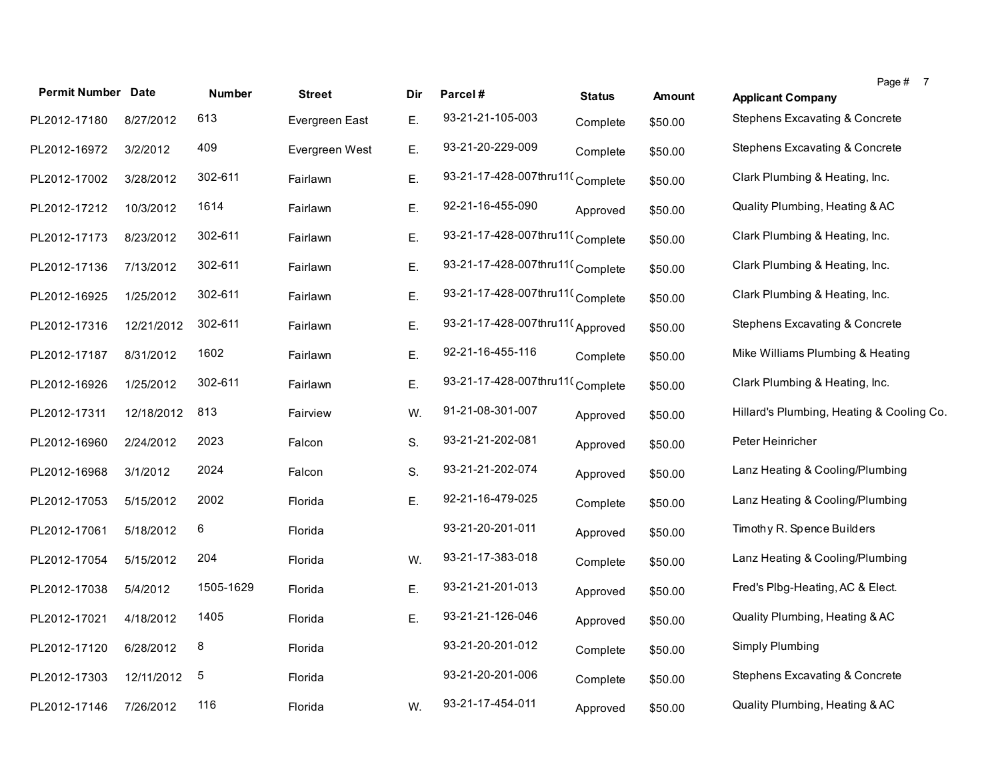| <b>Permit Number Date</b> |            | <b>Number</b> | <b>Street</b>  | Dir | Parcel#                         | <b>Status</b> | <b>Amount</b> | <b>Applicant Company</b>                  | Page # 7 |
|---------------------------|------------|---------------|----------------|-----|---------------------------------|---------------|---------------|-------------------------------------------|----------|
| PL2012-17180              | 8/27/2012  | 613           | Evergreen East | Ε.  | 93-21-21-105-003                | Complete      | \$50.00       | <b>Stephens Excavating &amp; Concrete</b> |          |
| PL2012-16972              | 3/2/2012   | 409           | Evergreen West | Ε.  | 93-21-20-229-009                | Complete      | \$50.00       | <b>Stephens Excavating &amp; Concrete</b> |          |
| PL2012-17002              | 3/28/2012  | 302-611       | Fairlawn       | Ε.  | 93-21-17-428-007thru11(Complete |               | \$50.00       | Clark Plumbing & Heating, Inc.            |          |
| PL2012-17212              | 10/3/2012  | 1614          | Fairlawn       | Ε.  | 92-21-16-455-090                | Approved      | \$50.00       | Quality Plumbing, Heating & AC            |          |
| PL2012-17173              | 8/23/2012  | 302-611       | Fairlawn       | Ε.  | 93-21-17-428-007thru11(Complete |               | \$50.00       | Clark Plumbing & Heating, Inc.            |          |
| PL2012-17136              | 7/13/2012  | 302-611       | Fairlawn       | Ε.  | 93-21-17-428-007thru11(Complete |               | \$50.00       | Clark Plumbing & Heating, Inc.            |          |
| PL2012-16925              | 1/25/2012  | 302-611       | Fairlawn       | Ε.  | 93-21-17-428-007thru11(Complete |               | \$50.00       | Clark Plumbing & Heating, Inc.            |          |
| PL2012-17316              | 12/21/2012 | 302-611       | Fairlawn       | Ε.  | 93-21-17-428-007thru11(Approved |               | \$50.00       | <b>Stephens Excavating &amp; Concrete</b> |          |
| PL2012-17187              | 8/31/2012  | 1602          | Fairlawn       | Ε.  | 92-21-16-455-116                | Complete      | \$50.00       | Mike Williams Plumbing & Heating          |          |
| PL2012-16926              | 1/25/2012  | 302-611       | Fairlawn       | Ε.  | 93-21-17-428-007thru11(Complete |               | \$50.00       | Clark Plumbing & Heating, Inc.            |          |
| PL2012-17311              | 12/18/2012 | 813           | Fairview       | W.  | 91-21-08-301-007                | Approved      | \$50.00       | Hillard's Plumbing, Heating & Cooling Co. |          |
| PL2012-16960              | 2/24/2012  | 2023          | Falcon         | S.  | 93-21-21-202-081                | Approved      | \$50.00       | Peter Heinricher                          |          |
| PL2012-16968              | 3/1/2012   | 2024          | Falcon         | S.  | 93-21-21-202-074                | Approved      | \$50.00       | Lanz Heating & Cooling/Plumbing           |          |
| PL2012-17053              | 5/15/2012  | 2002          | Florida        | Ε.  | 92-21-16-479-025                | Complete      | \$50.00       | Lanz Heating & Cooling/Plumbing           |          |
| PL2012-17061              | 5/18/2012  | 6             | Florida        |     | 93-21-20-201-011                | Approved      | \$50.00       | Timothy R. Spence Builders                |          |
| PL2012-17054              | 5/15/2012  | 204           | Florida        | W.  | 93-21-17-383-018                | Complete      | \$50.00       | Lanz Heating & Cooling/Plumbing           |          |
| PL2012-17038              | 5/4/2012   | 1505-1629     | Florida        | Ε.  | 93-21-21-201-013                | Approved      | \$50.00       | Fred's Plbg-Heating, AC & Elect.          |          |
| PL2012-17021              | 4/18/2012  | 1405          | Florida        | Ε.  | 93-21-21-126-046                | Approved      | \$50.00       | Quality Plumbing, Heating & AC            |          |
| PL2012-17120              | 6/28/2012  | 8             | Florida        |     | 93-21-20-201-012                | Complete      | \$50.00       | Simply Plumbing                           |          |
| PL2012-17303              | 12/11/2012 | $\sqrt{5}$    | Florida        |     | 93-21-20-201-006                | Complete      | \$50.00       | <b>Stephens Excavating &amp; Concrete</b> |          |
| PL2012-17146              | 7/26/2012  | 116           | Florida        | W.  | 93-21-17-454-011                | Approved      | \$50.00       | Quality Plumbing, Heating & AC            |          |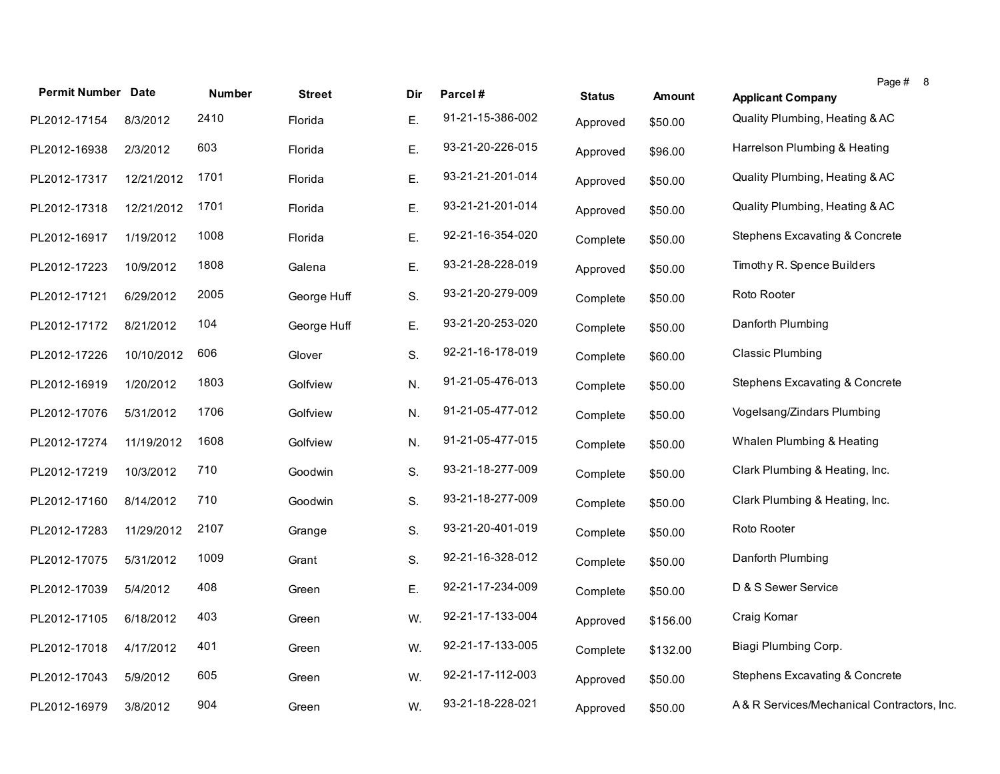| <b>Permit Number Date</b> |            | <b>Number</b> | <b>Street</b> | Dir | Parcel#          | <b>Status</b> | <b>Amount</b> | Page # 8<br><b>Applicant Company</b>       |
|---------------------------|------------|---------------|---------------|-----|------------------|---------------|---------------|--------------------------------------------|
| PL2012-17154              | 8/3/2012   | 2410          | Florida       | E.  | 91-21-15-386-002 | Approved      | \$50.00       | Quality Plumbing, Heating & AC             |
| PL2012-16938              | 2/3/2012   | 603           | Florida       | E.  | 93-21-20-226-015 | Approved      | \$96.00       | Harrelson Plumbing & Heating               |
| PL2012-17317              | 12/21/2012 | 1701          | Florida       | Ε.  | 93-21-21-201-014 | Approved      | \$50.00       | Quality Plumbing, Heating & AC             |
| PL2012-17318              | 12/21/2012 | 1701          | Florida       | E.  | 93-21-21-201-014 | Approved      | \$50.00       | Quality Plumbing, Heating & AC             |
| PL2012-16917              | 1/19/2012  | 1008          | Florida       | Ε.  | 92-21-16-354-020 | Complete      | \$50.00       | Stephens Excavating & Concrete             |
| PL2012-17223              | 10/9/2012  | 1808          | Galena        | Ε.  | 93-21-28-228-019 | Approved      | \$50.00       | Timothy R. Spence Builders                 |
| PL2012-17121              | 6/29/2012  | 2005          | George Huff   | S.  | 93-21-20-279-009 | Complete      | \$50.00       | Roto Rooter                                |
| PL2012-17172              | 8/21/2012  | 104           | George Huff   | Ε.  | 93-21-20-253-020 | Complete      | \$50.00       | Danforth Plumbing                          |
| PL2012-17226              | 10/10/2012 | 606           | Glover        | S.  | 92-21-16-178-019 | Complete      | \$60.00       | <b>Classic Plumbing</b>                    |
| PL2012-16919              | 1/20/2012  | 1803          | Golfview      | N.  | 91-21-05-476-013 | Complete      | \$50.00       | Stephens Excavating & Concrete             |
| PL2012-17076              | 5/31/2012  | 1706          | Golfview      | N.  | 91-21-05-477-012 | Complete      | \$50.00       | Vogelsang/Zindars Plumbing                 |
| PL2012-17274              | 11/19/2012 | 1608          | Golfview      | N.  | 91-21-05-477-015 | Complete      | \$50.00       | Whalen Plumbing & Heating                  |
| PL2012-17219              | 10/3/2012  | 710           | Goodwin       | S.  | 93-21-18-277-009 | Complete      | \$50.00       | Clark Plumbing & Heating, Inc.             |
| PL2012-17160              | 8/14/2012  | 710           | Goodwin       | S.  | 93-21-18-277-009 | Complete      | \$50.00       | Clark Plumbing & Heating, Inc.             |
| PL2012-17283              | 11/29/2012 | 2107          | Grange        | S.  | 93-21-20-401-019 | Complete      | \$50.00       | Roto Rooter                                |
| PL2012-17075              | 5/31/2012  | 1009          | Grant         | S.  | 92-21-16-328-012 | Complete      | \$50.00       | Danforth Plumbing                          |
| PL2012-17039              | 5/4/2012   | 408           | Green         | Ε.  | 92-21-17-234-009 | Complete      | \$50.00       | D & S Sewer Service                        |
| PL2012-17105              | 6/18/2012  | 403           | Green         | W.  | 92-21-17-133-004 | Approved      | \$156.00      | Craig Komar                                |
| PL2012-17018              | 4/17/2012  | 401           | Green         | W.  | 92-21-17-133-005 | Complete      | \$132.00      | Biagi Plumbing Corp.                       |
| PL2012-17043              | 5/9/2012   | 605           | Green         | W.  | 92-21-17-112-003 | Approved      | \$50.00       | <b>Stephens Excavating &amp; Concrete</b>  |
| PL2012-16979              | 3/8/2012   | 904           | Green         | W.  | 93-21-18-228-021 | Approved      | \$50.00       | A& R Services/Mechanical Contractors, Inc. |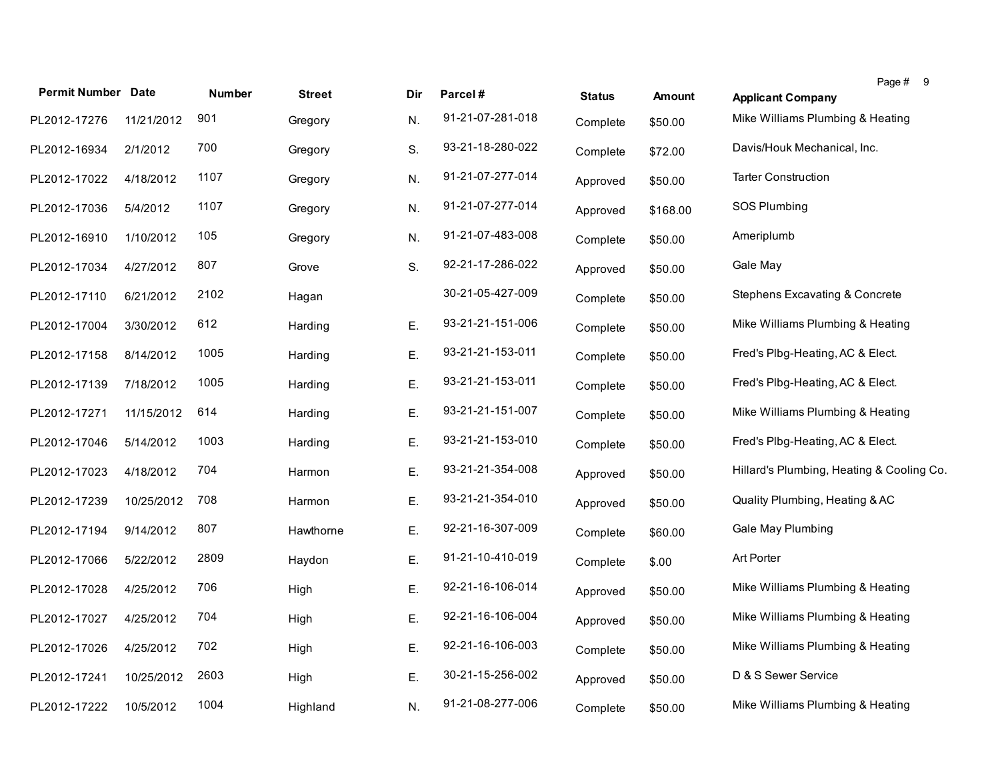| <b>Permit Number Date</b> |            | <b>Number</b> | <b>Street</b> | Dir | Parcel#          | <b>Status</b> | <b>Amount</b> | <b>Applicant Company</b>                  | Page # | - 9 |
|---------------------------|------------|---------------|---------------|-----|------------------|---------------|---------------|-------------------------------------------|--------|-----|
| PL2012-17276              | 11/21/2012 | 901           | Gregory       | N.  | 91-21-07-281-018 | Complete      | \$50.00       | Mike Williams Plumbing & Heating          |        |     |
| PL2012-16934              | 2/1/2012   | 700           | Gregory       | S.  | 93-21-18-280-022 | Complete      | \$72.00       | Davis/Houk Mechanical, Inc.               |        |     |
| PL2012-17022              | 4/18/2012  | 1107          | Gregory       | N.  | 91-21-07-277-014 | Approved      | \$50.00       | <b>Tarter Construction</b>                |        |     |
| PL2012-17036              | 5/4/2012   | 1107          | Gregory       | N.  | 91-21-07-277-014 | Approved      | \$168.00      | SOS Plumbing                              |        |     |
| PL2012-16910              | 1/10/2012  | 105           | Gregory       | N.  | 91-21-07-483-008 | Complete      | \$50.00       | Ameriplumb                                |        |     |
| PL2012-17034              | 4/27/2012  | 807           | Grove         | S.  | 92-21-17-286-022 | Approved      | \$50.00       | Gale May                                  |        |     |
| PL2012-17110              | 6/21/2012  | 2102          | Hagan         |     | 30-21-05-427-009 | Complete      | \$50.00       | <b>Stephens Excavating &amp; Concrete</b> |        |     |
| PL2012-17004              | 3/30/2012  | 612           | Harding       | Ε.  | 93-21-21-151-006 | Complete      | \$50.00       | Mike Williams Plumbing & Heating          |        |     |
| PL2012-17158              | 8/14/2012  | 1005          | Harding       | Ε.  | 93-21-21-153-011 | Complete      | \$50.00       | Fred's Plbg-Heating, AC & Elect.          |        |     |
| PL2012-17139              | 7/18/2012  | 1005          | Harding       | Ε.  | 93-21-21-153-011 | Complete      | \$50.00       | Fred's Plbg-Heating, AC & Elect.          |        |     |
| PL2012-17271              | 11/15/2012 | 614           | Harding       | Ε.  | 93-21-21-151-007 | Complete      | \$50.00       | Mike Williams Plumbing & Heating          |        |     |
| PL2012-17046              | 5/14/2012  | 1003          | Harding       | Ε.  | 93-21-21-153-010 | Complete      | \$50.00       | Fred's Plbg-Heating, AC & Elect.          |        |     |
| PL2012-17023              | 4/18/2012  | 704           | Harmon        | Ε.  | 93-21-21-354-008 | Approved      | \$50.00       | Hillard's Plumbing, Heating & Cooling Co. |        |     |
| PL2012-17239              | 10/25/2012 | 708           | Harmon        | Ε.  | 93-21-21-354-010 | Approved      | \$50.00       | Quality Plumbing, Heating & AC            |        |     |
| PL2012-17194              | 9/14/2012  | 807           | Hawthorne     | Ε.  | 92-21-16-307-009 | Complete      | \$60.00       | Gale May Plumbing                         |        |     |
| PL2012-17066              | 5/22/2012  | 2809          | Haydon        | Ε.  | 91-21-10-410-019 | Complete      | \$.00         | Art Porter                                |        |     |
| PL2012-17028              | 4/25/2012  | 706           | High          | Ε.  | 92-21-16-106-014 | Approved      | \$50.00       | Mike Williams Plumbing & Heating          |        |     |
| PL2012-17027              | 4/25/2012  | 704           | High          | Ε.  | 92-21-16-106-004 | Approved      | \$50.00       | Mike Williams Plumbing & Heating          |        |     |
| PL2012-17026              | 4/25/2012  | 702           | High          | Ε.  | 92-21-16-106-003 | Complete      | \$50.00       | Mike Williams Plumbing & Heating          |        |     |
| PL2012-17241              | 10/25/2012 | 2603          | High          | Ε.  | 30-21-15-256-002 | Approved      | \$50.00       | D & S Sewer Service                       |        |     |
| PL2012-17222              | 10/5/2012  | 1004          | Highland      | N.  | 91-21-08-277-006 | Complete      | \$50.00       | Mike Williams Plumbing & Heating          |        |     |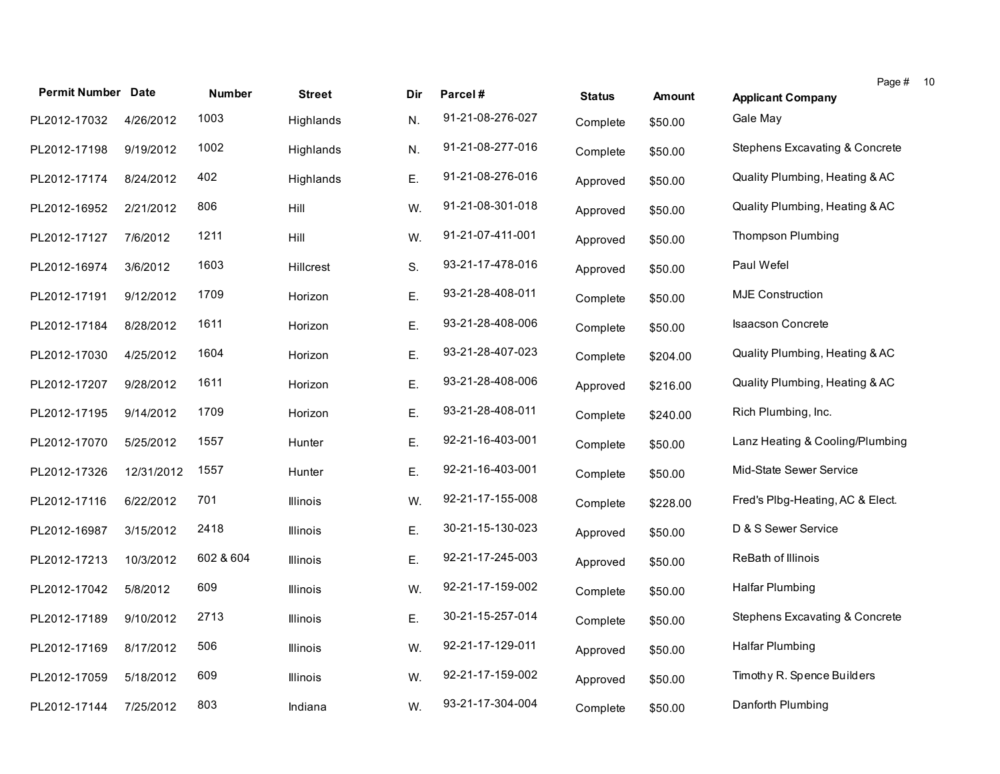|                           |            |               |                  |     |                  |               |               | Page # 10                        |
|---------------------------|------------|---------------|------------------|-----|------------------|---------------|---------------|----------------------------------|
| <b>Permit Number Date</b> |            | <b>Number</b> | <b>Street</b>    | Dir | Parcel#          | <b>Status</b> | <b>Amount</b> | <b>Applicant Company</b>         |
| PL2012-17032              | 4/26/2012  | 1003          | Highlands        | N.  | 91-21-08-276-027 | Complete      | \$50.00       | Gale May                         |
| PL2012-17198              | 9/19/2012  | 1002          | Highlands        | N.  | 91-21-08-277-016 | Complete      | \$50.00       | Stephens Excavating & Concrete   |
| PL2012-17174              | 8/24/2012  | 402           | Highlands        | Ε.  | 91-21-08-276-016 | Approved      | \$50.00       | Quality Plumbing, Heating & AC   |
| PL2012-16952              | 2/21/2012  | 806           | Hill             | W.  | 91-21-08-301-018 | Approved      | \$50.00       | Quality Plumbing, Heating & AC   |
| PL2012-17127              | 7/6/2012   | 1211          | Hill             | W.  | 91-21-07-411-001 | Approved      | \$50.00       | <b>Thompson Plumbing</b>         |
| PL2012-16974              | 3/6/2012   | 1603          | <b>Hillcrest</b> | S.  | 93-21-17-478-016 | Approved      | \$50.00       | Paul Wefel                       |
| PL2012-17191              | 9/12/2012  | 1709          | Horizon          | Ε.  | 93-21-28-408-011 | Complete      | \$50.00       | <b>MJE Construction</b>          |
| PL2012-17184              | 8/28/2012  | 1611          | Horizon          | Ε.  | 93-21-28-408-006 | Complete      | \$50.00       | <b>Isaacson Concrete</b>         |
| PL2012-17030              | 4/25/2012  | 1604          | Horizon          | Ε.  | 93-21-28-407-023 | Complete      | \$204.00      | Quality Plumbing, Heating & AC   |
| PL2012-17207              | 9/28/2012  | 1611          | Horizon          | Ε.  | 93-21-28-408-006 | Approved      | \$216.00      | Quality Plumbing, Heating & AC   |
| PL2012-17195              | 9/14/2012  | 1709          | Horizon          | Ε.  | 93-21-28-408-011 | Complete      | \$240.00      | Rich Plumbing, Inc.              |
| PL2012-17070              | 5/25/2012  | 1557          | Hunter           | Ε.  | 92-21-16-403-001 | Complete      | \$50.00       | Lanz Heating & Cooling/Plumbing  |
| PL2012-17326              | 12/31/2012 | 1557          | Hunter           | Ε.  | 92-21-16-403-001 | Complete      | \$50.00       | Mid-State Sewer Service          |
| PL2012-17116              | 6/22/2012  | 701           | <b>Illinois</b>  | W.  | 92-21-17-155-008 | Complete      | \$228.00      | Fred's Plbg-Heating, AC & Elect. |
| PL2012-16987              | 3/15/2012  | 2418          | Illinois         | Ε.  | 30-21-15-130-023 | Approved      | \$50.00       | D & S Sewer Service              |
| PL2012-17213              | 10/3/2012  | 602 & 604     | <b>Illinois</b>  | Ε.  | 92-21-17-245-003 | Approved      | \$50.00       | <b>ReBath of Illinois</b>        |
| PL2012-17042              | 5/8/2012   | 609           | <b>Illinois</b>  | W.  | 92-21-17-159-002 | Complete      | \$50.00       | Halfar Plumbing                  |
| PL2012-17189              | 9/10/2012  | 2713          | <b>Illinois</b>  | Ε.  | 30-21-15-257-014 | Complete      | \$50.00       | Stephens Excavating & Concrete   |
| PL2012-17169              | 8/17/2012  | 506           | <b>Illinois</b>  | W.  | 92-21-17-129-011 | Approved      | \$50.00       | <b>Halfar Plumbing</b>           |
| PL2012-17059              | 5/18/2012  | 609           | <b>Illinois</b>  | W.  | 92-21-17-159-002 | Approved      | \$50.00       | Timothy R. Spence Builders       |
| PL2012-17144              | 7/25/2012  | 803           | Indiana          | W.  | 93-21-17-304-004 | Complete      | \$50.00       | Danforth Plumbing                |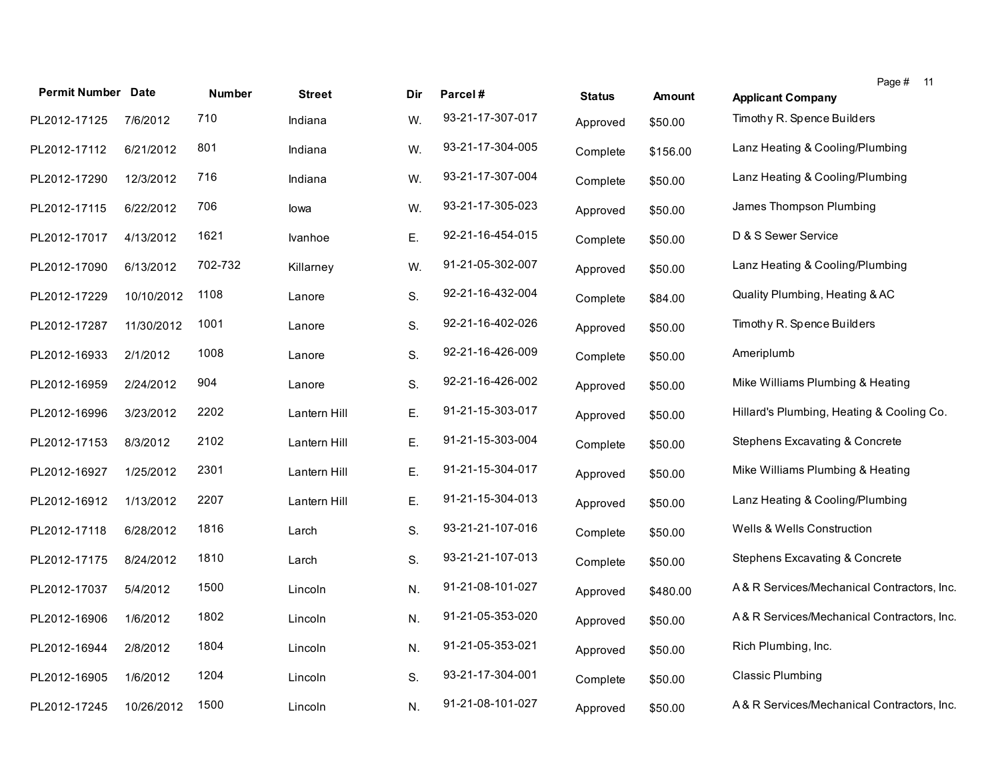| <b>Permit Number Date</b> |            | <b>Number</b> | <b>Street</b> | Dir | Parcel#          | <b>Status</b> | <b>Amount</b> | Page $#$ 11<br><b>Applicant Company</b>    |
|---------------------------|------------|---------------|---------------|-----|------------------|---------------|---------------|--------------------------------------------|
| PL2012-17125              | 7/6/2012   | 710           | Indiana       | W.  | 93-21-17-307-017 | Approved      | \$50.00       | Timothy R. Spence Builders                 |
| PL2012-17112              | 6/21/2012  | 801           | Indiana       | W.  | 93-21-17-304-005 | Complete      | \$156.00      | Lanz Heating & Cooling/Plumbing            |
| PL2012-17290              | 12/3/2012  | 716           | Indiana       | W.  | 93-21-17-307-004 | Complete      | \$50.00       | Lanz Heating & Cooling/Plumbing            |
| PL2012-17115              | 6/22/2012  | 706           | lowa          | W.  | 93-21-17-305-023 | Approved      | \$50.00       | James Thompson Plumbing                    |
| PL2012-17017              | 4/13/2012  | 1621          | Ivanhoe       | Ε.  | 92-21-16-454-015 | Complete      | \$50.00       | D & S Sewer Service                        |
| PL2012-17090              | 6/13/2012  | 702-732       | Killarney     | W.  | 91-21-05-302-007 | Approved      | \$50.00       | Lanz Heating & Cooling/Plumbing            |
| PL2012-17229              | 10/10/2012 | 1108          | Lanore        | S.  | 92-21-16-432-004 | Complete      | \$84.00       | Quality Plumbing, Heating & AC             |
| PL2012-17287              | 11/30/2012 | 1001          | Lanore        | S.  | 92-21-16-402-026 | Approved      | \$50.00       | Timothy R. Spence Builders                 |
| PL2012-16933              | 2/1/2012   | 1008          | Lanore        | S.  | 92-21-16-426-009 | Complete      | \$50.00       | Ameriplumb                                 |
| PL2012-16959              | 2/24/2012  | 904           | Lanore        | S.  | 92-21-16-426-002 | Approved      | \$50.00       | Mike Williams Plumbing & Heating           |
| PL2012-16996              | 3/23/2012  | 2202          | Lantern Hill  | Ε.  | 91-21-15-303-017 | Approved      | \$50.00       | Hillard's Plumbing, Heating & Cooling Co.  |
| PL2012-17153              | 8/3/2012   | 2102          | Lantern Hill  | Ε.  | 91-21-15-303-004 | Complete      | \$50.00       | Stephens Excavating & Concrete             |
| PL2012-16927              | 1/25/2012  | 2301          | Lantern Hill  | Ε.  | 91-21-15-304-017 | Approved      | \$50.00       | Mike Williams Plumbing & Heating           |
| PL2012-16912              | 1/13/2012  | 2207          | Lantern Hill  | Ε.  | 91-21-15-304-013 | Approved      | \$50.00       | Lanz Heating & Cooling/Plumbing            |
| PL2012-17118              | 6/28/2012  | 1816          | Larch         | S.  | 93-21-21-107-016 | Complete      | \$50.00       | Wells & Wells Construction                 |
| PL2012-17175              | 8/24/2012  | 1810          | Larch         | S.  | 93-21-21-107-013 | Complete      | \$50.00       | <b>Stephens Excavating &amp; Concrete</b>  |
| PL2012-17037              | 5/4/2012   | 1500          | Lincoln       | N.  | 91-21-08-101-027 | Approved      | \$480.00      | A&R Services/Mechanical Contractors, Inc.  |
| PL2012-16906              | 1/6/2012   | 1802          | Lincoln       | N.  | 91-21-05-353-020 | Approved      | \$50.00       | A& R Services/Mechanical Contractors, Inc. |
| PL2012-16944              | 2/8/2012   | 1804          | Lincoln       | N.  | 91-21-05-353-021 | Approved      | \$50.00       | Rich Plumbing, Inc.                        |
| PL2012-16905              | 1/6/2012   | 1204          | Lincoln       | S.  | 93-21-17-304-001 | Complete      | \$50.00       | <b>Classic Plumbing</b>                    |
| PL2012-17245              | 10/26/2012 | 1500          | Lincoln       | N.  | 91-21-08-101-027 | Approved      | \$50.00       | A& R Services/Mechanical Contractors, Inc. |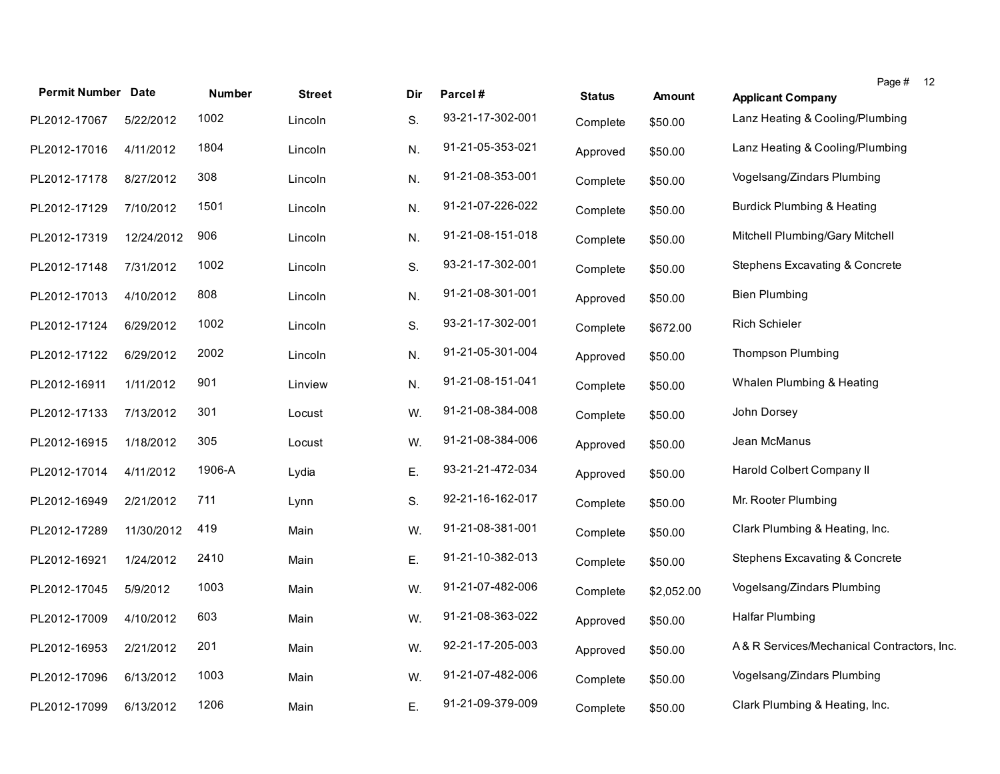| <b>Permit Number Date</b> |            | <b>Number</b> | <b>Street</b> | Dir | Parcel#          | <b>Status</b> | <b>Amount</b> | Page # 12<br><b>Applicant Company</b>      |
|---------------------------|------------|---------------|---------------|-----|------------------|---------------|---------------|--------------------------------------------|
| PL2012-17067              | 5/22/2012  | 1002          | Lincoln       | S.  | 93-21-17-302-001 | Complete      | \$50.00       | Lanz Heating & Cooling/Plumbing            |
| PL2012-17016              | 4/11/2012  | 1804          | Lincoln       | N.  | 91-21-05-353-021 | Approved      | \$50.00       | Lanz Heating & Cooling/Plumbing            |
| PL2012-17178              | 8/27/2012  | 308           | Lincoln       | N.  | 91-21-08-353-001 | Complete      | \$50.00       | Vogelsang/Zindars Plumbing                 |
| PL2012-17129              | 7/10/2012  | 1501          | Lincoln       | N.  | 91-21-07-226-022 | Complete      | \$50.00       | <b>Burdick Plumbing &amp; Heating</b>      |
| PL2012-17319              | 12/24/2012 | 906           | Lincoln       | N.  | 91-21-08-151-018 | Complete      | \$50.00       | Mitchell Plumbing/Gary Mitchell            |
| PL2012-17148              | 7/31/2012  | 1002          | Lincoln       | S.  | 93-21-17-302-001 | Complete      | \$50.00       | <b>Stephens Excavating &amp; Concrete</b>  |
| PL2012-17013              | 4/10/2012  | 808           | Lincoln       | N.  | 91-21-08-301-001 | Approved      | \$50.00       | <b>Bien Plumbing</b>                       |
| PL2012-17124              | 6/29/2012  | 1002          | Lincoln       | S.  | 93-21-17-302-001 | Complete      | \$672.00      | <b>Rich Schieler</b>                       |
| PL2012-17122              | 6/29/2012  | 2002          | Lincoln       | N.  | 91-21-05-301-004 | Approved      | \$50.00       | <b>Thompson Plumbing</b>                   |
| PL2012-16911              | 1/11/2012  | 901           | Linview       | N.  | 91-21-08-151-041 | Complete      | \$50.00       | Whalen Plumbing & Heating                  |
| PL2012-17133              | 7/13/2012  | 301           | Locust        | W.  | 91-21-08-384-008 | Complete      | \$50.00       | John Dorsey                                |
| PL2012-16915              | 1/18/2012  | 305           | Locust        | W.  | 91-21-08-384-006 | Approved      | \$50.00       | Jean McManus                               |
| PL2012-17014              | 4/11/2012  | 1906-A        | Lydia         | Ε.  | 93-21-21-472-034 | Approved      | \$50.00       | Harold Colbert Company II                  |
| PL2012-16949              | 2/21/2012  | 711           | Lynn          | S.  | 92-21-16-162-017 | Complete      | \$50.00       | Mr. Rooter Plumbing                        |
| PL2012-17289              | 11/30/2012 | 419           | Main          | W.  | 91-21-08-381-001 | Complete      | \$50.00       | Clark Plumbing & Heating, Inc.             |
| PL2012-16921              | 1/24/2012  | 2410          | Main          | Ε.  | 91-21-10-382-013 | Complete      | \$50.00       | <b>Stephens Excavating &amp; Concrete</b>  |
| PL2012-17045              | 5/9/2012   | 1003          | Main          | W.  | 91-21-07-482-006 | Complete      | \$2,052.00    | Vogelsang/Zindars Plumbing                 |
| PL2012-17009              | 4/10/2012  | 603           | Main          | W.  | 91-21-08-363-022 | Approved      | \$50.00       | Halfar Plumbing                            |
| PL2012-16953              | 2/21/2012  | 201           | Main          | W.  | 92-21-17-205-003 | Approved      | \$50.00       | A& R Services/Mechanical Contractors, Inc. |
| PL2012-17096              | 6/13/2012  | 1003          | Main          | W.  | 91-21-07-482-006 | Complete      | \$50.00       | Vogelsang/Zindars Plumbing                 |
| PL2012-17099              | 6/13/2012  | 1206          | Main          | Ε.  | 91-21-09-379-009 | Complete      | \$50.00       | Clark Plumbing & Heating, Inc.             |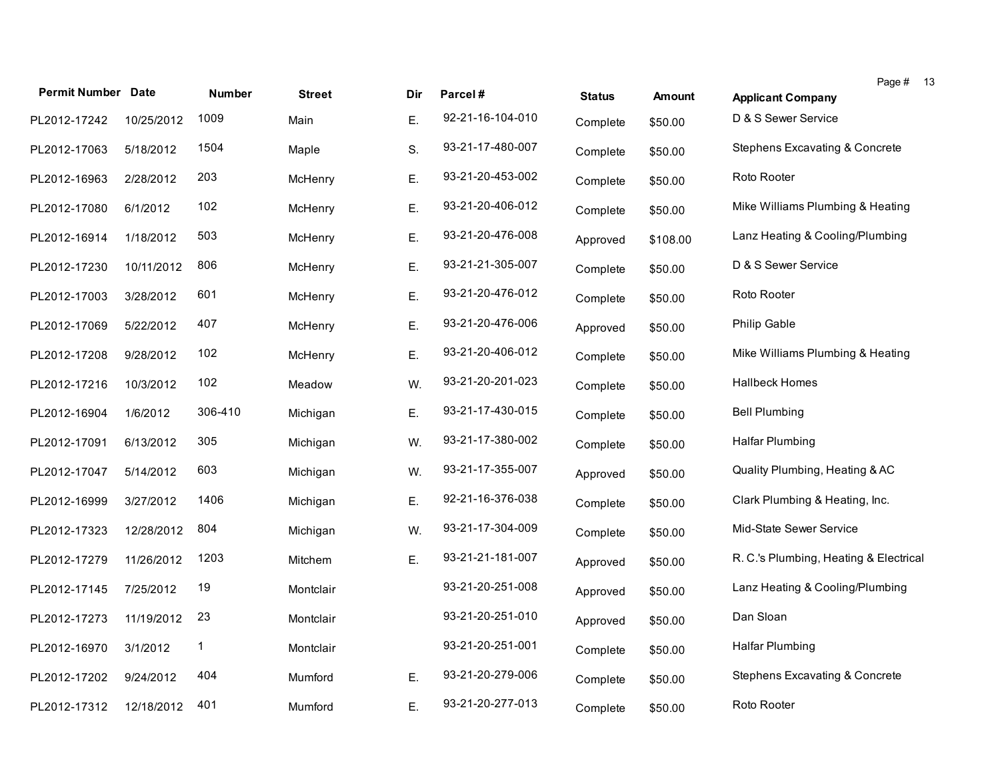|                           |            |               |                |     |                  |               |               | Page # 13                                 |  |
|---------------------------|------------|---------------|----------------|-----|------------------|---------------|---------------|-------------------------------------------|--|
| <b>Permit Number Date</b> |            | <b>Number</b> | <b>Street</b>  | Dir | Parcel#          | <b>Status</b> | <b>Amount</b> | <b>Applicant Company</b>                  |  |
| PL2012-17242              | 10/25/2012 | 1009          | Main           | Ε.  | 92-21-16-104-010 | Complete      | \$50.00       | D & S Sewer Service                       |  |
| PL2012-17063              | 5/18/2012  | 1504          | Maple          | S.  | 93-21-17-480-007 | Complete      | \$50.00       | Stephens Excavating & Concrete            |  |
| PL2012-16963              | 2/28/2012  | 203           | McHenry        | Ε.  | 93-21-20-453-002 | Complete      | \$50.00       | Roto Rooter                               |  |
| PL2012-17080              | 6/1/2012   | 102           | McHenry        | Ε.  | 93-21-20-406-012 | Complete      | \$50.00       | Mike Williams Plumbing & Heating          |  |
| PL2012-16914              | 1/18/2012  | 503           | McHenry        | Ε.  | 93-21-20-476-008 | Approved      | \$108.00      | Lanz Heating & Cooling/Plumbing           |  |
| PL2012-17230              | 10/11/2012 | 806           | McHenry        | Ε.  | 93-21-21-305-007 | Complete      | \$50.00       | D & S Sewer Service                       |  |
| PL2012-17003              | 3/28/2012  | 601           | McHenry        | Ε.  | 93-21-20-476-012 | Complete      | \$50.00       | Roto Rooter                               |  |
| PL2012-17069              | 5/22/2012  | 407           | McHenry        | Ε.  | 93-21-20-476-006 | Approved      | \$50.00       | Philip Gable                              |  |
| PL2012-17208              | 9/28/2012  | 102           | McHenry        | Ε.  | 93-21-20-406-012 | Complete      | \$50.00       | Mike Williams Plumbing & Heating          |  |
| PL2012-17216              | 10/3/2012  | 102           | Meadow         | W.  | 93-21-20-201-023 | Complete      | \$50.00       | <b>Hallbeck Homes</b>                     |  |
| PL2012-16904              | 1/6/2012   | 306-410       | Michigan       | Ε.  | 93-21-17-430-015 | Complete      | \$50.00       | <b>Bell Plumbing</b>                      |  |
| PL2012-17091              | 6/13/2012  | 305           | Michigan       | W.  | 93-21-17-380-002 | Complete      | \$50.00       | <b>Halfar Plumbing</b>                    |  |
| PL2012-17047              | 5/14/2012  | 603           | Michigan       | W.  | 93-21-17-355-007 | Approved      | \$50.00       | Quality Plumbing, Heating & AC            |  |
| PL2012-16999              | 3/27/2012  | 1406          | Michigan       | Ε.  | 92-21-16-376-038 | Complete      | \$50.00       | Clark Plumbing & Heating, Inc.            |  |
| PL2012-17323              | 12/28/2012 | 804           | Michigan       | W.  | 93-21-17-304-009 | Complete      | \$50.00       | Mid-State Sewer Service                   |  |
| PL2012-17279              | 11/26/2012 | 1203          | <b>Mitchem</b> | Ε.  | 93-21-21-181-007 | Approved      | \$50.00       | R. C.'s Plumbing, Heating & Electrical    |  |
| PL2012-17145              | 7/25/2012  | 19            | Montclair      |     | 93-21-20-251-008 | Approved      | \$50.00       | Lanz Heating & Cooling/Plumbing           |  |
| PL2012-17273              | 11/19/2012 | 23            | Montclair      |     | 93-21-20-251-010 | Approved      | \$50.00       | Dan Sloan                                 |  |
| PL2012-16970              | 3/1/2012   | 1             | Montclair      |     | 93-21-20-251-001 | Complete      | \$50.00       | Halfar Plumbing                           |  |
| PL2012-17202              | 9/24/2012  | 404           | Mumford        | Ε.  | 93-21-20-279-006 | Complete      | \$50.00       | <b>Stephens Excavating &amp; Concrete</b> |  |
| PL2012-17312              | 12/18/2012 | 401           | Mumford        | Ε.  | 93-21-20-277-013 | Complete      | \$50.00       | Roto Rooter                               |  |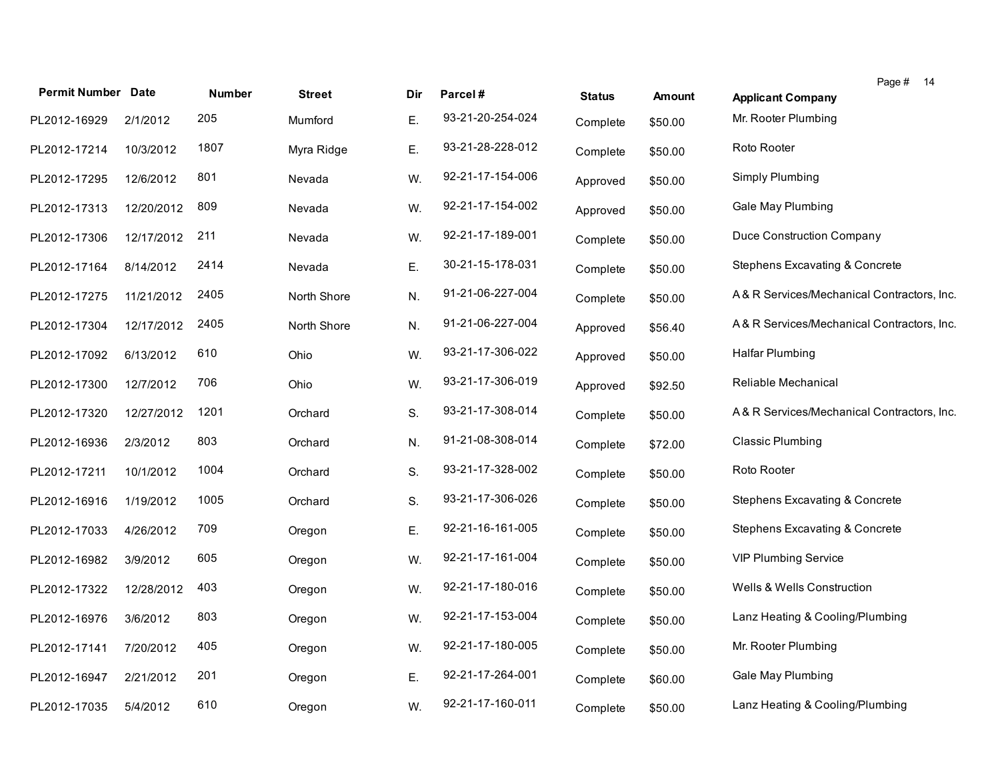| <b>Permit Number Date</b> |            | <b>Number</b> | <b>Street</b> | Dir | Parcel#          | <b>Status</b> | <b>Amount</b> | Page # 14<br><b>Applicant Company</b>      |
|---------------------------|------------|---------------|---------------|-----|------------------|---------------|---------------|--------------------------------------------|
| PL2012-16929              | 2/1/2012   | 205           | Mumford       | E.  | 93-21-20-254-024 | Complete      | \$50.00       | Mr. Rooter Plumbing                        |
| PL2012-17214              | 10/3/2012  | 1807          | Myra Ridge    | Ε.  | 93-21-28-228-012 | Complete      | \$50.00       | Roto Rooter                                |
| PL2012-17295              | 12/6/2012  | 801           | Nevada        | W.  | 92-21-17-154-006 | Approved      | \$50.00       | Simply Plumbing                            |
| PL2012-17313              | 12/20/2012 | 809           | Nevada        | W.  | 92-21-17-154-002 | Approved      | \$50.00       | Gale May Plumbing                          |
| PL2012-17306              | 12/17/2012 | 211           | Nevada        | W.  | 92-21-17-189-001 | Complete      | \$50.00       | Duce Construction Company                  |
| PL2012-17164              | 8/14/2012  | 2414          | Nevada        | Ε.  | 30-21-15-178-031 | Complete      | \$50.00       | Stephens Excavating & Concrete             |
| PL2012-17275              | 11/21/2012 | 2405          | North Shore   | N.  | 91-21-06-227-004 | Complete      | \$50.00       | A& R Services/Mechanical Contractors, Inc. |
| PL2012-17304              | 12/17/2012 | 2405          | North Shore   | N.  | 91-21-06-227-004 | Approved      | \$56.40       | A& R Services/Mechanical Contractors, Inc. |
| PL2012-17092              | 6/13/2012  | 610           | Ohio          | W.  | 93-21-17-306-022 | Approved      | \$50.00       | <b>Halfar Plumbing</b>                     |
| PL2012-17300              | 12/7/2012  | 706           | Ohio          | W.  | 93-21-17-306-019 | Approved      | \$92.50       | Reliable Mechanical                        |
| PL2012-17320              | 12/27/2012 | 1201          | Orchard       | S.  | 93-21-17-308-014 | Complete      | \$50.00       | A& R Services/Mechanical Contractors, Inc. |
| PL2012-16936              | 2/3/2012   | 803           | Orchard       | N.  | 91-21-08-308-014 | Complete      | \$72.00       | <b>Classic Plumbing</b>                    |
| PL2012-17211              | 10/1/2012  | 1004          | Orchard       | S.  | 93-21-17-328-002 | Complete      | \$50.00       | Roto Rooter                                |
| PL2012-16916              | 1/19/2012  | 1005          | Orchard       | S.  | 93-21-17-306-026 | Complete      | \$50.00       | Stephens Excavating & Concrete             |
| PL2012-17033              | 4/26/2012  | 709           | Oregon        | Ε.  | 92-21-16-161-005 | Complete      | \$50.00       | Stephens Excavating & Concrete             |
| PL2012-16982              | 3/9/2012   | 605           | Oregon        | W.  | 92-21-17-161-004 | Complete      | \$50.00       | <b>VIP Plumbing Service</b>                |
| PL2012-17322              | 12/28/2012 | 403           | Oregon        | W.  | 92-21-17-180-016 | Complete      | \$50.00       | Wells & Wells Construction                 |
| PL2012-16976              | 3/6/2012   | 803           | Oregon        | W.  | 92-21-17-153-004 | Complete      | \$50.00       | Lanz Heating & Cooling/Plumbing            |
| PL2012-17141              | 7/20/2012  | 405           | Oregon        | W.  | 92-21-17-180-005 | Complete      | \$50.00       | Mr. Rooter Plumbing                        |
| PL2012-16947              | 2/21/2012  | 201           | Oregon        | Ε.  | 92-21-17-264-001 | Complete      | \$60.00       | Gale May Plumbing                          |
| PL2012-17035              | 5/4/2012   | 610           | Oregon        | W.  | 92-21-17-160-011 | Complete      | \$50.00       | Lanz Heating & Cooling/Plumbing            |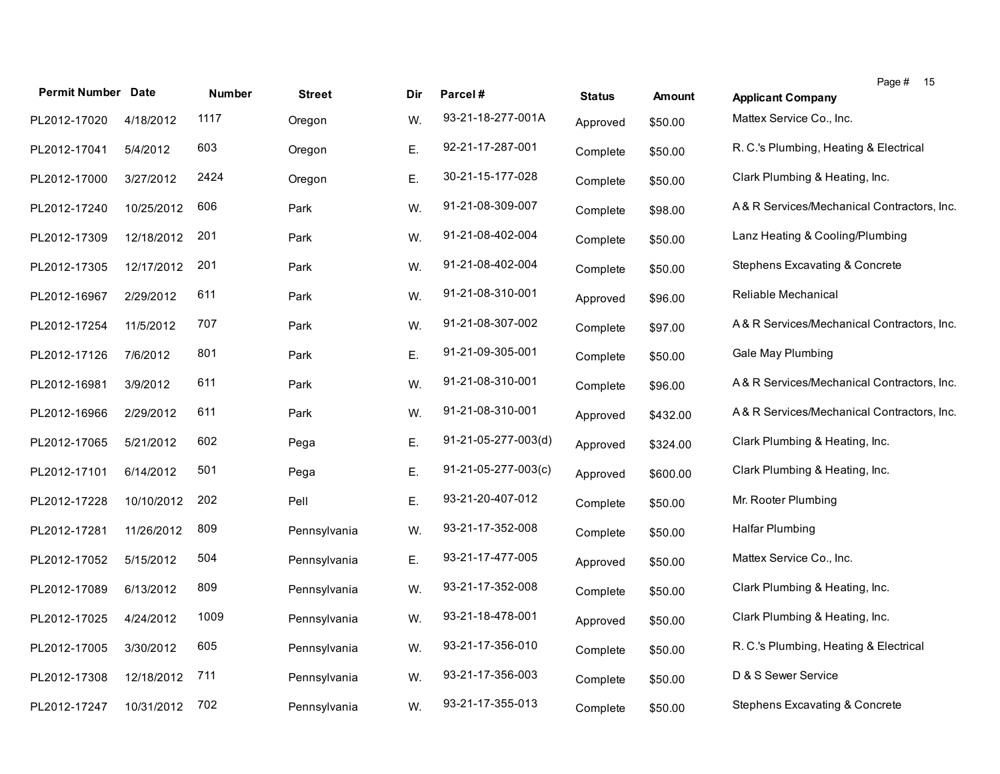| <b>Permit Number Date</b> |            | <b>Number</b> | <b>Street</b> | Dir | Parcel#                       | <b>Status</b> | <b>Amount</b> | Page # 15<br><b>Applicant Company</b>      |
|---------------------------|------------|---------------|---------------|-----|-------------------------------|---------------|---------------|--------------------------------------------|
| PL2012-17020              | 4/18/2012  | 1117          | Oregon        | W.  | 93-21-18-277-001A             | Approved      | \$50.00       | Mattex Service Co., Inc.                   |
| PL2012-17041              | 5/4/2012   | 603           | Oregon        | Ε.  | 92-21-17-287-001              | Complete      | \$50.00       | R. C.'s Plumbing, Heating & Electrical     |
| PL2012-17000              | 3/27/2012  | 2424          | Oregon        | Ε.  | 30-21-15-177-028              | Complete      | \$50.00       | Clark Plumbing & Heating, Inc.             |
| PL2012-17240              | 10/25/2012 | 606           | Park          | W.  | 91-21-08-309-007              | Complete      | \$98.00       | A& R Services/Mechanical Contractors, Inc. |
| PL2012-17309              | 12/18/2012 | 201           | Park          | W.  | 91-21-08-402-004              | Complete      | \$50.00       | Lanz Heating & Cooling/Plumbing            |
| PL2012-17305              | 12/17/2012 | 201           | Park          | W.  | 91-21-08-402-004              | Complete      | \$50.00       | Stephens Excavating & Concrete             |
| PL2012-16967              | 2/29/2012  | 611           | Park          | W.  | 91-21-08-310-001              | Approved      | \$96.00       | Reliable Mechanical                        |
| PL2012-17254              | 11/5/2012  | 707           | Park          | W.  | 91-21-08-307-002              | Complete      | \$97.00       | A& R Services/Mechanical Contractors, Inc. |
| PL2012-17126              | 7/6/2012   | 801           | Park          | Ε.  | 91-21-09-305-001              | Complete      | \$50.00       | Gale May Plumbing                          |
| PL2012-16981              | 3/9/2012   | 611           | Park          | W.  | 91-21-08-310-001              | Complete      | \$96.00       | A& R Services/Mechanical Contractors, Inc. |
| PL2012-16966              | 2/29/2012  | 611           | Park          | W.  | 91-21-08-310-001              | Approved      | \$432.00      | A& R Services/Mechanical Contractors, Inc. |
| PL2012-17065              | 5/21/2012  | 602           | Pega          | Ε.  | 91-21-05-277-003(d)           | Approved      | \$324.00      | Clark Plumbing & Heating, Inc.             |
| PL2012-17101              | 6/14/2012  | 501           | Pega          | Ε.  | $91 - 21 - 05 - 277 - 003(c)$ | Approved      | \$600.00      | Clark Plumbing & Heating, Inc.             |
| PL2012-17228              | 10/10/2012 | 202           | Pell          | Ε.  | 93-21-20-407-012              | Complete      | \$50.00       | Mr. Rooter Plumbing                        |
| PL2012-17281              | 11/26/2012 | 809           | Pennsylvania  | W.  | 93-21-17-352-008              | Complete      | \$50.00       | Halfar Plumbing                            |
| PL2012-17052              | 5/15/2012  | 504           | Pennsylvania  | Ε.  | 93-21-17-477-005              | Approved      | \$50.00       | Mattex Service Co., Inc.                   |
| PL2012-17089              | 6/13/2012  | 809           | Pennsylvania  | W.  | 93-21-17-352-008              | Complete      | \$50.00       | Clark Plumbing & Heating, Inc.             |
| PL2012-17025              | 4/24/2012  | 1009          | Pennsylvania  | W.  | 93-21-18-478-001              | Approved      | \$50.00       | Clark Plumbing & Heating, Inc.             |
| PL2012-17005              | 3/30/2012  | 605           | Pennsylvania  | W.  | 93-21-17-356-010              | Complete      | \$50.00       | R. C.'s Plumbing, Heating & Electrical     |
| PL2012-17308              | 12/18/2012 | 711           | Pennsylvania  | W.  | 93-21-17-356-003              | Complete      | \$50.00       | D & S Sewer Service                        |
| PL2012-17247              | 10/31/2012 | 702           | Pennsylvania  | W.  | 93-21-17-355-013              | Complete      | \$50.00       | Stephens Excavating & Concrete             |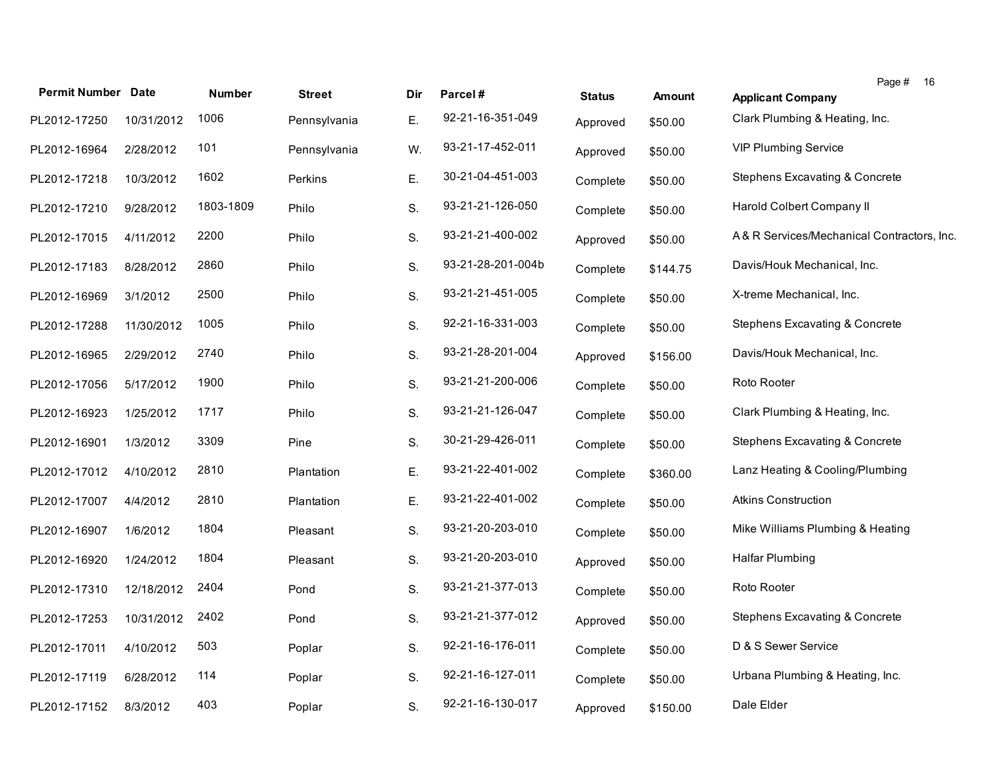| <b>Permit Number Date</b> |            | <b>Number</b> | <b>Street</b> | Dir | Parcel#           | <b>Status</b> | <b>Amount</b> | Page # 16<br><b>Applicant Company</b>      |
|---------------------------|------------|---------------|---------------|-----|-------------------|---------------|---------------|--------------------------------------------|
| PL2012-17250              | 10/31/2012 | 1006          | Pennsylvania  | Ε.  | 92-21-16-351-049  | Approved      | \$50.00       | Clark Plumbing & Heating, Inc.             |
| PL2012-16964              | 2/28/2012  | 101           | Pennsylvania  | W.  | 93-21-17-452-011  | Approved      | \$50.00       | <b>VIP Plumbing Service</b>                |
| PL2012-17218              | 10/3/2012  | 1602          | Perkins       | Ε.  | 30-21-04-451-003  | Complete      | \$50.00       | Stephens Excavating & Concrete             |
| PL2012-17210              | 9/28/2012  | 1803-1809     | Philo         | S.  | 93-21-21-126-050  | Complete      | \$50.00       | Harold Colbert Company II                  |
| PL2012-17015              | 4/11/2012  | 2200          | Philo         | S.  | 93-21-21-400-002  | Approved      | \$50.00       | A& R Services/Mechanical Contractors, Inc. |
| PL2012-17183              | 8/28/2012  | 2860          | Philo         | S.  | 93-21-28-201-004b | Complete      | \$144.75      | Davis/Houk Mechanical, Inc.                |
| PL2012-16969              | 3/1/2012   | 2500          | Philo         | S.  | 93-21-21-451-005  | Complete      | \$50.00       | X-treme Mechanical, Inc.                   |
| PL2012-17288              | 11/30/2012 | 1005          | Philo         | S.  | 92-21-16-331-003  | Complete      | \$50.00       | Stephens Excavating & Concrete             |
| PL2012-16965              | 2/29/2012  | 2740          | Philo         | S.  | 93-21-28-201-004  | Approved      | \$156.00      | Davis/Houk Mechanical, Inc.                |
| PL2012-17056              | 5/17/2012  | 1900          | Philo         | S.  | 93-21-21-200-006  | Complete      | \$50.00       | Roto Rooter                                |
| PL2012-16923              | 1/25/2012  | 1717          | Philo         | S.  | 93-21-21-126-047  | Complete      | \$50.00       | Clark Plumbing & Heating, Inc.             |
| PL2012-16901              | 1/3/2012   | 3309          | Pine          | S.  | 30-21-29-426-011  | Complete      | \$50.00       | <b>Stephens Excavating &amp; Concrete</b>  |
| PL2012-17012              | 4/10/2012  | 2810          | Plantation    | Ε.  | 93-21-22-401-002  | Complete      | \$360.00      | Lanz Heating & Cooling/Plumbing            |
| PL2012-17007              | 4/4/2012   | 2810          | Plantation    | Ε.  | 93-21-22-401-002  | Complete      | \$50.00       | <b>Atkins Construction</b>                 |
| PL2012-16907              | 1/6/2012   | 1804          | Pleasant      | S.  | 93-21-20-203-010  | Complete      | \$50.00       | Mike Williams Plumbing & Heating           |
| PL2012-16920              | 1/24/2012  | 1804          | Pleasant      | S.  | 93-21-20-203-010  | Approved      | \$50.00       | Halfar Plumbing                            |
| PL2012-17310              | 12/18/2012 | 2404          | Pond          | S.  | 93-21-21-377-013  | Complete      | \$50.00       | Roto Rooter                                |
| PL2012-17253              | 10/31/2012 | 2402          | Pond          | S.  | 93-21-21-377-012  | Approved      | \$50.00       | Stephens Excavating & Concrete             |
| PL2012-17011              | 4/10/2012  | 503           | Poplar        | S.  | 92-21-16-176-011  | Complete      | \$50.00       | D & S Sewer Service                        |
| PL2012-17119              | 6/28/2012  | 114           | Poplar        | S.  | 92-21-16-127-011  | Complete      | \$50.00       | Urbana Plumbing & Heating, Inc.            |
| PL2012-17152              | 8/3/2012   | 403           | Poplar        | S.  | 92-21-16-130-017  | Approved      | \$150.00      | Dale Elder                                 |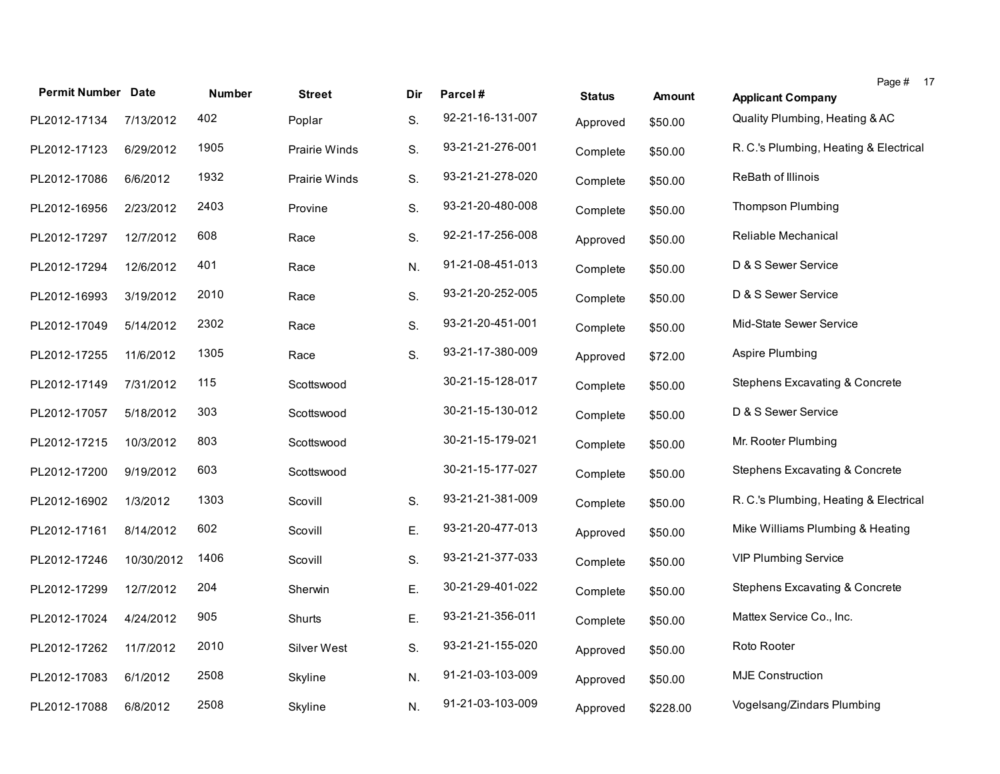| <b>Permit Number Date</b> |            | <b>Number</b> | <b>Street</b>        | Dir | Parcel#          | <b>Status</b> | <b>Amount</b> | Page # 17<br><b>Applicant Company</b>     |
|---------------------------|------------|---------------|----------------------|-----|------------------|---------------|---------------|-------------------------------------------|
| PL2012-17134              | 7/13/2012  | 402           | Poplar               | S.  | 92-21-16-131-007 | Approved      | \$50.00       | Quality Plumbing, Heating & AC            |
| PL2012-17123              | 6/29/2012  | 1905          | <b>Prairie Winds</b> | S.  | 93-21-21-276-001 | Complete      | \$50.00       | R. C.'s Plumbing, Heating & Electrical    |
| PL2012-17086              | 6/6/2012   | 1932          | Prairie Winds        | S.  | 93-21-21-278-020 | Complete      | \$50.00       | ReBath of Illinois                        |
| PL2012-16956              | 2/23/2012  | 2403          | Provine              | S.  | 93-21-20-480-008 | Complete      | \$50.00       | <b>Thompson Plumbing</b>                  |
| PL2012-17297              | 12/7/2012  | 608           | Race                 | S.  | 92-21-17-256-008 | Approved      | \$50.00       | Reliable Mechanical                       |
| PL2012-17294              | 12/6/2012  | 401           | Race                 | N.  | 91-21-08-451-013 | Complete      | \$50.00       | D & S Sewer Service                       |
| PL2012-16993              | 3/19/2012  | 2010          | Race                 | S.  | 93-21-20-252-005 | Complete      | \$50.00       | D & S Sewer Service                       |
| PL2012-17049              | 5/14/2012  | 2302          | Race                 | S.  | 93-21-20-451-001 | Complete      | \$50.00       | Mid-State Sewer Service                   |
| PL2012-17255              | 11/6/2012  | 1305          | Race                 | S.  | 93-21-17-380-009 | Approved      | \$72.00       | Aspire Plumbing                           |
| PL2012-17149              | 7/31/2012  | 115           | Scottswood           |     | 30-21-15-128-017 | Complete      | \$50.00       | <b>Stephens Excavating &amp; Concrete</b> |
| PL2012-17057              | 5/18/2012  | 303           | Scottswood           |     | 30-21-15-130-012 | Complete      | \$50.00       | D & S Sewer Service                       |
| PL2012-17215              | 10/3/2012  | 803           | Scottswood           |     | 30-21-15-179-021 | Complete      | \$50.00       | Mr. Rooter Plumbing                       |
| PL2012-17200              | 9/19/2012  | 603           | Scottswood           |     | 30-21-15-177-027 | Complete      | \$50.00       | Stephens Excavating & Concrete            |
| PL2012-16902              | 1/3/2012   | 1303          | Scovill              | S.  | 93-21-21-381-009 | Complete      | \$50.00       | R. C.'s Plumbing, Heating & Electrical    |
| PL2012-17161              | 8/14/2012  | 602           | Scovill              | Ε.  | 93-21-20-477-013 | Approved      | \$50.00       | Mike Williams Plumbing & Heating          |
| PL2012-17246              | 10/30/2012 | 1406          | Scovill              | S.  | 93-21-21-377-033 | Complete      | \$50.00       | <b>VIP Plumbing Service</b>               |
| PL2012-17299              | 12/7/2012  | 204           | Sherwin              | Ε.  | 30-21-29-401-022 | Complete      | \$50.00       | Stephens Excavating & Concrete            |
| PL2012-17024              | 4/24/2012  | 905           | Shurts               | Ε.  | 93-21-21-356-011 | Complete      | \$50.00       | Mattex Service Co., Inc.                  |
| PL2012-17262              | 11/7/2012  | 2010          | Silver West          | S.  | 93-21-21-155-020 | Approved      | \$50.00       | Roto Rooter                               |
| PL2012-17083              | 6/1/2012   | 2508          | Skyline              | N.  | 91-21-03-103-009 | Approved      | \$50.00       | <b>MJE Construction</b>                   |
| PL2012-17088              | 6/8/2012   | 2508          | Skyline              | N.  | 91-21-03-103-009 | Approved      | \$228.00      | Vogelsang/Zindars Plumbing                |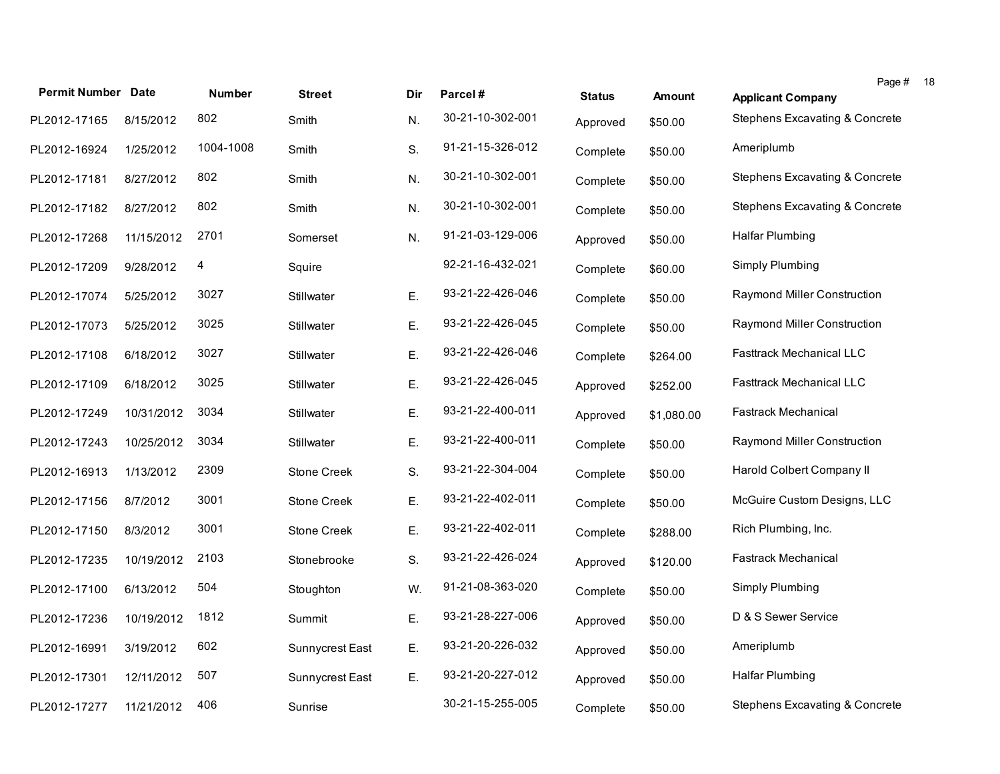| <b>Permit Number Date</b> |            | <b>Number</b> | <b>Street</b>      | Dir | Parcel#          | <b>Status</b> | <b>Amount</b> | Page #<br><b>Applicant Company</b>        |
|---------------------------|------------|---------------|--------------------|-----|------------------|---------------|---------------|-------------------------------------------|
| PL2012-17165              | 8/15/2012  | 802           | Smith              | N.  | 30-21-10-302-001 | Approved      | \$50.00       | <b>Stephens Excavating &amp; Concrete</b> |
| PL2012-16924              | 1/25/2012  | 1004-1008     | Smith              | S.  | 91-21-15-326-012 | Complete      | \$50.00       | Ameriplumb                                |
| PL2012-17181              | 8/27/2012  | 802           | Smith              | N.  | 30-21-10-302-001 | Complete      | \$50.00       | Stephens Excavating & Concrete            |
| PL2012-17182              | 8/27/2012  | 802           | Smith              | N.  | 30-21-10-302-001 | Complete      | \$50.00       | Stephens Excavating & Concrete            |
| PL2012-17268              | 11/15/2012 | 2701          | Somerset           | N.  | 91-21-03-129-006 | Approved      | \$50.00       | Halfar Plumbing                           |
| PL2012-17209              | 9/28/2012  | 4             | Squire             |     | 92-21-16-432-021 | Complete      | \$60.00       | Simply Plumbing                           |
| PL2012-17074              | 5/25/2012  | 3027          | Stillwater         | Ε.  | 93-21-22-426-046 | Complete      | \$50.00       | Raymond Miller Construction               |
| PL2012-17073              | 5/25/2012  | 3025          | Stillwater         | Ε.  | 93-21-22-426-045 | Complete      | \$50.00       | Raymond Miller Construction               |
| PL2012-17108              | 6/18/2012  | 3027          | Stillwater         | Ε.  | 93-21-22-426-046 | Complete      | \$264.00      | <b>Fasttrack Mechanical LLC</b>           |
| PL2012-17109              | 6/18/2012  | 3025          | Stillwater         | Ε.  | 93-21-22-426-045 | Approved      | \$252.00      | <b>Fasttrack Mechanical LLC</b>           |
| PL2012-17249              | 10/31/2012 | 3034          | Stillwater         | Ε.  | 93-21-22-400-011 | Approved      | \$1,080.00    | <b>Fastrack Mechanical</b>                |
| PL2012-17243              | 10/25/2012 | 3034          | Stillwater         | Ε.  | 93-21-22-400-011 | Complete      | \$50.00       | Raymond Miller Construction               |
| PL2012-16913              | 1/13/2012  | 2309          | Stone Creek        | S.  | 93-21-22-304-004 | Complete      | \$50.00       | Harold Colbert Company II                 |
| PL2012-17156              | 8/7/2012   | 3001          | <b>Stone Creek</b> | Ε.  | 93-21-22-402-011 | Complete      | \$50.00       | McGuire Custom Designs, LLC               |
| PL2012-17150              | 8/3/2012   | 3001          | Stone Creek        | Ε.  | 93-21-22-402-011 | Complete      | \$288.00      | Rich Plumbing, Inc.                       |
| PL2012-17235              | 10/19/2012 | 2103          | Stonebrooke        | S.  | 93-21-22-426-024 | Approved      | \$120.00      | <b>Fastrack Mechanical</b>                |
| PL2012-17100              | 6/13/2012  | 504           | Stoughton          | W.  | 91-21-08-363-020 | Complete      | \$50.00       | Simply Plumbing                           |
| PL2012-17236              | 10/19/2012 | 1812          | Summit             | Ε.  | 93-21-28-227-006 | Approved      | \$50.00       | D & S Sewer Service                       |
| PL2012-16991              | 3/19/2012  | 602           | Sunnycrest East    | Ε.  | 93-21-20-226-032 | Approved      | \$50.00       | Ameriplumb                                |
| PL2012-17301              | 12/11/2012 | 507           | Sunnycrest East    | Ε.  | 93-21-20-227-012 | Approved      | \$50.00       | Halfar Plumbing                           |
| PL2012-17277              | 11/21/2012 | 406           | Sunrise            |     | 30-21-15-255-005 | Complete      | \$50.00       | Stephens Excavating & Concrete            |

18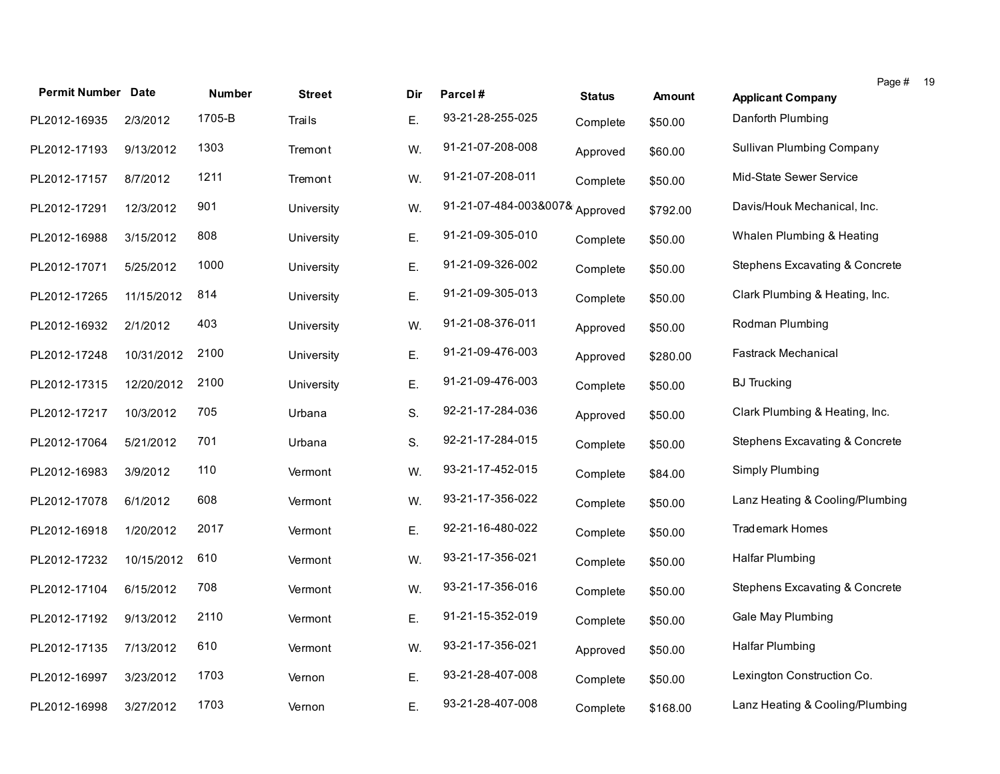|                           |            |               |               |     |                                |               |               | Page # 19                        |  |
|---------------------------|------------|---------------|---------------|-----|--------------------------------|---------------|---------------|----------------------------------|--|
| <b>Permit Number Date</b> |            | <b>Number</b> | <b>Street</b> | Dir | Parcel#                        | <b>Status</b> | <b>Amount</b> | <b>Applicant Company</b>         |  |
| PL2012-16935              | 2/3/2012   | 1705-B        | Trails        | Ε.  | 93-21-28-255-025               | Complete      | \$50.00       | Danforth Plumbing                |  |
| PL2012-17193              | 9/13/2012  | 1303          | Tremont       | W.  | 91-21-07-208-008               | Approved      | \$60.00       | <b>Sullivan Plumbing Company</b> |  |
| PL2012-17157              | 8/7/2012   | 1211          | Tremont       | W.  | 91-21-07-208-011               | Complete      | \$50.00       | Mid-State Sewer Service          |  |
| PL2012-17291              | 12/3/2012  | 901           | University    | W.  | 91-21-07-484-003&007& Approved |               | \$792.00      | Davis/Houk Mechanical, Inc.      |  |
| PL2012-16988              | 3/15/2012  | 808           | University    | Ε.  | 91-21-09-305-010               | Complete      | \$50.00       | Whalen Plumbing & Heating        |  |
| PL2012-17071              | 5/25/2012  | 1000          | University    | Ε.  | 91-21-09-326-002               | Complete      | \$50.00       | Stephens Excavating & Concrete   |  |
| PL2012-17265              | 11/15/2012 | 814           | University    | Ε.  | 91-21-09-305-013               | Complete      | \$50.00       | Clark Plumbing & Heating, Inc.   |  |
| PL2012-16932              | 2/1/2012   | 403           | University    | W.  | 91-21-08-376-011               | Approved      | \$50.00       | Rodman Plumbing                  |  |
| PL2012-17248              | 10/31/2012 | 2100          | University    | Ε.  | 91-21-09-476-003               | Approved      | \$280.00      | <b>Fastrack Mechanical</b>       |  |
| PL2012-17315              | 12/20/2012 | 2100          | University    | Ε.  | 91-21-09-476-003               | Complete      | \$50.00       | <b>BJ</b> Trucking               |  |
| PL2012-17217              | 10/3/2012  | 705           | Urbana        | S.  | 92-21-17-284-036               | Approved      | \$50.00       | Clark Plumbing & Heating, Inc.   |  |
| PL2012-17064              | 5/21/2012  | 701           | Urbana        | S.  | 92-21-17-284-015               | Complete      | \$50.00       | Stephens Excavating & Concrete   |  |
| PL2012-16983              | 3/9/2012   | 110           | Vermont       | W.  | 93-21-17-452-015               | Complete      | \$84.00       | Simply Plumbing                  |  |
| PL2012-17078              | 6/1/2012   | 608           | Vermont       | W.  | 93-21-17-356-022               | Complete      | \$50.00       | Lanz Heating & Cooling/Plumbing  |  |
| PL2012-16918              | 1/20/2012  | 2017          | Vermont       | Ε.  | 92-21-16-480-022               | Complete      | \$50.00       | <b>Trademark Homes</b>           |  |
| PL2012-17232              | 10/15/2012 | 610           | Vermont       | W.  | 93-21-17-356-021               | Complete      | \$50.00       | Halfar Plumbing                  |  |
| PL2012-17104              | 6/15/2012  | 708           | Vermont       | W.  | 93-21-17-356-016               | Complete      | \$50.00       | Stephens Excavating & Concrete   |  |
| PL2012-17192              | 9/13/2012  | 2110          | Vermont       | Ε.  | 91-21-15-352-019               | Complete      | \$50.00       | Gale May Plumbing                |  |
| PL2012-17135              | 7/13/2012  | 610           | Vermont       | W.  | 93-21-17-356-021               | Approved      | \$50.00       | Halfar Plumbing                  |  |
| PL2012-16997              | 3/23/2012  | 1703          | Vernon        | Ε.  | 93-21-28-407-008               | Complete      | \$50.00       | Lexington Construction Co.       |  |
| PL2012-16998              | 3/27/2012  | 1703          | Vernon        | Ε.  | 93-21-28-407-008               | Complete      | \$168.00      | Lanz Heating & Cooling/Plumbing  |  |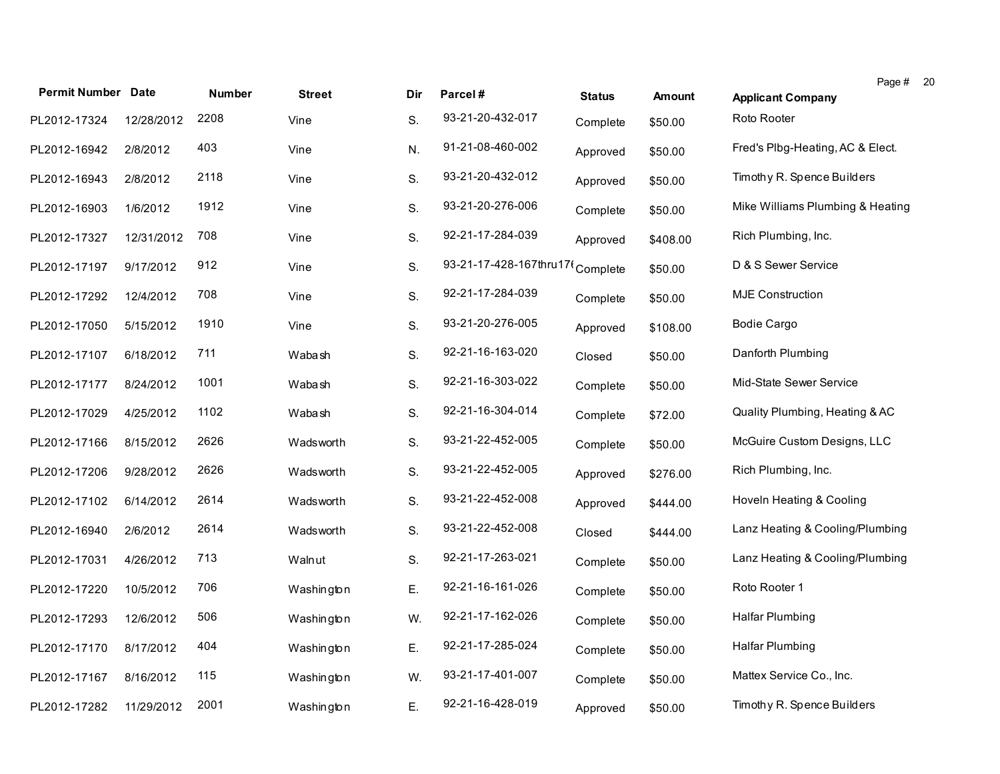|                           |            |               |               |     |                                  |               |               | Page # 20                        |  |
|---------------------------|------------|---------------|---------------|-----|----------------------------------|---------------|---------------|----------------------------------|--|
| <b>Permit Number Date</b> |            | <b>Number</b> | <b>Street</b> | Dir | Parcel#                          | <b>Status</b> | <b>Amount</b> | <b>Applicant Company</b>         |  |
| PL2012-17324              | 12/28/2012 | 2208          | Vine          | S.  | 93-21-20-432-017                 | Complete      | \$50.00       | Roto Rooter                      |  |
| PL2012-16942              | 2/8/2012   | 403           | Vine          | N.  | 91-21-08-460-002                 | Approved      | \$50.00       | Fred's Plbg-Heating, AC & Elect. |  |
| PL2012-16943              | 2/8/2012   | 2118          | Vine          | S.  | 93-21-20-432-012                 | Approved      | \$50.00       | Timothy R. Spence Builders       |  |
| PL2012-16903              | 1/6/2012   | 1912          | Vine          | S.  | 93-21-20-276-006                 | Complete      | \$50.00       | Mike Williams Plumbing & Heating |  |
| PL2012-17327              | 12/31/2012 | 708           | Vine          | S.  | 92-21-17-284-039                 | Approved      | \$408.00      | Rich Plumbing, Inc.              |  |
| PL2012-17197              | 9/17/2012  | 912           | Vine          | S.  | 93-21-17-428-167thru17t Complete |               | \$50.00       | D & S Sewer Service              |  |
| PL2012-17292              | 12/4/2012  | 708           | Vine          | S.  | 92-21-17-284-039                 | Complete      | \$50.00       | <b>MJE Construction</b>          |  |
| PL2012-17050              | 5/15/2012  | 1910          | Vine          | S.  | 93-21-20-276-005                 | Approved      | \$108.00      | <b>Bodie Cargo</b>               |  |
| PL2012-17107              | 6/18/2012  | 711           | Wabash        | S.  | 92-21-16-163-020                 | Closed        | \$50.00       | Danforth Plumbing                |  |
| PL2012-17177              | 8/24/2012  | 1001          | Wabash        | S.  | 92-21-16-303-022                 | Complete      | \$50.00       | Mid-State Sewer Service          |  |
| PL2012-17029              | 4/25/2012  | 1102          | Wabash        | S.  | 92-21-16-304-014                 | Complete      | \$72.00       | Quality Plumbing, Heating & AC   |  |
| PL2012-17166              | 8/15/2012  | 2626          | Wadsworth     | S.  | 93-21-22-452-005                 | Complete      | \$50.00       | McGuire Custom Designs, LLC      |  |
| PL2012-17206              | 9/28/2012  | 2626          | Wadsworth     | S.  | 93-21-22-452-005                 | Approved      | \$276.00      | Rich Plumbing, Inc.              |  |
| PL2012-17102              | 6/14/2012  | 2614          | Wadsworth     | S.  | 93-21-22-452-008                 | Approved      | \$444.00      | Hoveln Heating & Cooling         |  |
| PL2012-16940              | 2/6/2012   | 2614          | Wadsworth     | S.  | 93-21-22-452-008                 | Closed        | \$444.00      | Lanz Heating & Cooling/Plumbing  |  |
| PL2012-17031              | 4/26/2012  | 713           | Walnut        | S.  | 92-21-17-263-021                 | Complete      | \$50.00       | Lanz Heating & Cooling/Plumbing  |  |
| PL2012-17220              | 10/5/2012  | 706           | Washington    | Ε.  | 92-21-16-161-026                 | Complete      | \$50.00       | Roto Rooter 1                    |  |
| PL2012-17293              | 12/6/2012  | 506           | Washington    | W.  | 92-21-17-162-026                 | Complete      | \$50.00       | Halfar Plumbing                  |  |
| PL2012-17170              | 8/17/2012  | 404           | Washington    | Ε.  | 92-21-17-285-024                 | Complete      | \$50.00       | <b>Halfar Plumbing</b>           |  |
| PL2012-17167              | 8/16/2012  | 115           | Washington    | W.  | 93-21-17-401-007                 | Complete      | \$50.00       | Mattex Service Co., Inc.         |  |
| PL2012-17282              | 11/29/2012 | 2001          | Washington    | Ε.  | 92-21-16-428-019                 | Approved      | \$50.00       | Timothy R. Spence Builders       |  |